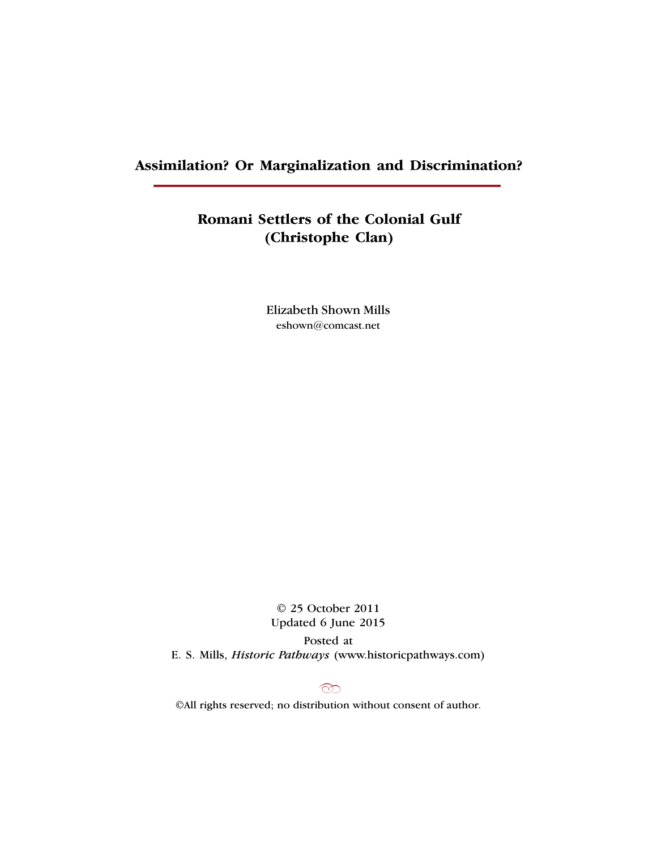## **Assimilation? Or Marginalization and Discrimination?**

# **Romani Settlers of the Colonial Gulf (Christophe Clan)**

Elizabeth Shown Mills eshown@comcast.net

© 25 October 2011 Updated 6 June 2015 Posted at E. S. Mills, *Historic Pathways* (www.historicpathways.com)

 $\infty$ 

©All rights reserved; no distribution without consent of author.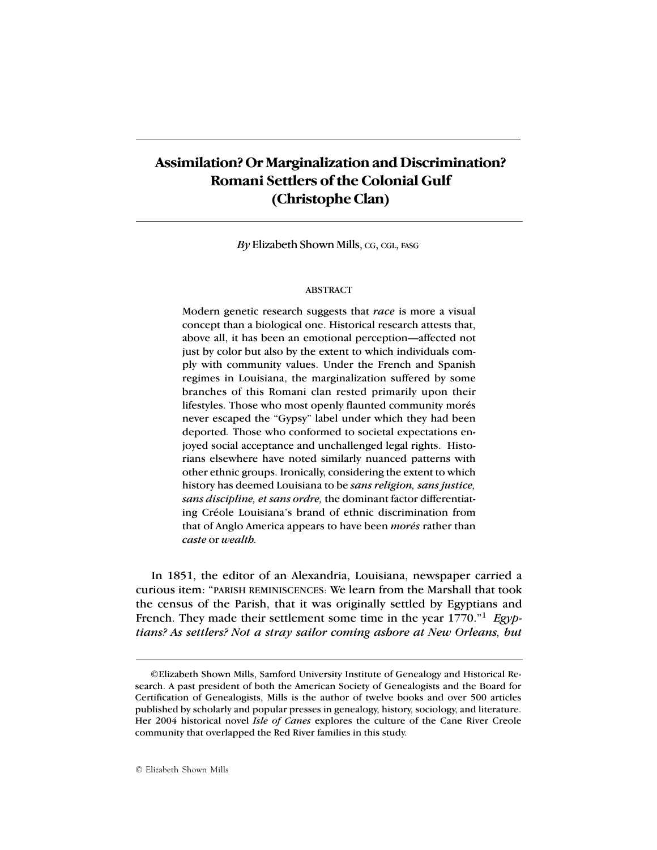$By$  Elizabeth Shown Mills, CG, CGL, FASG

## ABSTRACT

Modern genetic research suggests that *race* is more a visual concept than a biological one. Historical research attests that, above all, it has been an emotional perception—affected not just by color but also by the extent to which individuals comply with community values. Under the French and Spanish regimes in Louisiana, the marginalization suffered by some branches of this Romani clan rested primarily upon their lifestyles. Those who most openly flaunted community morés never escaped the "Gypsy" label under which they had been deported*.* Those who conformed to societal expectations enjoyed social acceptance and unchallenged legal rights. Historians elsewhere have noted similarly nuanced patterns with other ethnic groups. Ironically, considering the extent to which history has deemed Louisiana to be *sans religion, sans justice, sans discipline, et sans ordre,* the dominant factor differentiating Créole Louisiana's brand of ethnic discrimination from that of Anglo America appears to have been *morés* rather than *caste* or *wealth.*

In 1851, the editor of an Alexandria, Louisiana, newspaper carried a curious item: "PARISH REMINISCENCES: We learn from the Marshall that took the census of the Parish, that it was originally settled by Egyptians and French. They made their settlement some time in the year 1770."<sup>1</sup> *Egyptians? As settlers? Not a stray sailor coming ashore at New Orleans, but*

<sup>©</sup>Elizabeth Shown Mills, Samford University Institute of Genealogy and Historical Research. A past president of both the American Society of Genealogists and the Board for Certification of Genealogists, Mills is the author of twelve books and over 500 articles published by scholarly and popular presses in genealogy, history, sociology, and literature. Her 2004 historical novel *Isle of Canes* explores the culture of the Cane River Creole community that overlapped the Red River families in this study.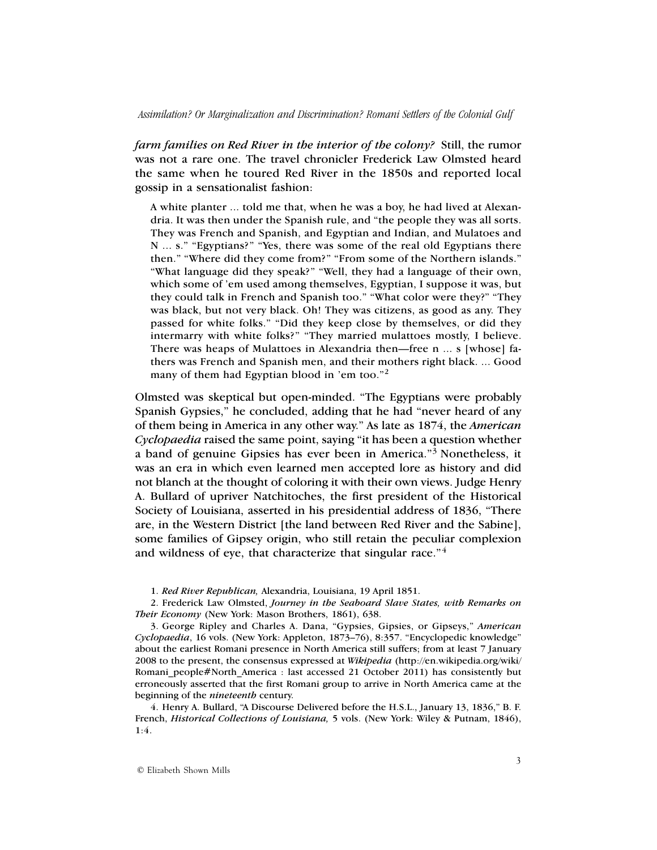*farm families on Red River in the interior of the colony?* Still, the rumor was not a rare one. The travel chronicler Frederick Law Olmsted heard the same when he toured Red River in the 1850s and reported local gossip in a sensationalist fashion:

A white planter ... told me that, when he was a boy, he had lived at Alexandria. It was then under the Spanish rule, and "the people they was all sorts. They was French and Spanish, and Egyptian and Indian, and Mulatoes and N ... s." "Egyptians?" "Yes, there was some of the real old Egyptians there then." "Where did they come from?" "From some of the Northern islands." "What language did they speak?" "Well, they had a language of their own, which some of 'em used among themselves, Egyptian, I suppose it was, but they could talk in French and Spanish too." "What color were they?" "They was black, but not very black. Oh! They was citizens, as good as any. They passed for white folks." "Did they keep close by themselves, or did they intermarry with white folks?" "They married mulattoes mostly, I believe. There was heaps of Mulattoes in Alexandria then—free n ... s [whose] fathers was French and Spanish men, and their mothers right black. ... Good many of them had Egyptian blood in 'em too."<sup>2</sup>

Olmsted was skeptical but open-minded. "The Egyptians were probably Spanish Gypsies," he concluded, adding that he had "never heard of any of them being in America in any other way." As late as 1874, the *American Cyclopaedia* raised the same point, saying "it has been a question whether a band of genuine Gipsies has ever been in America."3 Nonetheless, it was an era in which even learned men accepted lore as history and did not blanch at the thought of coloring it with their own views. Judge Henry A. Bullard of upriver Natchitoches, the first president of the Historical Society of Louisiana, asserted in his presidential address of 1836, "There are, in the Western District [the land between Red River and the Sabine], some families of Gipsey origin, who still retain the peculiar complexion and wildness of eye, that characterize that singular race."<sup>4</sup>

2. Frederick Law Olmsted, *Journey in the Seaboard Slave States, with Remarks on Their Economy* (New York: Mason Brothers, 1861), 638.

3. George Ripley and Charles A. Dana, "Gypsies, Gipsies, or Gipseys," *American Cyclopaedia*, 16 vols. (New York: Appleton, 1873–76), 8:357. "Encyclopedic knowledge" about the earliest Romani presence in North America still suffers; from at least 7 January 2008 to the present, the consensus expressed at *Wikipedia* (http://en.wikipedia.org/wiki/ Romani people#North America : last accessed 21 October 2011) has consistently but erroneously asserted that the first Romani group to arrive in North America came at the beginning of the *nineteenth* century.

4. Henry A. Bullard, "A Discourse Delivered before the H.S.L., January 13, 1836," B. F. French, *Historical Collections of Louisiana,* 5 vols. (New York: Wiley & Putnam, 1846), 1:4.

<sup>1.</sup> *Red River Republican,* Alexandria, Louisiana, 19 April 1851.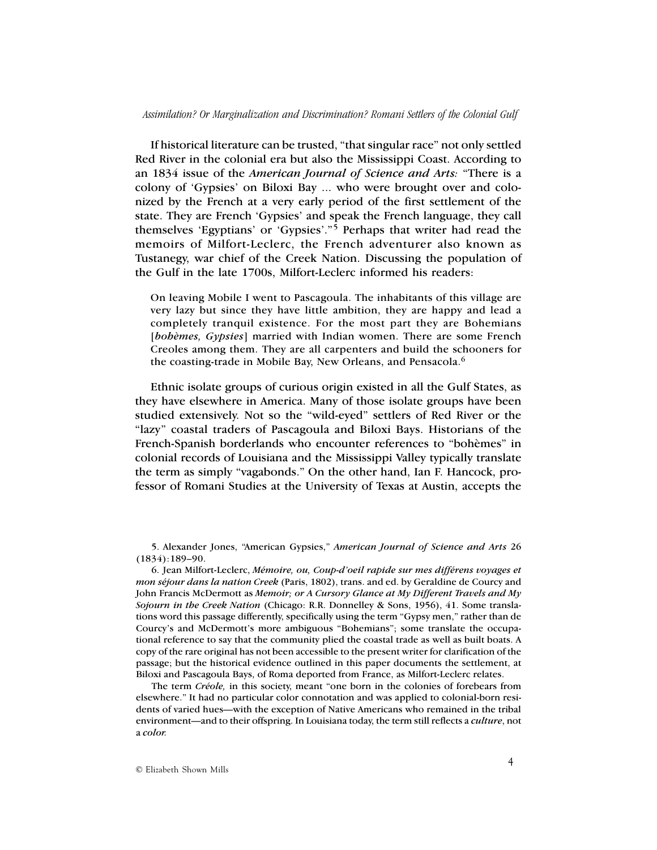If historical literature can be trusted, "that singular race" not only settled Red River in the colonial era but also the Mississippi Coast. According to an 1834 issue of the *American Journal of Science and Arts:* "There is a colony of 'Gypsies' on Biloxi Bay ... who were brought over and colonized by the French at a very early period of the first settlement of the state. They are French 'Gypsies' and speak the French language, they call themselves 'Egyptians' or 'Gypsies'."5 Perhaps that writer had read the memoirs of Milfort-Leclerc, the French adventurer also known as Tustanegy, war chief of the Creek Nation. Discussing the population of the Gulf in the late 1700s, Milfort-Leclerc informed his readers:

On leaving Mobile I went to Pascagoula. The inhabitants of this village are very lazy but since they have little ambition, they are happy and lead a completely tranquil existence. For the most part they are Bohemians [*bohèmes, Gypsies*] married with Indian women. There are some French Creoles among them. They are all carpenters and build the schooners for the coasting-trade in Mobile Bay, New Orleans, and Pensacola.<sup>6</sup>

Ethnic isolate groups of curious origin existed in all the Gulf States, as they have elsewhere in America. Many of those isolate groups have been studied extensively. Not so the "wild-eyed" settlers of Red River or the "lazy" coastal traders of Pascagoula and Biloxi Bays. Historians of the French-Spanish borderlands who encounter references to "bohèmes" in colonial records of Louisiana and the Mississippi Valley typically translate the term as simply "vagabonds." On the other hand, Ian F. Hancock, professor of Romani Studies at the University of Texas at Austin, accepts the

5. Alexander Jones, "American Gypsies," *American Journal of Science and Arts* 26 (1834):189–90.

6. Jean Milfort-Leclerc, *Mémoire, ou, Coup-d'oeil rapide sur mes différens voyages et mon séjour dans la nation Creek* (Paris, 1802), trans. and ed. by Geraldine de Courcy and John Francis McDermott as *Memoir; or A Cursory Glance at My Different Travels and My Sojourn in the Creek Nation* (Chicago: R.R. Donnelley & Sons, 1956), 41. Some translations word this passage differently, specifically using the term "Gypsy men," rather than de Courcy's and McDermott's more ambiguous "Bohemians"; some translate the occupational reference to say that the community plied the coastal trade as well as built boats. A copy of the rare original has not been accessible to the present writer for clarification of the passage; but the historical evidence outlined in this paper documents the settlement, at Biloxi and Pascagoula Bays, of Roma deported from France, as Milfort-Leclerc relates.

The term *Créole,* in this society, meant "one born in the colonies of forebears from elsewhere." It had no particular color connotation and was applied to colonial-born residents of varied hues—with the exception of Native Americans who remained in the tribal environment—and to their offspring. In Louisiana today, the term still reflects a *culture*, not a *color.*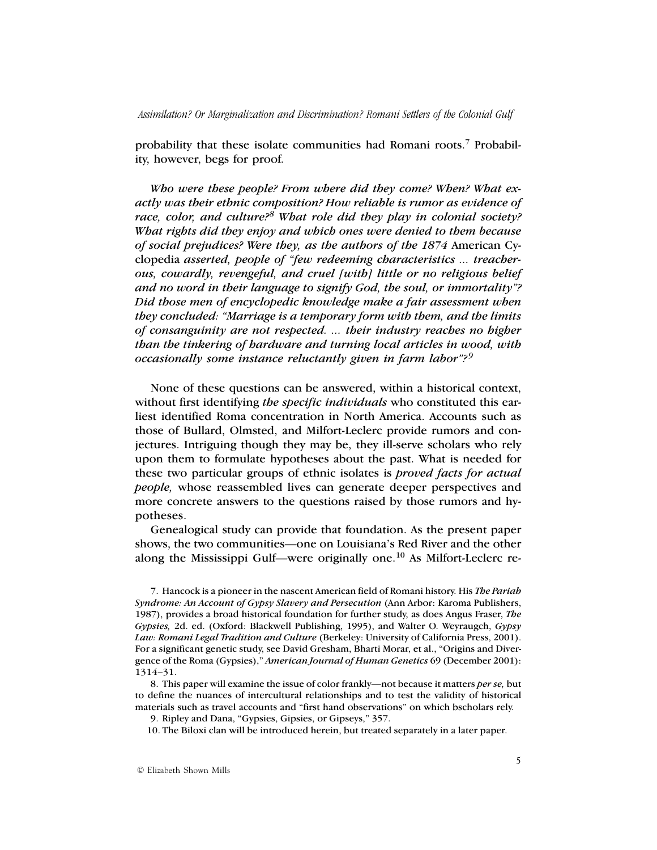probability that these isolate communities had Romani roots.7 Probability, however, begs for proof.

*Who were these people? From where did they come? When? What exactly was their ethnic composition? How reliable is rumor as evidence of race, color, and culture?8 What role did they play in colonial society? What rights did they enjoy and which ones were denied to them because of social prejudices? Were they, as the authors of the 1874* American Cyclopedia *asserted, people of "few redeeming characteristics ... treacherous, cowardly, revengeful, and cruel [with] little or no religious belief and no word in their language to signify God, the soul, or immortality"? Did those men of encyclopedic knowledge make a fair assessment when they concluded: "Marriage is a temporary form with them, and the limits of consanguinity are not respected. ... their industry reaches no higher than the tinkering of hardware and turning local articles in wood, with occasionally some instance reluctantly given in farm labor"? <sup>9</sup>*

None of these questions can be answered, within a historical context, without first identifying *the specific individuals* who constituted this earliest identified Roma concentration in North America. Accounts such as those of Bullard, Olmsted, and Milfort-Leclerc provide rumors and conjectures. Intriguing though they may be, they ill-serve scholars who rely upon them to formulate hypotheses about the past. What is needed for these two particular groups of ethnic isolates is *proved facts for actual people,* whose reassembled lives can generate deeper perspectives and more concrete answers to the questions raised by those rumors and hypotheses.

Genealogical study can provide that foundation. As the present paper shows, the two communities—one on Louisiana's Red River and the other along the Mississippi Gulf—were originally one.10 As Milfort-Leclerc re-

10. The Biloxi clan will be introduced herein, but treated separately in a later paper.

<sup>7.</sup> Hancock is a pioneer in the nascent American field of Romani history. His *The Pariah Syndrome: An Account of Gypsy Slavery and Persecution* (Ann Arbor: Karoma Publishers, 1987), provides a broad historical foundation for further study, as does Angus Fraser, *The Gypsies,* 2d. ed. (Oxford: Blackwell Publishing, 1995), and Walter O. Weyraugch, *Gypsy Law: Romani Legal Tradition and Culture* (Berkeley: University of California Press, 2001). For a significant genetic study, see David Gresham, Bharti Morar, et al., "Origins and Divergence of the Roma (Gypsies)," *American Journal of Human Genetics* 69 (December 2001): 1314–31.

<sup>8.</sup> This paper will examine the issue of color frankly—not because it matters *per se,* but to define the nuances of intercultural relationships and to test the validity of historical materials such as travel accounts and "first hand observations" on which bscholars rely.

<sup>9.</sup> Ripley and Dana, "Gypsies, Gipsies, or Gipseys," 357.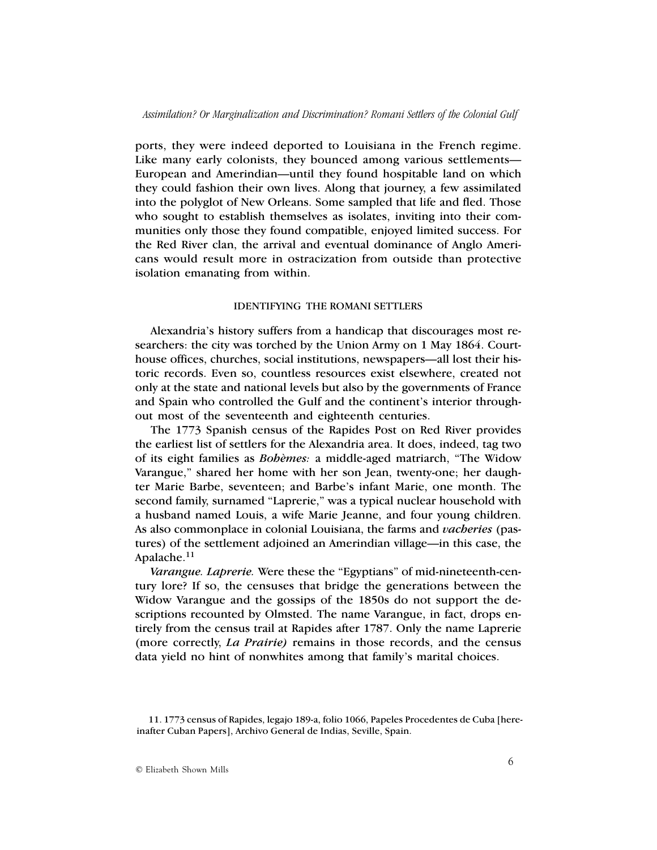ports, they were indeed deported to Louisiana in the French regime. Like many early colonists, they bounced among various settlements— European and Amerindian—until they found hospitable land on which they could fashion their own lives. Along that journey, a few assimilated into the polyglot of New Orleans. Some sampled that life and fled. Those who sought to establish themselves as isolates, inviting into their communities only those they found compatible, enjoyed limited success. For the Red River clan, the arrival and eventual dominance of Anglo Americans would result more in ostracization from outside than protective isolation emanating from within.

## IDENTIFYING THE ROMANI SETTLERS

Alexandria's history suffers from a handicap that discourages most researchers: the city was torched by the Union Army on 1 May 1864. Courthouse offices, churches, social institutions, newspapers—all lost their historic records. Even so, countless resources exist elsewhere, created not only at the state and national levels but also by the governments of France and Spain who controlled the Gulf and the continent's interior throughout most of the seventeenth and eighteenth centuries.

The 1773 Spanish census of the Rapides Post on Red River provides the earliest list of settlers for the Alexandria area. It does, indeed, tag two of its eight families as *Bohèmes:* a middle-aged matriarch, "The Widow Varangue," shared her home with her son Jean, twenty-one; her daughter Marie Barbe, seventeen; and Barbe's infant Marie, one month. The second family, surnamed "Laprerie," was a typical nuclear household with a husband named Louis, a wife Marie Jeanne, and four young children. As also commonplace in colonial Louisiana, the farms and *vacheries* (pastures) of the settlement adjoined an Amerindian village—in this case, the Apalache.11

*Varangue. Laprerie.* Were these the "Egyptians" of mid-nineteenth-century lore? If so, the censuses that bridge the generations between the Widow Varangue and the gossips of the 1850s do not support the descriptions recounted by Olmsted. The name Varangue, in fact, drops entirely from the census trail at Rapides after 1787. Only the name Laprerie (more correctly, *La Prairie)* remains in those records, and the census data yield no hint of nonwhites among that family's marital choices.

<sup>11. 1773</sup> census of Rapides, legajo 189-a, folio 1066, Papeles Procedentes de Cuba [hereinafter Cuban Papers], Archivo General de Indias, Seville, Spain.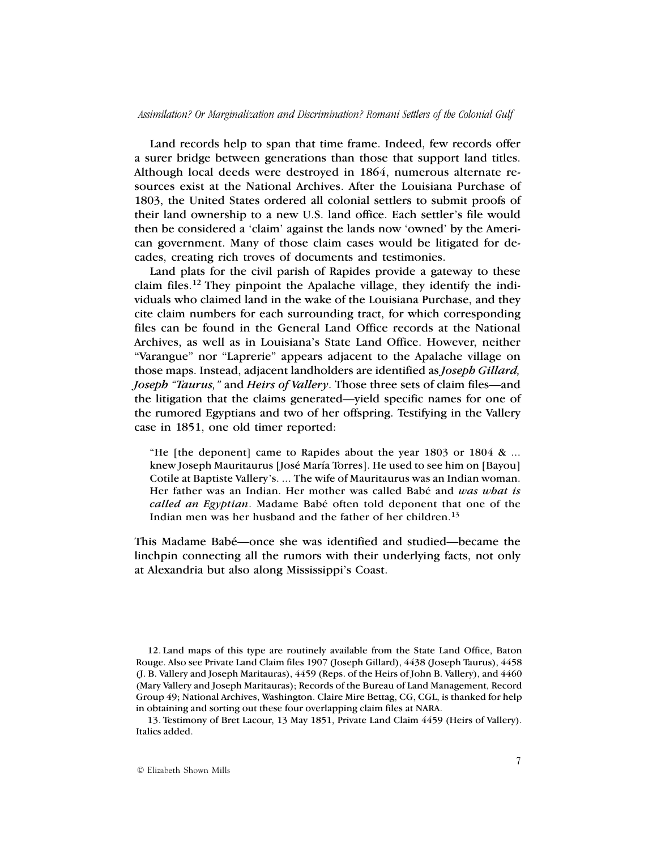Land records help to span that time frame. Indeed, few records offer a surer bridge between generations than those that support land titles. Although local deeds were destroyed in 1864, numerous alternate resources exist at the National Archives. After the Louisiana Purchase of 1803, the United States ordered all colonial settlers to submit proofs of their land ownership to a new U.S. land office. Each settler's file would then be considered a 'claim' against the lands now 'owned' by the American government. Many of those claim cases would be litigated for decades, creating rich troves of documents and testimonies.

Land plats for the civil parish of Rapides provide a gateway to these claim files.12 They pinpoint the Apalache village, they identify the individuals who claimed land in the wake of the Louisiana Purchase, and they cite claim numbers for each surrounding tract, for which corresponding files can be found in the General Land Office records at the National Archives, as well as in Louisiana's State Land Office. However, neither "Varangue" nor "Laprerie" appears adjacent to the Apalache village on those maps. Instead, adjacent landholders are identified as *Joseph Gillard, Joseph "Taurus,"* and *Heirs of Vallery*. Those three sets of claim files—and the litigation that the claims generated—yield specific names for one of the rumored Egyptians and two of her offspring. Testifying in the Vallery case in 1851, one old timer reported:

"He [the deponent] came to Rapides about the year 1803 or 1804 & ... knew Joseph Mauritaurus [José María Torres]. He used to see him on [Bayou] Cotile at Baptiste Vallery's. ... The wife of Mauritaurus was an Indian woman. Her father was an Indian. Her mother was called Babé and *was what is called an Egyptian*. Madame Babé often told deponent that one of the Indian men was her husband and the father of her children.<sup>13</sup>

This Madame Babé—once she was identified and studied—became the linchpin connecting all the rumors with their underlying facts, not only at Alexandria but also along Mississippi's Coast.

<sup>12.</sup> Land maps of this type are routinely available from the State Land Office, Baton Rouge. Also see Private Land Claim files 1907 (Joseph Gillard), 4438 (Joseph Taurus), 4458 (J. B. Vallery and Joseph Maritauras), 4459 (Reps. of the Heirs of John B. Vallery), and 4460 (Mary Vallery and Joseph Maritauras); Records of the Bureau of Land Management, Record Group 49; National Archives, Washington. Claire Mire Bettag, CG, CGL, is thanked for help in obtaining and sorting out these four overlapping claim files at NARA.

<sup>13.</sup> Testimony of Bret Lacour, 13 May 1851, Private Land Claim 4459 (Heirs of Vallery). Italics added.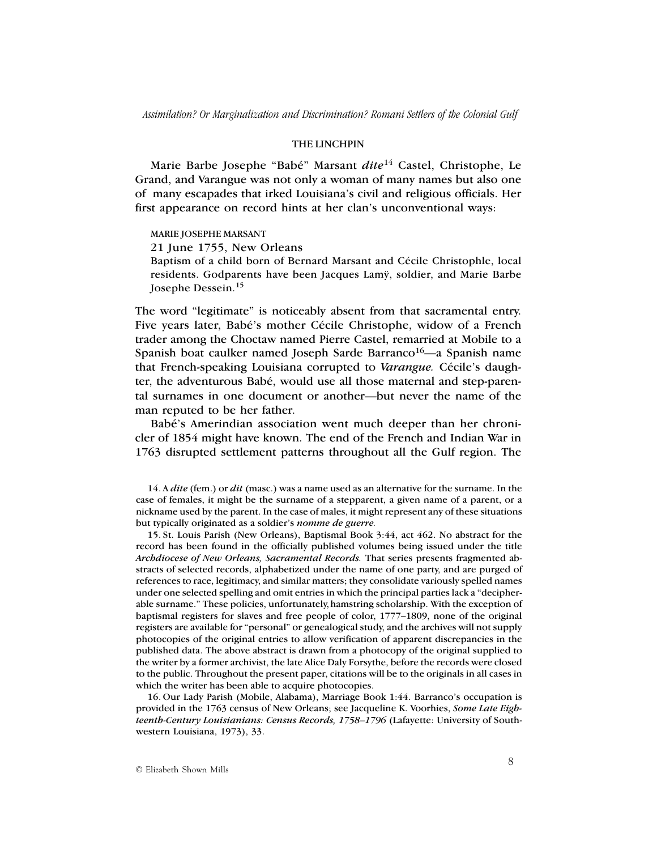#### THE LINCHPIN

Marie Barbe Josephe "Babé" Marsant *dite*<sup>14</sup> Castel, Christophe, Le Grand, and Varangue was not only a woman of many names but also one of many escapades that irked Louisiana's civil and religious officials. Her first appearance on record hints at her clan's unconventional ways:

MARIE JOSEPHE MARSANT 21 June 1755, New Orleans Baptism of a child born of Bernard Marsant and Cécile Christophle, local residents. Godparents have been Jacques Lamÿ, soldier, and Marie Barbe Josephe Dessein.<sup>15</sup>

The word "legitimate" is noticeably absent from that sacramental entry. Five years later, Babé's mother Cécile Christophe, widow of a French trader among the Choctaw named Pierre Castel, remarried at Mobile to a Spanish boat caulker named Joseph Sarde Barranco<sup>16</sup>—a Spanish name that French-speaking Louisiana corrupted to *Varangue.* Cécile's daughter, the adventurous Babé, would use all those maternal and step-parental surnames in one document or another—but never the name of the man reputed to be her father.

Babé's Amerindian association went much deeper than her chronicler of 1854 might have known. The end of the French and Indian War in 1763 disrupted settlement patterns throughout all the Gulf region. The

14. A *dite* (fem.) or *dit* (masc.) was a name used as an alternative for the surname. In the case of females, it might be the surname of a stepparent, a given name of a parent, or a nickname used by the parent. In the case of males, it might represent any of these situations but typically originated as a soldier's *nomme de guerre.*

15. St. Louis Parish (New Orleans), Baptismal Book 3:44, act 462. No abstract for the record has been found in the officially published volumes being issued under the title *Archdiocese of New Orleans, Sacramental Records.* That series presents fragmented abstracts of selected records, alphabetized under the name of one party, and are purged of references to race, legitimacy, and similar matters; they consolidate variously spelled names under one selected spelling and omit entries in which the principal parties lack a "decipherable surname." These policies, unfortunately, hamstring scholarship. With the exception of baptismal registers for slaves and free people of color, 1777–1809, none of the original registers are available for "personal" or genealogical study, and the archives will not supply photocopies of the original entries to allow verification of apparent discrepancies in the published data. The above abstract is drawn from a photocopy of the original supplied to the writer by a former archivist, the late Alice Daly Forsythe, before the records were closed to the public. Throughout the present paper, citations will be to the originals in all cases in which the writer has been able to acquire photocopies.

16. Our Lady Parish (Mobile, Alabama), Marriage Book 1:44. Barranco's occupation is provided in the 1763 census of New Orleans; see Jacqueline K. Voorhies, *Some Late Eighteenth-Century Louisianians: Census Records, 1758–1796* (Lafayette: University of Southwestern Louisiana, 1973), 33.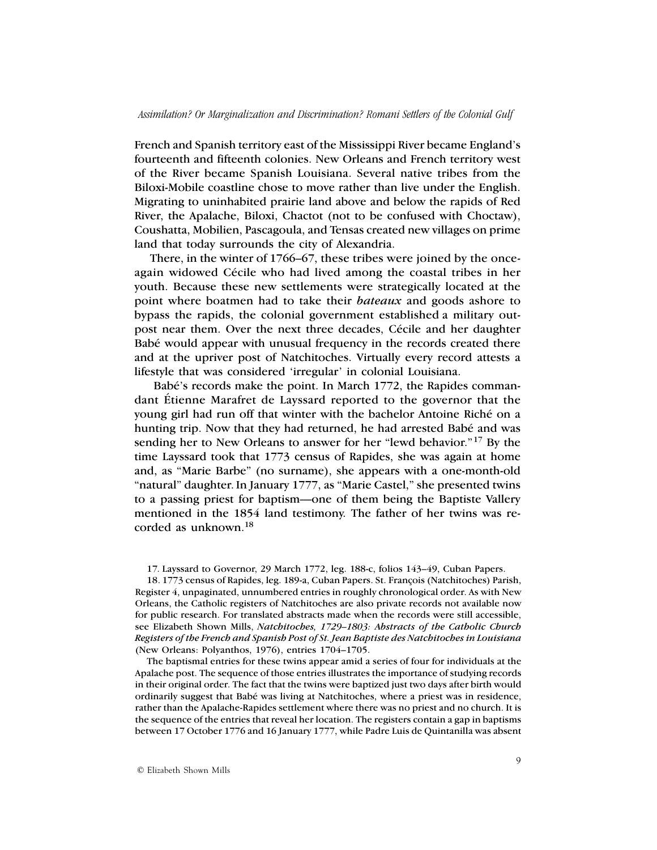French and Spanish territory east of the Mississippi River became England's fourteenth and fifteenth colonies. New Orleans and French territory west of the River became Spanish Louisiana. Several native tribes from the Biloxi-Mobile coastline chose to move rather than live under the English. Migrating to uninhabited prairie land above and below the rapids of Red River, the Apalache, Biloxi, Chactot (not to be confused with Choctaw), Coushatta, Mobilien, Pascagoula, and Tensas created new villages on prime land that today surrounds the city of Alexandria.

There, in the winter of 1766–67, these tribes were joined by the onceagain widowed Cécile who had lived among the coastal tribes in her youth. Because these new settlements were strategically located at the point where boatmen had to take their *bateaux* and goods ashore to bypass the rapids, the colonial government established a military outpost near them. Over the next three decades, Cécile and her daughter Babé would appear with unusual frequency in the records created there and at the upriver post of Natchitoches. Virtually every record attests a lifestyle that was considered 'irregular' in colonial Louisiana.

 Babé's records make the point. In March 1772, the Rapides commandant Étienne Marafret de Layssard reported to the governor that the young girl had run off that winter with the bachelor Antoine Riché on a hunting trip. Now that they had returned, he had arrested Babé and was sending her to New Orleans to answer for her "lewd behavior."17 By the time Layssard took that 1773 census of Rapides, she was again at home and, as "Marie Barbe" (no surname), she appears with a one-month-old "natural" daughter.In January 1777, as "Marie Castel," she presented twins to a passing priest for baptism—one of them being the Baptiste Vallery mentioned in the 1854 land testimony. The father of her twins was recorded as unknown.18

17*.* Layssard to Governor, 29 March 1772, leg. 188-c, folios 143–49, Cuban Papers.

18. 1773 census of Rapides, leg. 189-a, Cuban Papers. St. François (Natchitoches) Parish, Register 4, unpaginated, unnumbered entries in roughly chronological order. As with New Orleans, the Catholic registers of Natchitoches are also private records not available now for public research. For translated abstracts made when the records were still accessible, see Elizabeth Shown Mills, *Natchitoches, 1729–1803: Abstracts of the Catholic Church Registers of the French and Spanish Post of St. Jean Baptiste des Natchitoches in Louisiana* (New Orleans: Polyanthos, 1976), entries 1704–1705.

The baptismal entries for these twins appear amid a series of four for individuals at the Apalache post. The sequence of those entries illustrates the importance of studying records in their original order. The fact that the twins were baptized just two days after birth would ordinarily suggest that Babé was living at Natchitoches, where a priest was in residence, rather than the Apalache-Rapides settlement where there was no priest and no church. It is the sequence of the entries that reveal her location. The registers contain a gap in baptisms between 17 October 1776 and 16 January 1777, while Padre Luis de Quintanilla was absent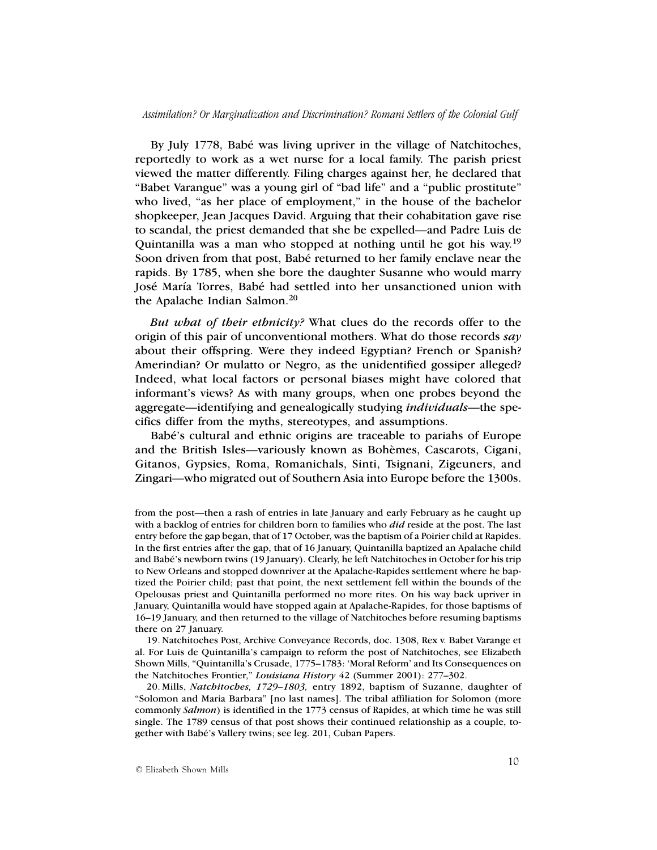By July 1778, Babé was living upriver in the village of Natchitoches, reportedly to work as a wet nurse for a local family. The parish priest viewed the matter differently. Filing charges against her, he declared that "Babet Varangue" was a young girl of "bad life" and a "public prostitute" who lived, "as her place of employment," in the house of the bachelor shopkeeper, Jean Jacques David. Arguing that their cohabitation gave rise to scandal, the priest demanded that she be expelled—and Padre Luis de Quintanilla was a man who stopped at nothing until he got his way.19 Soon driven from that post, Babé returned to her family enclave near the rapids. By 1785, when she bore the daughter Susanne who would marry José María Torres, Babé had settled into her unsanctioned union with the Apalache Indian Salmon.20

*But what of their ethnicity?* What clues do the records offer to the origin of this pair of unconventional mothers. What do those records *say* about their offspring. Were they indeed Egyptian? French or Spanish? Amerindian? Or mulatto or Negro, as the unidentified gossiper alleged? Indeed, what local factors or personal biases might have colored that informant's views? As with many groups, when one probes beyond the aggregate—identifying and genealogically studying *individuals*—the specifics differ from the myths, stereotypes, and assumptions.

Babé's cultural and ethnic origins are traceable to pariahs of Europe and the British Isles—variously known as Bohèmes, Cascarots, Cigani, Gitanos, Gypsies, Roma, Romanichals, Sinti, Tsignani, Zigeuners, and Zingari—who migrated out of Southern Asia into Europe before the 1300s.

19. Natchitoches Post, Archive Conveyance Records, doc. 1308, Rex v. Babet Varange et al. For Luis de Quintanilla's campaign to reform the post of Natchitoches, see Elizabeth Shown Mills, "Quintanilla's Crusade, 1775–1783: 'Moral Reform' and Its Consequences on the Natchitoches Frontier," *Louisiana History* 42 (Summer 2001): 277–302.

20. Mills, *Natchitoches, 1729–1803,* entry 1892, baptism of Suzanne, daughter of "Solomon and Maria Barbara" [no last names]. The tribal affiliation for Solomon (more commonly *Salmon*) is identified in the 1773 census of Rapides, at which time he was still single. The 1789 census of that post shows their continued relationship as a couple, together with Babé's Vallery twins; see leg. 201, Cuban Papers.

from the post—then a rash of entries in late January and early February as he caught up with a backlog of entries for children born to families who *did* reside at the post. The last entry before the gap began, that of 17 October, was the baptism of a Poirier child at Rapides. In the first entries after the gap, that of 16 January, Quintanilla baptized an Apalache child and Babé's newborn twins (19 January). Clearly, he left Natchitoches in October for his trip to New Orleans and stopped downriver at the Apalache-Rapides settlement where he baptized the Poirier child; past that point, the next settlement fell within the bounds of the Opelousas priest and Quintanilla performed no more rites. On his way back upriver in January, Quintanilla would have stopped again at Apalache-Rapides, for those baptisms of 16–19 January, and then returned to the village of Natchitoches before resuming baptisms there on 27 January.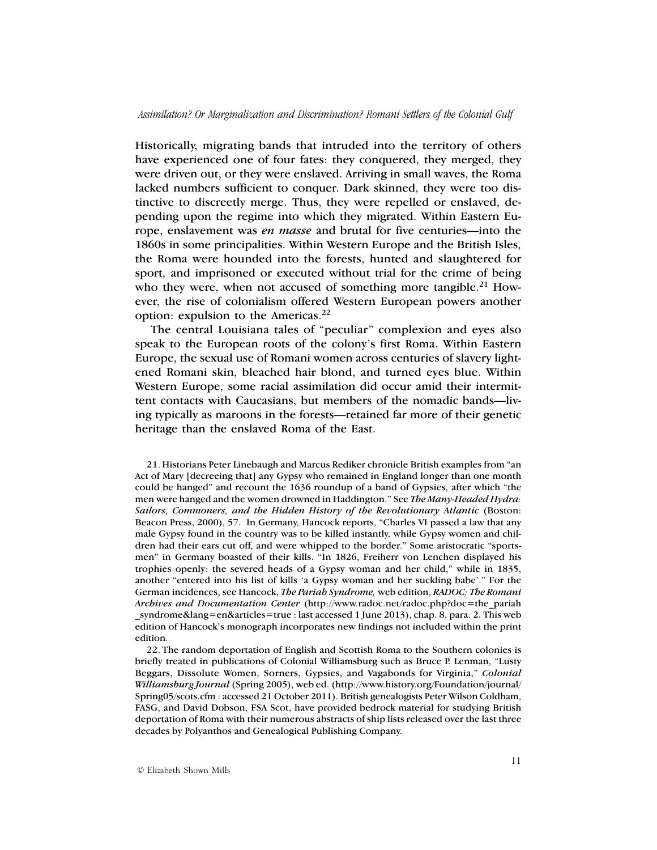Historically, migrating bands that intruded into the territory of others have experienced one of four fates: they conquered, they merged, they were driven out, or they were enslaved. Arriving in small waves, the Roma lacked numbers sufficient to conquer. Dark skinned, they were too distinctive to discreetly merge. Thus, they were repelled or enslaved, depending upon the regime into which they migrated. Within Eastern Europe, enslavement was *en masse* and brutal for five centuries—into the 1860s in some principalities. Within Western Europe and the British Isles, the Roma were hounded into the forests, hunted and slaughtered for sport, and imprisoned or executed without trial for the crime of being who they were, when not accused of something more tangible.<sup>21</sup> However, the rise of colonialism offered Western European powers another option: expulsion to the Americas.<sup>22</sup>

The central Louisiana tales of "peculiar" complexion and eyes also speak to the European roots of the colony's first Roma. Within Eastern Europe, the sexual use of Romani women across centuries of slavery lightened Romani skin, bleached hair blond, and turned eyes blue. Within Western Europe, some racial assimilation did occur amid their intermittent contacts with Caucasians, but members of the nomadic bands—living typically as maroons in the forests—retained far more of their genetic heritage than the enslaved Roma of the East.

21. Historians Peter Linebaugh and Marcus Rediker chronicle British examples from "an Act of Mary [decreeing that] any Gypsy who remained in England longer than one month could be hanged" and recount the 1636 roundup of a band of Gypsies, after which "the men were hanged and the women drowned in Haddington." See *The Many-Headed Hydra: Sailors, Commoners, and the Hidden History of the Revolutionary Atlantic* (Boston: Beacon Press, 2000), 57. In Germany, Hancock reports, "Charles VI passed a law that any male Gypsy found in the country was to be killed instantly, while Gypsy women and children had their ears cut off, and were whipped to the border." Some aristocratic "sportsmen" in Germany boasted of their kills. "In 1826, Freiherr von Lenchen displayed his trophies openly: the severed heads of a Gypsy woman and her child," while in 1835, another "entered into his list of kills 'a Gypsy woman and her suckling babe'." For the German incidences, see Hancock, *The Pariah Syndrome,* web edition, *RADOC: The Romani Archives and Documentation Center* (http://www.radoc.net/radoc.php?doc=the\_pariah \_syndrome&lang=en&articles=true : last accessed 1 June 2013), chap. 8, para. 2. This web edition of Hancock's monograph incorporates new findings not included within the print edition.

22. The random deportation of English and Scottish Roma to the Southern colonies is briefly treated in publications of Colonial Williamsburg such as Bruce P. Lenman, "Lusty Beggars, Dissolute Women, Sorners, Gypsies, and Vagabonds for Virginia," *Colonial Williamsburg Journal* (Spring 2005), web ed. (http://www.history.org/Foundation/journal/ Spring05/scots.cfm : accessed 21 October 2011). British genealogists Peter Wilson Coldham, FASG, and David Dobson, FSA Scot, have provided bedrock material for studying British deportation of Roma with their numerous abstracts of ship lists released over the last three decades by Polyanthos and Genealogical Publishing Company.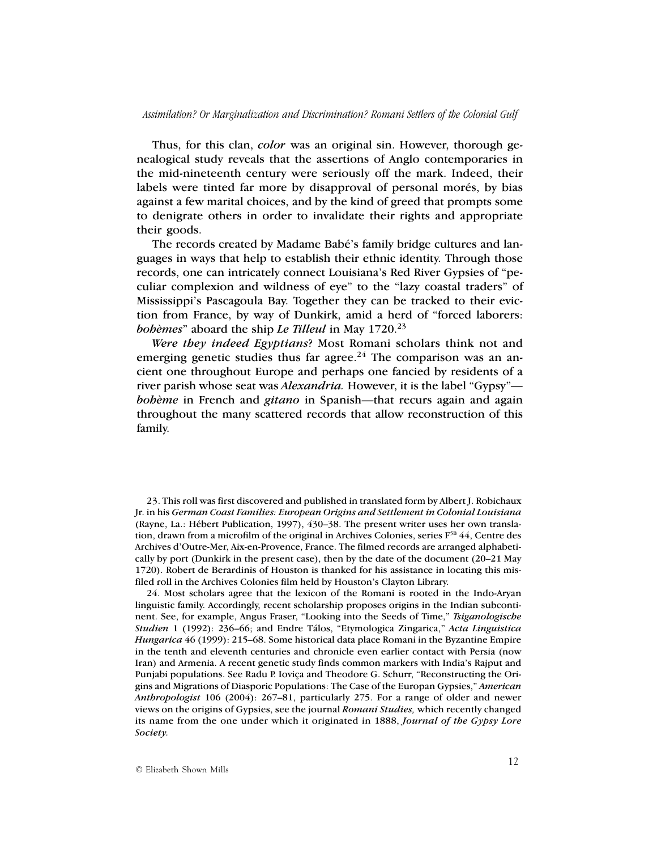Thus, for this clan, *color* was an original sin. However, thorough genealogical study reveals that the assertions of Anglo contemporaries in the mid-nineteenth century were seriously off the mark. Indeed, their labels were tinted far more by disapproval of personal morés, by bias against a few marital choices, and by the kind of greed that prompts some to denigrate others in order to invalidate their rights and appropriate their goods.

The records created by Madame Babé's family bridge cultures and languages in ways that help to establish their ethnic identity. Through those records, one can intricately connect Louisiana's Red River Gypsies of "peculiar complexion and wildness of eye" to the "lazy coastal traders" of Mississippi's Pascagoula Bay. Together they can be tracked to their eviction from France, by way of Dunkirk, amid a herd of "forced laborers: *bohèmes*" aboard the ship *Le Tilleul* in May 1720.<sup>23</sup>

*Were they indeed Egyptians*? Most Romani scholars think not and emerging genetic studies thus far agree.<sup>24</sup> The comparison was an ancient one throughout Europe and perhaps one fancied by residents of a river parish whose seat was *Alexandria.* However, it is the label "Gypsy" *bohème* in French and *gitano* in Spanish—that recurs again and again throughout the many scattered records that allow reconstruction of this family.

23. This roll was first discovered and published in translated form by Albert J. Robichaux Jr. in his *German Coast Families: European Origins and Settlement in Colonial Louisiana* (Rayne, La.: Hébert Publication, 1997), 430–38. The present writer uses her own translation, drawn from a microfilm of the original in Archives Colonies, series  $F^{5B}$  44, Centre des Archives d'Outre-Mer, Aix-en-Provence, France. The filmed records are arranged alphabetically by port (Dunkirk in the present case), then by the date of the document (20–21 May 1720). Robert de Berardinis of Houston is thanked for his assistance in locating this misfiled roll in the Archives Colonies film held by Houston's Clayton Library.

24. Most scholars agree that the lexicon of the Romani is rooted in the Indo-Aryan linguistic family. Accordingly, recent scholarship proposes origins in the Indian subcontinent. See, for example, Angus Fraser, "Looking into the Seeds of Time," *Tsiganologische Studien* 1 (1992): 236–66; and Endre Tálos, "Etymologica Zingarica," *Acta Linguistica Hungarica* 46 (1999): 215–68. Some historical data place Romani in the Byzantine Empire in the tenth and eleventh centuries and chronicle even earlier contact with Persia (now Iran) and Armenia. A recent genetic study finds common markers with India's Rajput and Punjabi populations. See Radu P. Ioviça and Theodore G. Schurr, "Reconstructing the Origins and Migrations of Diasporic Populations: The Case of the Europan Gypsies," *American Anthropologist* 106 (2004): 267–81, particularly 275. For a range of older and newer views on the origins of Gypsies, see the journal *Romani Studies,* which recently changed its name from the one under which it originated in 1888, *Journal of the Gypsy Lore Society.*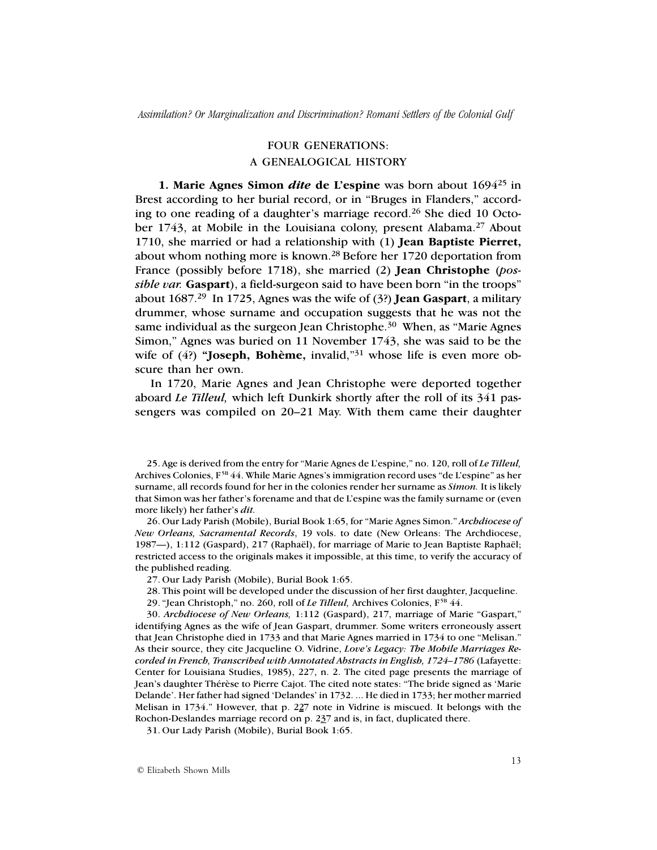## FOUR GENERATIONS:

## A GENEALOGICAL HISTORY

**1. Marie Agnes Simon** *dite* de L'espine was born about 1694<sup>25</sup> in Brest according to her burial record, or in "Bruges in Flanders," according to one reading of a daughter's marriage record.<sup>26</sup> She died 10 October 1743, at Mobile in the Louisiana colony, present Alabama.<sup>27</sup> About 1710, she married or had a relationship with (1) **Jean Baptiste Pierret,** about whom nothing more is known.<sup>28</sup> Before her 1720 deportation from France (possibly before 1718), she married (2) **Jean Christophe** (*possible var.* **Gaspart**), a field-surgeon said to have been born "in the troops" about 1687.29 In 1725, Agnes was the wife of (3?) **Jean Gaspart**, a military drummer, whose surname and occupation suggests that he was not the same individual as the surgeon Jean Christophe.<sup>30</sup> When, as "Marie Agnes" Simon," Agnes was buried on 11 November 1743, she was said to be the wife of (4?) **"Joseph, Bohème,** invalid,"31 whose life is even more obscure than her own.

In 1720, Marie Agnes and Jean Christophe were deported together aboard *Le Tilleul,* which left Dunkirk shortly after the roll of its 341 passengers was compiled on 20–21 May. With them came their daughter

25. Age is derived from the entry for "Marie Agnes de L'espine," no. 120, roll of *Le Tilleul,* Archives Colonies, F<sup>5B</sup> 44. While Marie Agnes's immigration record uses "de L'espine" as her surname, all records found for her in the colonies render her surname as *Simon.* It is likely that Simon was her father's forename and that de L'espine was the family surname or (even more likely) her father's *dit.*

26. Our Lady Parish (Mobile), Burial Book 1:65, for "Marie Agnes Simon." *Archdiocese of New Orleans, Sacramental Records*, 19 vols. to date (New Orleans: The Archdiocese, 1987—), 1:112 (Gaspard), 217 (Raphaël), for marriage of Marie to Jean Baptiste Raphaël; restricted access to the originals makes it impossible, at this time, to verify the accuracy of the published reading.

27. Our Lady Parish (Mobile), Burial Book 1:65.

28. This point will be developed under the discussion of her first daughter, Jacqueline.

29. "Jean Christoph," no. 260, roll of *Le Tilleul*, Archives Colonies, F<sup>5B</sup> 44.

30. *Archdiocese of New Orleans,* 1:112 (Gaspard), 217, marriage of Marie "Gaspart," identifying Agnes as the wife of Jean Gaspart, drummer. Some writers erroneously assert that Jean Christophe died in 1733 and that Marie Agnes married in 1734 to one "Melisan." As their source, they cite Jacqueline O. Vidrine, *Love's Legacy: The Mobile Marriages Recorded in French, Transcribed with Annotated Abstracts in English, 1724–1786* (Lafayette: Center for Louisiana Studies, 1985), 227, n. 2. The cited page presents the marriage of Jean's daughter Thérèse to Pierre Cajot. The cited note states: "The bride signed as 'Marie Delande'. Her father had signed 'Delandes' in 1732. ... He died in 1733; her mother married Melisan in 1734." However, that p. 227 note in Vidrine is miscued. It belongs with the Rochon-Deslandes marriage record on p. 237 and is, in fact, duplicated there.

31. Our Lady Parish (Mobile), Burial Book 1:65.

© Elizabeth Shown Mills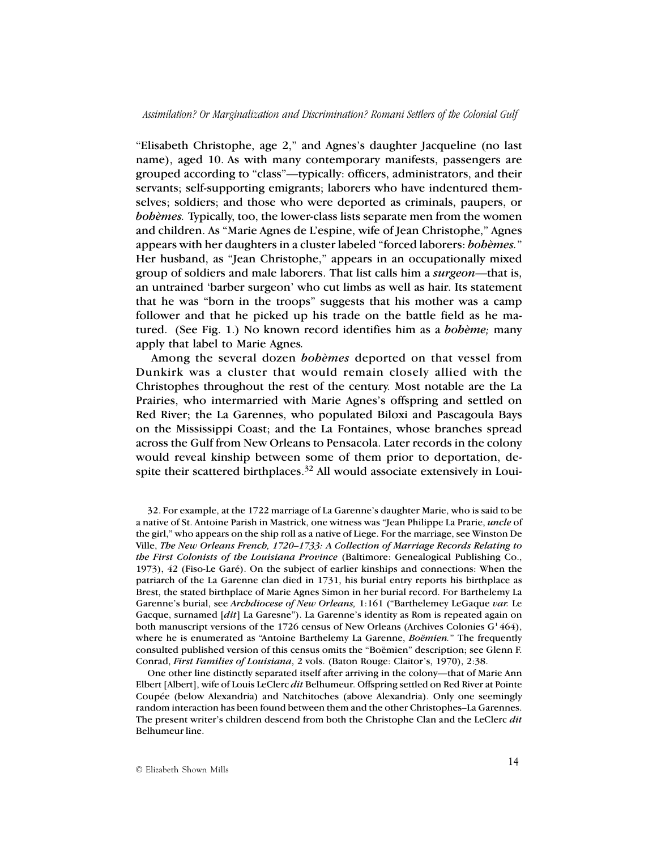"Elisabeth Christophe, age 2," and Agnes's daughter Jacqueline (no last name), aged 10. As with many contemporary manifests, passengers are grouped according to "class"—typically: officers, administrators, and their servants; self-supporting emigrants; laborers who have indentured themselves; soldiers; and those who were deported as criminals, paupers, or *bohèmes.* Typically, too, the lower-class lists separate men from the women and children. As "Marie Agnes de L'espine, wife of Jean Christophe," Agnes appears with her daughters in a cluster labeled "forced laborers: *bohèmes.*" Her husband, as "Jean Christophe," appears in an occupationally mixed group of soldiers and male laborers. That list calls him a *surgeon*—that is, an untrained 'barber surgeon' who cut limbs as well as hair. Its statement that he was "born in the troops" suggests that his mother was a camp follower and that he picked up his trade on the battle field as he matured. (See Fig. 1.) No known record identifies him as a *bohème;* many apply that label to Marie Agnes*.*

Among the several dozen *bohèmes* deported on that vessel from Dunkirk was a cluster that would remain closely allied with the Christophes throughout the rest of the century. Most notable are the La Prairies, who intermarried with Marie Agnes's offspring and settled on Red River; the La Garennes, who populated Biloxi and Pascagoula Bays on the Mississippi Coast; and the La Fontaines, whose branches spread across the Gulf from New Orleans to Pensacola. Later records in the colony would reveal kinship between some of them prior to deportation, despite their scattered birthplaces.<sup>32</sup> All would associate extensively in Loui-

One other line distinctly separated itself after arriving in the colony—that of Marie Ann Elbert [Albert], wife of Louis LeClerc *dit* Belhumeur. Offspring settled on Red River at Pointe Coupée (below Alexandria) and Natchitoches (above Alexandria). Only one seemingly random interaction has been found between them and the other Christophes–La Garennes. The present writer's children descend from both the Christophe Clan and the LeClerc *dit* Belhumeur line.

<sup>32.</sup> For example, at the 1722 marriage of La Garenne's daughter Marie, who is said to be a native of St. Antoine Parish in Mastrick, one witness was "Jean Philippe La Prarie, *uncle* of the girl," who appears on the ship roll as a native of Liege. For the marriage, see Winston De Ville, *The New Orleans French, 1720–1733: A Collection of Marriage Records Relating to the First Colonists of the Louisiana Province* (Baltimore: Genealogical Publishing Co., 1973), 42 (Fiso-Le Garé). On the subject of earlier kinships and connections: When the patriarch of the La Garenne clan died in 1731, his burial entry reports his birthplace as Brest, the stated birthplace of Marie Agnes Simon in her burial record. For Barthelemy La Garenne's burial, see *Archdiocese of New Orleans,* 1:161 ("Barthelemey LeGaque *var.* Le Gacque, surnamed [*dit*] La Garesne"). La Garenne's identity as Rom is repeated again on both manuscript versions of the 1726 census of New Orleans (Archives Colonies  $G<sup>1</sup>464$ ), where he is enumerated as "Antoine Barthelemy La Garenne, *Boëmien.*" The frequently consulted published version of this census omits the "Boëmien" description; see Glenn F. Conrad, *First Families of Louisiana*, 2 vols. (Baton Rouge: Claitor's, 1970), 2:38.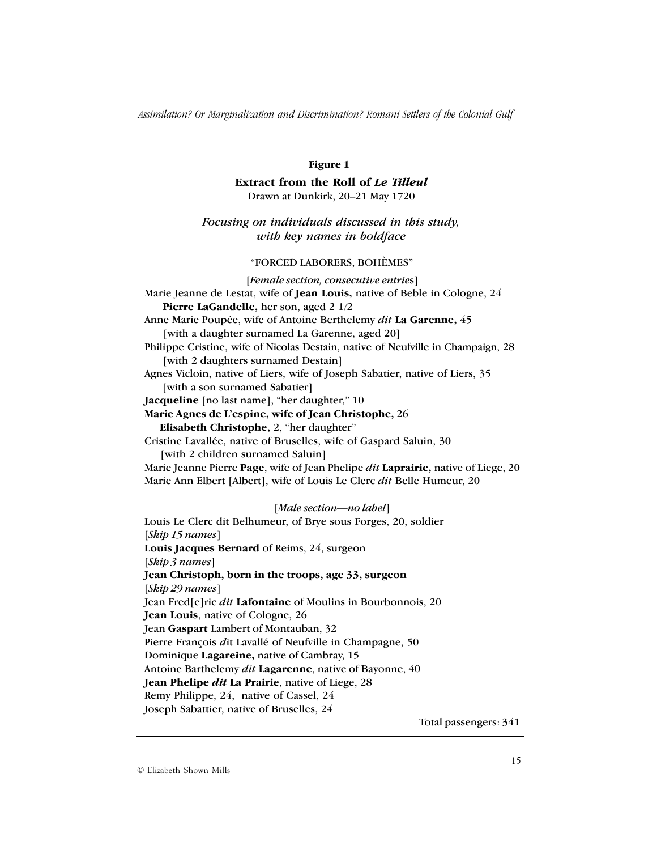| Figure 1                                                                                                                                                      |
|---------------------------------------------------------------------------------------------------------------------------------------------------------------|
| Extract from the Roll of Le Tilleul                                                                                                                           |
| Drawn at Dunkirk, 20-21 May 1720                                                                                                                              |
| Focusing on individuals discussed in this study,<br>with key names in boldface                                                                                |
| "FORCED LABORERS, BOHÈMES"                                                                                                                                    |
| [Female section, consecutive entries]<br>Marie Jeanne de Lestat, wife of Jean Louis, native of Beble in Cologne, 24<br>Pierre LaGandelle, her son, aged 2 1/2 |
| Anne Marie Poupée, wife of Antoine Berthelemy dit La Garenne, 45<br>[with a daughter surnamed La Garenne, aged 20]                                            |
| Philippe Cristine, wife of Nicolas Destain, native of Neufville in Champaign, 28<br>[with 2 daughters surnamed Destain]                                       |
| Agnes Vicloin, native of Liers, wife of Joseph Sabatier, native of Liers, 35<br>[with a son surnamed Sabatier]                                                |
| Jacqueline [no last name], "her daughter," 10                                                                                                                 |
| Marie Agnes de L'espine, wife of Jean Christophe, 26                                                                                                          |
| Elisabeth Christophe, 2, "her daughter"                                                                                                                       |
| Cristine Lavallée, native of Bruselles, wife of Gaspard Saluin, 30<br>[with 2 children surnamed Saluin]                                                       |
| Marie Jeanne Pierre Page, wife of Jean Phelipe dit Laprairie, native of Liege, 20<br>Marie Ann Elbert [Albert], wife of Louis Le Clerc dit Belle Humeur, 20   |
| [Male section-no label]                                                                                                                                       |
| Louis Le Clerc dit Belhumeur, of Brye sous Forges, 20, soldier                                                                                                |
| [Skip 15 names]                                                                                                                                               |
| Louis Jacques Bernard of Reims, 24, surgeon<br>[Skip 3 names]                                                                                                 |
| Jean Christoph, born in the troops, age 33, surgeon                                                                                                           |
| [Skip 29 names]                                                                                                                                               |
| Jean Fred <sup>[e]</sup> ric <i>dit</i> Lafontaine of Moulins in Bourbonnois, 20                                                                              |
| Jean Louis, native of Cologne, 26                                                                                                                             |
| Jean Gaspart Lambert of Montauban, 32                                                                                                                         |
| Pierre François dit Lavallé of Neufville in Champagne, 50                                                                                                     |
| Dominique Lagareine, native of Cambray, 15                                                                                                                    |
| Antoine Barthelemy <i>dit</i> Lagarenne, native of Bayonne, 40                                                                                                |
| Jean Phelipe <i>dit</i> La Prairie, native of Liege, 28                                                                                                       |
| Remy Philippe, 24, native of Cassel, 24                                                                                                                       |
| Joseph Sabattier, native of Bruselles, 24                                                                                                                     |
| Total passengers: 341                                                                                                                                         |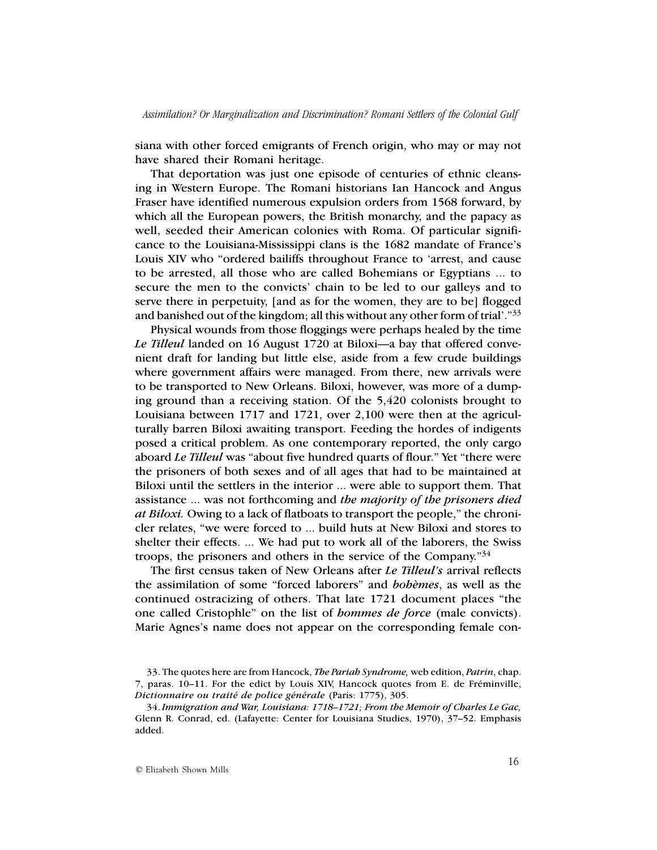siana with other forced emigrants of French origin, who may or may not have shared their Romani heritage.

That deportation was just one episode of centuries of ethnic cleansing in Western Europe. The Romani historians Ian Hancock and Angus Fraser have identified numerous expulsion orders from 1568 forward, by which all the European powers, the British monarchy, and the papacy as well, seeded their American colonies with Roma. Of particular significance to the Louisiana-Mississippi clans is the 1682 mandate of France's Louis XIV who "ordered bailiffs throughout France to 'arrest, and cause to be arrested, all those who are called Bohemians or Egyptians ... to secure the men to the convicts' chain to be led to our galleys and to serve there in perpetuity, [and as for the women, they are to be] flogged and banished out of the kingdom; all this without any other form of trial'."33

Physical wounds from those floggings were perhaps healed by the time *Le Tilleul* landed on 16 August 1720 at Biloxi—a bay that offered convenient draft for landing but little else, aside from a few crude buildings where government affairs were managed. From there, new arrivals were to be transported to New Orleans. Biloxi, however, was more of a dumping ground than a receiving station. Of the 5,420 colonists brought to Louisiana between 1717 and 1721, over 2,100 were then at the agriculturally barren Biloxi awaiting transport. Feeding the hordes of indigents posed a critical problem. As one contemporary reported, the only cargo aboard *Le Tilleul* was "about five hundred quarts of flour." Yet "there were the prisoners of both sexes and of all ages that had to be maintained at Biloxi until the settlers in the interior ... were able to support them. That assistance ... was not forthcoming and *the majority of the prisoners died at Biloxi.* Owing to a lack of flatboats to transport the people," the chronicler relates, "we were forced to ... build huts at New Biloxi and stores to shelter their effects. ... We had put to work all of the laborers, the Swiss troops, the prisoners and others in the service of the Company.<sup> $34$ </sup>

The first census taken of New Orleans after *Le Tilleul's* arrival reflects the assimilation of some "forced laborers" and *bohèmes*, as well as the continued ostracizing of others. That late 1721 document places "the one called Cristophle" on the list of *hommes de force* (male convicts). Marie Agnes's name does not appear on the corresponding female con-

<sup>33.</sup> The quotes here are from Hancock, *The Pariah Syndrome,* web edition, *Patrin*, chap. 7, paras. 10–11. For the edict by Louis XIV, Hancock quotes from E. de Fréminville, *Dictionnaire ou traité de police générale* (Paris: 1775), 305.

<sup>34.</sup> *Immigration and War, Louisiana: 1718–1721; From the Memoir of Charles Le Gac,* Glenn R. Conrad, ed. (Lafayette: Center for Louisiana Studies, 1970), 37–52. Emphasis added.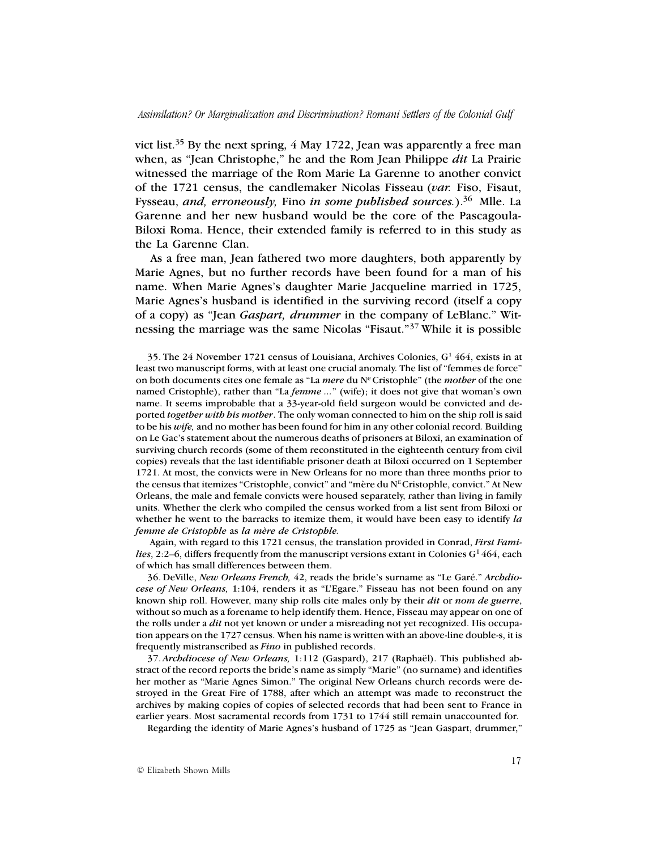vict list.<sup>35</sup> By the next spring,  $4$  May 1722, Jean was apparently a free man when, as "Jean Christophe," he and the Rom Jean Philippe *dit* La Prairie witnessed the marriage of the Rom Marie La Garenne to another convict of the 1721 census, the candlemaker Nicolas Fisseau (*var.* Fiso, Fisaut, Fysseau, *and, erroneously,* Fino *in some published sources.*).36 Mlle. La Garenne and her new husband would be the core of the Pascagoula-Biloxi Roma. Hence, their extended family is referred to in this study as the La Garenne Clan.

As a free man, Jean fathered two more daughters, both apparently by Marie Agnes, but no further records have been found for a man of his name. When Marie Agnes's daughter Marie Jacqueline married in 1725, Marie Agnes's husband is identified in the surviving record (itself a copy of a copy) as "Jean *Gaspart, drummer* in the company of LeBlanc." Witnessing the marriage was the same Nicolas "Fisaut."37 While it is possible

35. The 24 November 1721 census of Louisiana, Archives Colonies,  $G<sup>1</sup>$  464, exists in at least two manuscript forms, with at least one crucial anomaly. The list of "femmes de force" on both documents cites one female as "La *mere* du NeCristophle" (the *mother* of the one named Cristophle), rather than "La *femme ...*" (wife); it does not give that woman's own name. It seems improbable that a 33-year-old field surgeon would be convicted and deported *together with his mother*. The only woman connected to him on the ship roll is said to be his *wife,* and no mother has been found for him in any other colonial record*.* Building on Le Gac's statement about the numerous deaths of prisoners at Biloxi, an examination of surviving church records (some of them reconstituted in the eighteenth century from civil copies) reveals that the last identifiable prisoner death at Biloxi occurred on 1 September 1721. At most, the convicts were in New Orleans for no more than three months prior to the census that itemizes "Cristophle, convict" and "mère du  $N<sup>E</sup>$ Cristophle, convict." At New Orleans, the male and female convicts were housed separately, rather than living in family units. Whether the clerk who compiled the census worked from a list sent from Biloxi or whether he went to the barracks to itemize them, it would have been easy to identify *la femme de Cristophle* as *la mère de Cristophle.*

 Again, with regard to this 1721 census, the translation provided in Conrad, *First Families*, 2:2–6, differs frequently from the manuscript versions extant in Colonies  $G<sup>1</sup>464$ , each of which has small differences between them.

36. DeVille, *New Orleans French,* 42, reads the bride's surname as "Le Garé." *Archdiocese of New Orleans,* 1:104, renders it as "L'Egare." Fisseau has not been found on any known ship roll. However, many ship rolls cite males only by their *dit* or *nom de guerre*, without so much as a forename to help identify them. Hence, Fisseau may appear on one of the rolls under a *dit* not yet known or under a misreading not yet recognized. His occupation appears on the 1727 census. When his name is written with an above-line double-s, it is frequently mistranscribed as *Fino* in published records.

37. *Archdiocese of New Orleans,* 1:112 (Gaspard), 217 (Raphaël). This published abstract of the record reports the bride's name as simply "Marie" (no surname) and identifies her mother as "Marie Agnes Simon." The original New Orleans church records were destroyed in the Great Fire of 1788, after which an attempt was made to reconstruct the archives by making copies of copies of selected records that had been sent to France in earlier years. Most sacramental records from 1731 to 1744 still remain unaccounted for.

Regarding the identity of Marie Agnes's husband of 1725 as "Jean Gaspart, drummer,"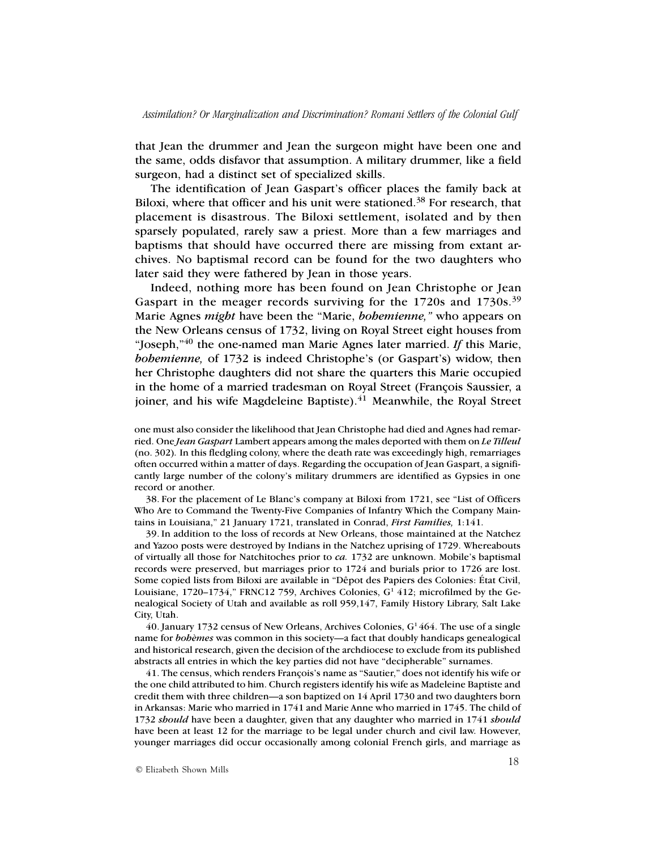that Jean the drummer and Jean the surgeon might have been one and the same, odds disfavor that assumption. A military drummer, like a field surgeon, had a distinct set of specialized skills.

The identification of Jean Gaspart's officer places the family back at Biloxi, where that officer and his unit were stationed.<sup>38</sup> For research, that placement is disastrous. The Biloxi settlement, isolated and by then sparsely populated, rarely saw a priest. More than a few marriages and baptisms that should have occurred there are missing from extant archives. No baptismal record can be found for the two daughters who later said they were fathered by Jean in those years.

Indeed, nothing more has been found on Jean Christophe or Jean Gaspart in the meager records surviving for the 1720s and 1730s.<sup>39</sup> Marie Agnes *might* have been the "Marie, *bohemienne,"* who appears on the New Orleans census of 1732, living on Royal Street eight houses from "Joseph,"40 the one-named man Marie Agnes later married. *If* this Marie, *bohemienne,* of 1732 is indeed Christophe's (or Gaspart's) widow, then her Christophe daughters did not share the quarters this Marie occupied in the home of a married tradesman on Royal Street (François Saussier, a joiner, and his wife Magdeleine Baptiste). $41$  Meanwhile, the Royal Street

one must also consider the likelihood that Jean Christophe had died and Agnes had remarried. One *Jean Gaspart* Lambert appears among the males deported with them on *Le Tilleul* (no. 302)*.* In this fledgling colony, where the death rate was exceedingly high, remarriages often occurred within a matter of days. Regarding the occupation of Jean Gaspart, a significantly large number of the colony's military drummers are identified as Gypsies in one record or another.

38. For the placement of Le Blanc's company at Biloxi from 1721, see "List of Officers Who Are to Command the Twenty-Five Companies of Infantry Which the Company Maintains in Louisiana," 21 January 1721, translated in Conrad, *First Families,* 1:141.

39. In addition to the loss of records at New Orleans, those maintained at the Natchez and Yazoo posts were destroyed by Indians in the Natchez uprising of 1729. Whereabouts of virtually all those for Natchitoches prior to *ca.* 1732 are unknown. Mobile's baptismal records were preserved, but marriages prior to 1724 and burials prior to 1726 are lost. Some copied lists from Biloxi are available in "Dêpot des Papiers des Colonies: État Civil, Louisiane,  $1720-1734$ ," FRNC12 759, Archives Colonies,  $G<sup>1</sup> 412$ ; microfilmed by the Genealogical Society of Utah and available as roll 959,147, Family History Library, Salt Lake City, Utah.

40. January 1732 census of New Orleans, Archives Colonies,  $G<sup>1</sup>464$ . The use of a single name for *bohèmes* was common in this society—a fact that doubly handicaps genealogical and historical research, given the decision of the archdiocese to exclude from its published abstracts all entries in which the key parties did not have "decipherable" surnames.

41. The census, which renders François's name as "Sautier," does not identify his wife or the one child attributed to him. Church registers identify his wife as Madeleine Baptiste and credit them with three children—a son baptized on 14 April 1730 and two daughters born in Arkansas: Marie who married in 1741 and Marie Anne who married in 1745. The child of 1732 *should* have been a daughter, given that any daughter who married in 1741 *should* have been at least 12 for the marriage to be legal under church and civil law. However, younger marriages did occur occasionally among colonial French girls, and marriage as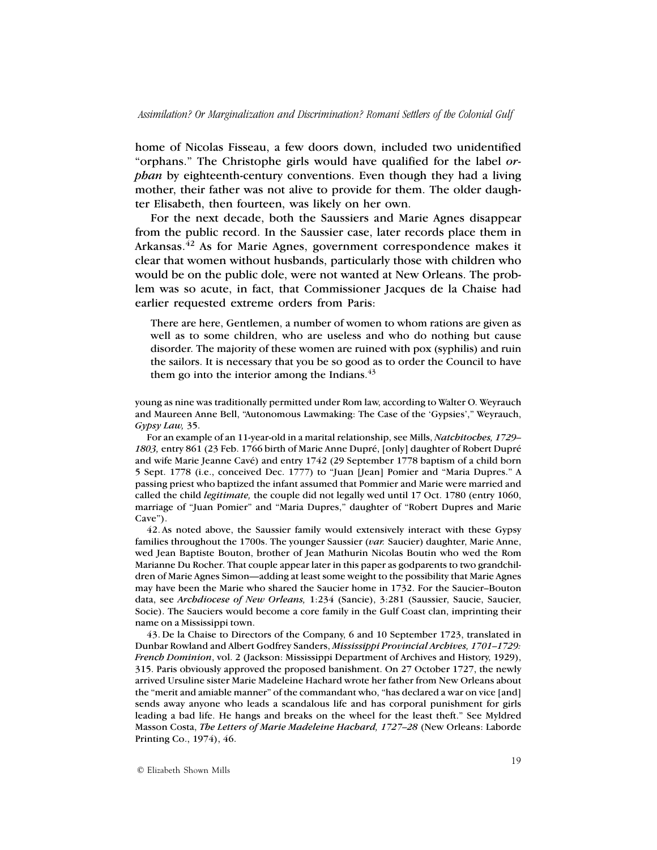home of Nicolas Fisseau, a few doors down, included two unidentified "orphans." The Christophe girls would have qualified for the label *orphan* by eighteenth-century conventions. Even though they had a living mother, their father was not alive to provide for them. The older daughter Elisabeth, then fourteen, was likely on her own.

For the next decade, both the Saussiers and Marie Agnes disappear from the public record. In the Saussier case, later records place them in Arkansas.42 As for Marie Agnes, government correspondence makes it clear that women without husbands, particularly those with children who would be on the public dole, were not wanted at New Orleans. The problem was so acute, in fact, that Commissioner Jacques de la Chaise had earlier requested extreme orders from Paris:

There are here, Gentlemen, a number of women to whom rations are given as well as to some children, who are useless and who do nothing but cause disorder. The majority of these women are ruined with pox (syphilis) and ruin the sailors. It is necessary that you be so good as to order the Council to have them go into the interior among the Indians. $43$ 

young as nine was traditionally permitted under Rom law, according to Walter O. Weyrauch and Maureen Anne Bell, "Autonomous Lawmaking: The Case of the 'Gypsies'," Weyrauch, *Gypsy Law,* 35.

For an example of an 11-year-old in a marital relationship, see Mills, *Natchitoches, 1729– 1803,* entry 861 (23 Feb. 1766 birth of Marie Anne Dupré, [only] daughter of Robert Dupré and wife Marie Jeanne Cavé) and entry 1742 (29 September 1778 baptism of a child born 5 Sept. 1778 (i.e., conceived Dec. 1777) to "Juan [Jean] Pomier and "Maria Dupres." A passing priest who baptized the infant assumed that Pommier and Marie were married and called the child *legitimate,* the couple did not legally wed until 17 Oct. 1780 (entry 1060, marriage of "Juan Pomier" and "Maria Dupres," daughter of "Robert Dupres and Marie Cave").

42. As noted above, the Saussier family would extensively interact with these Gypsy families throughout the 1700s. The younger Saussier (*var.* Saucier) daughter, Marie Anne, wed Jean Baptiste Bouton, brother of Jean Mathurin Nicolas Boutin who wed the Rom Marianne Du Rocher. That couple appear later in this paper as godparents to two grandchildren of Marie Agnes Simon—adding at least some weight to the possibility that Marie Agnes may have been the Marie who shared the Saucier home in 1732. For the Saucier–Bouton data, see *Archdiocese of New Orleans,* 1:234 (Sancie), 3:281 (Saussier, Saucie, Saucier, Socie). The Sauciers would become a core family in the Gulf Coast clan, imprinting their name on a Mississippi town.

43. De la Chaise to Directors of the Company, 6 and 10 September 1723, translated in Dunbar Rowland and Albert Godfrey Sanders, *Mississippi Provincial Archives, 1701–1729: French Dominion*, vol. 2 (Jackson: Mississippi Department of Archives and History, 1929), 315. Paris obviously approved the proposed banishment. On 27 October 1727, the newly arrived Ursuline sister Marie Madeleine Hachard wrote her father from New Orleans about the "merit and amiable manner" of the commandant who, "has declared a war on vice [and] sends away anyone who leads a scandalous life and has corporal punishment for girls leading a bad life. He hangs and breaks on the wheel for the least theft." See Myldred Masson Costa, *The Letters of Marie Madeleine Hachard, 1727–28* (New Orleans: Laborde Printing Co., 1974), 46.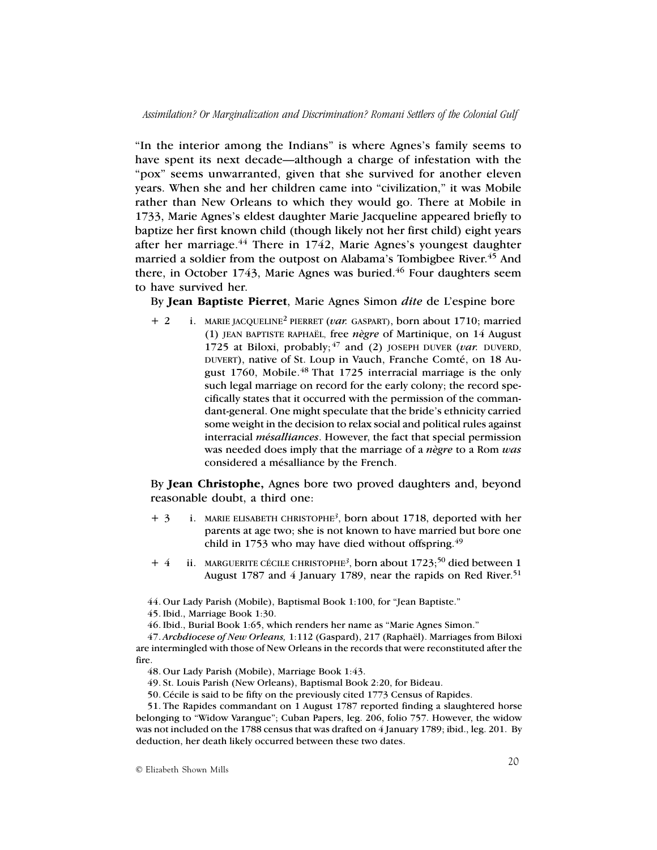"In the interior among the Indians" is where Agnes's family seems to have spent its next decade—although a charge of infestation with the "pox" seems unwarranted, given that she survived for another eleven years. When she and her children came into "civilization," it was Mobile rather than New Orleans to which they would go. There at Mobile in 1733, Marie Agnes's eldest daughter Marie Jacqueline appeared briefly to baptize her first known child (though likely not her first child) eight years after her marriage. $44$  There in 1742, Marie Agnes's youngest daughter married a soldier from the outpost on Alabama's Tombigbee River.<sup>45</sup> And there, in October 1743, Marie Agnes was buried.<sup>46</sup> Four daughters seem to have survived her.

By **Jean Baptiste Pierret**, Marie Agnes Simon *dite* de L'espine bore

+ 2 i. MARIE JACQUELINE2 PIERRET (*var.* GASPART), born about 1710; married (1) JEAN BAPTISTE RAPHAËL, free *nègre* of Martinique, on 14 August 1725 at Biloxi, probably; 47 and (2) JOSEPH DUVER (*var.* DUVERD, DUVERT), native of St. Loup in Vauch, Franche Comté, on 18 August 1760, Mobile.<sup>48</sup> That 1725 interracial marriage is the only such legal marriage on record for the early colony; the record specifically states that it occurred with the permission of the commandant-general. One might speculate that the bride's ethnicity carried some weight in the decision to relax social and political rules against interracial *mésalliances*. However, the fact that special permission was needed does imply that the marriage of a *nègre* to a Rom *was* considered a mésalliance by the French.

By **Jean Christophe,** Agnes bore two proved daughters and, beyond reasonable doubt, a third one:

- + 3 i. MARIE ELISABETH CHRISTOPHE*<sup>3</sup>*, born about 1718, deported with her parents at age two; she is not known to have married but bore one child in 1753 who may have died without offspring. $49$
- + 4 ii. MARGUERITE CÉCILE CHRISTOPHE*<sup>3</sup>*, born about 1723;50 died between 1 August 1787 and 4 January 1789, near the rapids on Red River.<sup>51</sup>

44. Our Lady Parish (Mobile), Baptismal Book 1:100, for "Jean Baptiste."

46. Ibid., Burial Book 1:65, which renders her name as "Marie Agnes Simon."

47. *Archdiocese of New Orleans,* 1:112 (Gaspard), 217 (Raphaël). Marriages from Biloxi are intermingled with those of New Orleans in the records that were reconstituted after the fire.

48. Our Lady Parish (Mobile), Marriage Book 1:43.

49. St. Louis Parish (New Orleans), Baptismal Book 2:20, for Bideau.

50. Cécile is said to be fifty on the previously cited 1773 Census of Rapides.

51. The Rapides commandant on 1 August 1787 reported finding a slaughtered horse belonging to "Widow Varangue"; Cuban Papers, leg. 206, folio 757. However, the widow was not included on the 1788 census that was drafted on 4 January 1789; ibid., leg. 201. By deduction, her death likely occurred between these two dates.

© Elizabeth Shown Mills

<sup>45.</sup> Ibid., Marriage Book 1:30.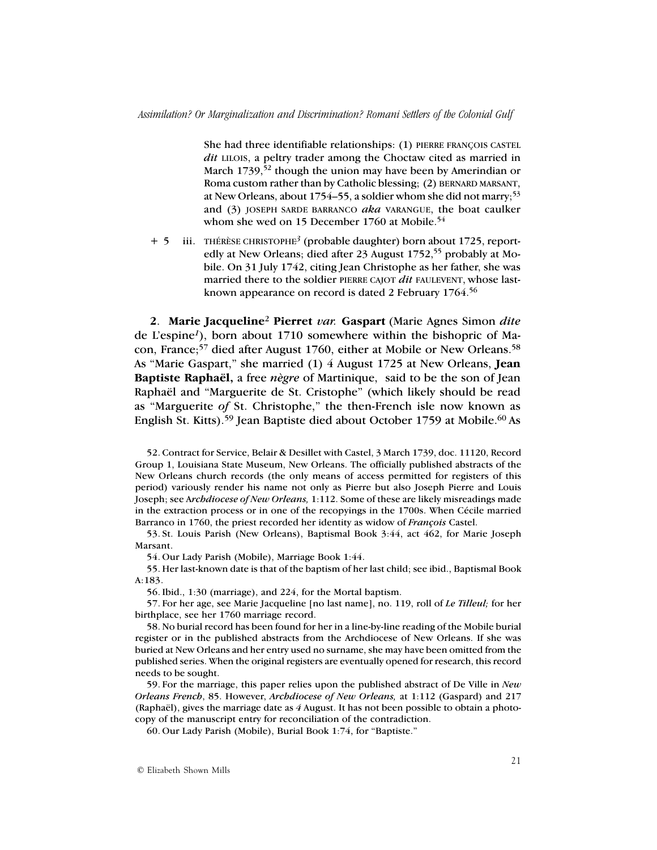She had three identifiable relationships: (1) PIERRE FRANÇOIS CASTEL *dit* LILOIS, a peltry trader among the Choctaw cited as married in March  $1739$ ,<sup>52</sup> though the union may have been by Amerindian or Roma custom rather than by Catholic blessing; (2) BERNARD MARSANT, at New Orleans, about 1754–55, a soldier whom she did not marry;<sup>53</sup> and (3) JOSEPH SARDE BARRANCO *aka* VARANGUE, the boat caulker whom she wed on 15 December 1760 at Mobile.<sup>54</sup>

+ 5 iii. THÉRÈSE CHRISTOPHE*<sup>3</sup>* (probable daughter) born about 1725, reportedly at New Orleans; died after 23 August 1752,<sup>55</sup> probably at Mobile. On 31 July 1742, citing Jean Christophe as her father, she was married there to the soldier PIERRE CAJOT *dit* FAULEVENT, whose lastknown appearance on record is dated 2 February 1764.<sup>56</sup>

**2**. **Marie Jacqueline**<sup>2</sup> **Pierret** *var.* **Gaspart** (Marie Agnes Simon *dite* de L'espine*1*), born about 1710 somewhere within the bishopric of Macon, France;57 died after August 1760, either at Mobile or New Orleans.58 As "Marie Gaspart," she married (1) 4 August 1725 at New Orleans, **Jean Baptiste Raphaël,** a free *nègre* of Martinique, said to be the son of Jean Raphaël and "Marguerite de St. Cristophe" (which likely should be read as "Marguerite *of* St. Christophe," the then-French isle now known as English St. Kitts).<sup>59</sup> Jean Baptiste died about October 1759 at Mobile.<sup>60</sup> As

52. Contract for Service, Belair & Desillet with Castel, 3 March 1739, doc. 11120, Record Group 1, Louisiana State Museum, New Orleans. The officially published abstracts of the New Orleans church records (the only means of access permitted for registers of this period) variously render his name not only as Pierre but also Joseph Pierre and Louis Joseph; see A*rchdiocese of New Orleans,* 1:112. Some of these are likely misreadings made in the extraction process or in one of the recopyings in the 1700s. When Cécile married Barranco in 1760, the priest recorded her identity as widow of *François* Castel.

53. St. Louis Parish (New Orleans), Baptismal Book 3:44, act 462, for Marie Joseph Marsant.

54. Our Lady Parish (Mobile), Marriage Book 1:44.

55. Her last-known date is that of the baptism of her last child; see ibid., Baptismal Book A:183.

56. Ibid., 1:30 (marriage), and 224, for the Mortal baptism.

57. For her age, see Marie Jacqueline [no last name], no. 119, roll of *Le Tilleul;* for her birthplace, see her 1760 marriage record.

58. No burial record has been found for her in a line-by-line reading of the Mobile burial register or in the published abstracts from the Archdiocese of New Orleans. If she was buried at New Orleans and her entry used no surname, she may have been omitted from the published series. When the original registers are eventually opened for research, this record needs to be sought.

59. For the marriage, this paper relies upon the published abstract of De Ville in *New Orleans French*, 85. However, *Archdiocese of New Orleans,* at 1:112 (Gaspard) and 217 (Raphaël), gives the marriage date as *4* August. It has not been possible to obtain a photocopy of the manuscript entry for reconciliation of the contradiction.

60. Our Lady Parish (Mobile), Burial Book 1:74, for "Baptiste."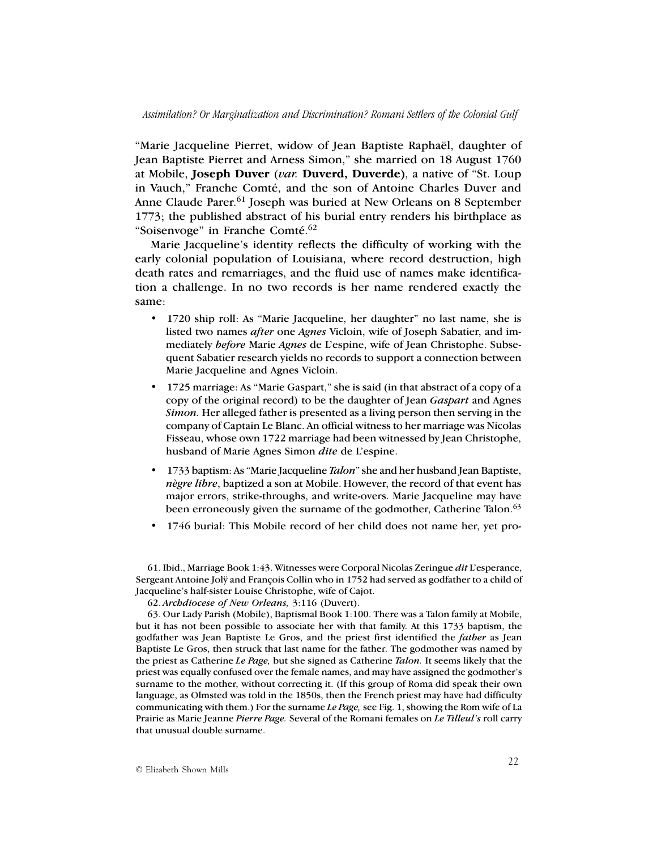"Marie Jacqueline Pierret, widow of Jean Baptiste Raphaël, daughter of Jean Baptiste Pierret and Arness Simon," she married on 18 August 1760 at Mobile, **Joseph Duver** (*var.* **Duverd, Duverde)**, a native of "St. Loup in Vauch," Franche Comté, and the son of Antoine Charles Duver and Anne Claude Parer.<sup>61</sup> Joseph was buried at New Orleans on 8 September 1773; the published abstract of his burial entry renders his birthplace as "Soisenvoge" in Franche Comté.<sup>62</sup>

Marie Jacqueline's identity reflects the difficulty of working with the early colonial population of Louisiana, where record destruction, high death rates and remarriages, and the fluid use of names make identification a challenge. In no two records is her name rendered exactly the same:

- 1720 ship roll: As "Marie Jacqueline, her daughter" no last name, she is listed two names *after* one *Agnes* Vicloin, wife of Joseph Sabatier, and immediately *before* Marie *Agnes* de L'espine, wife of Jean Christophe. Subsequent Sabatier research yields no records to support a connection between Marie Jacqueline and Agnes Vicloin.
- 1725 marriage: As "Marie Gaspart," she is said (in that abstract of a copy of a copy of the original record) to be the daughter of Jean *Gaspart* and Agnes *Simon.* Her alleged father is presented as a living person then serving in the company of Captain Le Blanc. An official witness to her marriage was Nicolas Fisseau, whose own 1722 marriage had been witnessed by Jean Christophe, husband of Marie Agnes Simon *dite* de L'espine.
- 1733 baptism: As "Marie Jacqueline *Talon*" she and her husband Jean Baptiste, *nègre libre*, baptized a son at Mobile. However, the record of that event has major errors, strike-throughs, and write-overs. Marie Jacqueline may have been erroneously given the surname of the godmother, Catherine Talon.<sup>63</sup>
- 1746 burial: This Mobile record of her child does not name her, yet pro-

61. Ibid., Marriage Book 1:43. Witnesses were Corporal Nicolas Zeringue *dit* L'esperance, Sergeant Antoine Jolÿ and François Collin who in 1752 had served as godfather to a child of Jacqueline's half-sister Louise Christophe, wife of Cajot.

63. Our Lady Parish (Mobile), Baptismal Book 1:100. There was a Talon family at Mobile, but it has not been possible to associate her with that family. At this 1733 baptism, the godfather was Jean Baptiste Le Gros, and the priest first identified the *father* as Jean Baptiste Le Gros, then struck that last name for the father. The godmother was named by the priest as Catherine *Le Page,* but she signed as Catherine *Talon.* It seems likely that the priest was equally confused over the female names, and may have assigned the godmother's surname to the mother, without correcting it. (If this group of Roma did speak their own language, as Olmsted was told in the 1850s, then the French priest may have had difficulty communicating with them.) For the surname *Le Page,* see Fig. 1, showing the Rom wife of La Prairie as Marie Jeanne *Pierre Page.* Several of the Romani females on *Le Tilleul's* roll carry that unusual double surname.

<sup>62.</sup> *Archdiocese of New Orleans,* 3:116 (Duvert).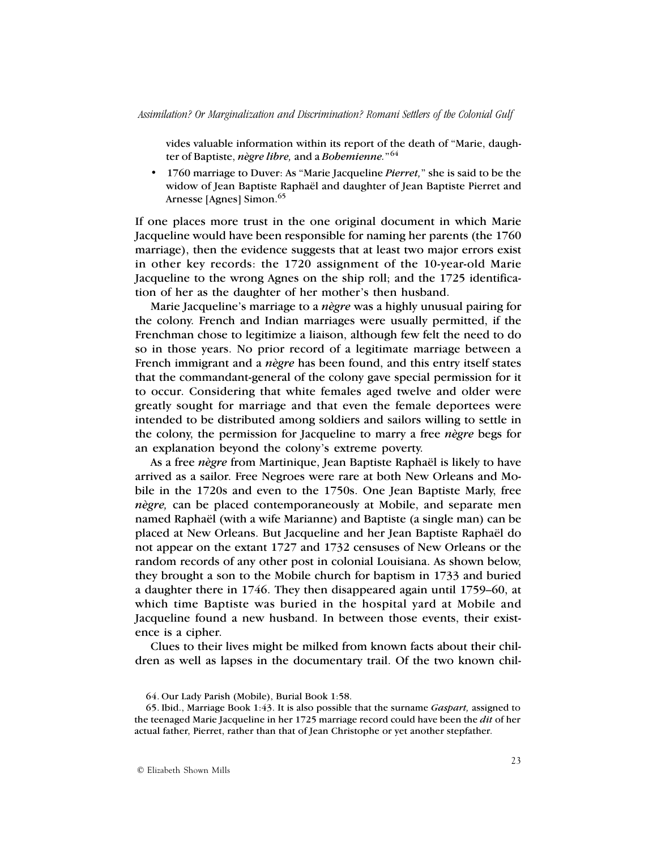vides valuable information within its report of the death of "Marie, daughter of Baptiste, *nègre libre,* and a *Bohemienne.*"<sup>64</sup>

• 1760 marriage to Duver: As "Marie Jacqueline *Pierret,*" she is said to be the widow of Jean Baptiste Raphaël and daughter of Jean Baptiste Pierret and Arnesse [Agnes] Simon.<sup>65</sup>

If one places more trust in the one original document in which Marie Jacqueline would have been responsible for naming her parents (the 1760 marriage), then the evidence suggests that at least two major errors exist in other key records: the 1720 assignment of the 10-year-old Marie Jacqueline to the wrong Agnes on the ship roll; and the 1725 identification of her as the daughter of her mother's then husband.

Marie Jacqueline's marriage to a *nègre* was a highly unusual pairing for the colony. French and Indian marriages were usually permitted, if the Frenchman chose to legitimize a liaison, although few felt the need to do so in those years. No prior record of a legitimate marriage between a French immigrant and a *nègre* has been found, and this entry itself states that the commandant-general of the colony gave special permission for it to occur. Considering that white females aged twelve and older were greatly sought for marriage and that even the female deportees were intended to be distributed among soldiers and sailors willing to settle in the colony, the permission for Jacqueline to marry a free *nègre* begs for an explanation beyond the colony's extreme poverty.

As a free *nègre* from Martinique, Jean Baptiste Raphaël is likely to have arrived as a sailor. Free Negroes were rare at both New Orleans and Mobile in the 1720s and even to the 1750s. One Jean Baptiste Marly, free *nègre,* can be placed contemporaneously at Mobile, and separate men named Raphaël (with a wife Marianne) and Baptiste (a single man) can be placed at New Orleans. But Jacqueline and her Jean Baptiste Raphaël do not appear on the extant 1727 and 1732 censuses of New Orleans or the random records of any other post in colonial Louisiana. As shown below, they brought a son to the Mobile church for baptism in 1733 and buried a daughter there in 1746. They then disappeared again until 1759–60, at which time Baptiste was buried in the hospital yard at Mobile and Jacqueline found a new husband. In between those events, their existence is a cipher.

Clues to their lives might be milked from known facts about their children as well as lapses in the documentary trail. Of the two known chil-

<sup>64.</sup> Our Lady Parish (Mobile), Burial Book 1:58.

<sup>65.</sup> Ibid., Marriage Book 1:43. It is also possible that the surname *Gaspart,* assigned to the teenaged Marie Jacqueline in her 1725 marriage record could have been the *dit* of her actual father, Pierret, rather than that of Jean Christophe or yet another stepfather.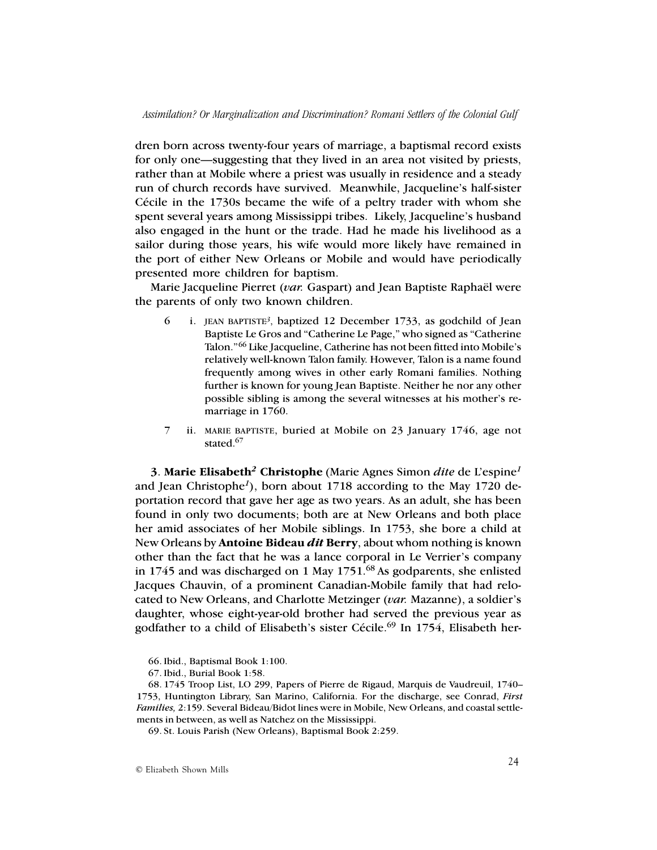dren born across twenty-four years of marriage, a baptismal record exists for only one—suggesting that they lived in an area not visited by priests, rather than at Mobile where a priest was usually in residence and a steady run of church records have survived. Meanwhile, Jacqueline's half-sister Cécile in the 1730s became the wife of a peltry trader with whom she spent several years among Mississippi tribes. Likely, Jacqueline's husband also engaged in the hunt or the trade. Had he made his livelihood as a sailor during those years, his wife would more likely have remained in the port of either New Orleans or Mobile and would have periodically presented more children for baptism.

Marie Jacqueline Pierret (*var.* Gaspart) and Jean Baptiste Raphaël were the parents of only two known children.

- 6 i. JEAN BAPTISTE*<sup>3</sup>*, baptized 12 December 1733, as godchild of Jean Baptiste Le Gros and "Catherine Le Page," who signed as "Catherine Talon."66 Like Jacqueline, Catherine has not been fitted into Mobile's relatively well-known Talon family. However, Talon is a name found frequently among wives in other early Romani families. Nothing further is known for young Jean Baptiste. Neither he nor any other possible sibling is among the several witnesses at his mother's remarriage in 1760.
- 7 ii. MARIE BAPTISTE, buried at Mobile on 23 January 1746, age not stated.<sup>67</sup>

**3**. **Marie Elisabeth***2* **Christophe** (Marie Agnes Simon *dite* de L'espine*<sup>1</sup>* and Jean Christophe*1*), born about 1718 according to the May 1720 deportation record that gave her age as two years. As an adult, she has been found in only two documents; both are at New Orleans and both place her amid associates of her Mobile siblings. In 1753, she bore a child at New Orleans by **Antoine Bideau** *dit* **Berry**, about whom nothing is known other than the fact that he was a lance corporal in Le Verrier's company in 1745 and was discharged on 1 May 1751.68 As godparents, she enlisted Jacques Chauvin, of a prominent Canadian-Mobile family that had relocated to New Orleans, and Charlotte Metzinger (*var.* Mazanne), a soldier's daughter, whose eight-year-old brother had served the previous year as godfather to a child of Elisabeth's sister Cécile.<sup>69</sup> In 1754, Elisabeth her-

<sup>66.</sup> Ibid., Baptismal Book 1:100.

<sup>67.</sup> Ibid., Burial Book 1:58.

<sup>68. 1745</sup> Troop List, LO 299, Papers of Pierre de Rigaud, Marquis de Vaudreuil, 1740– 1753, Huntington Library, San Marino, California. For the discharge, see Conrad, *First Families,* 2:159. Several Bideau/Bidot lines were in Mobile, New Orleans, and coastal settlements in between, as well as Natchez on the Mississippi.

<sup>69.</sup> St. Louis Parish (New Orleans), Baptismal Book 2:259.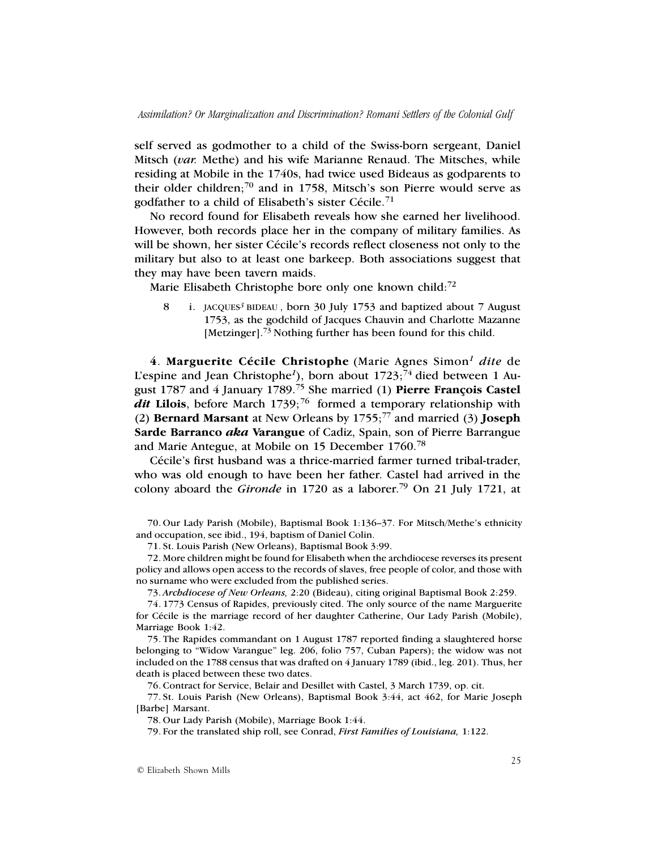self served as godmother to a child of the Swiss-born sergeant, Daniel Mitsch (*var.* Methe) and his wife Marianne Renaud. The Mitsches, while residing at Mobile in the 1740s, had twice used Bideaus as godparents to their older children;70 and in 1758, Mitsch's son Pierre would serve as godfather to a child of Elisabeth's sister Cécile.<sup>71</sup>

No record found for Elisabeth reveals how she earned her livelihood. However, both records place her in the company of military families. As will be shown, her sister Cécile's records reflect closeness not only to the military but also to at least one barkeep. Both associations suggest that they may have been tavern maids.

Marie Elisabeth Christophe bore only one known child:<sup>72</sup>

8 i. JACQUES*3* BIDEAU , born 30 July 1753 and baptized about 7 August 1753, as the godchild of Jacques Chauvin and Charlotte Mazanne [Metzinger].<sup>73</sup> Nothing further has been found for this child.

**4**. **Marguerite Cécile Christophe** (Marie Agnes Simon*<sup>1</sup> dite* de L'espine and Jean Christophe<sup>1</sup>), born about 1723;<sup>74</sup> died between 1 August 1787 and 4 January 1789.75 She married (1) **Pierre François Castel**  $\frac{di}{dt}$  Lilois, before March 1739;<sup>76</sup> formed a temporary relationship with (2) **Bernard Marsant** at New Orleans by 1755;77 and married (3) **Joseph Sarde Barranco** *aka* **Varangue** of Cadiz, Spain, son of Pierre Barrangue and Marie Antegue, at Mobile on 15 December 1760.78

Cécile's first husband was a thrice-married farmer turned tribal-trader, who was old enough to have been her father. Castel had arrived in the colony aboard the *Gironde* in 1720 as a laborer.<sup>79</sup> On 21 July 1721, at

70. Our Lady Parish (Mobile), Baptismal Book 1:136–37. For Mitsch/Methe's ethnicity and occupation, see ibid., 194, baptism of Daniel Colin.

71. St. Louis Parish (New Orleans), Baptismal Book 3:99.

72. More children might be found for Elisabeth when the archdiocese reverses its present policy and allows open access to the records of slaves, free people of color, and those with no surname who were excluded from the published series.

73. *Archdiocese of New Orleans,* 2:20 (Bideau), citing original Baptismal Book 2:259.

74. 1773 Census of Rapides, previously cited. The only source of the name Marguerite for Cécile is the marriage record of her daughter Catherine, Our Lady Parish (Mobile), Marriage Book 1:42.

75. The Rapides commandant on 1 August 1787 reported finding a slaughtered horse belonging to "Widow Varangue" leg. 206, folio 757, Cuban Papers); the widow was not included on the 1788 census that was drafted on 4 January 1789 (ibid., leg. 201). Thus, her death is placed between these two dates.

76. Contract for Service, Belair and Desillet with Castel, 3 March 1739, op. cit.

77. St. Louis Parish (New Orleans), Baptismal Book 3:44, act 462, for Marie Joseph [Barbe] Marsant.

78. Our Lady Parish (Mobile), Marriage Book 1:44.

79. For the translated ship roll, see Conrad, *First Families of Louisiana,* 1:122.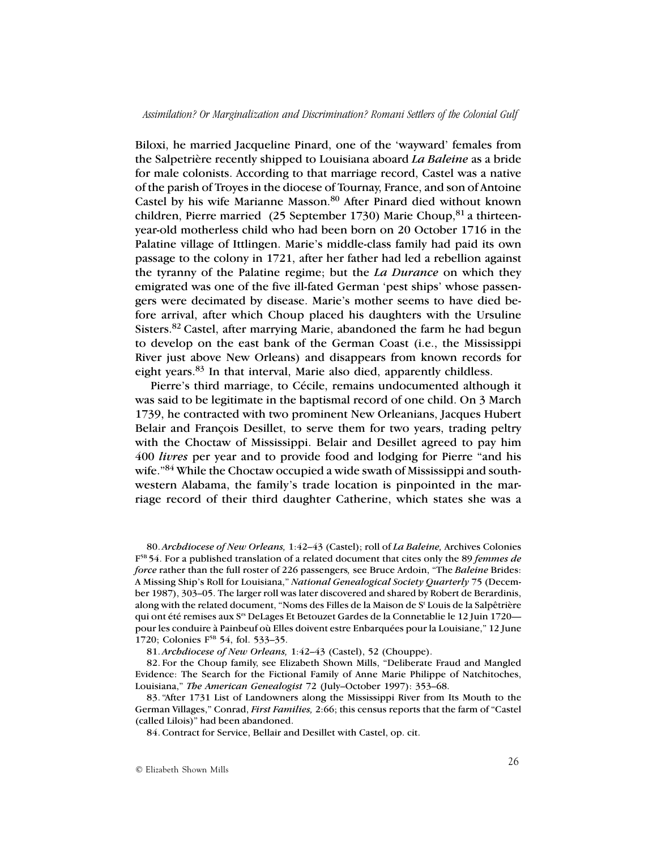Biloxi, he married Jacqueline Pinard, one of the 'wayward' females from the Salpetrière recently shipped to Louisiana aboard *La Baleine* as a bride for male colonists. According to that marriage record, Castel was a native of the parish of Troyes in the diocese of Tournay, France, and son of Antoine Castel by his wife Marianne Masson.<sup>80</sup> After Pinard died without known children, Pierre married (25 September 1730) Marie Choup, <sup>81</sup> a thirteenyear-old motherless child who had been born on 20 October 1716 in the Palatine village of Ittlingen. Marie's middle-class family had paid its own passage to the colony in 1721, after her father had led a rebellion against the tyranny of the Palatine regime; but the *La Durance* on which they emigrated was one of the five ill-fated German 'pest ships' whose passengers were decimated by disease. Marie's mother seems to have died before arrival, after which Choup placed his daughters with the Ursuline Sisters.82 Castel, after marrying Marie, abandoned the farm he had begun to develop on the east bank of the German Coast (i.e., the Mississippi River just above New Orleans) and disappears from known records for eight years.83 In that interval, Marie also died, apparently childless.

Pierre's third marriage, to Cécile, remains undocumented although it was said to be legitimate in the baptismal record of one child. On 3 March 1739, he contracted with two prominent New Orleanians, Jacques Hubert Belair and François Desillet, to serve them for two years, trading peltry with the Choctaw of Mississippi. Belair and Desillet agreed to pay him 400 *livres* per year and to provide food and lodging for Pierre "and his wife."<sup>84</sup> While the Choctaw occupied a wide swath of Mississippi and southwestern Alabama, the family's trade location is pinpointed in the marriage record of their third daughter Catherine, which states she was a

80. *Archdiocese of New Orleans,* 1:42–43 (Castel); roll of *La Baleine,* Archives Colonies F5B 54. For a published translation of a related document that cites only the 89 *femmes de force* rather than the full roster of 226 passengers*,* see Bruce Ardoin, "The *Baleine* Brides: A Missing Ship's Roll for Louisiana," *National Genealogical Society Quarterly* 75 (December 1987), 303–05. The larger roll was later discovered and shared by Robert de Berardinis, along with the related document, "Noms des Filles de la Maison de St Louis de la Salpêtrière qui ont été remises aux Srs DeLages Et Betouzet Gardes de la Connetablie le 12 Juin 1720 pour les conduire à Painbeuf où Elles doivent estre Enbarquées pour la Louisiane," 12 June 1720; Colonies F<sup>5B</sup> 54, fol. 533–35.

81. *Archdiocese of New Orleans,* 1:42–43 (Castel), 52 (Chouppe).

82. For the Choup family, see Elizabeth Shown Mills, "Deliberate Fraud and Mangled Evidence: The Search for the Fictional Family of Anne Marie Philippe of Natchitoches, Louisiana," *The American Genealogist* 72 (July–October 1997): 353–68.

83. "After 1731 List of Landowners along the Mississippi River from Its Mouth to the German Villages," Conrad, *First Families,* 2:66; this census reports that the farm of "Castel (called Lilois)" had been abandoned.

84. Contract for Service, Bellair and Desillet with Castel, op. cit.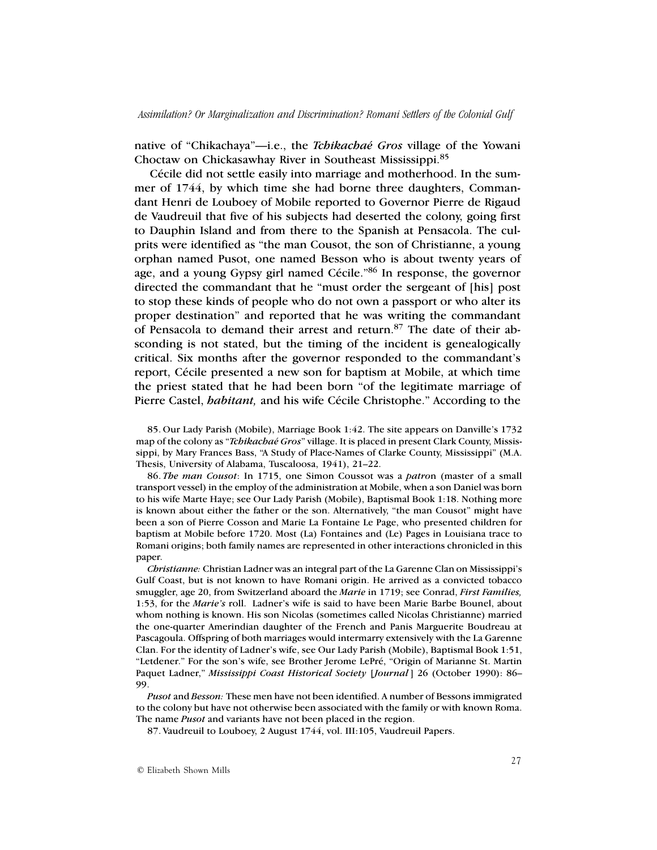native of "Chikachaya"—i.e., the *Tchikachaé Gros* village of the Yowani Choctaw on Chickasawhay River in Southeast Mississippi.<sup>85</sup>

Cécile did not settle easily into marriage and motherhood. In the summer of 1744, by which time she had borne three daughters, Commandant Henri de Louboey of Mobile reported to Governor Pierre de Rigaud de Vaudreuil that five of his subjects had deserted the colony, going first to Dauphin Island and from there to the Spanish at Pensacola. The culprits were identified as "the man Cousot, the son of Christianne, a young orphan named Pusot, one named Besson who is about twenty years of age, and a young Gypsy girl named Cécile."86 In response, the governor directed the commandant that he "must order the sergeant of [his] post to stop these kinds of people who do not own a passport or who alter its proper destination" and reported that he was writing the commandant of Pensacola to demand their arrest and return.87 The date of their absconding is not stated, but the timing of the incident is genealogically critical. Six months after the governor responded to the commandant's report, Cécile presented a new son for baptism at Mobile, at which time the priest stated that he had been born "of the legitimate marriage of Pierre Castel, *habitant,* and his wife Cécile Christophe." According to the

85. Our Lady Parish (Mobile), Marriage Book 1:42. The site appears on Danville's 1732 map of the colony as "*Tchikachaé Gros*" village. It is placed in present Clark County, Mississippi, by Mary Frances Bass, "A Study of Place-Names of Clarke County, Mississippi" (M.A. Thesis, University of Alabama, Tuscaloosa, 1941), 21–22.

86. *The man Cousot*: In 1715, one Simon Coussot was a *patro*n (master of a small transport vessel) in the employ of the administration at Mobile, when a son Daniel was born to his wife Marte Haye; see Our Lady Parish (Mobile), Baptismal Book 1:18. Nothing more is known about either the father or the son. Alternatively, "the man Cousot" might have been a son of Pierre Cosson and Marie La Fontaine Le Page, who presented children for baptism at Mobile before 1720. Most (La) Fontaines and (Le) Pages in Louisiana trace to Romani origins; both family names are represented in other interactions chronicled in this paper.

*Christianne:* Christian Ladner was an integral part of the La Garenne Clan on Mississippi's Gulf Coast, but is not known to have Romani origin. He arrived as a convicted tobacco smuggler, age 20, from Switzerland aboard the *Marie* in 1719; see Conrad, *First Families,* 1:53, for the *Marie's* roll. Ladner's wife is said to have been Marie Barbe Bounel, about whom nothing is known. His son Nicolas (sometimes called Nicolas Christianne) married the one-quarter Amerindian daughter of the French and Panis Marguerite Boudreau at Pascagoula. Offspring of both marriages would intermarry extensively with the La Garenne Clan. For the identity of Ladner's wife, see Our Lady Parish (Mobile), Baptismal Book 1:51, "Letdener." For the son's wife, see Brother Jerome LePré, "Origin of Marianne St. Martin Paquet Ladner," *Mississippi Coast Historical Society* [*Journal*] 26 (October 1990): 86– 99.

*Pusot* and *Besson:* These men have not been identified. A number of Bessons immigrated to the colony but have not otherwise been associated with the family or with known Roma. The name *Pusot* and variants have not been placed in the region.

87. Vaudreuil to Louboey, 2 August 1744, vol. III:105, Vaudreuil Papers.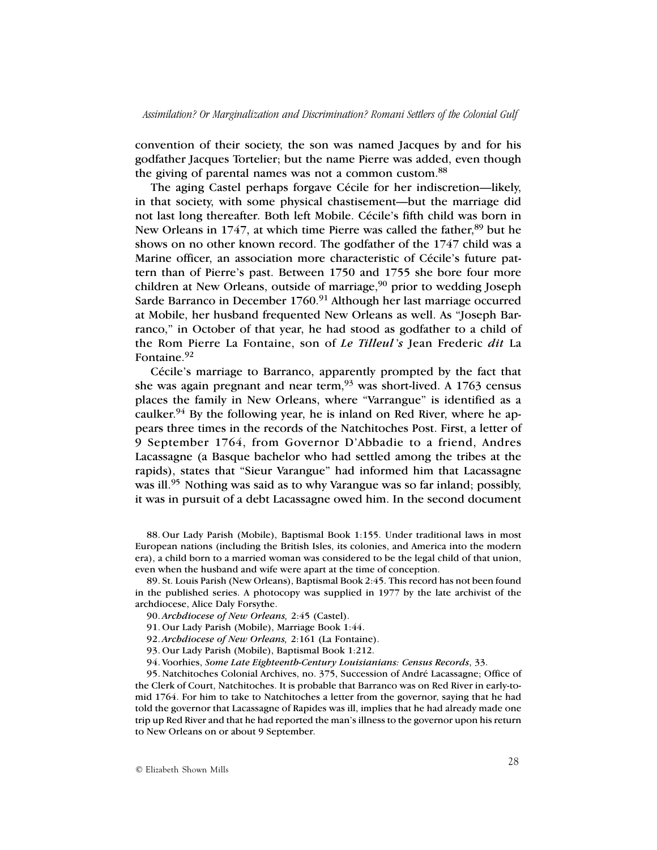convention of their society, the son was named Jacques by and for his godfather Jacques Tortelier; but the name Pierre was added, even though the giving of parental names was not a common custom.<sup>88</sup>

The aging Castel perhaps forgave Cécile for her indiscretion—likely, in that society, with some physical chastisement—but the marriage did not last long thereafter. Both left Mobile. Cécile's fifth child was born in New Orleans in 1747, at which time Pierre was called the father, 89 but he shows on no other known record. The godfather of the 1747 child was a Marine officer, an association more characteristic of Cécile's future pattern than of Pierre's past. Between 1750 and 1755 she bore four more children at New Orleans, outside of marriage, $90$  prior to wedding Joseph Sarde Barranco in December 1760.<sup>91</sup> Although her last marriage occurred at Mobile, her husband frequented New Orleans as well. As "Joseph Barranco," in October of that year, he had stood as godfather to a child of the Rom Pierre La Fontaine, son of *Le Tilleul* '*s* Jean Frederic *dit* La Fontaine.<sup>92</sup>

Cécile's marriage to Barranco, apparently prompted by the fact that she was again pregnant and near term,93 was short-lived. A 1763 census places the family in New Orleans, where "Varrangue" is identified as a caulker.<sup>94</sup> By the following year, he is inland on Red River, where he appears three times in the records of the Natchitoches Post. First, a letter of 9 September 1764, from Governor D'Abbadie to a friend, Andres Lacassagne (a Basque bachelor who had settled among the tribes at the rapids), states that "Sieur Varangue" had informed him that Lacassagne was ill.<sup>95</sup> Nothing was said as to why Varangue was so far inland; possibly, it was in pursuit of a debt Lacassagne owed him. In the second document

88. Our Lady Parish (Mobile), Baptismal Book 1:155. Under traditional laws in most European nations (including the British Isles, its colonies, and America into the modern era), a child born to a married woman was considered to be the legal child of that union, even when the husband and wife were apart at the time of conception.

89. St. Louis Parish (New Orleans), Baptismal Book 2:45. This record has not been found in the published series. A photocopy was supplied in 1977 by the late archivist of the archdiocese, Alice Daly Forsythe.

90. *Archdiocese of New Orleans,* 2:45 (Castel).

91. Our Lady Parish (Mobile), Marriage Book 1:44.

92. *Archdiocese of New Orleans,* 2:161 (La Fontaine).

93. Our Lady Parish (Mobile), Baptismal Book 1:212.

94. Voorhies, *Some Late Eighteenth-Century Louisianians: Census Records*, 33.

95. Natchitoches Colonial Archives, no. 375, Succession of André Lacassagne; Office of the Clerk of Court, Natchitoches. It is probable that Barranco was on Red River in early-tomid 1764. For him to take to Natchitoches a letter from the governor, saying that he had told the governor that Lacassagne of Rapides was ill, implies that he had already made one trip up Red River and that he had reported the man's illness to the governor upon his return to New Orleans on or about 9 September.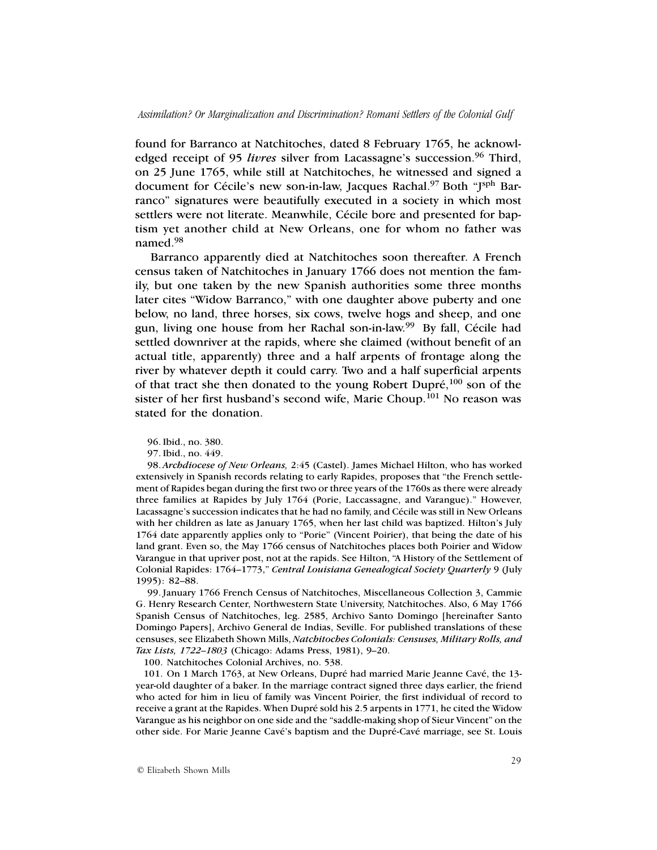found for Barranco at Natchitoches, dated 8 February 1765, he acknowledged receipt of 95 *livres* silver from Lacassagne's succession.<sup>96</sup> Third, on 25 June 1765, while still at Natchitoches, he witnessed and signed a document for Cécile's new son-in-law, Jacques Rachal.<sup>97</sup> Both "J<sup>sph</sup> Barranco" signatures were beautifully executed in a society in which most settlers were not literate. Meanwhile, Cécile bore and presented for baptism yet another child at New Orleans, one for whom no father was named.98

Barranco apparently died at Natchitoches soon thereafter. A French census taken of Natchitoches in January 1766 does not mention the family, but one taken by the new Spanish authorities some three months later cites "Widow Barranco," with one daughter above puberty and one below, no land, three horses, six cows, twelve hogs and sheep, and one gun, living one house from her Rachal son-in-law.99 By fall, Cécile had settled downriver at the rapids, where she claimed (without benefit of an actual title, apparently) three and a half arpents of frontage along the river by whatever depth it could carry. Two and a half superficial arpents of that tract she then donated to the young Robert Dupré,100 son of the sister of her first husband's second wife, Marie Choup.<sup>101</sup> No reason was stated for the donation.

98. *Archdiocese of New Orleans,* 2:45 (Castel). James Michael Hilton, who has worked extensively in Spanish records relating to early Rapides, proposes that "the French settlement of Rapides began during the first two or three years of the 1760s as there were already three families at Rapides by July 1764 (Porie, Laccassagne, and Varangue)." However, Lacassagne's succession indicates that he had no family, and Cécile was still in New Orleans with her children as late as January 1765, when her last child was baptized. Hilton's July 1764 date apparently applies only to "Porie" (Vincent Poirier), that being the date of his land grant. Even so, the May 1766 census of Natchitoches places both Poirier and Widow Varangue in that upriver post, not at the rapids. See Hilton, "A History of the Settlement of Colonial Rapides: 1764–1773," *Central Louisiana Genealogical Society Quarterly* 9 (July 1995): 82–88.

99. January 1766 French Census of Natchitoches, Miscellaneous Collection 3, Cammie G. Henry Research Center, Northwestern State University, Natchitoches. Also, 6 May 1766 Spanish Census of Natchitoches, leg. 2585, Archivo Santo Domingo [hereinafter Santo Domingo Papers], Archivo General de Indias, Seville. For published translations of these censuses, see Elizabeth Shown Mills, *Natchitoches Colonials: Censuses, Military Rolls, and Tax Lists, 1722–1803* (Chicago: Adams Press, 1981), 9–20.

100. Natchitoches Colonial Archives, no. 538.

101. On 1 March 1763, at New Orleans, Dupré had married Marie Jeanne Cavé, the 13 year-old daughter of a baker. In the marriage contract signed three days earlier, the friend who acted for him in lieu of family was Vincent Poirier, the first individual of record to receive a grant at the Rapides. When Dupré sold his 2.5 arpents in 1771, he cited the Widow Varangue as his neighbor on one side and the "saddle-making shop of Sieur Vincent" on the other side. For Marie Jeanne Cavé's baptism and the Dupré-Cavé marriage, see St. Louis

<sup>96.</sup> Ibid., no. 380.

<sup>97.</sup> Ibid., no. 449.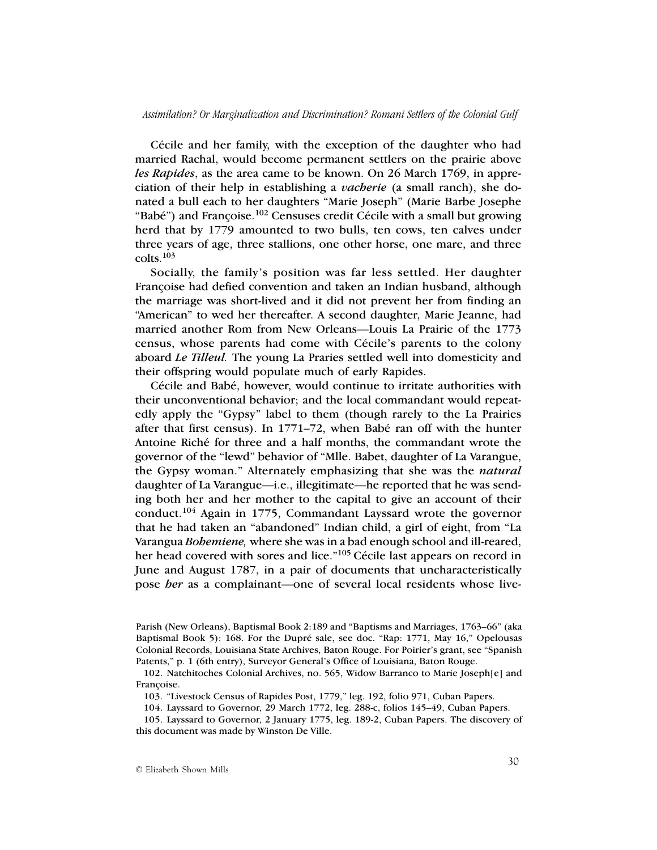Cécile and her family, with the exception of the daughter who had married Rachal, would become permanent settlers on the prairie above *les Rapides*, as the area came to be known. On 26 March 1769, in appreciation of their help in establishing a *vacherie* (a small ranch), she donated a bull each to her daughters "Marie Joseph" (Marie Barbe Josephe "Babé") and Françoise.<sup>102</sup> Censuses credit Cécile with a small but growing herd that by 1779 amounted to two bulls, ten cows, ten calves under three years of age, three stallions, one other horse, one mare, and three  $colts.$ <sup>103</sup>

Socially, the family's position was far less settled. Her daughter Françoise had defied convention and taken an Indian husband, although the marriage was short-lived and it did not prevent her from finding an "American" to wed her thereafter. A second daughter, Marie Jeanne, had married another Rom from New Orleans—Louis La Prairie of the 1773 census, whose parents had come with Cécile's parents to the colony aboard *Le Tilleul.* The young La Praries settled well into domesticity and their offspring would populate much of early Rapides.

Cécile and Babé, however, would continue to irritate authorities with their unconventional behavior; and the local commandant would repeatedly apply the "Gypsy" label to them (though rarely to the La Prairies after that first census). In 1771–72, when Babé ran off with the hunter Antoine Riché for three and a half months, the commandant wrote the governor of the "lewd" behavior of "Mlle. Babet, daughter of La Varangue, the Gypsy woman." Alternately emphasizing that she was the *natural* daughter of La Varangue—i.e., illegitimate—he reported that he was sending both her and her mother to the capital to give an account of their conduct.104 Again in 1775, Commandant Layssard wrote the governor that he had taken an "abandoned" Indian child, a girl of eight, from "La Varangua *Bohemiene,* where she was in a bad enough school and ill-reared, her head covered with sores and lice."<sup>105</sup> Cécile last appears on record in June and August 1787, in a pair of documents that uncharacteristically pose *her* as a complainant—one of several local residents whose live-

Parish (New Orleans), Baptismal Book 2:189 and "Baptisms and Marriages, 1763–66" (aka Baptismal Book 5): 168. For the Dupré sale, see doc. "Rap: 1771, May 16," Opelousas Colonial Records, Louisiana State Archives, Baton Rouge. For Poirier's grant, see "Spanish Patents," p. 1 (6th entry), Surveyor General's Office of Louisiana, Baton Rouge.

<sup>102.</sup> Natchitoches Colonial Archives, no. 565, Widow Barranco to Marie Joseph[e] and Françoise.

<sup>103.</sup> "Livestock Census of Rapides Post, 1779," leg. 192, folio 971, Cuban Papers.

<sup>104.</sup> Layssard to Governor, 29 March 1772, leg. 288-c, folios 145–49, Cuban Papers.

<sup>105.</sup> Layssard to Governor, 2 January 1775, leg. 189-2, Cuban Papers. The discovery of this document was made by Winston De Ville.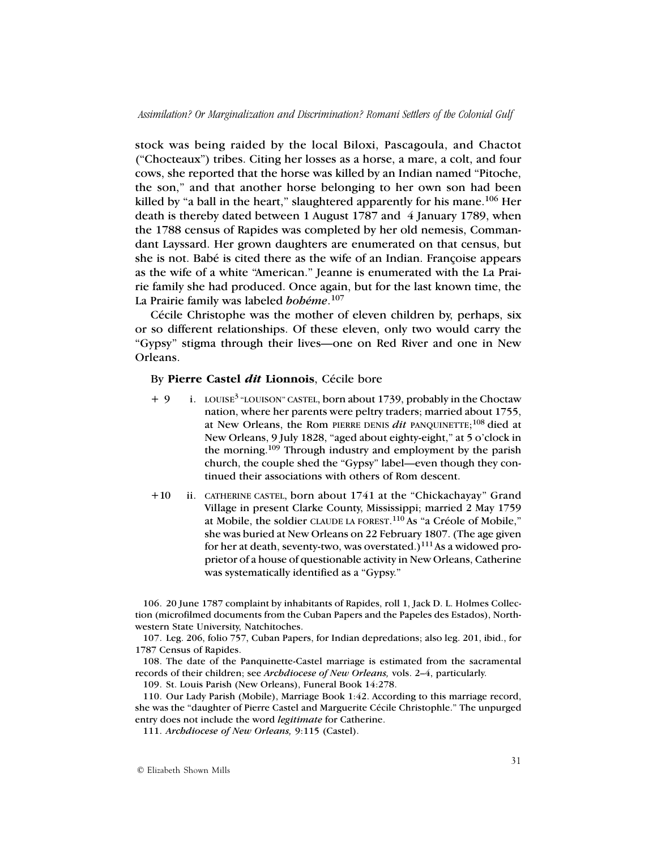stock was being raided by the local Biloxi, Pascagoula, and Chactot ("Chocteaux") tribes. Citing her losses as a horse, a mare, a colt, and four cows, she reported that the horse was killed by an Indian named "Pitoche, the son," and that another horse belonging to her own son had been killed by "a ball in the heart," slaughtered apparently for his mane.<sup>106</sup> Her death is thereby dated between 1 August 1787 and 4 January 1789, when the 1788 census of Rapides was completed by her old nemesis, Commandant Layssard. Her grown daughters are enumerated on that census, but she is not. Babé is cited there as the wife of an Indian. Françoise appears as the wife of a white "American." Jeanne is enumerated with the La Prairie family she had produced. Once again, but for the last known time, the La Prairie family was labeled *bohéme*. 107

Cécile Christophe was the mother of eleven children by, perhaps, six or so different relationships. Of these eleven, only two would carry the "Gypsy" stigma through their lives—one on Red River and one in New Orleans.

## By **Pierre Castel** *dit* **Lionnois**, Cécile bore

- + 9 i. LOUISE3 "LOUISON" CASTEL, born about 1739, probably in the Choctaw nation, where her parents were peltry traders; married about 1755, at New Orleans, the Rom PIERRE DENIS *dit* PANQUINETTE; 108 died at New Orleans, 9 July 1828, "aged about eighty-eight," at 5 o'clock in the morning.109 Through industry and employment by the parish church, the couple shed the "Gypsy" label—even though they continued their associations with others of Rom descent.
- +10 ii. CATHERINE CASTEL, born about 1741 at the "Chickachayay" Grand Village in present Clarke County, Mississippi; married 2 May 1759 at Mobile, the soldier CLAUDE LA FOREST.<sup>110</sup> As "a Créole of Mobile," she was buried at New Orleans on 22 February 1807. (The age given for her at death, seventy-two, was overstated.) $^{111}$ As a widowed proprietor of a house of questionable activity in New Orleans, Catherine was systematically identified as a "Gypsy."

106. 20 June 1787 complaint by inhabitants of Rapides, roll 1, Jack D. L. Holmes Collection (microfilmed documents from the Cuban Papers and the Papeles des Estados), Northwestern State University, Natchitoches.

107. Leg. 206, folio 757, Cuban Papers, for Indian depredations; also leg. 201, ibid., for 1787 Census of Rapides.

108. The date of the Panquinette-Castel marriage is estimated from the sacramental records of their children; see *Archdiocese of New Orleans,* vols. 2–4, particularly.

109. St. Louis Parish (New Orleans), Funeral Book 14:278.

110. Our Lady Parish (Mobile), Marriage Book 1:42. According to this marriage record, she was the "daughter of Pierre Castel and Marguerite Cécile Christophle." The unpurged entry does not include the word *legitimate* for Catherine.

111. *Archdiocese of New Orleans,* 9:115 (Castel).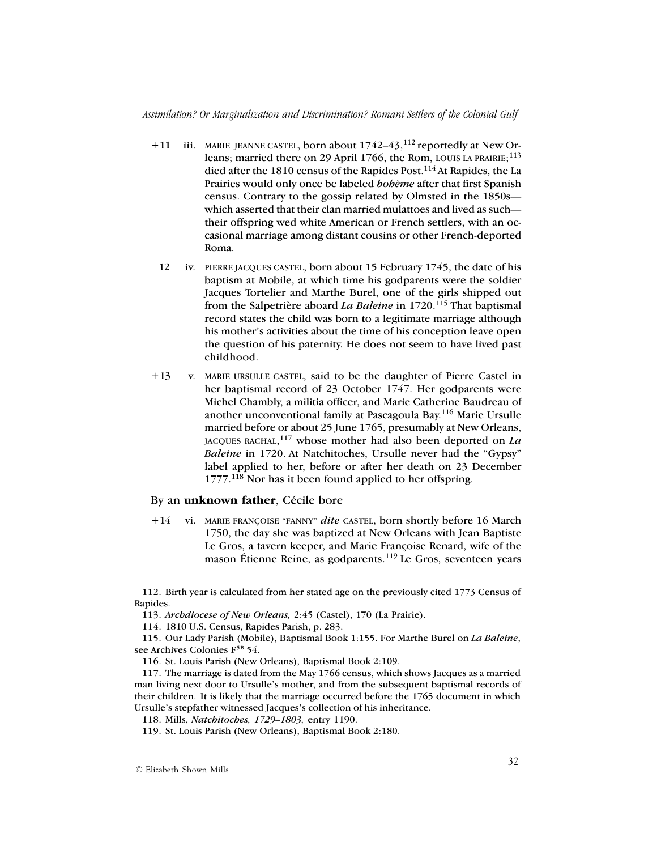- $+11$  iii. MARIE JEANNE CASTEL, born about  $1742-43$ ,  $^{112}$  reportedly at New Orleans; married there on 29 April 1766, the Rom, LOUIS LA PRAIRIE;<sup>113</sup> died after the 1810 census of the Rapides Post.<sup>114</sup> At Rapides, the La Prairies would only once be labeled *bohème* after that first Spanish census. Contrary to the gossip related by Olmsted in the 1850s which asserted that their clan married mulattoes and lived as such their offspring wed white American or French settlers, with an occasional marriage among distant cousins or other French-deported Roma.
- 12 iv. PIERRE JACQUES CASTEL, born about 15 February 1745, the date of his baptism at Mobile, at which time his godparents were the soldier Jacques Tortelier and Marthe Burel, one of the girls shipped out from the Salpetrière aboard *La Baleine* in 1720.115 That baptismal record states the child was born to a legitimate marriage although his mother's activities about the time of his conception leave open the question of his paternity. He does not seem to have lived past childhood.
- +13 v. MARIE URSULLE CASTEL, said to be the daughter of Pierre Castel in her baptismal record of 23 October 1747. Her godparents were Michel Chambly, a militia officer, and Marie Catherine Baudreau of another unconventional family at Pascagoula Bay.116 Marie Ursulle married before or about 25 June 1765, presumably at New Orleans, JACQUES RACHAL, 117 whose mother had also been deported on *La Baleine* in 1720. At Natchitoches, Ursulle never had the "Gypsy" label applied to her, before or after her death on 23 December 1777.118 Nor has it been found applied to her offspring.

## By an **unknown father**, Cécile bore

+14 vi. MARIE FRANÇOISE "FANNY" *dite* CASTEL, born shortly before 16 March 1750, the day she was baptized at New Orleans with Jean Baptiste Le Gros, a tavern keeper, and Marie Françoise Renard, wife of the mason Étienne Reine, as godparents.<sup>119</sup> Le Gros, seventeen years

112. Birth year is calculated from her stated age on the previously cited 1773 Census of Rapides.

113. *Archdiocese of New Orleans,* 2:45 (Castel), 170 (La Prairie).

114. 1810 U.S. Census, Rapides Parish, p. 283.

115. Our Lady Parish (Mobile), Baptismal Book 1:155. For Marthe Burel on *La Baleine*, see Archives Colonies F<sup>5B</sup> 54.

116. St. Louis Parish (New Orleans), Baptismal Book 2:109.

117. The marriage is dated from the May 1766 census, which shows Jacques as a married man living next door to Ursulle's mother, and from the subsequent baptismal records of their children. It is likely that the marriage occurred before the 1765 document in which Ursulle's stepfather witnessed Jacques's collection of his inheritance.

118. Mills, *Natchitoches, 1729–1803,* entry 1190.

119. St. Louis Parish (New Orleans), Baptismal Book 2:180.

© Elizabeth Shown Mills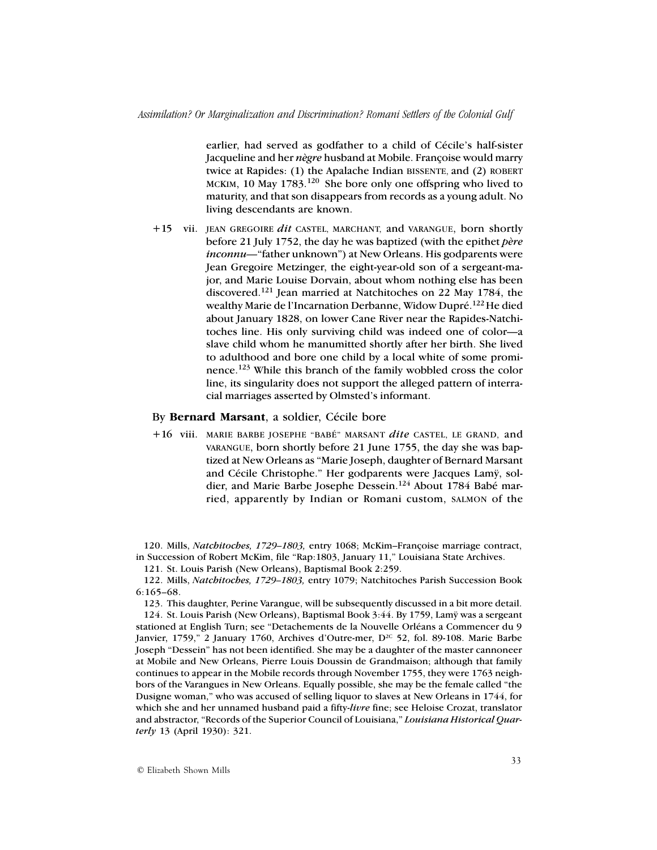earlier, had served as godfather to a child of Cécile's half-sister Jacqueline and her *nègre* husband at Mobile. Françoise would marry twice at Rapides: (1) the Apalache Indian BISSENTE, and (2) ROBERT MCKIM, 10 May 1783.<sup>120</sup> She bore only one offspring who lived to maturity, and that son disappears from records as a young adult. No living descendants are known.

+15 vii. JEAN GREGOIRE *dit* CASTEL, MARCHANT, and VARANGUE, born shortly before 21 July 1752, the day he was baptized (with the epithet *père inconnu—*"father unknown") at New Orleans. His godparents were Jean Gregoire Metzinger, the eight-year-old son of a sergeant-major, and Marie Louise Dorvain, about whom nothing else has been discovered.121 Jean married at Natchitoches on 22 May 1784, the wealthy Marie de l'Incarnation Derbanne, Widow Dupré.<sup>122</sup> He died about January 1828, on lower Cane River near the Rapides-Natchitoches line. His only surviving child was indeed one of color—a slave child whom he manumitted shortly after her birth. She lived to adulthood and bore one child by a local white of some prominence.123 While this branch of the family wobbled cross the color line, its singularity does not support the alleged pattern of interracial marriages asserted by Olmsted's informant.

## By **Bernard Marsant**, a soldier, Cécile bore

+16 viii. MARIE BARBE JOSEPHE "BABÉ" MARSANT *dite* CASTEL, LE GRAND, and VARANGUE, born shortly before 21 June 1755, the day she was baptized at New Orleans as "Marie Joseph, daughter of Bernard Marsant and Cécile Christophe." Her godparents were Jacques Lamÿ, soldier, and Marie Barbe Josephe Dessein.<sup>124</sup> About 1784 Babé married, apparently by Indian or Romani custom, SALMON of the

120. Mills, *Natchitoches, 1729–1803,* entry 1068; McKim–Françoise marriage contract, in Succession of Robert McKim, file "Rap:1803, January 11," Louisiana State Archives.

121. St. Louis Parish (New Orleans), Baptismal Book 2:259.

122. Mills, *Natchitoches, 1729–1803,* entry 1079; Natchitoches Parish Succession Book 6:165–68.

123. This daughter, Perine Varangue, will be subsequently discussed in a bit more detail. 124. St. Louis Parish (New Orleans), Baptismal Book 3:44. By 1759, Lamÿ was a sergeant stationed at English Turn; see "Detachements de la Nouvelle Orléans a Commencer du 9 Janvier, 1759," 2 January 1760, Archives d'Outre-mer,  $D^{2c}$  52, fol. 89-108. Marie Barbe Joseph "Dessein" has not been identified. She may be a daughter of the master cannoneer at Mobile and New Orleans, Pierre Louis Doussin de Grandmaison; although that family continues to appear in the Mobile records through November 1755, they were 1763 neighbors of the Varangues in New Orleans. Equally possible, she may be the female called "the Dusigne woman," who was accused of selling liquor to slaves at New Orleans in 1744, for which she and her unnamed husband paid a fifty-*livre* fine; see Heloise Crozat, translator and abstractor, "Records of the Superior Council of Louisiana," *Louisiana Historical Quarterly* 13 (April 1930): 321.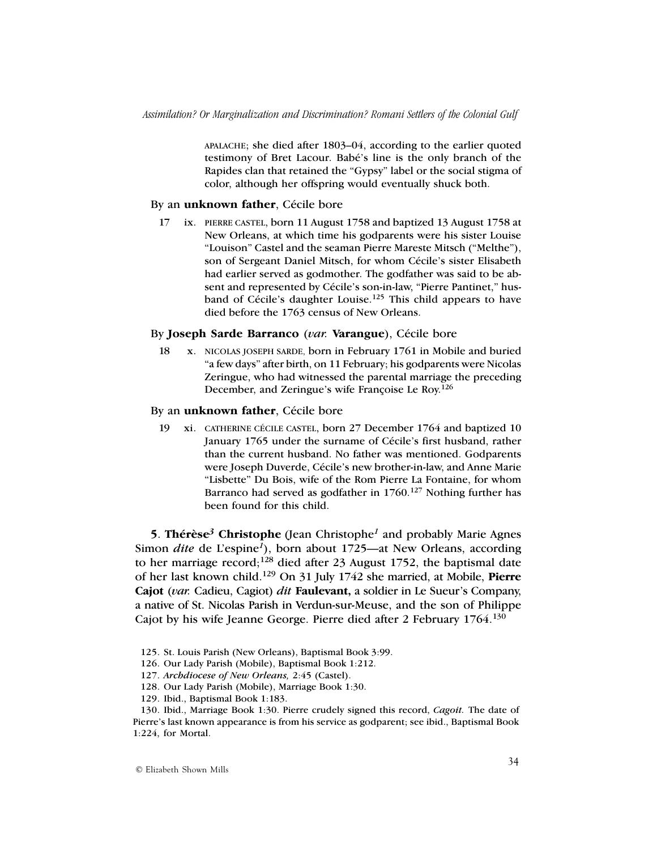APALACHE; she died after 1803–04, according to the earlier quoted testimony of Bret Lacour. Babé's line is the only branch of the Rapides clan that retained the "Gypsy" label or the social stigma of color, although her offspring would eventually shuck both.

#### By an **unknown father**, Cécile bore

17 ix. PIERRE CASTEL, born 11 August 1758 and baptized 13 August 1758 at New Orleans, at which time his godparents were his sister Louise "Louison" Castel and the seaman Pierre Mareste Mitsch ("Melthe"), son of Sergeant Daniel Mitsch, for whom Cécile's sister Elisabeth had earlier served as godmother. The godfather was said to be absent and represented by Cécile's son-in-law, "Pierre Pantinet," husband of Cécile's daughter Louise.<sup>125</sup> This child appears to have died before the 1763 census of New Orleans.

## By **Joseph Sarde Barranco** (*var.* **Varangue**), Cécile bore

18 x. NICOLAS JOSEPH SARDE, born in February 1761 in Mobile and buried "a few days" after birth, on 11 February; his godparents were Nicolas Zeringue, who had witnessed the parental marriage the preceding December, and Zeringue's wife Françoise Le Roy.<sup>126</sup>

## By an **unknown father**, Cécile bore

19 xi. CATHERINE CÉCILE CASTEL, born 27 December 1764 and baptized 10 January 1765 under the surname of Cécile's first husband, rather than the current husband. No father was mentioned. Godparents were Joseph Duverde, Cécile's new brother-in-law, and Anne Marie "Lisbette" Du Bois, wife of the Rom Pierre La Fontaine, for whom Barranco had served as godfather in  $1760$ .<sup>127</sup> Nothing further has been found for this child.

**5**. **Thérèse***3* **Christophe** (Jean Christophe*<sup>1</sup>* and probably Marie Agnes Simon *dite* de L'espine*1*), born about 1725—at New Orleans, according to her marriage record;<sup>128</sup> died after 23 August 1752, the baptismal date of her last known child.129 On 31 July 1742 she married, at Mobile, **Pierre Cajot** (*var.* Cadieu, Cagiot) *dit* **Faulevant,** a soldier in Le Sueur's Company, a native of St. Nicolas Parish in Verdun-sur-Meuse, and the son of Philippe Cajot by his wife Jeanne George. Pierre died after 2 February 1764.130

- 125. St. Louis Parish (New Orleans), Baptismal Book 3:99.
- 126. Our Lady Parish (Mobile), Baptismal Book 1:212.
- 127. *Archdiocese of New Orleans,* 2:45 (Castel).
- 128. Our Lady Parish (Mobile), Marriage Book 1:30.
- 129. Ibid., Baptismal Book 1:183.

<sup>130.</sup> Ibid., Marriage Book 1:30. Pierre crudely signed this record, *Cagoit.* The date of Pierre's last known appearance is from his service as godparent; see ibid., Baptismal Book 1:224, for Mortal.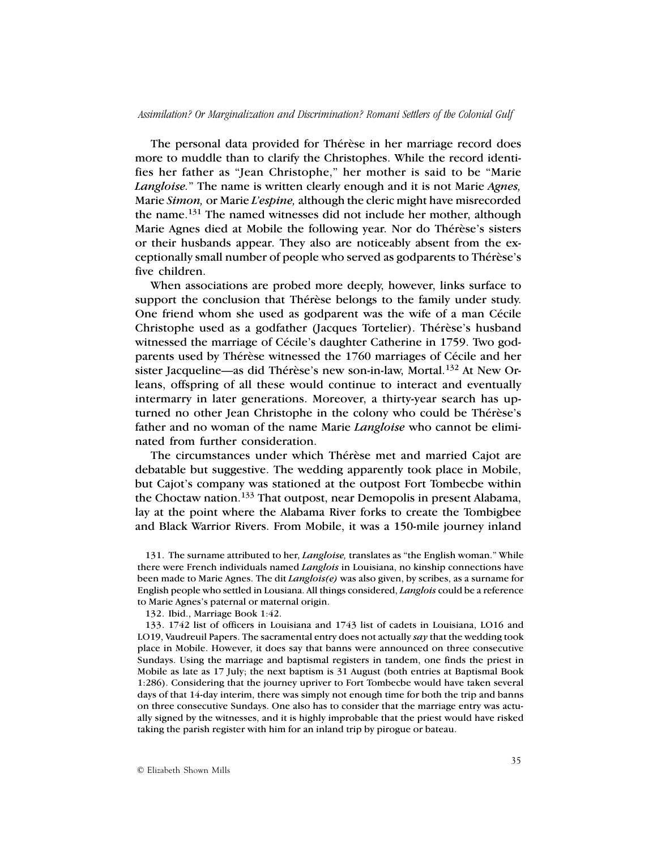The personal data provided for Thérèse in her marriage record does more to muddle than to clarify the Christophes. While the record identifies her father as "Jean Christophe," her mother is said to be "Marie *Langloise.*" The name is written clearly enough and it is not Marie *Agnes,* Marie *Simon,* or Marie *L'espine,* although the cleric might have misrecorded the name.131 The named witnesses did not include her mother, although Marie Agnes died at Mobile the following year. Nor do Thérèse's sisters or their husbands appear. They also are noticeably absent from the exceptionally small number of people who served as godparents to Thérèse's five children.

When associations are probed more deeply, however, links surface to support the conclusion that Thérèse belongs to the family under study. One friend whom she used as godparent was the wife of a man Cécile Christophe used as a godfather (Jacques Tortelier). Thérèse's husband witnessed the marriage of Cécile's daughter Catherine in 1759. Two godparents used by Thérèse witnessed the 1760 marriages of Cécile and her sister Jacqueline—as did Thérèse's new son-in-law, Mortal.132 At New Orleans, offspring of all these would continue to interact and eventually intermarry in later generations. Moreover, a thirty-year search has upturned no other Jean Christophe in the colony who could be Thérèse's father and no woman of the name Marie *Langloise* who cannot be eliminated from further consideration.

The circumstances under which Thérèse met and married Cajot are debatable but suggestive. The wedding apparently took place in Mobile, but Cajot's company was stationed at the outpost Fort Tombecbe within the Choctaw nation.133 That outpost, near Demopolis in present Alabama, lay at the point where the Alabama River forks to create the Tombigbee and Black Warrior Rivers. From Mobile, it was a 150-mile journey inland

131. The surname attributed to her, *Langloise,* translates as "the English woman." While there were French individuals named *Langlois* in Louisiana, no kinship connections have been made to Marie Agnes. The dit *Langlois(e)* was also given, by scribes, as a surname for English people who settled in Lousiana. All things considered, *Langlois* could be a reference to Marie Agnes's paternal or maternal origin.

132. Ibid., Marriage Book 1:42.

133. 1742 list of officers in Louisiana and 1743 list of cadets in Louisiana, LO16 and LO19, Vaudreuil Papers. The sacramental entry does not actually *say* that the wedding took place in Mobile. However, it does say that banns were announced on three consecutive Sundays. Using the marriage and baptismal registers in tandem, one finds the priest in Mobile as late as 17 July; the next baptism is 31 August (both entries at Baptismal Book 1:286). Considering that the journey upriver to Fort Tombecbe would have taken several days of that 14-day interim, there was simply not enough time for both the trip and banns on three consecutive Sundays. One also has to consider that the marriage entry was actually signed by the witnesses, and it is highly improbable that the priest would have risked taking the parish register with him for an inland trip by pirogue or bateau.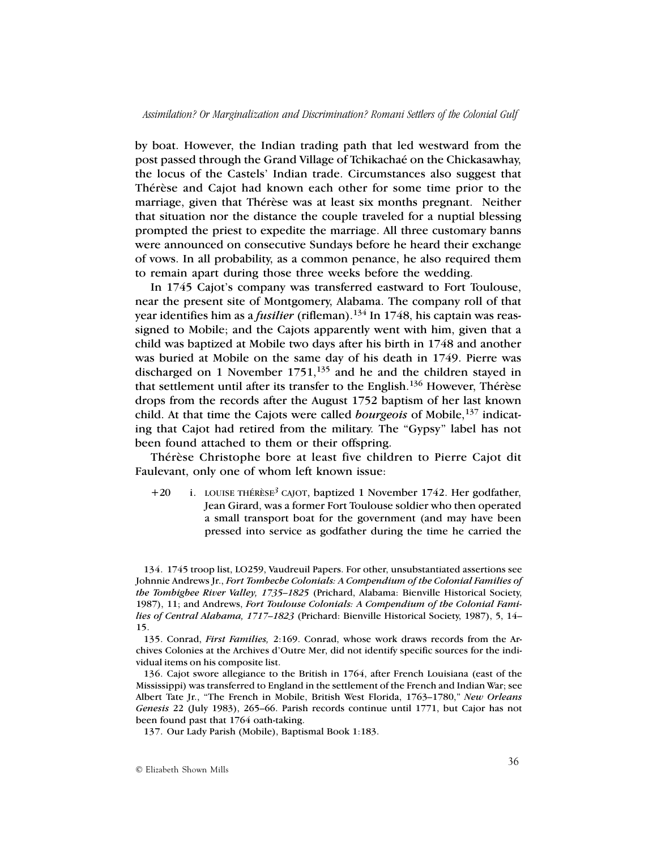by boat. However, the Indian trading path that led westward from the post passed through the Grand Village of Tchikachaé on the Chickasawhay, the locus of the Castels' Indian trade. Circumstances also suggest that Thérèse and Cajot had known each other for some time prior to the marriage, given that Thérèse was at least six months pregnant. Neither that situation nor the distance the couple traveled for a nuptial blessing prompted the priest to expedite the marriage. All three customary banns were announced on consecutive Sundays before he heard their exchange of vows. In all probability, as a common penance, he also required them to remain apart during those three weeks before the wedding.

In 1745 Cajot's company was transferred eastward to Fort Toulouse, near the present site of Montgomery, Alabama. The company roll of that year identifies him as a *fusilier* (rifleman).<sup>134</sup> In 1748, his captain was reassigned to Mobile; and the Cajots apparently went with him, given that a child was baptized at Mobile two days after his birth in 1748 and another was buried at Mobile on the same day of his death in 1749. Pierre was discharged on 1 November  $1751$ ,  $^{135}$  and he and the children stayed in that settlement until after its transfer to the English.136 However, Thérèse drops from the records after the August 1752 baptism of her last known child. At that time the Cajots were called *bourgeois* of Mobile,<sup>137</sup> indicating that Cajot had retired from the military. The "Gypsy" label has not been found attached to them or their offspring.

Thérèse Christophe bore at least five children to Pierre Cajot dit Faulevant, only one of whom left known issue:

+20 i. LOUISE THÉRÈSE*<sup>3</sup>* CAJOT, baptized 1 November 1742. Her godfather, Jean Girard, was a former Fort Toulouse soldier who then operated a small transport boat for the government (and may have been pressed into service as godfather during the time he carried the

134. 1745 troop list, LO259, Vaudreuil Papers. For other, unsubstantiated assertions see Johnnie Andrews Jr., *Fort Tombecbe Colonials: A Compendium of the Colonial Families of the Tombigbee River Valley, 1735–1825* (Prichard, Alabama: Bienville Historical Society, 1987), 11; and Andrews, *Fort Toulouse Colonials: A Compendium of the Colonial Families of Central Alabama, 1717–1823* (Prichard: Bienville Historical Society, 1987), 5, 14– 15.

135. Conrad, *First Families,* 2:169. Conrad, whose work draws records from the Archives Colonies at the Archives d'Outre Mer, did not identify specific sources for the individual items on his composite list.

136. Cajot swore allegiance to the British in 1764, after French Louisiana (east of the Mississippi) was transferred to England in the settlement of the French and Indian War; see Albert Tate Jr., "The French in Mobile, British West Florida, 1763–1780," *New Orleans Genesis* 22 (July 1983), 265–66. Parish records continue until 1771, but Cajor has not been found past that 1764 oath-taking.

137. Our Lady Parish (Mobile), Baptismal Book 1:183.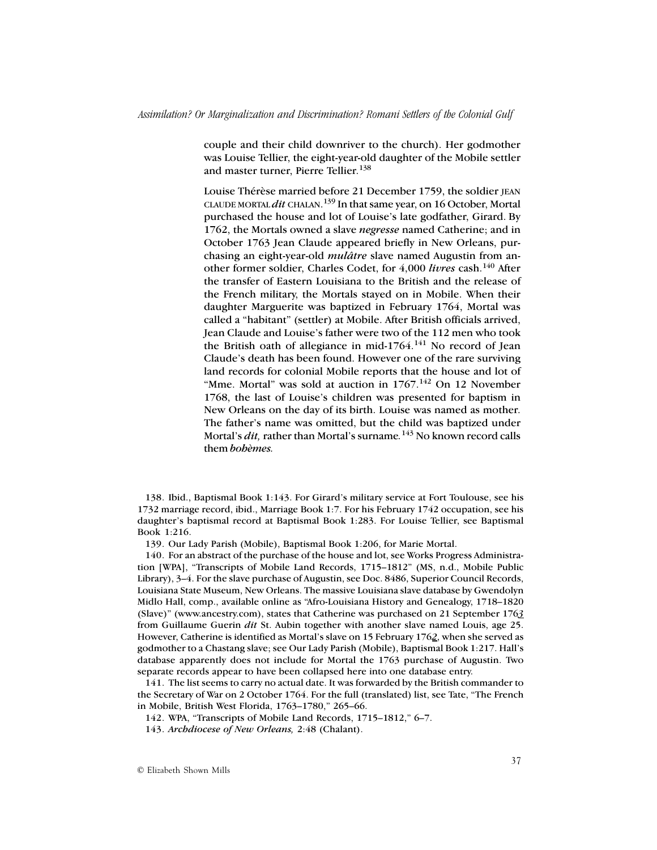couple and their child downriver to the church). Her godmother was Louise Tellier, the eight-year-old daughter of the Mobile settler and master turner, Pierre Tellier.<sup>138</sup>

Louise Thérèse married before 21 December 1759, the soldier JEAN CLAUDE MORTAL *dit* CHALAN. 139 In that same year, on 16 October, Mortal purchased the house and lot of Louise's late godfather, Girard. By 1762, the Mortals owned a slave *negresse* named Catherine; and in October 1763 Jean Claude appeared briefly in New Orleans, purchasing an eight-year-old *mulâtre* slave named Augustin from another former soldier, Charles Codet, for 4,000 *livres* cash.140 After the transfer of Eastern Louisiana to the British and the release of the French military, the Mortals stayed on in Mobile. When their daughter Marguerite was baptized in February 1764, Mortal was called a "habitant" (settler) at Mobile. After British officials arrived, Jean Claude and Louise's father were two of the 112 men who took the British oath of allegiance in mid- $1764$ .<sup>141</sup> No record of Jean Claude's death has been found. However one of the rare surviving land records for colonial Mobile reports that the house and lot of "Mme. Mortal" was sold at auction in  $1767$ .<sup>142</sup> On 12 November 1768, the last of Louise's children was presented for baptism in New Orleans on the day of its birth. Louise was named as mother. The father's name was omitted, but the child was baptized under Mortal's *dit,* rather than Mortal's surname*.* 143 No known record calls them *bohèmes.*

138. Ibid., Baptismal Book 1:143. For Girard's military service at Fort Toulouse, see his 1732 marriage record, ibid., Marriage Book 1:7. For his February 1742 occupation, see his daughter's baptismal record at Baptismal Book 1:283. For Louise Tellier, see Baptismal Book 1:216.

139. Our Lady Parish (Mobile), Baptismal Book 1:206, for Marie Mortal.

140. For an abstract of the purchase of the house and lot, see Works Progress Administration [WPA], "Transcripts of Mobile Land Records, 1715–1812" (MS, n.d., Mobile Public Library), 3–4. For the slave purchase of Augustin, see Doc. 8486, Superior Council Records, Louisiana State Museum, New Orleans. The massive Louisiana slave database by Gwendolyn Midlo Hall, comp., available online as "Afro-Louisiana History and Genealogy, 1718–1820 (Slave)" (www.ancestry.com), states that Catherine was purchased on 21 September 176*3* from Guillaume Guerin *dit* St. Aubin together with another slave named Louis, age 25. However, Catherine is identified as Mortal's slave on 15 February 176*2*, when she served as godmother to a Chastang slave; see Our Lady Parish (Mobile), Baptismal Book 1:217. Hall's database apparently does not include for Mortal the 1763 purchase of Augustin. Two separate records appear to have been collapsed here into one database entry.

141. The list seems to carry no actual date. It was forwarded by the British commander to the Secretary of War on 2 October 1764. For the full (translated) list, see Tate, "The French in Mobile, British West Florida, 1763–1780," 265–66.

142. WPA, "Transcripts of Mobile Land Records, 1715–1812," 6–7.

143. *Archdiocese of New Orleans,* 2:48 (Chalant).

© Elizabeth Shown Mills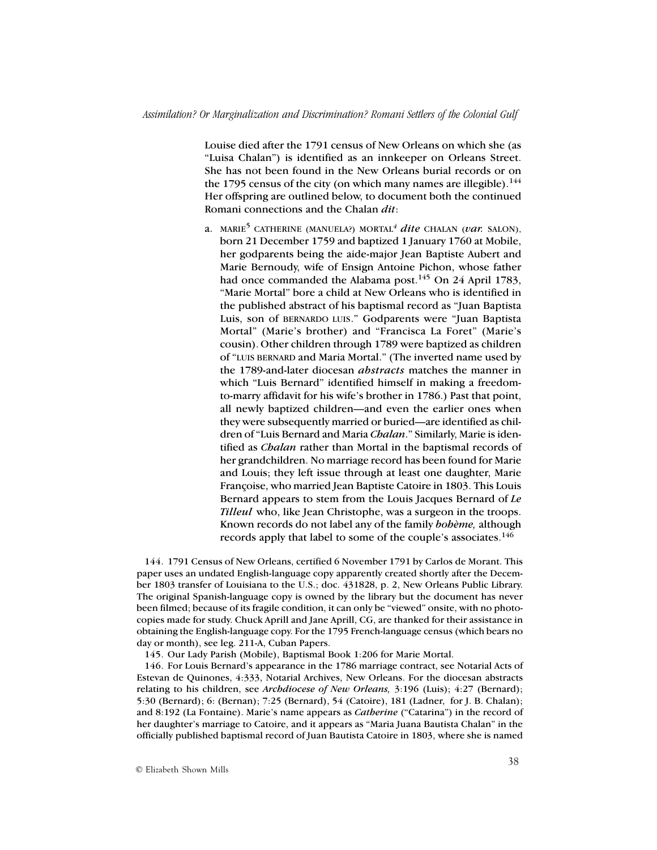Louise died after the 1791 census of New Orleans on which she (as "Luisa Chalan") is identified as an innkeeper on Orleans Street. She has not been found in the New Orleans burial records or on the 1795 census of the city (on which many names are illegible).  $144$ Her offspring are outlined below, to document both the continued Romani connections and the Chalan *dit*:

a. MARIE5 CATHERINE (MANUELA?) MORTAL*<sup>4</sup> dite* CHALAN (*var.* SALON), born 21 December 1759 and baptized 1 January 1760 at Mobile, her godparents being the aide-major Jean Baptiste Aubert and Marie Bernoudy, wife of Ensign Antoine Pichon, whose father had once commanded the Alabama post.<sup>145</sup> On 24 April 1783, "Marie Mortal" bore a child at New Orleans who is identified in the published abstract of his baptismal record as "Juan Baptista Luis, son of BERNARDO LUIS." Godparents were "Juan Baptista Mortal" (Marie's brother) and "Francisca La Foret" (Marie's cousin). Other children through 1789 were baptized as children of "LUIS BERNARD and Maria Mortal." (The inverted name used by the 1789-and-later diocesan *abstracts* matches the manner in which "Luis Bernard" identified himself in making a freedomto-marry affidavit for his wife's brother in 1786.) Past that point, all newly baptized children—and even the earlier ones when they were subsequently married or buried—are identified as children of "Luis Bernard and Maria *Chalan*." Similarly, Marie is identified as *Chalan* rather than Mortal in the baptismal records of her grandchildren. No marriage record has been found for Marie and Louis; they left issue through at least one daughter, Marie Françoise, who married Jean Baptiste Catoire in 1803. This Louis Bernard appears to stem from the Louis Jacques Bernard of *Le Tilleul* who, like Jean Christophe, was a surgeon in the troops. Known records do not label any of the family *bohème,* although records apply that label to some of the couple's associates.<sup>146</sup>

144. 1791 Census of New Orleans, certified 6 November 1791 by Carlos de Morant. This paper uses an undated English-language copy apparently created shortly after the December 1803 transfer of Louisiana to the U.S.; doc. 431828, p. 2, New Orleans Public Library. The original Spanish-language copy is owned by the library but the document has never been filmed; because of its fragile condition, it can only be "viewed" onsite, with no photocopies made for study. Chuck Aprill and Jane Aprill, CG, are thanked for their assistance in obtaining the English-language copy. For the 1795 French-language census (which bears no day or month), see leg. 211-A, Cuban Papers.

145. Our Lady Parish (Mobile), Baptismal Book 1:206 for Marie Mortal.

146. For Louis Bernard's appearance in the 1786 marriage contract, see Notarial Acts of Estevan de Quinones, 4:333, Notarial Archives, New Orleans. For the diocesan abstracts relating to his children, see *Archdiocese of New Orleans,* 3:196 (Luis); 4:27 (Bernard); 5:30 (Bernard); 6: (Bernan); 7:25 (Bernard), 54 (Catoire), 181 (Ladner, for J. B. Chalan); and 8:192 (La Fontaine). Marie's name appears as *Catherine* ("Catarina") in the record of her daughter's marriage to Catoire, and it appears as "Maria Juana Bautista Chalan" in the officially published baptismal record of Juan Bautista Catoire in 1803, where she is named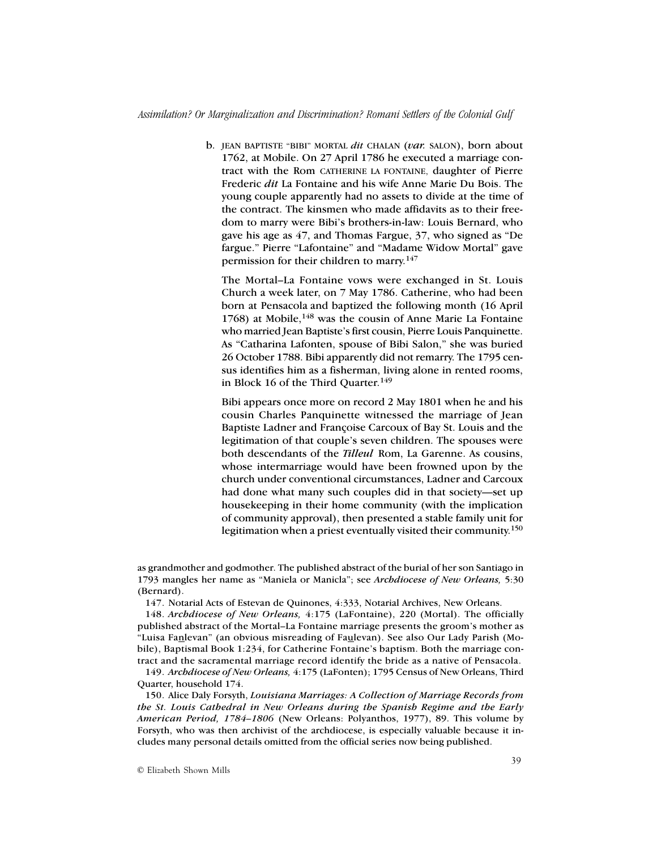b. JEAN BAPTISTE "BIBI" MORTAL *dit* CHALAN (*var.* SALON), born about 1762, at Mobile. On 27 April 1786 he executed a marriage contract with the Rom CATHERINE LA FONTAINE, daughter of Pierre Frederic *dit* La Fontaine and his wife Anne Marie Du Bois. The young couple apparently had no assets to divide at the time of the contract. The kinsmen who made affidavits as to their freedom to marry were Bibi's brothers-in-law: Louis Bernard, who gave his age as 47, and Thomas Fargue, 37, who signed as "De fargue." Pierre "Lafontaine" and "Madame Widow Mortal" gave permission for their children to marry.<sup>147</sup>

The Mortal–La Fontaine vows were exchanged in St. Louis Church a week later, on 7 May 1786. Catherine, who had been born at Pensacola and baptized the following month (16 April 1768) at Mobile, $148$  was the cousin of Anne Marie La Fontaine who married Jean Baptiste's first cousin, Pierre Louis Panquinette. As "Catharina Lafonten, spouse of Bibi Salon," she was buried 26 October 1788. Bibi apparently did not remarry. The 1795 census identifies him as a fisherman, living alone in rented rooms, in Block 16 of the Third Quarter.<sup>149</sup>

Bibi appears once more on record 2 May 1801 when he and his cousin Charles Panquinette witnessed the marriage of Jean Baptiste Ladner and Françoise Carcoux of Bay St. Louis and the legitimation of that couple's seven children. The spouses were both descendants of the *Tilleul* Rom, La Garenne. As cousins, whose intermarriage would have been frowned upon by the church under conventional circumstances, Ladner and Carcoux had done what many such couples did in that society—set up housekeeping in their home community (with the implication of community approval), then presented a stable family unit for legitimation when a priest eventually visited their community.<sup>150</sup>

as grandmother and godmother. The published abstract of the burial of her son Santiago in 1793 mangles her name as "Maniela or Manicla"; see *Archdiocese of New Orleans,* 5:30 (Bernard).

147. Notarial Acts of Estevan de Quinones, 4:333, Notarial Archives, New Orleans.

148. *Archdiocese of New Orleans,* 4:175 (LaFontaine), 220 (Mortal). The officially published abstract of the Mortal–La Fontaine marriage presents the groom's mother as "Luisa Fanlevan" (an obvious misreading of Faulevan). See also Our Lady Parish (Mobile), Baptismal Book 1:234, for Catherine Fontaine's baptism. Both the marriage contract and the sacramental marriage record identify the bride as a native of Pensacola.

149. *Archdiocese of New Orleans,* 4:175 (LaFonten); 1795 Census of New Orleans, Third Quarter, household 174.

150. Alice Daly Forsyth, *Louisiana Marriages: A Collection of Marriage Records from the St. Louis Cathedral in New Orleans during the Spanish Regime and the Early American Period, 1784–1806* (New Orleans: Polyanthos, 1977), 89. This volume by Forsyth, who was then archivist of the archdiocese, is especially valuable because it includes many personal details omitted from the official series now being published.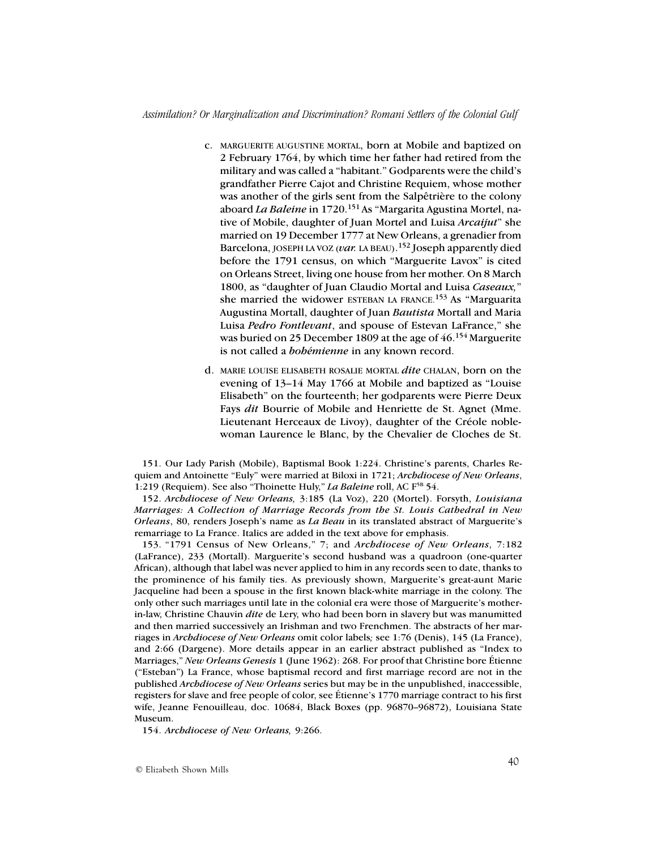- c. MARGUERITE AUGUSTINE MORTAL, born at Mobile and baptized on 2 February 1764, by which time her father had retired from the military and was called a "habitant." Godparents were the child's grandfather Pierre Cajot and Christine Requiem, whose mother was another of the girls sent from the Salpêtrière to the colony aboard *La Baleine* in 1720.151 As "Margarita Agustina Mort*e*l, native of Mobile, daughter of Juan Mort*e*l and Luisa *Arcaijut*" she married on 19 December 1777 at New Orleans, a grenadier from Barcelona, JOSEPH LA VOZ (*var.* LA BEAU). 152 Joseph apparently died before the 1791 census, on which "Marguerite Lavox" is cited on Orleans Street, living one house from her mother. On 8 March 1800, as "daughter of Juan Claudio Mortal and Luisa *Caseaux,*" she married the widower ESTEBAN LA FRANCE.<sup>153</sup> As "Marguarita" Augustina Mortall, daughter of Juan *Bautista* Mortall and Maria Luisa *Pedro Fontlevant*, and spouse of Estevan LaFrance," she was buried on 25 December 1809 at the age of 46.<sup>154</sup> Marguerite is not called a *bohémienne* in any known record.
- d. MARIE LOUISE ELISABETH ROSALIE MORTAL *dite* CHALAN, born on the evening of 13–14 May 1766 at Mobile and baptized as "Louise Elisabeth" on the fourteenth; her godparents were Pierre Deux Fays *dit* Bourrie of Mobile and Henriette de St. Agnet (Mme. Lieutenant Herceaux de Livoy), daughter of the Créole noblewoman Laurence le Blanc, by the Chevalier de Cloches de St.

151. Our Lady Parish (Mobile), Baptismal Book 1:224. Christine's parents, Charles Requiem and Antoinette "Euly" were married at Biloxi in 1721; *Archdiocese of New Orleans*, 1:219 (Requiem). See also "Thoinette Huly," *La Baleine* roll, AC F5B 54.

152. *Archdiocese of New Orleans,* 3:185 (La Voz), 220 (Mortel). Forsyth, *Louisiana Marriages: A Collection of Marriage Records from the St. Louis Cathedral in New Orleans*, 80, renders Joseph's name as *La Beau* in its translated abstract of Marguerite's remarriage to La France. Italics are added in the text above for emphasis.

153. "1791 Census of New Orleans," 7; and *Archdiocese of New Orleans*, 7:182 (LaFrance), 233 (Mortall). Marguerite's second husband was a quadroon (one-quarter African), although that label was never applied to him in any records seen to date, thanks to the prominence of his family ties. As previously shown, Marguerite's great-aunt Marie Jacqueline had been a spouse in the first known black-white marriage in the colony. The only other such marriages until late in the colonial era were those of Marguerite's motherin-law, Christine Chauvin *dite* de Lery, who had been born in slavery but was manumitted and then married successively an Irishman and two Frenchmen. The abstracts of her marriages in *Archdiocese of New Orleans* omit color labels*;* see 1:76 (Denis), 145 (La France), and 2:66 (Dargene). More details appear in an earlier abstract published as "Index to Marriages," *New Orleans Genesis* 1 (June 1962): 268. For proof that Christine bore Étienne ("Esteban") La France, whose baptismal record and first marriage record are not in the published *Archdiocese of New Orleans* series but may be in the unpublished, inaccessible, registers for slave and free people of color, see Étienne's 1770 marriage contract to his first wife, Jeanne Fenouilleau, doc. 10684, Black Boxes (pp. 96870–96872), Louisiana State Museum.

154. *Archdiocese of New Orleans,* 9:266.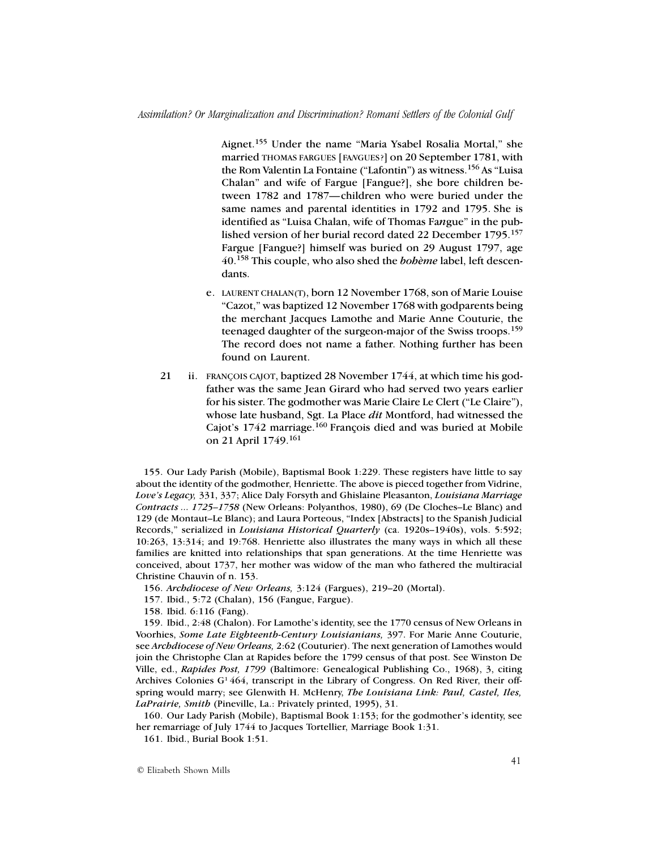Aignet.155 Under the name "Maria Ysabel Rosalia Mortal," she married THOMAS FARGUES [FA*N*GUES?] on 20 September 1781, with the Rom Valentin La Fontaine ("Lafontin") as witness.156 As "Luisa Chalan" and wife of Fargue [Fangue?], she bore children between 1782 and 1787—children who were buried under the same names and parental identities in 1792 and 1795. She is identified as "Luisa Chalan, wife of Thomas Fa*n*gue" in the published version of her burial record dated 22 December 1795.<sup>157</sup> Fargue [Fangue?] himself was buried on 29 August 1797, age 40.158 This couple, who also shed the *bohème* label, left descendants.

- e. LAURENT CHALAN(T), born 12 November 1768, son of Marie Louise "Cazot," was baptized 12 November 1768 with godparents being the merchant Jacques Lamothe and Marie Anne Couturie, the teenaged daughter of the surgeon-major of the Swiss troops.<sup>159</sup> The record does not name a father. Nothing further has been found on Laurent.
- 21 ii. FRANÇOIS CAJOT, baptized 28 November 1744, at which time his godfather was the same Jean Girard who had served two years earlier for his sister. The godmother was Marie Claire Le Clert ("Le Claire"), whose late husband, Sgt. La Place *dit* Montford, had witnessed the Cajot's 1742 marriage.<sup>160</sup> François died and was buried at Mobile on 21 April 1749.161

155. Our Lady Parish (Mobile), Baptismal Book 1:229. These registers have little to say about the identity of the godmother, Henriette. The above is pieced together from Vidrine, *Love's Legacy,* 331, 337; Alice Daly Forsyth and Ghislaine Pleasanton, *Louisiana Marriage Contracts ... 1725–1758* (New Orleans: Polyanthos, 1980), 69 (De Cloches–Le Blanc) and 129 (de Montaut–Le Blanc); and Laura Porteous, "Index [Abstracts] to the Spanish Judicial Records," serialized in *Louisiana Historical Quarterly* (ca. 1920s–1940s), vols. 5:592; 10:263, 13:314; and 19:768. Henriette also illustrates the many ways in which all these families are knitted into relationships that span generations. At the time Henriette was conceived, about 1737, her mother was widow of the man who fathered the multiracial Christine Chauvin of n. 153.

- 156. *Archdiocese of New Orleans,* 3:124 (Fargues), 219–20 (Mortal).
- 157. Ibid., 5:72 (Chalan), 156 (Fangue, Fargue).
- 158. Ibid. 6:116 (Fang).

159. Ibid., 2:48 (Chalon). For Lamothe's identity, see the 1770 census of New Orleans in Voorhies, *Some Late Eighteenth-Century Louisianians,* 397. For Marie Anne Couturie, see *Archdiocese of New Orleans,* 2:62 (Couturier). The next generation of Lamothes would join the Christophe Clan at Rapides before the 1799 census of that post. See Winston De Ville, ed., *Rapides Post, 1799* (Baltimore: Genealogical Publishing Co., 1968), 3, citing Archives Colonies  $G<sup>1</sup> 464$ , transcript in the Library of Congress. On Red River, their offspring would marry; see Glenwith H. McHenry, *The Louisiana Link: Paul, Castel, Iles, LaPrairie, Smith* (Pineville, La.: Privately printed, 1995), 31.

160. Our Lady Parish (Mobile), Baptismal Book 1:153; for the godmother's identity, see her remarriage of July 1744 to Jacques Tortellier, Marriage Book 1:31.

161. Ibid., Burial Book 1:51.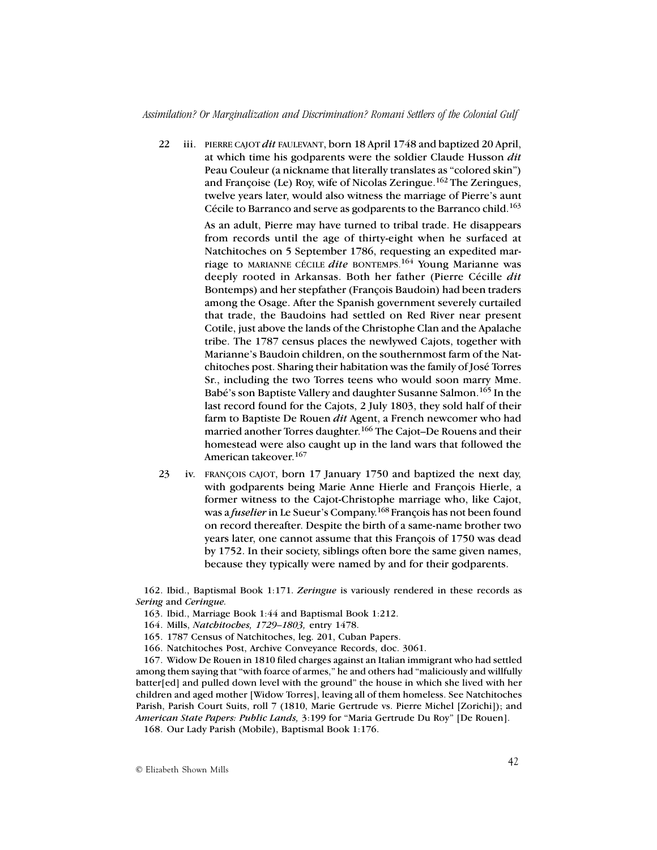22 iii. PIERRE CAJOT *dit* FAULEVANT, born 18 April 1748 and baptized 20 April, at which time his godparents were the soldier Claude Husson *dit* Peau Couleur (a nickname that literally translates as "colored skin") and Françoise (Le) Roy, wife of Nicolas Zeringue.162 The Zeringues, twelve years later, would also witness the marriage of Pierre's aunt Cécile to Barranco and serve as godparents to the Barranco child.<sup>163</sup>

> As an adult, Pierre may have turned to tribal trade. He disappears from records until the age of thirty-eight when he surfaced at Natchitoches on 5 September 1786, requesting an expedited marriage to MARIANNE CÉCILE *dite* BONTEMPS.164 Young Marianne was deeply rooted in Arkansas. Both her father (Pierre Cécille *dit* Bontemps) and her stepfather (François Baudoin) had been traders among the Osage. After the Spanish government severely curtailed that trade, the Baudoins had settled on Red River near present Cotile, just above the lands of the Christophe Clan and the Apalache tribe. The 1787 census places the newlywed Cajots, together with Marianne's Baudoin children, on the southernmost farm of the Natchitoches post. Sharing their habitation was the family of José Torres Sr., including the two Torres teens who would soon marry Mme. Babé's son Baptiste Vallery and daughter Susanne Salmon.165 In the last record found for the Cajots, 2 July 1803, they sold half of their farm to Baptiste De Rouen *dit* Agent, a French newcomer who had married another Torres daughter.<sup>166</sup> The Cajot–De Rouens and their homestead were also caught up in the land wars that followed the American takeover.<sup>167</sup>

23 iv. FRANÇOIS CAJOT, born 17 January 1750 and baptized the next day, with godparents being Marie Anne Hierle and François Hierle, a former witness to the Cajot-Christophe marriage who, like Cajot, was a *fuselier* in Le Sueur's Company.168 François has not been found on record thereafter. Despite the birth of a same-name brother two years later, one cannot assume that this François of 1750 was dead by 1752. In their society, siblings often bore the same given names, because they typically were named by and for their godparents.

162. Ibid., Baptismal Book 1:171. *Zeringue* is variously rendered in these records as *Sering* and *Ceringue.*

- 163. Ibid., Marriage Book 1:44 and Baptismal Book 1:212.
- 164. Mills, *Natchitoches, 1729–1803,* entry 1478.
- 165. 1787 Census of Natchitoches, leg. 201, Cuban Papers.
- 166. Natchitoches Post, Archive Conveyance Records, doc. 3061.

167. Widow De Rouen in 1810 filed charges against an Italian immigrant who had settled among them saying that "with foarce of armes," he and others had "maliciously and willfully batter[ed] and pulled down level with the ground" the house in which she lived with her children and aged mother [Widow Torres], leaving all of them homeless. See Natchitoches Parish, Parish Court Suits, roll 7 (1810, Marie Gertrude vs. Pierre Michel [Zorichi]); and *American State Papers: Public Lands,* 3:199 for "Maria Gertrude Du Roy" [De Rouen].

168. Our Lady Parish (Mobile), Baptismal Book 1:176.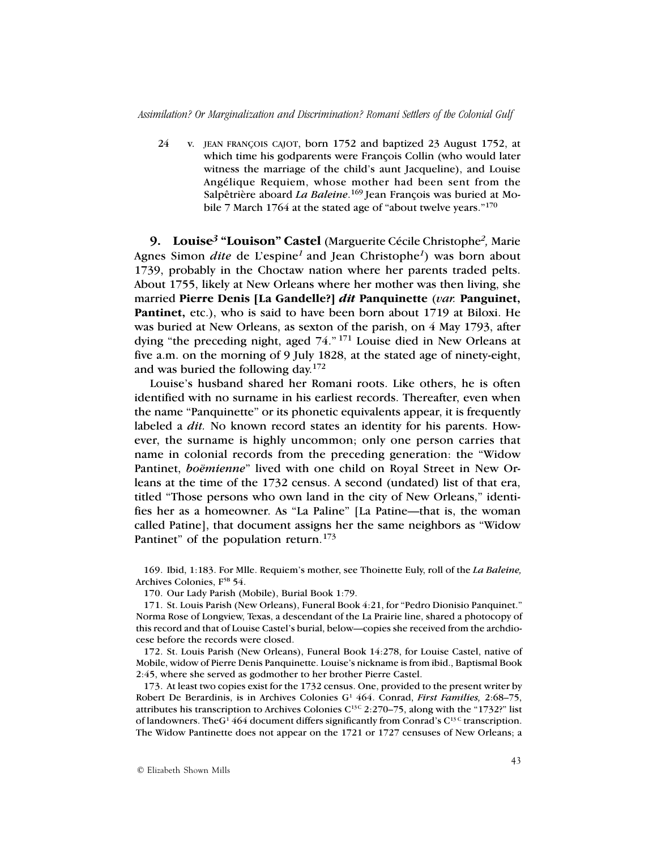*Assimilation? Or Marginalization and Discrimination? Romani Settlers of the Colonial Gulf*

24 v. JEAN FRANÇOIS CAJOT, born 1752 and baptized 23 August 1752, at which time his godparents were François Collin (who would later witness the marriage of the child's aunt Jacqueline), and Louise Angélique Requiem, whose mother had been sent from the Salpêtrière aboard *La Baleine*. 169 Jean François was buried at Mobile 7 March 1764 at the stated age of "about twelve years."<sup>170</sup>

**9. Louise***3* **"Louison" Castel** (Marguerite Cécile Christophe*2,* Marie Agnes Simon *dite* de L'espine*<sup>1</sup>*and Jean Christophe*<sup>1</sup>*) was born about 1739, probably in the Choctaw nation where her parents traded pelts. About 1755, likely at New Orleans where her mother was then living, she married **Pierre Denis [La Gandelle?]** *dit* **Panquinette** (*var.* **Panguinet,** Pantinet, etc.), who is said to have been born about 1719 at Biloxi. He was buried at New Orleans, as sexton of the parish, on 4 May 1793, after dying "the preceding night, aged 74." 171 Louise died in New Orleans at five a.m. on the morning of 9 July 1828, at the stated age of ninety-eight, and was buried the following day. $172$ 

Louise's husband shared her Romani roots. Like others, he is often identified with no surname in his earliest records. Thereafter, even when the name "Panquinette" or its phonetic equivalents appear, it is frequently labeled a *dit.* No known record states an identity for his parents. However, the surname is highly uncommon; only one person carries that name in colonial records from the preceding generation: the "Widow Pantinet, *boëmienne*" lived with one child on Royal Street in New Orleans at the time of the 1732 census. A second (undated) list of that era, titled "Those persons who own land in the city of New Orleans," identifies her as a homeowner. As "La Paline" [La Patine—that is, the woman called Patine], that document assigns her the same neighbors as "Widow Pantinet" of the population return.<sup>173</sup>

169. Ibid, 1:183. For Mlle. Requiem's mother, see Thoinette Euly, roll of the *La Baleine,* Archives Colonies,  $F^{5B}$  54.

170. Our Lady Parish (Mobile), Burial Book 1:79.

171. St. Louis Parish (New Orleans), Funeral Book 4:21, for "Pedro Dionisio Panquinet." Norma Rose of Longview, Texas, a descendant of the La Prairie line, shared a photocopy of this record and that of Louise Castel's burial, below—copies she received from the archdiocese before the records were closed.

172. St. Louis Parish (New Orleans), Funeral Book 14:278, for Louise Castel, native of Mobile, widow of Pierre Denis Panquinette. Louise's nickname is from ibid., Baptismal Book 2:45, where she served as godmother to her brother Pierre Castel.

173. At least two copies exist for the 1732 census. One, provided to the present writer by Robert De Berardinis, is in Archives Colonies G<sup>1</sup> 464. Conrad, *First Families*, 2:68–75, attributes his transcription to Archives Colonies  $C^{13C}$  2:270–75, along with the "1732?" list of landowners. The G<sup>1</sup> 464 document differs significantly from Conrad's  $C^{13}$ <sup>C</sup> transcription. The Widow Pantinette does not appear on the 1721 or 1727 censuses of New Orleans; a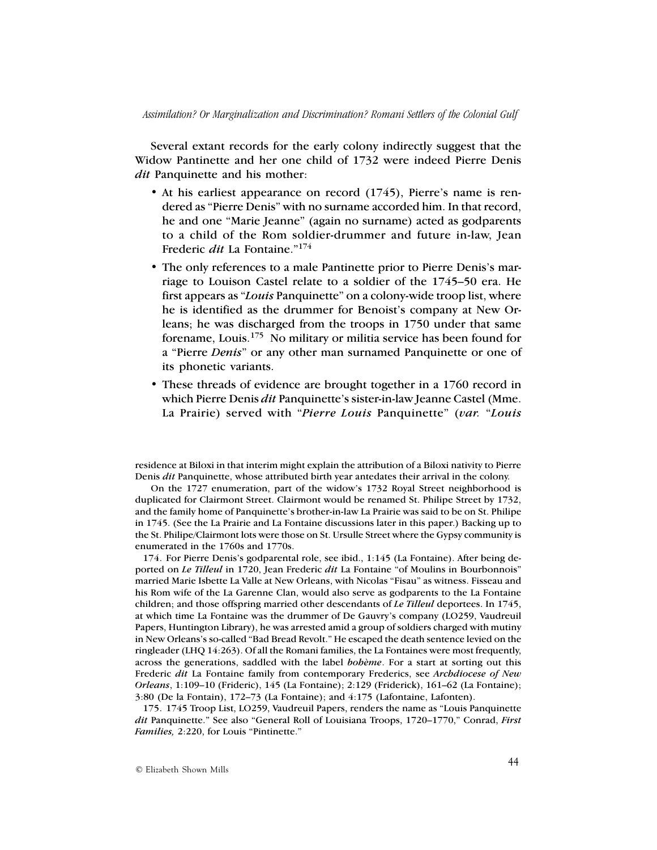Several extant records for the early colony indirectly suggest that the Widow Pantinette and her one child of 1732 were indeed Pierre Denis *dit* Panquinette and his mother:

- At his earliest appearance on record (1745), Pierre's name is rendered as "Pierre Denis" with no surname accorded him. In that record, he and one "Marie Jeanne" (again no surname) acted as godparents to a child of the Rom soldier-drummer and future in-law, Jean Frederic *dit* La Fontaine."174
- The only references to a male Pantinette prior to Pierre Denis's marriage to Louison Castel relate to a soldier of the 1745–50 era. He first appears as "*Louis* Panquinette" on a colony-wide troop list, where he is identified as the drummer for Benoist's company at New Orleans; he was discharged from the troops in 1750 under that same forename, Louis.175 No military or militia service has been found for a "Pierre *Denis*" or any other man surnamed Panquinette or one of its phonetic variants.
- These threads of evidence are brought together in a 1760 record in which Pierre Denis *dit* Panquinette's sister-in-law Jeanne Castel (Mme. La Prairie) served with "*Pierre Louis* Panquinette" (*var.* "*Louis*

residence at Biloxi in that interim might explain the attribution of a Biloxi nativity to Pierre Denis *dit* Panquinette, whose attributed birth year antedates their arrival in the colony.

 On the 1727 enumeration, part of the widow's 1732 Royal Street neighborhood is duplicated for Clairmont Street. Clairmont would be renamed St. Philipe Street by 1732, and the family home of Panquinette's brother-in-law La Prairie was said to be on St. Philipe in 1745. (See the La Prairie and La Fontaine discussions later in this paper.) Backing up to the St. Philipe/Clairmont lots were those on St. Ursulle Street where the Gypsy community is enumerated in the 1760s and 1770s.

174. For Pierre Denis's godparental role, see ibid., 1:145 (La Fontaine). After being deported on *Le Tilleul* in 1720, Jean Frederic *dit* La Fontaine "of Moulins in Bourbonnois" married Marie Isbette La Valle at New Orleans, with Nicolas "Fisau" as witness. Fisseau and his Rom wife of the La Garenne Clan, would also serve as godparents to the La Fontaine children; and those offspring married other descendants of *Le Tilleul* deportees. In 1745, at which time La Fontaine was the drummer of De Gauvry's company (LO259, Vaudreuil Papers, Huntington Library), he was arrested amid a group of soldiers charged with mutiny in New Orleans's so-called "Bad Bread Revolt." He escaped the death sentence levied on the ringleader (LHQ 14:263). Of all the Romani families, the La Fontaines were most frequently, across the generations, saddled with the label *bohème*. For a start at sorting out this Frederic *dit* La Fontaine family from contemporary Frederics, see *Archdiocese of New Orleans*, 1:109–10 (Frideric), 145 (La Fontaine); 2:129 (Friderick), 161–62 (La Fontaine); 3:80 (De la Fontain), 172–73 (La Fontaine); and 4:175 (Lafontaine, Lafonten).

175. 1745 Troop List, LO259, Vaudreuil Papers, renders the name as "Louis Panquinette *dit* Panquinette." See also "General Roll of Louisiana Troops, 1720–1770," Conrad, *First Families,* 2:220, for Louis "Pintinette."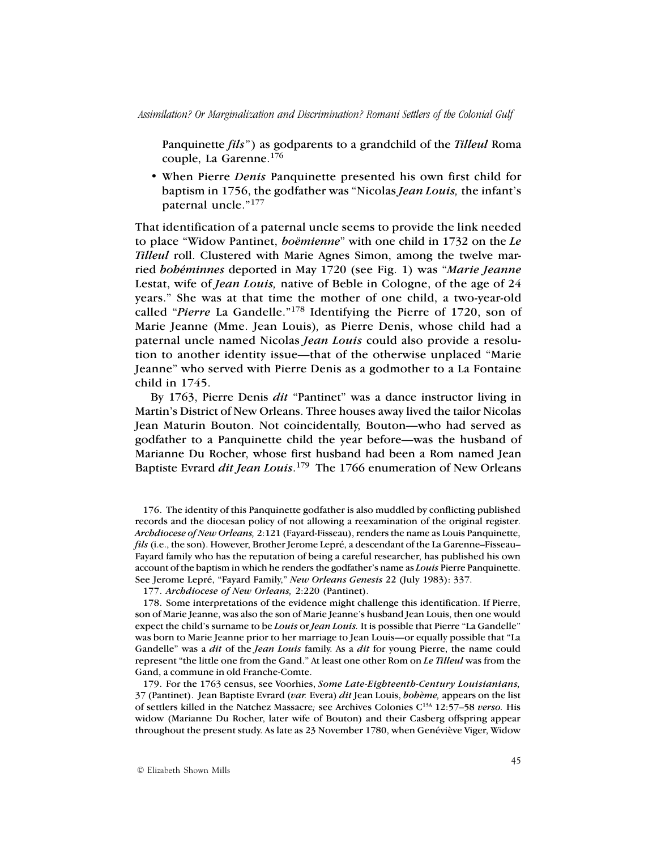Panquinette *fils*") as godparents to a grandchild of the *Tilleul* Roma couple, La Garenne.176

• When Pierre *Denis* Panquinette presented his own first child for baptism in 1756, the godfather was "Nicolas *Jean Louis,* the infant's paternal uncle."177

That identification of a paternal uncle seems to provide the link needed to place "Widow Pantinet, *boëmienne*" with one child in 1732 on the *Le Tilleul* roll. Clustered with Marie Agnes Simon, among the twelve married *bohéminnes* deported in May 1720 (see Fig. 1) was "*Marie Jeanne* Lestat, wife of *Jean Louis,* native of Beble in Cologne, of the age of 24 years." She was at that time the mother of one child, a two-year-old called "*Pierre* La Gandelle."178 Identifying the Pierre of 1720, son of Marie Jeanne (Mme. Jean Louis)*,* as Pierre Denis, whose child had a paternal uncle named Nicolas *Jean Louis* could also provide a resolution to another identity issue—that of the otherwise unplaced "Marie Jeanne" who served with Pierre Denis as a godmother to a La Fontaine child in 1745.

By 1763, Pierre Denis *dit* "Pantinet" was a dance instructor living in Martin's District of New Orleans. Three houses away lived the tailor Nicolas Jean Maturin Bouton. Not coincidentally, Bouton—who had served as godfather to a Panquinette child the year before—was the husband of Marianne Du Rocher, whose first husband had been a Rom named Jean Baptiste Evrard *dit Jean Louis*. 179 The 1766 enumeration of New Orleans

176. The identity of this Panquinette godfather is also muddled by conflicting published records and the diocesan policy of not allowing a reexamination of the original register. *Archdiocese of New Orleans,* 2:121 (Fayard-Fisseau), renders the name as Louis Panquinette, *fils* (i.e., the son). However, Brother Jerome Lepré, a descendant of the La Garenne–Fisseau– Fayard family who has the reputation of being a careful researcher, has published his own account of the baptism in which he renders the godfather's name as *Louis* Pierre Panquinette. See Jerome Lepré, "Fayard Family," *New Orleans Genesis* 22 (July 1983): 337.

177. *Archdiocese of New Orleans,* 2:220 (Pantinet).

178. Some interpretations of the evidence might challenge this identification. If Pierre, son of Marie Jeanne, was also the son of Marie Jeanne's husband Jean Louis, then one would expect the child's surname to be *Louis* or *Jean Louis.* It is possible that Pierre "La Gandelle" was born to Marie Jeanne prior to her marriage to Jean Louis—or equally possible that "La Gandelle" was a *dit* of the *Jean Louis* family. As a *dit* for young Pierre, the name could represent "the little one from the Gand." At least one other Rom on *Le Tilleul* was from the Gand, a commune in old Franche-Comte.

179. For the 1763 census, see Voorhies, *Some Late-Eighteenth-Century Louisianians,* 37 (Pantinet). Jean Baptiste Evrard (*var.* Evera) *dit* Jean Louis, *bohème,* appears on the list of settlers killed in the Natchez Massacre*;* see Archives Colonies C13A 12:57–58 *verso.* His widow (Marianne Du Rocher, later wife of Bouton) and their Casberg offspring appear throughout the present study. As late as 23 November 1780, when Genéviève Viger, Widow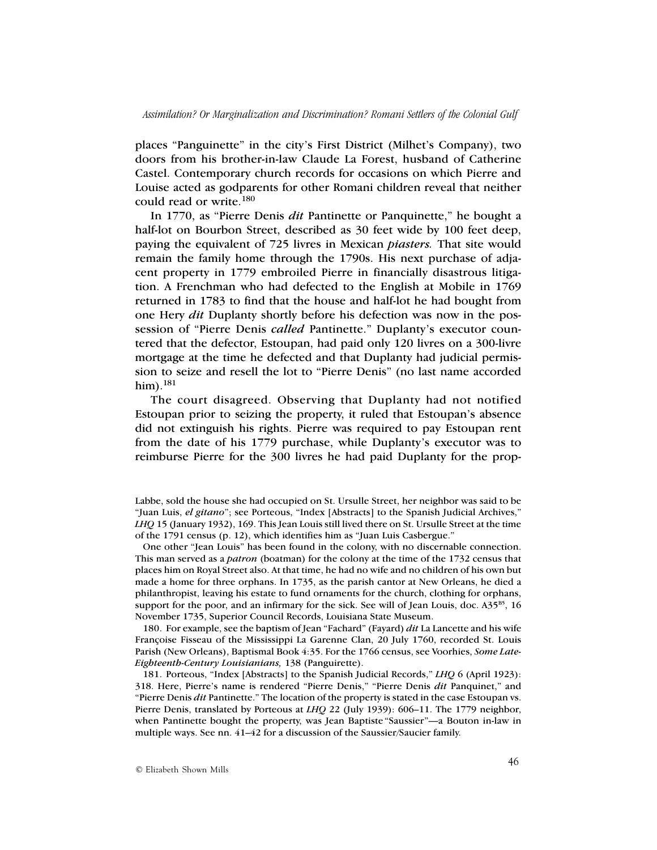places "Panguinette" in the city's First District (Milhet's Company), two doors from his brother-in-law Claude La Forest, husband of Catherine Castel. Contemporary church records for occasions on which Pierre and Louise acted as godparents for other Romani children reveal that neither could read or write.<sup>180</sup>

In 1770, as "Pierre Denis *dit* Pantinette or Panquinette," he bought a half-lot on Bourbon Street, described as 30 feet wide by 100 feet deep, paying the equivalent of 725 livres in Mexican *piasters.* That site would remain the family home through the 1790s. His next purchase of adjacent property in 1779 embroiled Pierre in financially disastrous litigation. A Frenchman who had defected to the English at Mobile in 1769 returned in 1783 to find that the house and half-lot he had bought from one Hery *dit* Duplanty shortly before his defection was now in the possession of "Pierre Denis *called* Pantinette." Duplanty's executor countered that the defector, Estoupan, had paid only 120 livres on a 300*-*livre mortgage at the time he defected and that Duplanty had judicial permission to seize and resell the lot to "Pierre Denis" (no last name accorded him).<sup>181</sup>

The court disagreed. Observing that Duplanty had not notified Estoupan prior to seizing the property, it ruled that Estoupan's absence did not extinguish his rights. Pierre was required to pay Estoupan rent from the date of his 1779 purchase, while Duplanty's executor was to reimburse Pierre for the 300 livres he had paid Duplanty for the prop-

One other "Jean Louis" has been found in the colony, with no discernable connection. This man served as a *patron* (boatman) for the colony at the time of the 1732 census that places him on Royal Street also. At that time, he had no wife and no children of his own but made a home for three orphans. In 1735, as the parish cantor at New Orleans, he died a philanthropist, leaving his estate to fund ornaments for the church, clothing for orphans, support for the poor, and an infirmary for the sick. See will of Jean Louis, doc.  $A35^{B5}$ , 16 November 1735, Superior Council Records, Louisiana State Museum.

180. For example, see the baptism of Jean "Fachard" (Fayard) *dit* La Lancette and his wife Françoise Fisseau of the Mississippi La Garenne Clan, 20 July 1760, recorded St. Louis Parish (New Orleans), Baptismal Book 4:35. For the 1766 census, see Voorhies, *Some Late-Eighteenth-Century Louisianians,* 138 (Panguirette).

181. Porteous, "Index [Abstracts] to the Spanish Judicial Records," *LHQ* 6 (April 1923): 318. Here, Pierre's name is rendered "Pierre Denis," "Pierre Denis *dit* Panquinet," and "Pierre Denis *dit* Pantinette." The location of the property is stated in the case Estoupan vs. Pierre Denis, translated by Porteous at *LHQ* 22 (July 1939): 606–11. The 1779 neighbor, when Pantinette bought the property, was Jean Baptiste "Saussier"—a Bouton in-law in multiple ways. See nn. 41–42 for a discussion of the Saussier/Saucier family.

Labbe, sold the house she had occupied on St. Ursulle Street, her neighbor was said to be "Juan Luis, *el gitano*"; see Porteous, "Index [Abstracts] to the Spanish Judicial Archives," *LHQ* 15 (January 1932), 169. This Jean Louis still lived there on St. Ursulle Street at the time of the 1791 census (p. 12), which identifies him as "Juan Luis Casbergue."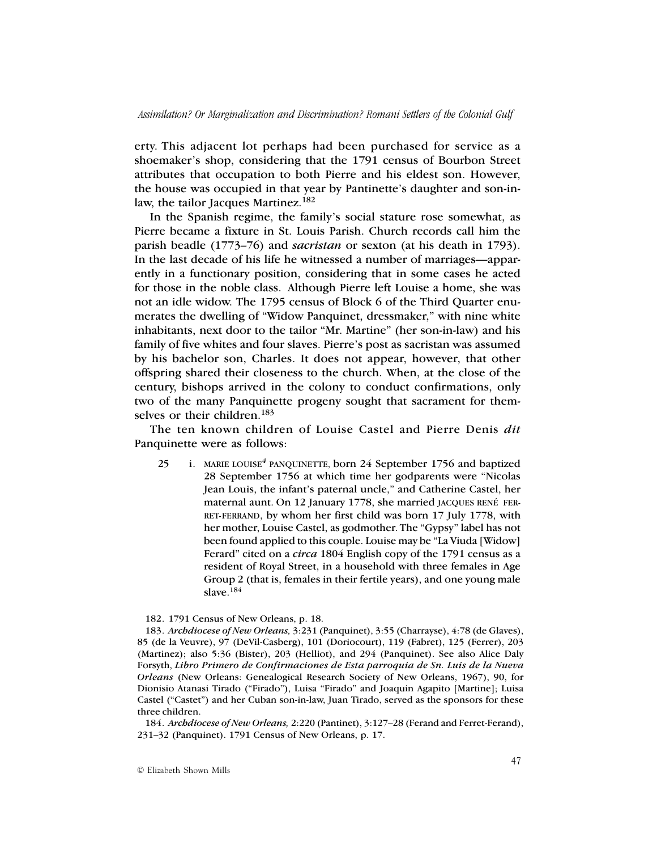erty. This adjacent lot perhaps had been purchased for service as a shoemaker's shop, considering that the 1791 census of Bourbon Street attributes that occupation to both Pierre and his eldest son. However, the house was occupied in that year by Pantinette's daughter and son-inlaw, the tailor Jacques Martinez.<sup>182</sup>

In the Spanish regime, the family's social stature rose somewhat, as Pierre became a fixture in St. Louis Parish. Church records call him the parish beadle (1773–76) and *sacristan* or sexton (at his death in 1793). In the last decade of his life he witnessed a number of marriages—apparently in a functionary position, considering that in some cases he acted for those in the noble class. Although Pierre left Louise a home, she was not an idle widow. The 1795 census of Block 6 of the Third Quarter enumerates the dwelling of "Widow Panquinet, dressmaker," with nine white inhabitants, next door to the tailor "Mr. Martine" (her son-in-law) and his family of five whites and four slaves. Pierre's post as sacristan was assumed by his bachelor son, Charles. It does not appear, however, that other offspring shared their closeness to the church. When, at the close of the century, bishops arrived in the colony to conduct confirmations, only two of the many Panquinette progeny sought that sacrament for themselves or their children.<sup>183</sup>

The ten known children of Louise Castel and Pierre Denis *dit* Panquinette were as follows:

25 i. MARIE LOUISE*<sup>4</sup>* PANQUINETTE, born 24 September 1756 and baptized 28 September 1756 at which time her godparents were "Nicolas Jean Louis, the infant's paternal uncle," and Catherine Castel, her maternal aunt. On 12 January 1778, she married JACQUES RENÉ FER-RET-FERRAND, by whom her first child was born 17 July 1778, with her mother, Louise Castel, as godmother. The "Gypsy" label has not been found applied to this couple. Louise may be "La Viuda [Widow] Ferard" cited on a *circa* 1804 English copy of the 1791 census as a resident of Royal Street, in a household with three females in Age Group 2 (that is, females in their fertile years), and one young male slave.<sup>184</sup>

## 182. 1791 Census of New Orleans, p. 18.

183. *Archdiocese of New Orleans,* 3:231 (Panquinet), 3:55 (Charrayse), 4:78 (de Glaves), 85 (de la Veuvre), 97 (DeVil-Casberg), 101 (Doriocourt), 119 (Fabret), 125 (Ferrer), 203 (Martinez); also 5:36 (Bister), 203 (Helliot), and 294 (Panquinet). See also Alice Daly Forsyth, *Libro Primero de Confirmaciones de Esta parroquia de Sn. Luis de la Nueva Orleans* (New Orleans: Genealogical Research Society of New Orleans, 1967), 90, for Dionisio Atanasi Tirado ("Firado"), Luisa "Firado" and Joaquin Agapito [Martine]; Luisa Castel ("Castet") and her Cuban son-in-law, Juan Tirado, served as the sponsors for these three children.

184. *Archdiocese of New Orleans,* 2:220 (Pantinet), 3:127–28 (Ferand and Ferret-Ferand), 231–32 (Panquinet). 1791 Census of New Orleans, p. 17.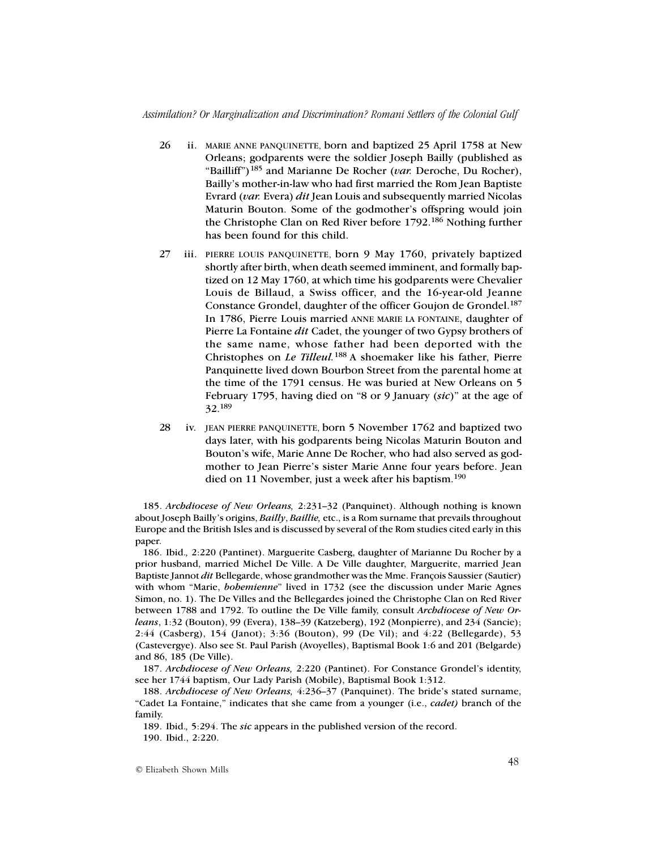## *Assimilation? Or Marginalization and Discrimination? Romani Settlers of the Colonial Gulf*

- 26 ii. MARIE ANNE PANQUINETTE, born and baptized 25 April 1758 at New Orleans; godparents were the soldier Joseph Bailly (published as "Bailliff")185 and Marianne De Rocher (*var.* Deroche, Du Rocher), Bailly's mother-in-law who had first married the Rom Jean Baptiste Evrard (*var.* Evera) *dit* Jean Louis and subsequently married Nicolas Maturin Bouton. Some of the godmother's offspring would join the Christophe Clan on Red River before 1792.<sup>186</sup> Nothing further has been found for this child.
- 27 iii. PIERRE LOUIS PANQUINETTE, born 9 May 1760, privately baptized shortly after birth, when death seemed imminent, and formally baptized on 12 May 1760, at which time his godparents were Chevalier Louis de Billaud, a Swiss officer, and the 16-year-old Jeanne Constance Grondel, daughter of the officer Goujon de Grondel.<sup>187</sup> In 1786, Pierre Louis married ANNE MARIE LA FONTAINE, daughter of Pierre La Fontaine *dit* Cadet, the younger of two Gypsy brothers of the same name, whose father had been deported with the Christophes on *Le Tilleul.*188 A shoemaker like his father, Pierre Panquinette lived down Bourbon Street from the parental home at the time of the 1791 census. He was buried at New Orleans on 5 February 1795, having died on "8 or 9 January (*sic*)" at the age of 32.189
- 28 iv. JEAN PIERRE PANQUINETTE, born 5 November 1762 and baptized two days later, with his godparents being Nicolas Maturin Bouton and Bouton's wife, Marie Anne De Rocher, who had also served as godmother to Jean Pierre's sister Marie Anne four years before. Jean died on 11 November, just a week after his baptism.<sup>190</sup>

185. *Archdiocese of New Orleans,* 2:231–32 (Panquinet). Although nothing is known about Joseph Bailly's origins, *Bailly*, *Baillie,* etc., is a Rom surname that prevails throughout Europe and the British Isles and is discussed by several of the Rom studies cited early in this paper.

186. Ibid.*,* 2:220 (Pantinet). Marguerite Casberg, daughter of Marianne Du Rocher by a prior husband, married Michel De Ville. A De Ville daughter, Marguerite, married Jean Baptiste Jannot *dit* Bellegarde, whose grandmother was the Mme. François Saussier (Sautier) with whom "Marie, *bohemienne*" lived in 1732 (see the discussion under Marie Agnes Simon, no. 1). The De Villes and the Bellegardes joined the Christophe Clan on Red River between 1788 and 1792. To outline the De Ville family, consult *Archdiocese of New Orleans*, 1:32 (Bouton), 99 (Evera), 138–39 (Katzeberg), 192 (Monpierre), and 234 (Sancie); 2:44 (Casberg), 154 (Janot); 3:36 (Bouton), 99 (De Vil); and 4:22 (Bellegarde), 53 (Castevergye). Also see St. Paul Parish (Avoyelles), Baptismal Book 1:6 and 201 (Belgarde) and 86, 185 (De Ville).

187. *Archdiocese of New Orleans,* 2:220 (Pantinet). For Constance Grondel's identity, see her 1744 baptism, Our Lady Parish (Mobile), Baptismal Book 1:312.

188. *Archdiocese of New Orleans,* 4:236–37 (Panquinet). The bride's stated surname, "Cadet La Fontaine," indicates that she came from a younger (i.e., *cadet)* branch of the family.

189. Ibid.*,* 5:294. The *sic* appears in the published version of the record. 190. Ibid., 2:220.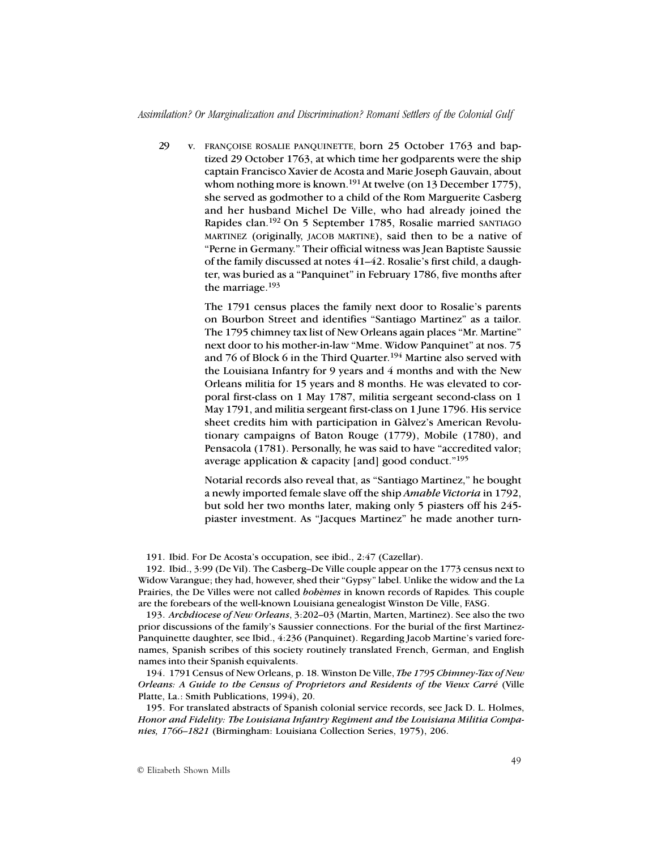## *Assimilation? Or Marginalization and Discrimination? Romani Settlers of the Colonial Gulf*

29 v. FRANÇOISE ROSALIE PANQUINETTE, born 25 October 1763 and baptized 29 October 1763, at which time her godparents were the ship captain Francisco Xavier de Acosta and Marie Joseph Gauvain, about whom nothing more is known.<sup>191</sup> At twelve (on 13 December 1775), she served as godmother to a child of the Rom Marguerite Casberg and her husband Michel De Ville, who had already joined the Rapides clan.192 On 5 September 1785, Rosalie married SANTIAGO MARTINEZ (originally, JACOB MARTINE), said then to be a native of "Perne in Germany." Their official witness was Jean Baptiste Saussie of the family discussed at notes 41–42. Rosalie's first child, a daughter, was buried as a "Panquinet" in February 1786, five months after the marriage.<sup>193</sup>

> The 1791 census places the family next door to Rosalie's parents on Bourbon Street and identifies "Santiago Martinez" as a tailor. The 1795 chimney tax list of New Orleans again places "Mr. Martine" next door to his mother-in-law "Mme. Widow Panquinet" at nos. 75 and 76 of Block 6 in the Third Quarter.<sup>194</sup> Martine also served with the Louisiana Infantry for 9 years and 4 months and with the New Orleans militia for 15 years and 8 months. He was elevated to corporal first-class on 1 May 1787, militia sergeant second-class on 1 May 1791, and militia sergeant first-class on 1 June 1796. His service sheet credits him with participation in Gàlvez's American Revolutionary campaigns of Baton Rouge (1779), Mobile (1780), and Pensacola (1781). Personally, he was said to have "accredited valor; average application & capacity [and] good conduct."<sup>195</sup>

> Notarial records also reveal that, as "Santiago Martinez," he bought a newly imported female slave off the ship *Amable Victoria* in 1792, but sold her two months later, making only 5 piasters off his 245 piaster investment. As "Jacques Martinez" he made another turn-

191. Ibid. For De Acosta's occupation, see ibid., 2:47 (Cazellar).

192. Ibid., 3:99 (De Vil). The Casberg–De Ville couple appear on the 1773 census next to Widow Varangue; they had, however, shed their "Gypsy" label. Unlike the widow and the La Prairies, the De Villes were not called *bohèmes* in known records of Rapides*.* This couple are the forebears of the well-known Louisiana genealogist Winston De Ville, FASG.

193. *Archdiocese of New Orleans*, 3:202–03 (Martin, Marten, Martinez). See also the two prior discussions of the family's Saussier connections. For the burial of the first Martinez-Panquinette daughter, see Ibid., 4:236 (Panquinet). Regarding Jacob Martine's varied forenames, Spanish scribes of this society routinely translated French, German, and English names into their Spanish equivalents.

194. 1791 Census of New Orleans, p. 18. Winston De Ville, *The 1795 Chimney-Tax of New Orleans: A Guide to the Census of Proprietors and Residents of the Vieux Carré* (Ville Platte, La.: Smith Publications, 1994), 20.

195. For translated abstracts of Spanish colonial service records, see Jack D. L. Holmes, *Honor and Fidelity: The Louisiana Infantry Regiment and the Louisiana Militia Companies, 1766–1821* (Birmingham: Louisiana Collection Series, 1975), 206.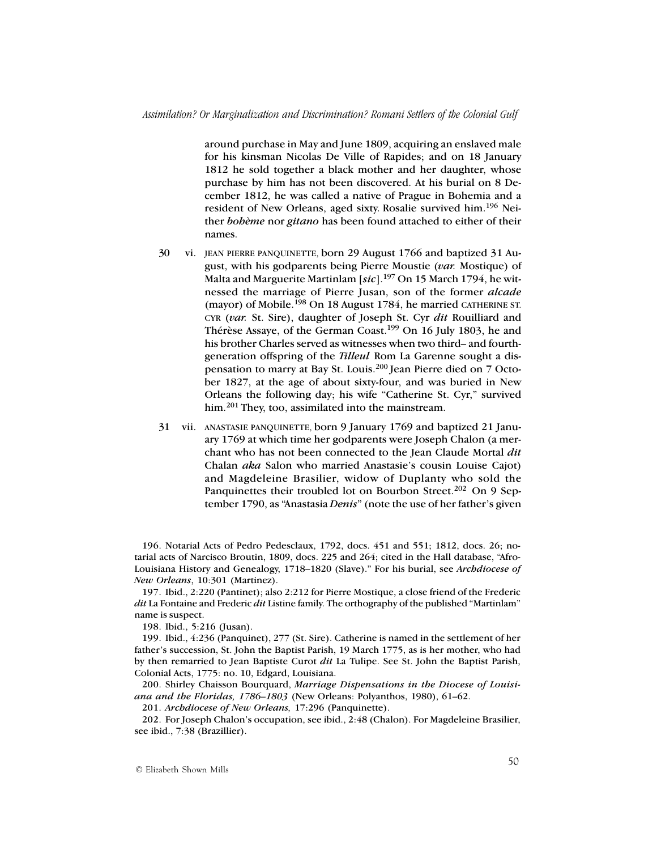around purchase in May and June 1809, acquiring an enslaved male for his kinsman Nicolas De Ville of Rapides; and on 18 January 1812 he sold together a black mother and her daughter, whose purchase by him has not been discovered. At his burial on 8 December 1812, he was called a native of Prague in Bohemia and a resident of New Orleans, aged sixty. Rosalie survived him.196 Neither *bohème* nor *gitano* has been found attached to either of their names.

- 30 vi. JEAN PIERRE PANQUINETTE, born 29 August 1766 and baptized 31 August, with his godparents being Pierre Moustie (*var.* Mostique) of Malta and Marguerite Martinlam [*sic*].197 On 15 March 1794, he witnessed the marriage of Pierre Jusan, son of the former *alcade* (mayor) of Mobile.198 On 18 August 1784, he married CATHERINE ST. CYR (*var.* St. Sire), daughter of Joseph St. Cyr *dit* Rouilliard and Thérèse Assaye, of the German Coast.199 On 16 July 1803, he and his brother Charles served as witnesses when two third– and fourthgeneration offspring of the *Tilleul* Rom La Garenne sought a dispensation to marry at Bay St. Louis.200 Jean Pierre died on 7 October 1827, at the age of about sixty-four, and was buried in New Orleans the following day; his wife "Catherine St. Cyr," survived him.<sup>201</sup> They, too, assimilated into the mainstream.
- 31 vii. ANASTASIE PANQUINETTE, born 9 January 1769 and baptized 21 January 1769 at which time her godparents were Joseph Chalon (a merchant who has not been connected to the Jean Claude Mortal *dit* Chalan *aka* Salon who married Anastasie's cousin Louise Cajot) and Magdeleine Brasilier, widow of Duplanty who sold the Panquinettes their troubled lot on Bourbon Street.<sup>202</sup> On 9 September 1790, as "Anastasia *Denis*" (note the use of her father's given

196. Notarial Acts of Pedro Pedesclaux, 1792, docs. 451 and 551; 1812, docs. 26; notarial acts of Narcisco Broutin, 1809, docs. 225 and 264; cited in the Hall database, "Afro-Louisiana History and Genealogy, 1718–1820 (Slave)." For his burial, see *Archdiocese of New Orleans*, 10:301 (Martinez).

197. Ibid., 2:220 (Pantinet); also 2:212 for Pierre Mostique, a close friend of the Frederic *dit* La Fontaine and Frederic *dit* Listine family. The orthography of the published "Martinlam" name is suspect.

198. Ibid., 5:216 (Jusan).

199. Ibid., 4:236 (Panquinet), 277 (St. Sire). Catherine is named in the settlement of her father's succession, St. John the Baptist Parish, 19 March 1775, as is her mother, who had by then remarried to Jean Baptiste Curot *dit* La Tulipe. See St. John the Baptist Parish, Colonial Acts, 1775: no. 10, Edgard, Louisiana.

200. Shirley Chaisson Bourquard, *Marriage Dispensations in the Diocese of Louisiana and the Floridas, 1786–1803* (New Orleans: Polyanthos, 1980), 61–62.

201. *Archdiocese of New Orleans,* 17:296 (Panquinette).

202. For Joseph Chalon's occupation, see ibid., 2:48 (Chalon). For Magdeleine Brasilier, see ibid., 7:38 (Brazillier).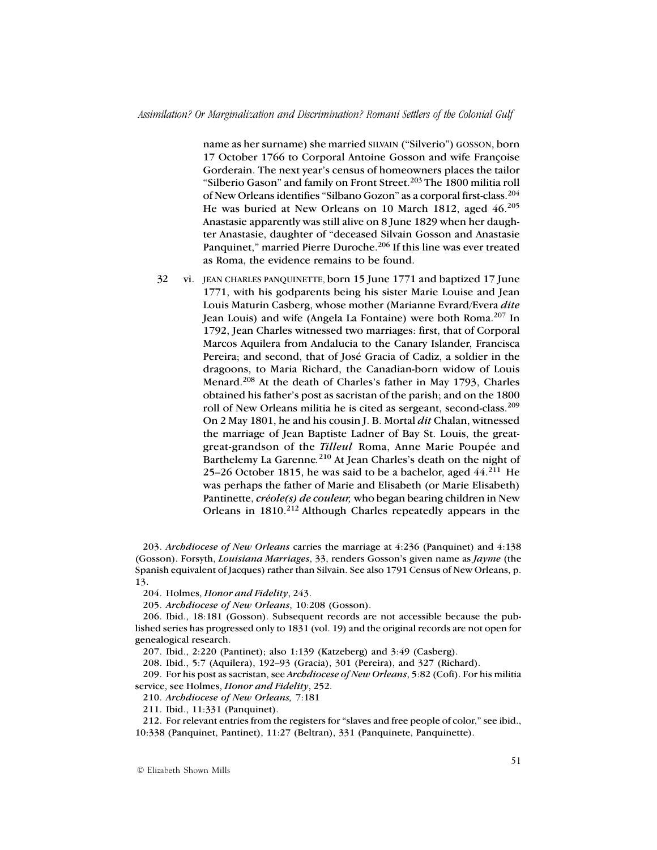name as her surname) she married SILVAIN ("Silverio") GOSSON, born 17 October 1766 to Corporal Antoine Gosson and wife Françoise Gorderain. The next year's census of homeowners places the tailor "Silberio Gason" and family on Front Street.<sup>203</sup> The 1800 militia roll of New Orleans identifies "Silbano Gozon" as a corporal first-class.<sup>204</sup> He was buried at New Orleans on 10 March 1812, aged 46.<sup>205</sup> Anastasie apparently was still alive on 8 June 1829 when her daughter Anastasie, daughter of "deceased Silvain Gosson and Anastasie Panquinet," married Pierre Duroche.<sup>206</sup> If this line was ever treated as Roma, the evidence remains to be found.

32 vi. JEAN CHARLES PANQUINETTE, born 15 June 1771 and baptized 17 June 1771, with his godparents being his sister Marie Louise and Jean Louis Maturin Casberg, whose mother (Marianne Evrard/Evera *dite* Jean Louis) and wife (Angela La Fontaine) were both Roma.207 In 1792, Jean Charles witnessed two marriages: first, that of Corporal Marcos Aquilera from Andalucia to the Canary Islander, Francisca Pereira; and second, that of José Gracia of Cadiz, a soldier in the dragoons, to Maria Richard, the Canadian-born widow of Louis Menard.<sup>208</sup> At the death of Charles's father in May 1793, Charles obtained his father's post as sacristan of the parish; and on the 1800 roll of New Orleans militia he is cited as sergeant, second-class.<sup>209</sup> On 2 May 1801, he and his cousin J. B. Mortal *dit* Chalan, witnessed the marriage of Jean Baptiste Ladner of Bay St. Louis, the greatgreat-grandson of the *Tilleul* Roma, Anne Marie Poupée and Barthelemy La Garenne*.* 210 At Jean Charles's death on the night of 25–26 October 1815, he was said to be a bachelor, aged  $44.<sup>211</sup>$  He was perhaps the father of Marie and Elisabeth (or Marie Elisabeth) Pantinette, *créole(s) de couleur,* who began bearing children in New Orleans in 1810.<sup>212</sup> Although Charles repeatedly appears in the

203. *Archdiocese of New Orleans* carries the marriage at 4:236 (Panquinet) and 4:138 (Gosson). Forsyth, *Louisiana Marriages*, 33, renders Gosson's given name as *Jayme* (the Spanish equivalent of Jacques) rather than Silvain. See also 1791 Census of New Orleans, p. 13.

204. Holmes, *Honor and Fidelity*, 243.

205. *Archdiocese of New Orleans*, 10:208 (Gosson).

206. Ibid., 18:181 (Gosson). Subsequent records are not accessible because the published series has progressed only to 1831 (vol. 19) and the original records are not open for genealogical research.

207. Ibid., 2:220 (Pantinet); also 1:139 (Katzeberg) and 3:49 (Casberg).

208. Ibid., 5:7 (Aquilera), 192–93 (Gracia), 301 (Pereira), and 327 (Richard).

209. For his post as sacristan, see *Archdiocese of New Orleans*, 5:82 (Cofi). For his militia service, see Holmes, *Honor and Fidelity*, 252.

210. *Archdiocese of New Orleans,* 7:181

211. Ibid., 11:331 (Panquinet).

212. For relevant entries from the registers for "slaves and free people of color," see ibid., 10:338 (Panquinet, Pantinet), 11:27 (Beltran), 331 (Panquinete, Panquinette).

© Elizabeth Shown Mills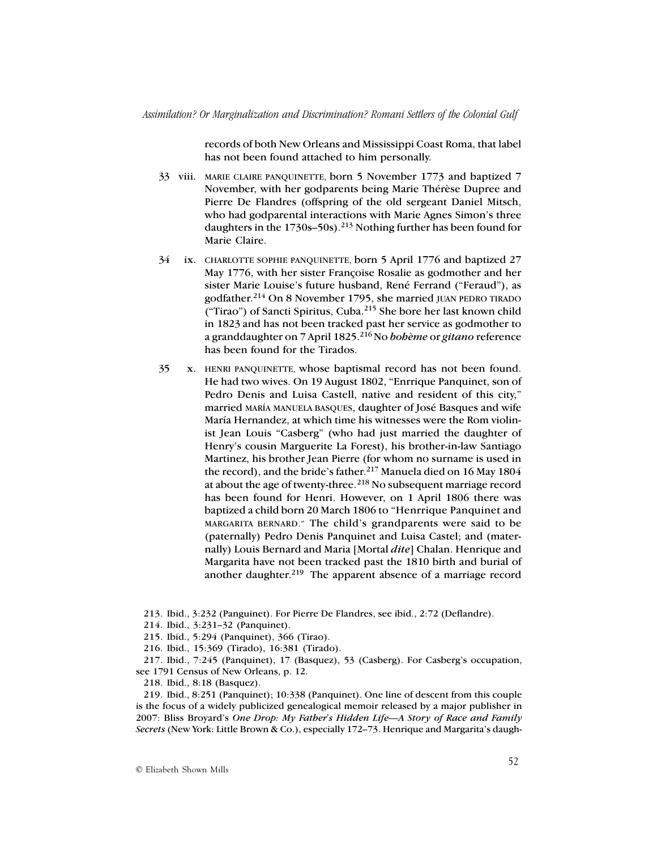records of both New Orleans and Mississippi Coast Roma, that label has not been found attached to him personally.

- 33 viii. MARIE CLAIRE PANQUINETTE, born 5 November 1773 and baptized 7 November, with her godparents being Marie Thérèse Dupree and Pierre De Flandres (offspring of the old sergeant Daniel Mitsch, who had godparental interactions with Marie Agnes Simon's three daughters in the 1730s–50s).<sup>213</sup> Nothing further has been found for Marie Claire.
- 34 ix. CHARLOTTE SOPHIE PANQUINETTE, born 5 April 1776 and baptized 27 May 1776, with her sister Françoise Rosalie as godmother and her sister Marie Louise's future husband, René Ferrand ("Feraud"), as godfather.214 On 8 November 1795, she married JUAN PEDRO TIRADO ("Tirao") of Sancti Spiritus, Cuba.215 She bore her last known child in 1823 and has not been tracked past her service as godmother to a granddaughter on 7 April 1825.216 No *bohème* or *gitano* reference has been found for the Tirados.
- 35 x. HENRI PANQUINETTE, whose baptismal record has not been found. He had two wives. On 19 August 1802, "Enrrique Panquinet, son of Pedro Denis and Luisa Castell, native and resident of this city," married MARÍA MANUELA BASQUES, daughter of José Basques and wife María Hernandez, at which time his witnesses were the Rom violinist Jean Louis "Casberg" (who had just married the daughter of Henry's cousin Marguerite La Forest), his brother-in-law Santiago Martinez, his brother Jean Pierre (for whom no surname is used in the record), and the bride's father.<sup>217</sup> Manuela died on 16 May 1804 at about the age of twenty-three.<sup>218</sup> No subsequent marriage record has been found for Henri. However, on 1 April 1806 there was baptized a child born 20 March 1806 to "Henrrique Panquinet and MARGARITA BERNARD." The child's grandparents were said to be (paternally) Pedro Denis Panquinet and Luisa Castel; and (maternally) Louis Bernard and Maria [Mortal *dite*] Chalan. Henrique and Margarita have not been tracked past the 1810 birth and burial of another daughter.<sup>219</sup> The apparent absence of a marriage record
- 213. Ibid., 3:232 (Panguinet). For Pierre De Flandres, see ibid., 2:72 (Deflandre).
- 214. Ibid., 3:231–32 (Panquinet).
- 215. Ibid., 5:294 (Panquinet), 366 (Tirao).
- 216. Ibid., 15:369 (Tirado), 16:381 (Tirado).

217. Ibid., 7:245 (Panquinet), 17 (Basquez), 53 (Casberg). For Casberg's occupation, see 1791 Census of New Orleans, p. 12.

218. Ibid., 8:18 (Basquez).

219. Ibid., 8:251 (Panquinet); 10:338 (Panquinet). One line of descent from this couple is the focus of a widely publicized genealogical memoir released by a major publisher in 2007: Bliss Broyard's *One Drop: My Father's Hidden Life—A Story of Race and Family Secrets* (New York: Little Brown & Co.), especially 172–73. Henrique and Margarita's daugh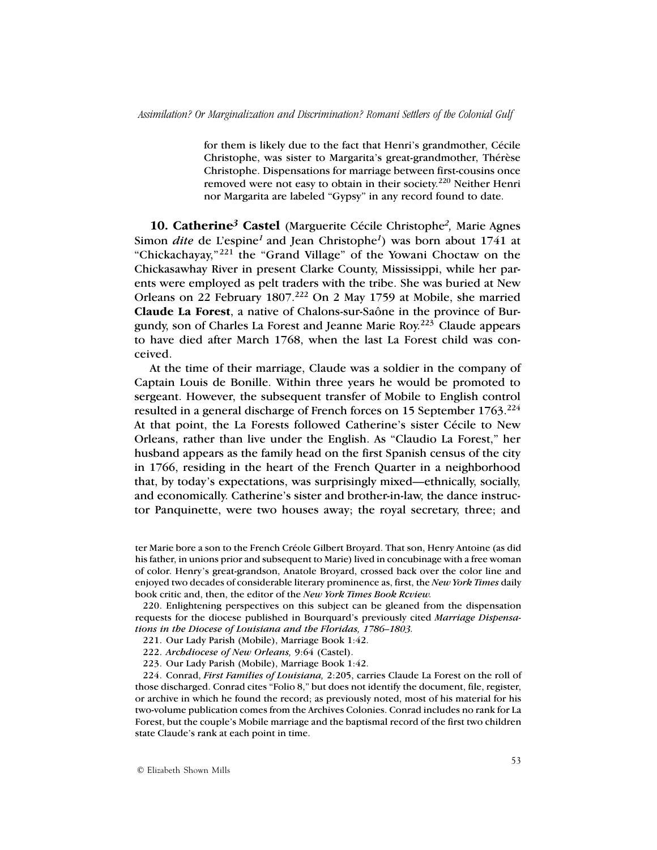for them is likely due to the fact that Henri's grandmother, Cécile Christophe, was sister to Margarita's great-grandmother, Thérèse Christophe. Dispensations for marriage between first-cousins once removed were not easy to obtain in their society.220 Neither Henri nor Margarita are labeled "Gypsy" in any record found to date.

**10. Catherine***3* **Castel** (Marguerite Cécile Christophe*2,* Marie Agnes Simon *dite* de L'espine<sup>1</sup> and Jean Christophe<sup>1</sup>) was born about 1741 at "Chickachayay," 221 the "Grand Village" of the Yowani Choctaw on the Chickasawhay River in present Clarke County, Mississippi, while her parents were employed as pelt traders with the tribe. She was buried at New Orleans on 22 February 1807.222 On 2 May 1759 at Mobile, she married **Claude La Forest**, a native of Chalons-sur-Saône in the province of Burgundy, son of Charles La Forest and Jeanne Marie Roy.223 Claude appears to have died after March 1768, when the last La Forest child was conceived.

At the time of their marriage, Claude was a soldier in the company of Captain Louis de Bonille. Within three years he would be promoted to sergeant. However, the subsequent transfer of Mobile to English control resulted in a general discharge of French forces on 15 September 1763.224 At that point, the La Forests followed Catherine's sister Cécile to New Orleans, rather than live under the English. As "Claudio La Forest," her husband appears as the family head on the first Spanish census of the city in 1766, residing in the heart of the French Quarter in a neighborhood that, by today's expectations, was surprisingly mixed—ethnically, socially, and economically. Catherine's sister and brother-in-law, the dance instructor Panquinette, were two houses away; the royal secretary, three; and

ter Marie bore a son to the French Créole Gilbert Broyard. That son, Henry Antoine (as did his father, in unions prior and subsequent to Marie) lived in concubinage with a free woman of color. Henry's great-grandson, Anatole Broyard, crossed back over the color line and enjoyed two decades of considerable literary prominence as, first, the *New York Times* daily book critic and, then, the editor of the *New York Times Book Rcview.*

220. Enlightening perspectives on this subject can be gleaned from the dispensation requests for the diocese published in Bourquard's previously cited *Marriage Dispensations in the Diocese of Louisiana and the Floridas, 1786–1803.*

- 221. Our Lady Parish (Mobile), Marriage Book 1:42.
- 222. *Archdiocese of New Orleans,* 9:64 (Castel).
- 223. Our Lady Parish (Mobile), Marriage Book 1:42.

224. Conrad, *First Families of Louisiana,* 2:205, carries Claude La Forest on the roll of those discharged. Conrad cites "Folio 8," but does not identify the document, file, register, or archive in which he found the record; as previously noted, most of his material for his two-volume publication comes from the Archives Colonies. Conrad includes no rank for La Forest, but the couple's Mobile marriage and the baptismal record of the first two children state Claude's rank at each point in time.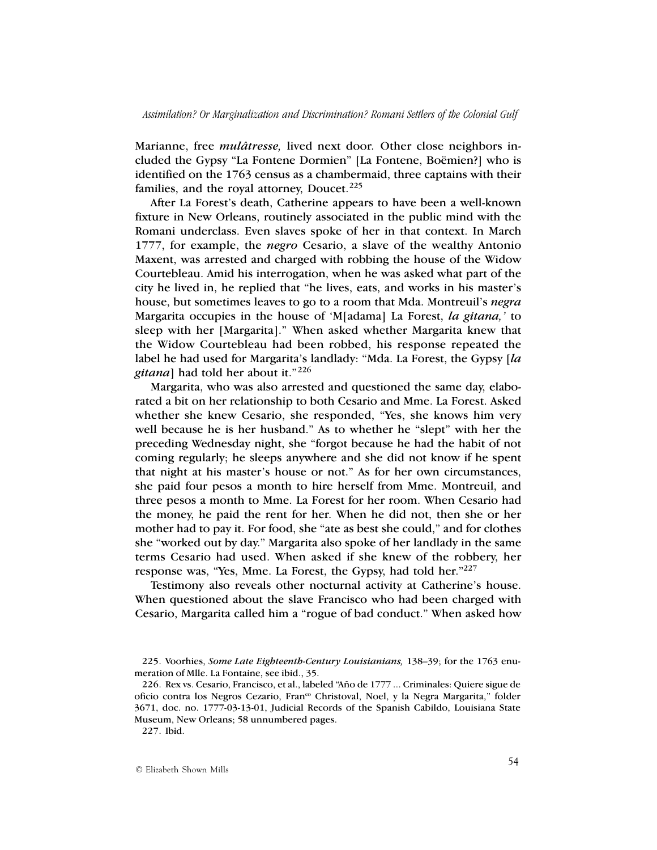Marianne, free *mulâtresse,* lived next door*.* Other close neighbors included the Gypsy "La Fontene Dormien" [La Fontene, Boëmien?] who is identified on the 1763 census as a chambermaid, three captains with their families, and the royal attorney, Doucet.<sup>225</sup>

After La Forest's death, Catherine appears to have been a well-known fixture in New Orleans, routinely associated in the public mind with the Romani underclass. Even slaves spoke of her in that context. In March 1777, for example, the *negro* Cesario, a slave of the wealthy Antonio Maxent, was arrested and charged with robbing the house of the Widow Courtebleau. Amid his interrogation, when he was asked what part of the city he lived in, he replied that "he lives, eats, and works in his master's house, but sometimes leaves to go to a room that Mda. Montreuil's *negra* Margarita occupies in the house of 'M[adama] La Forest, *la gitana,'* to sleep with her [Margarita]." When asked whether Margarita knew that the Widow Courtebleau had been robbed, his response repeated the label he had used for Margarita's landlady: "Mda. La Forest, the Gypsy [*la gitana*] had told her about it."226

Margarita, who was also arrested and questioned the same day, elaborated a bit on her relationship to both Cesario and Mme. La Forest. Asked whether she knew Cesario, she responded, "Yes, she knows him very well because he is her husband." As to whether he "slept" with her the preceding Wednesday night, she "forgot because he had the habit of not coming regularly; he sleeps anywhere and she did not know if he spent that night at his master's house or not." As for her own circumstances, she paid four pesos a month to hire herself from Mme. Montreuil, and three pesos a month to Mme. La Forest for her room. When Cesario had the money, he paid the rent for her. When he did not, then she or her mother had to pay it. For food, she "ate as best she could," and for clothes she "worked out by day." Margarita also spoke of her landlady in the same terms Cesario had used. When asked if she knew of the robbery, her response was, "Yes, Mme. La Forest, the Gypsy, had told her."227

Testimony also reveals other nocturnal activity at Catherine's house. When questioned about the slave Francisco who had been charged with Cesario, Margarita called him a "rogue of bad conduct." When asked how

<sup>225.</sup> Voorhies, *Some Late Eighteenth-Century Louisianians,* 138–39; for the 1763 enumeration of Mlle. La Fontaine, see ibid., 35.

<sup>226.</sup> Rex vs. Cesario, Francisco, et al., labeled "Año de 1777 ... Criminales: Quiere sigue de oficio contra los Negros Cezario, Fran<sup>co</sup> Christoval, Noel, y la Negra Margarita," folder 3671, doc. no. 1777-03-13-01, Judicial Records of the Spanish Cabildo, Louisiana State Museum, New Orleans; 58 unnumbered pages.

<sup>227.</sup> Ibid.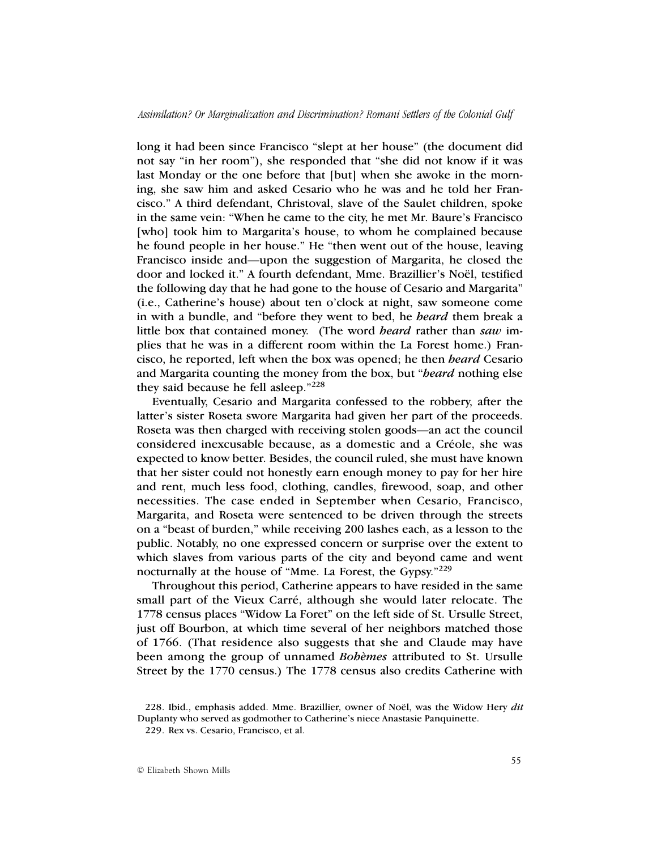long it had been since Francisco "slept at her house" (the document did not say "in her room"), she responded that "she did not know if it was last Monday or the one before that [but] when she awoke in the morning, she saw him and asked Cesario who he was and he told her Francisco." A third defendant, Christoval, slave of the Saulet children, spoke in the same vein: "When he came to the city, he met Mr. Baure's Francisco [who] took him to Margarita's house, to whom he complained because he found people in her house." He "then went out of the house, leaving Francisco inside and—upon the suggestion of Margarita, he closed the door and locked it." A fourth defendant, Mme. Brazillier's Noël, testified the following day that he had gone to the house of Cesario and Margarita" (i.e., Catherine's house) about ten o'clock at night, saw someone come in with a bundle, and "before they went to bed, he *heard* them break a little box that contained money. (The word *heard* rather than *saw* implies that he was in a different room within the La Forest home.) Francisco, he reported, left when the box was opened; he then *heard* Cesario and Margarita counting the money from the box, but "*heard* nothing else they said because he fell asleep."<sup>228</sup>

Eventually, Cesario and Margarita confessed to the robbery, after the latter's sister Roseta swore Margarita had given her part of the proceeds. Roseta was then charged with receiving stolen goods—an act the council considered inexcusable because, as a domestic and a Créole, she was expected to know better. Besides, the council ruled, she must have known that her sister could not honestly earn enough money to pay for her hire and rent, much less food, clothing, candles, firewood, soap, and other necessities. The case ended in September when Cesario, Francisco, Margarita, and Roseta were sentenced to be driven through the streets on a "beast of burden," while receiving 200 lashes each, as a lesson to the public. Notably, no one expressed concern or surprise over the extent to which slaves from various parts of the city and beyond came and went nocturnally at the house of "Mme. La Forest, the Gypsy."<sup>229</sup>

Throughout this period, Catherine appears to have resided in the same small part of the Vieux Carré, although she would later relocate. The 1778 census places "Widow La Foret" on the left side of St. Ursulle Street, just off Bourbon, at which time several of her neighbors matched those of 1766. (That residence also suggests that she and Claude may have been among the group of unnamed *Bohèmes* attributed to St. Ursulle Street by the 1770 census.) The 1778 census also credits Catherine with

<sup>228.</sup> Ibid., emphasis added. Mme. Brazillier, owner of Noël, was the Widow Hery *dit* Duplanty who served as godmother to Catherine's niece Anastasie Panquinette.

<sup>229.</sup> Rex vs. Cesario, Francisco, et al.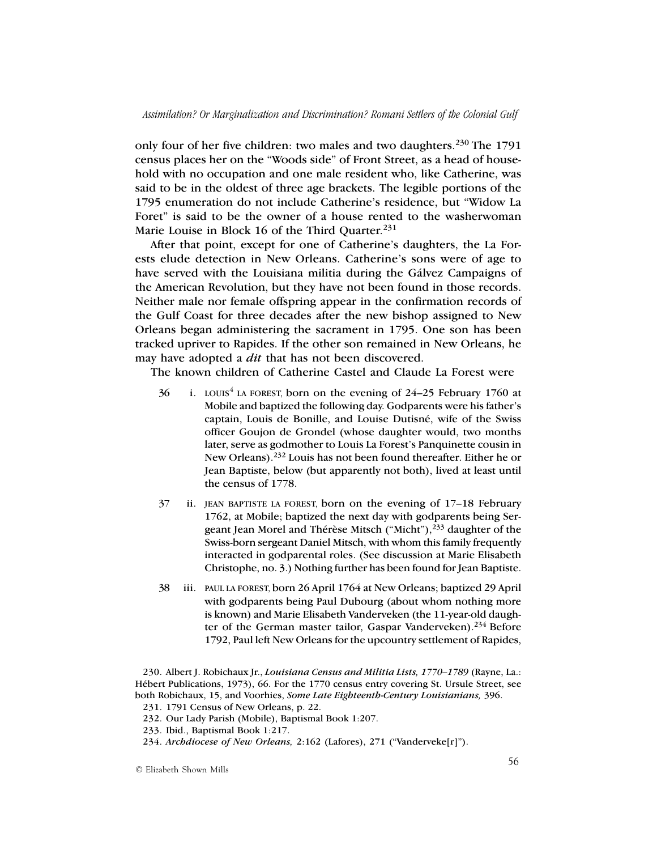only four of her five children: two males and two daughters.<sup>230</sup> The 1791 census places her on the "Woods side" of Front Street, as a head of household with no occupation and one male resident who, like Catherine, was said to be in the oldest of three age brackets. The legible portions of the 1795 enumeration do not include Catherine's residence, but "Widow La Foret" is said to be the owner of a house rented to the washerwoman Marie Louise in Block 16 of the Third Quarter.<sup>231</sup>

After that point, except for one of Catherine's daughters, the La Forests elude detection in New Orleans. Catherine's sons were of age to have served with the Louisiana militia during the Gálvez Campaigns of the American Revolution, but they have not been found in those records. Neither male nor female offspring appear in the confirmation records of the Gulf Coast for three decades after the new bishop assigned to New Orleans began administering the sacrament in 1795. One son has been tracked upriver to Rapides. If the other son remained in New Orleans, he may have adopted a *dit* that has not been discovered.

The known children of Catherine Castel and Claude La Forest were

- $36$  i. LOUIS<sup>4</sup> LA FOREST, born on the evening of 24–25 February 1760 at Mobile and baptized the following day. Godparents were his father's captain, Louis de Bonille, and Louise Dutisné, wife of the Swiss officer Goujon de Grondel (whose daughter would, two months later, serve as godmother to Louis La Forest's Panquinette cousin in New Orleans).<sup>232</sup> Louis has not been found thereafter. Either he or Jean Baptiste, below (but apparently not both), lived at least until the census of 1778.
- 37 ii. JEAN BAPTISTE LA FOREST, born on the evening of 17–18 February 1762, at Mobile; baptized the next day with godparents being Sergeant Jean Morel and Thérèse Mitsch ("Micht"),233 daughter of the Swiss-born sergeant Daniel Mitsch, with whom this family frequently interacted in godparental roles. (See discussion at Marie Elisabeth Christophe, no. 3.) Nothing further has been found for Jean Baptiste.
- 38 iii. PAUL LA FOREST, born 26 April 1764 at New Orleans; baptized 29 April with godparents being Paul Dubourg (about whom nothing more is known) and Marie Elisabeth Vanderveken (the 11-year-old daughter of the German master tailor, Gaspar Vanderveken).<sup>234</sup> Before 1792, Paul left New Orleans for the upcountry settlement of Rapides,

<sup>230.</sup> Albert J. Robichaux Jr., *Louisiana Census and Militia Lists, 1770–1789* (Rayne, La.: Hébert Publications, 1973), 66. For the 1770 census entry covering St. Ursule Street, see both Robichaux, 15, and Voorhies, *Some Late Eighteenth-Century Louisianians,* 396.

<sup>231.</sup> 1791 Census of New Orleans, p. 22.

<sup>232.</sup> Our Lady Parish (Mobile), Baptismal Book 1:207.

<sup>233.</sup> Ibid., Baptismal Book 1:217.

<sup>234.</sup> *Archdiocese of New Orleans,* 2:162 (Lafores), 271 ("Vanderveke[r]").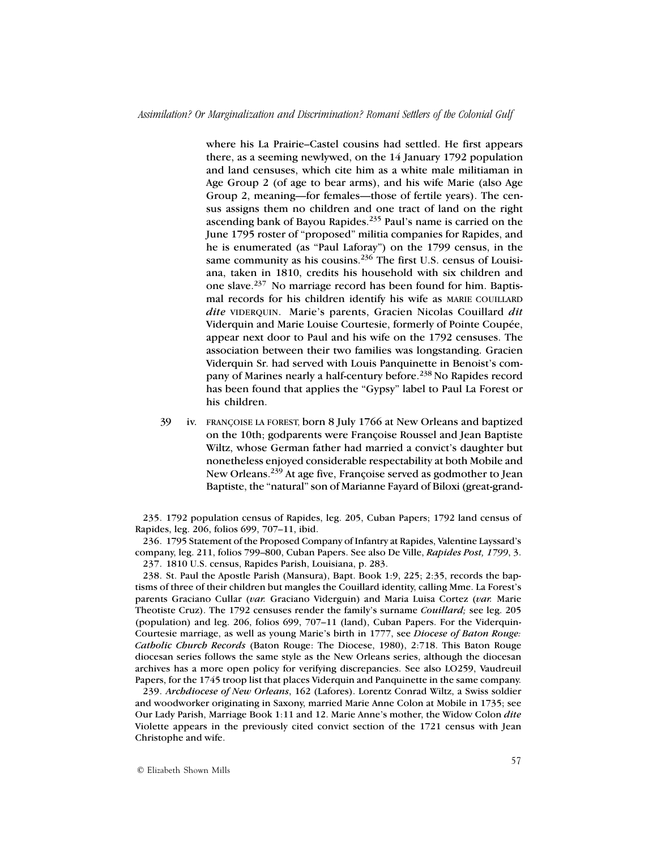where his La Prairie–Castel cousins had settled. He first appears there, as a seeming newlywed, on the 14 January 1792 population and land censuses, which cite him as a white male militiaman in Age Group 2 (of age to bear arms), and his wife Marie (also Age Group 2, meaning—for females—those of fertile years). The census assigns them no children and one tract of land on the right ascending bank of Bayou Rapides.<sup>235</sup> Paul's name is carried on the June 1795 roster of "proposed" militia companies for Rapides, and he is enumerated (as "Paul Laforay") on the 1799 census, in the same community as his cousins.<sup>236</sup> The first U.S. census of Louisiana, taken in 1810, credits his household with six children and one slave.237 No marriage record has been found for him. Baptismal records for his children identify his wife as MARIE COUILLARD *dite* VIDERQUIN. Marie's parents, Gracien Nicolas Couillard *dit* Viderquin and Marie Louise Courtesie, formerly of Pointe Coupée, appear next door to Paul and his wife on the 1792 censuses. The association between their two families was longstanding. Gracien Viderquin Sr. had served with Louis Panquinette in Benoist's company of Marines nearly a half-century before.<sup>238</sup> No Rapides record has been found that applies the "Gypsy" label to Paul La Forest or his children.

39 iv. FRANÇOISE LA FOREST, born 8 July 1766 at New Orleans and baptized on the 10th; godparents were Françoise Roussel and Jean Baptiste Wiltz, whose German father had married a convict's daughter but nonetheless enjoyed considerable respectability at both Mobile and New Orleans.<sup>239</sup> At age five, Françoise served as godmother to Jean Baptiste, the "natural" son of Marianne Fayard of Biloxi (great-grand-

235. 1792 population census of Rapides, leg. 205, Cuban Papers; 1792 land census of Rapides, leg. 206, folios 699, 707–11, ibid.

236. 1795 Statement of the Proposed Company of Infantry at Rapides, Valentine Layssard's company, leg. 211, folios 799–800, Cuban Papers. See also De Ville, *Rapides Post, 1799*, 3. 237. 1810 U.S. census, Rapides Parish, Louisiana, p. 283.

238. St. Paul the Apostle Parish (Mansura), Bapt. Book 1:9, 225; 2:35, records the baptisms of three of their children but mangles the Couillard identity, calling Mme. La Forest's parents Graciano Cullar (*var.* Graciano Viderguin) and Maria Luisa Cortez (*var.* Marie Theotiste Cruz). The 1792 censuses render the family's surname *Couillard;* see leg. 205 (population) and leg. 206, folios 699, 707–11 (land), Cuban Papers. For the Viderquin-Courtesie marriage, as well as young Marie's birth in 1777, see *Diocese of Baton Rouge: Catholic Church Records* (Baton Rouge: The Diocese, 1980), 2:718. This Baton Rouge diocesan series follows the same style as the New Orleans series, although the diocesan archives has a more open policy for verifying discrepancies. See also LO259, Vaudreuil Papers, for the 1745 troop list that places Viderquin and Panquinette in the same company.

239. *Archdiocese of New Orleans*, 162 (Lafores). Lorentz Conrad Wiltz, a Swiss soldier and woodworker originating in Saxony, married Marie Anne Colon at Mobile in 1735; see Our Lady Parish, Marriage Book 1:11 and 12. Marie Anne's mother, the Widow Colon *dite* Violette appears in the previously cited convict section of the 1721 census with Jean Christophe and wife.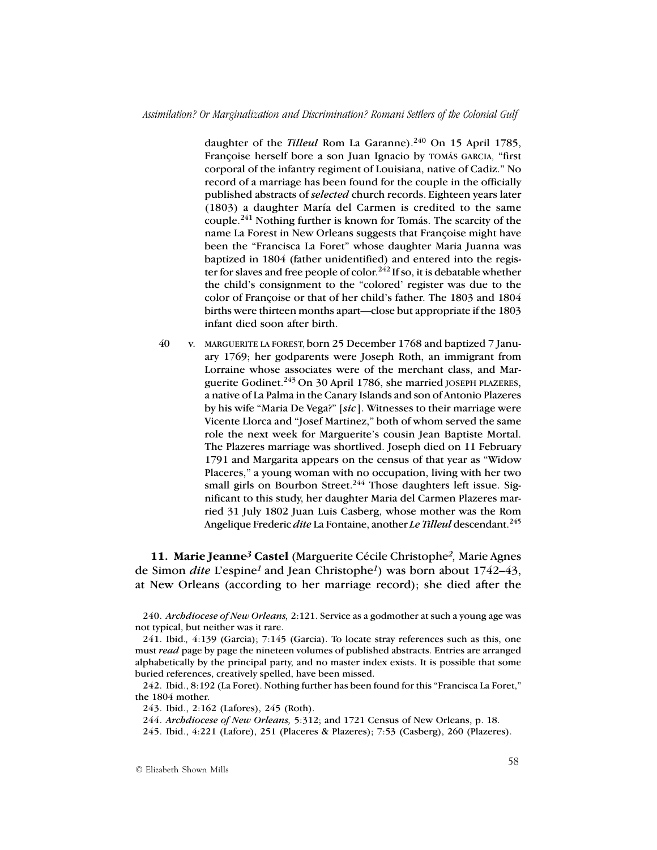daughter of the *Tilleul* Rom La Garanne).<sup>240</sup> On 15 April 1785, Françoise herself bore a son Juan Ignacio by TOMÁS GARCIA, "first corporal of the infantry regiment of Louisiana, native of Cadiz." No record of a marriage has been found for the couple in the officially published abstracts of *selected* church records. Eighteen years later (1803) a daughter María del Carmen is credited to the same couple.241 Nothing further is known for Tomás. The scarcity of the name La Forest in New Orleans suggests that Françoise might have been the "Francisca La Foret" whose daughter Maria Juanna was baptized in 1804 (father unidentified) and entered into the register for slaves and free people of color.<sup>242</sup> If so, it is debatable whether the child's consignment to the "colored' register was due to the color of Françoise or that of her child's father. The 1803 and 1804 births were thirteen months apart—close but appropriate if the 1803 infant died soon after birth.

40 v. MARGUERITE LA FOREST, born 25 December 1768 and baptized 7 January 1769; her godparents were Joseph Roth, an immigrant from Lorraine whose associates were of the merchant class, and Marguerite Godinet.<sup>243</sup> On 30 April 1786, she married JOSEPH PLAZERES, a native of La Palma in the Canary Islands and son of Antonio Plazeres by his wife "Maria De Vega?" [*sic*]. Witnesses to their marriage were Vicente Llorca and "Josef Martinez," both of whom served the same role the next week for Marguerite's cousin Jean Baptiste Mortal. The Plazeres marriage was shortlived. Joseph died on 11 February 1791 and Margarita appears on the census of that year as "Widow Placeres," a young woman with no occupation, living with her two small girls on Bourbon Street.<sup>244</sup> Those daughters left issue. Significant to this study, her daughter Maria del Carmen Plazeres married 31 July 1802 Juan Luis Casberg, whose mother was the Rom Angelique Frederic *dite* La Fontaine, another *Le Tilleul* descendant.<sup>245</sup>

**11. Marie Jeanne***3* **Castel** (Marguerite Cécile Christophe*2,* Marie Agnes de Simon *dite* L'espine*1* and Jean Christophe*1*) was born about 1742–43, at New Orleans (according to her marriage record); she died after the

240. *Archdiocese of New Orleans,* 2:121. Service as a godmother at such a young age was not typical, but neither was it rare.

242. Ibid., 8:192 (La Foret). Nothing further has been found for this "Francisca La Foret," the 1804 mother.

243. Ibid., 2:162 (Lafores), 245 (Roth).

244. *Archdiocese of New Orleans,* 5:312; and 1721 Census of New Orleans, p. 18.

245. Ibid., 4:221 (Lafore), 251 (Placeres & Plazeres); 7:53 (Casberg), 260 (Plazeres).

<sup>241.</sup> Ibid.*,* 4:139 (Garcia); 7:145 (Garcia). To locate stray references such as this, one must *read* page by page the nineteen volumes of published abstracts. Entries are arranged alphabetically by the principal party, and no master index exists. It is possible that some buried references, creatively spelled, have been missed.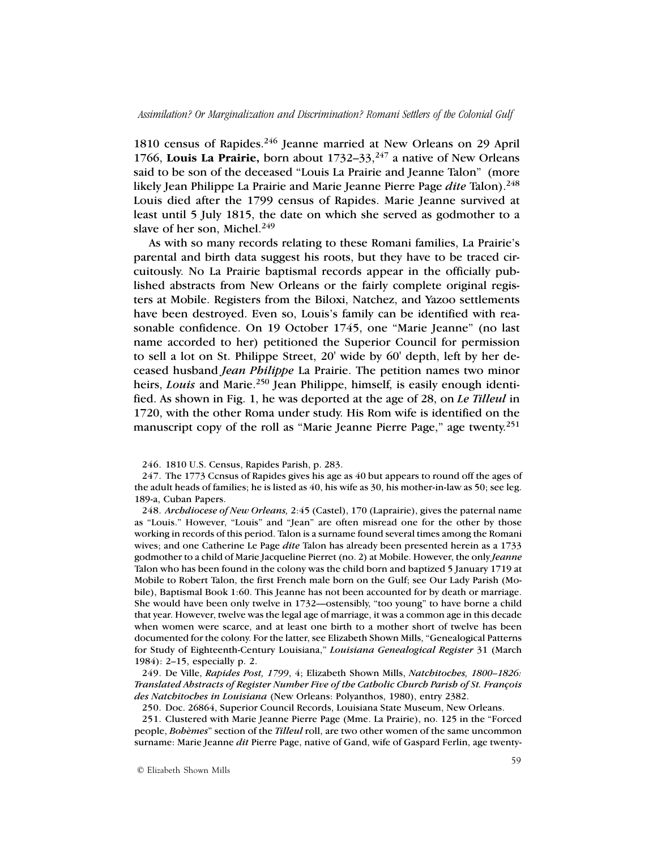1810 census of Rapides.<sup>246</sup> Jeanne married at New Orleans on 29 April 1766, **Louis La Prairie,** born about 1732–33,247 a native of New Orleans said to be son of the deceased "Louis La Prairie and Jeanne Talon" (more likely Jean Philippe La Prairie and Marie Jeanne Pierre Page *dite* Talon).248 Louis died after the 1799 census of Rapides. Marie Jeanne survived at least until 5 July 1815, the date on which she served as godmother to a slave of her son, Michel. $249$ 

As with so many records relating to these Romani families, La Prairie's parental and birth data suggest his roots, but they have to be traced circuitously. No La Prairie baptismal records appear in the officially published abstracts from New Orleans or the fairly complete original registers at Mobile. Registers from the Biloxi, Natchez, and Yazoo settlements have been destroyed. Even so, Louis's family can be identified with reasonable confidence. On 19 October 1745, one "Marie Jeanne" (no last name accorded to her) petitioned the Superior Council for permission to sell a lot on St. Philippe Street, 20' wide by 60' depth, left by her deceased husband *Jean Philippe* La Prairie. The petition names two minor heirs, *Louis* and Marie.<sup>250</sup> Jean Philippe, himself, is easily enough identified. As shown in Fig. 1, he was deported at the age of 28, on *Le Tilleul* in 1720, with the other Roma under study. His Rom wife is identified on the manuscript copy of the roll as "Marie Jeanne Pierre Page," age twenty.<sup>251</sup>

248. *Archdiocese of New Orleans,* 2:45 (Castel), 170 (Laprairie), gives the paternal name as "Louis." However, "Louis" and "Jean" are often misread one for the other by those working in records of this period. Talon is a surname found several times among the Romani wives; and one Catherine Le Page *dite* Talon has already been presented herein as a 1733 godmother to a child of Marie Jacqueline Pierret (no. 2) at Mobile. However, the only *Jeanne* Talon who has been found in the colony was the child born and baptized 5 January 1719 at Mobile to Robert Talon, the first French male born on the Gulf; see Our Lady Parish (Mobile), Baptismal Book 1:60. This Jeanne has not been accounted for by death or marriage. She would have been only twelve in 1732—ostensibly, "too young" to have borne a child that year. However, twelve was the legal age of marriage, it was a common age in this decade when women were scarce, and at least one birth to a mother short of twelve has been documented for the colony. For the latter, see Elizabeth Shown Mills, "Genealogical Patterns for Study of Eighteenth-Century Louisiana," *Louisiana Genealogical Register* 31 (March 1984): 2–15, especially p. 2.

249. De Ville, *Rapides Post, 1799*, 4; Elizabeth Shown Mills, *Natchitoches, 1800–1826: Translated Abstracts of Register Number Five of the Catholic Church Parish of St. François des Natchitoches in Louisiana* (New Orleans: Polyanthos, 1980), entry 2382.

250. Doc. 26864, Superior Council Records, Louisiana State Museum, New Orleans.

251. Clustered with Marie Jeanne Pierre Page (Mme. La Prairie), no. 125 in the "Forced people, *Bohèmes*" section of the *Tilleul* roll, are two other women of the same uncommon surname: Marie Jeanne *dit* Pierre Page, native of Gand, wife of Gaspard Ferlin, age twenty-

<sup>246.</sup> 1810 U.S. Census, Rapides Parish, p. 283.

<sup>247.</sup> The 1773 Ccnsus of Rapides gives his age as 40 but appears to round off the ages of the adult heads of families; he is listed as 40, his wife as 30, his mother-in-law as 50; see leg. 189-a, Cuban Papers.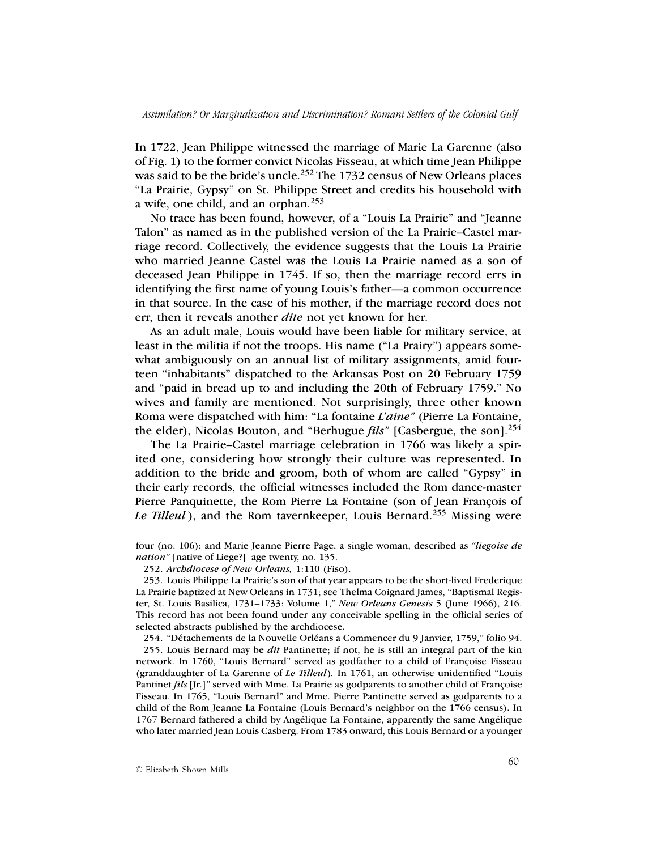In 1722, Jean Philippe witnessed the marriage of Marie La Garenne (also of Fig. 1) to the former convict Nicolas Fisseau, at which time Jean Philippe was said to be the bride's uncle.<sup>252</sup> The 1732 census of New Orleans places "La Prairie, Gypsy" on St. Philippe Street and credits his household with a wife, one child, and an orphan*.* 253

No trace has been found, however, of a "Louis La Prairie" and "Jeanne Talon" as named as in the published version of the La Prairie–Castel marriage record. Collectively, the evidence suggests that the Louis La Prairie who married Jeanne Castel was the Louis La Prairie named as a son of deceased Jean Philippe in 1745. If so, then the marriage record errs in identifying the first name of young Louis's father—a common occurrence in that source. In the case of his mother, if the marriage record does not err, then it reveals another *dite* not yet known for her.

As an adult male, Louis would have been liable for military service, at least in the militia if not the troops. His name ("La Prairy") appears somewhat ambiguously on an annual list of military assignments, amid fourteen "inhabitants" dispatched to the Arkansas Post on 20 February 1759 and "paid in bread up to and including the 20th of February 1759." No wives and family are mentioned. Not surprisingly, three other known Roma were dispatched with him: "La fontaine *L'aine"* (Pierre La Fontaine, the elder), Nicolas Bouton, and "Berhugue *fils"* [Casbergue, the son].254

The La Prairie–Castel marriage celebration in 1766 was likely a spirited one, considering how strongly their culture was represented. In addition to the bride and groom, both of whom are called "Gypsy" in their early records, the official witnesses included the Rom dance-master Pierre Panquinette, the Rom Pierre La Fontaine (son of Jean François of Le Tilleul), and the Rom tavernkeeper, Louis Bernard.<sup>255</sup> Missing were

252. *Archdiocese of New Orleans,* 1:110 (Fiso).

253. Louis Philippe La Prairie's son of that year appears to be the short-lived Frederique La Prairie baptized at New Orleans in 1731; see Thelma Coignard James, "Baptismal Register, St. Louis Basilica, 1731–1733: Volume 1," *New Orleans Genesis* 5 (June 1966), 216. This record has not been found under any conceivable spelling in the official series of selected abstracts published by the archdiocese.

254. "Détachements de la Nouvelle Orléans a Commencer du 9 Janvier, 1759," folio 94.

255. Louis Bernard may be *dit* Pantinette; if not, he is still an integral part of the kin network. In 1760, "Louis Bernard" served as godfather to a child of Françoise Fisseau (granddaughter of La Garenne of *Le Tilleul*)*.* In 1761, an otherwise unidentified "Louis Pantinet *fils* [Jr.]*"* served with Mme. La Prairie as godparents to another child of Françoise Fisseau. In 1765, "Louis Bernard" and Mme. Pierre Pantinette served as godparents to a child of the Rom Jeanne La Fontaine (Louis Bernard's neighbor on the 1766 census). In 1767 Bernard fathered a child by Angélique La Fontaine, apparently the same Angélique who later married Jean Louis Casberg. From 1783 onward, this Louis Bernard or a younger

four (no. 106); and Marie Jeanne Pierre Page, a single woman, described as *"liegoise de nation"* [native of Liege?] age twenty, no. 135.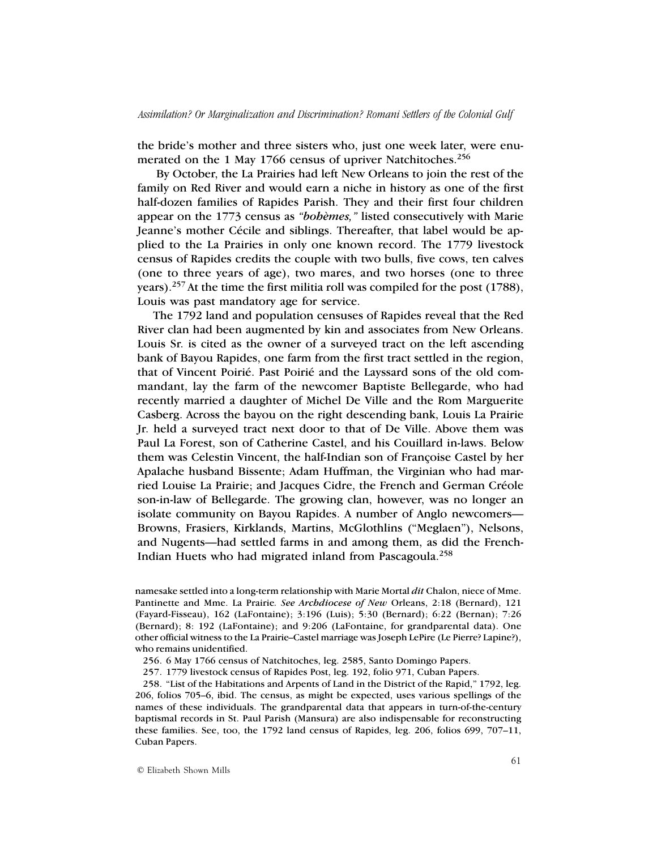the bride's mother and three sisters who, just one week later, were enumerated on the 1 May 1766 census of upriver Natchitoches.<sup>256</sup>

 By October, the La Prairies had left New Orleans to join the rest of the family on Red River and would earn a niche in history as one of the first half-dozen families of Rapides Parish. They and their first four children appear on the 1773 census as *"bohèmes,"* listed consecutively with Marie Jeanne's mother Cécile and siblings. Thereafter, that label would be applied to the La Prairies in only one known record. The 1779 livestock census of Rapides credits the couple with two bulls, five cows, ten calves (one to three years of age), two mares, and two horses (one to three years).257 At the time the first militia roll was compiled for the post (1788), Louis was past mandatory age for service.

The 1792 land and population censuses of Rapides reveal that the Red River clan had been augmented by kin and associates from New Orleans. Louis Sr. is cited as the owner of a surveyed tract on the left ascending bank of Bayou Rapides, one farm from the first tract settled in the region, that of Vincent Poirié. Past Poirié and the Layssard sons of the old commandant, lay the farm of the newcomer Baptiste Bellegarde, who had recently married a daughter of Michel De Ville and the Rom Marguerite Casberg. Across the bayou on the right descending bank, Louis La Prairie Jr. held a surveyed tract next door to that of De Ville. Above them was Paul La Forest, son of Catherine Castel, and his Couillard in-laws. Below them was Celestin Vincent, the half-Indian son of Françoise Castel by her Apalache husband Bissente; Adam Huffman, the Virginian who had married Louise La Prairie; and Jacques Cidre, the French and German Créole son-in-law of Bellegarde. The growing clan, however, was no longer an isolate community on Bayou Rapides. A number of Anglo newcomers— Browns, Frasiers, Kirklands, Martins, McGlothlins ("Meglaen"), Nelsons, and Nugents—had settled farms in and among them, as did the French-Indian Huets who had migrated inland from Pascagoula.<sup>258</sup>

namesake settled into a long-term relationship with Marie Mortal *dit* Chalon, niece of Mme. Pantinette and Mme. La Prairie*. See Archdiocese of New* Orleans, 2:18 (Bernard), 121 (Fayard-Fisseau), 162 (LaFontaine); 3:196 (Luis); 5:30 (Bernard); 6:22 (Bernan); 7:26 (Bernard); 8: 192 (LaFontaine); and 9:206 (LaFontaine, for grandparental data). One other official witness to the La Prairie–Castel marriage was Joseph LePire (Le Pierre? Lapine?), who remains unidentified.

256. 6 May 1766 census of Natchitoches, leg. 2585, Santo Domingo Papers.

257. 1779 livestock census of Rapides Post, leg. 192, folio 971, Cuban Papers.

258. "List of the Habitations and Arpents of Land in the District of the Rapid," 1792, leg. 206, folios 705–6, ibid. The census, as might be expected, uses various spellings of the names of these individuals. The grandparental data that appears in turn-of-the-century baptismal records in St. Paul Parish (Mansura) are also indispensable for reconstructing these families. See, too, the 1792 land census of Rapides, leg. 206, folios 699, 707–11, Cuban Papers.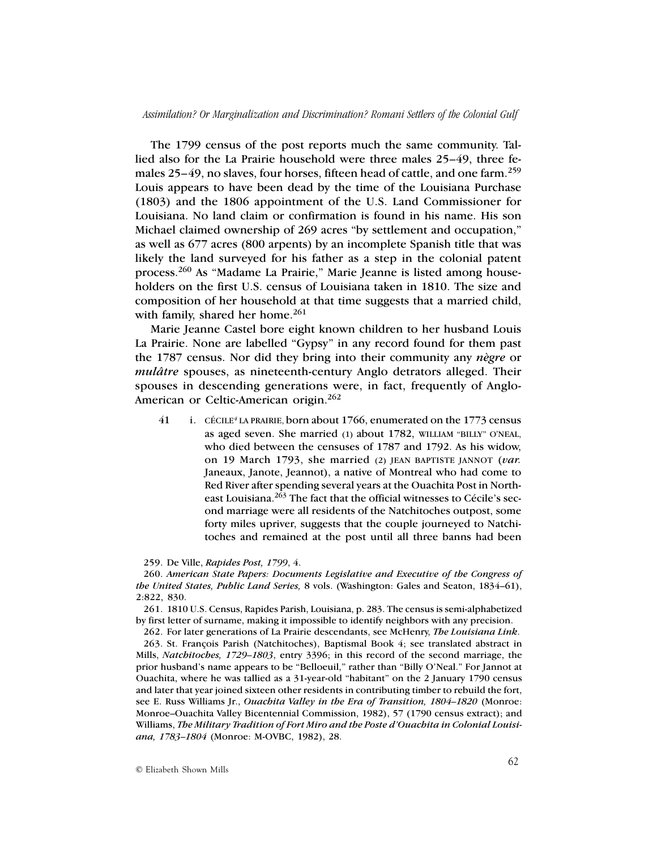The 1799 census of the post reports much the same community. Tallied also for the La Prairie household were three males 25–49, three females 25–49, no slaves, four horses, fifteen head of cattle, and one farm.<sup>259</sup> Louis appears to have been dead by the time of the Louisiana Purchase (1803) and the 1806 appointment of the U.S. Land Commissioner for Louisiana. No land claim or confirmation is found in his name. His son Michael claimed ownership of 269 acres "by settlement and occupation," as well as 677 acres (800 arpents) by an incomplete Spanish title that was likely the land surveyed for his father as a step in the colonial patent process.260 As "Madame La Prairie," Marie Jeanne is listed among householders on the first U.S. census of Louisiana taken in 1810. The size and composition of her household at that time suggests that a married child, with family, shared her home. $261$ 

Marie Jeanne Castel bore eight known children to her husband Louis La Prairie. None are labelled "Gypsy" in any record found for them past the 1787 census. Nor did they bring into their community any *nègre* or *mulâtre* spouses, as nineteenth-century Anglo detrators alleged. Their spouses in descending generations were, in fact, frequently of Anglo-American or Celtic-American origin.<sup>262</sup>

41 i. CÉCILE*<sup>4</sup>* LA PRAIRIE, born about 1766, enumerated on the 1773 census as aged seven. She married (1) about 1782, WILLIAM "BILLY" O'NEAL, who died between the censuses of 1787 and 1792. As his widow, on 19 March 1793, she married (2) JEAN BAPTISTE JANNOT (*var.* Janeaux, Janote, Jeannot), a native of Montreal who had come to Red River after spending several years at the Ouachita Post in Northeast Louisiana.263 The fact that the official witnesses to Cécile's second marriage were all residents of the Natchitoches outpost, some forty miles upriver, suggests that the couple journeyed to Natchitoches and remained at the post until all three banns had been

## 259. De Ville, *Rapides Post, 1799*, 4.

260. *American State Papers: Documents Legislative and Executive of the Congress of the United States, Public Land Series,* 8 vols. (Washington: Gales and Seaton, 1834–61), 2:822, 830.

261. 1810 U.S. Census, Rapides Parish, Louisiana, p. 283. The census is semi-alphabetized by first letter of surname, making it impossible to identify neighbors with any precision.

262. For later generations of La Prairie descendants, see McHenry, *The Louisiana Link*.

263. St. François Parish (Natchitoches), Baptismal Book 4; see translated abstract in Mills, *Natchitoches, 1729–1803*, entry 3396; in this record of the second marriage, the prior husband's name appears to be "Belloeuil," rather than "Billy O'Neal." For Jannot at Ouachita, where he was tallied as a 31-year-old "habitant" on the 2 January 1790 census and later that year joined sixteen other residents in contributing timber to rebuild the fort, see E. Russ Williams Jr., *Ouachita Valley in the Era of Transition, 1804–1820* (Monroe: Monroe–Ouachita Valley Bicentennial Commission, 1982), 57 (1790 census extract); and Williams, *The Military Tradition of Fort Miro and the Poste d'Ouachita in Colonial Louisiana, 1783–1804* (Monroe: M-OVBC, 1982), 28.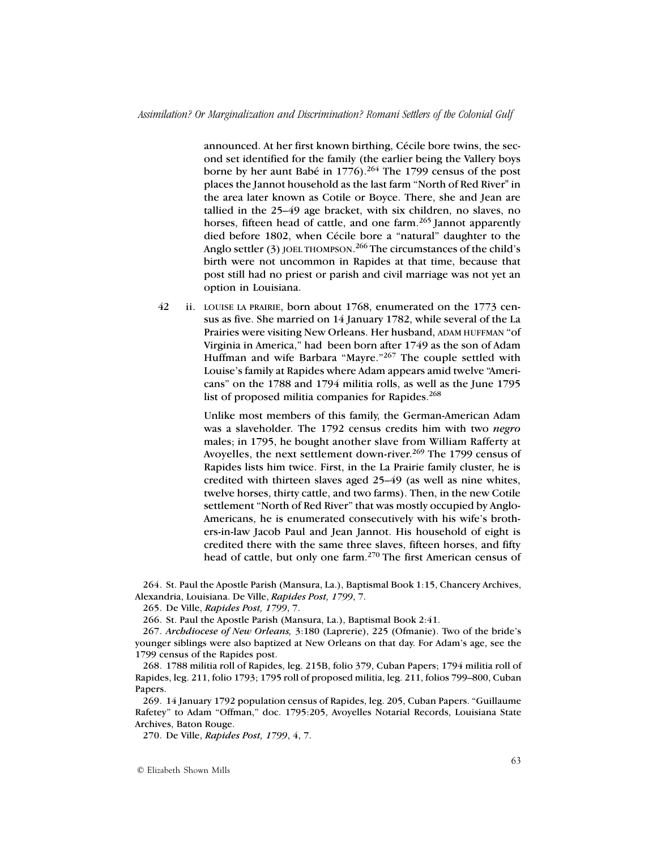announced. At her first known birthing, Cécile bore twins, the second set identified for the family (the earlier being the Vallery boys borne by her aunt Babé in 1776).<sup>264</sup> The 1799 census of the post places the Jannot household as the last farm "North of Red River" in the area later known as Cotile or Boyce. There, she and Jean are tallied in the 25–49 age bracket, with six children, no slaves, no horses, fifteen head of cattle, and one farm.<sup>265</sup> Jannot apparently died before 1802, when Cécile bore a "natural" daughter to the Anglo settler (3) JOEL THOMPSON.<sup>266</sup> The circumstances of the child's birth were not uncommon in Rapides at that time, because that post still had no priest or parish and civil marriage was not yet an option in Louisiana.

42 ii. LOUISE LA PRAIRIE, born about 1768, enumerated on the 1773 census as five. She married on 14 January 1782, while several of the La Prairies were visiting New Orleans. Her husband, ADAM HUFFMAN "of Virginia in America," had been born after 1749 as the son of Adam Huffman and wife Barbara "Mayre."<sup>267</sup> The couple settled with Louise's family at Rapides where Adam appears amid twelve "Americans" on the 1788 and 1794 militia rolls, as well as the June 1795 list of proposed militia companies for Rapides.<sup>268</sup>

> Unlike most members of this family, the German-American Adam was a slaveholder. The 1792 census credits him with two *negro* males; in 1795, he bought another slave from William Rafferty at Avoyelles, the next settlement down-river.<sup>269</sup> The 1799 census of Rapides lists him twice. First, in the La Prairie family cluster, he is credited with thirteen slaves aged 25–49 (as well as nine whites, twelve horses, thirty cattle, and two farms). Then, in the new Cotile settlement "North of Red River" that was mostly occupied by Anglo-Americans, he is enumerated consecutively with his wife's brothers-in-law Jacob Paul and Jean Jannot. His household of eight is credited there with the same three slaves, fifteen horses, and fifty head of cattle, but only one farm.<sup>270</sup> The first American census of

264. St. Paul the Apostle Parish (Mansura, La.), Baptismal Book 1:15, Chancery Archives, Alexandria, Louisiana. De Ville, *Rapides Post, 1799*, 7.

265. De Ville, *Rapides Post, 1799*, 7.

266. St. Paul the Apostle Parish (Mansura, La.), Baptismal Book 2:41.

267. *Archdiocese of New Orleans,* 3:180 (Laprerie), 225 (Ofmanie). Two of the bride's younger siblings were also baptized at New Orleans on that day. For Adam's age, see the 1799 census of the Rapides post.

268. 1788 militia roll of Rapides, leg. 215B, folio 379, Cuban Papers; 1794 militia roll of Rapides, leg. 211, folio 1793; 1795 roll of proposed militia, leg. 211, folios 799–800, Cuban Papers.

269. 14 January 1792 population census of Rapides, leg. 205, Cuban Papers. "Guillaume Rafetey" to Adam "Offman," doc. 1795:205, Avoyelles Notarial Records, Louisiana State Archives, Baton Rouge.

270. De Ville, *Rapides Post, 1799*, 4, 7.

© Elizabeth Shown Mills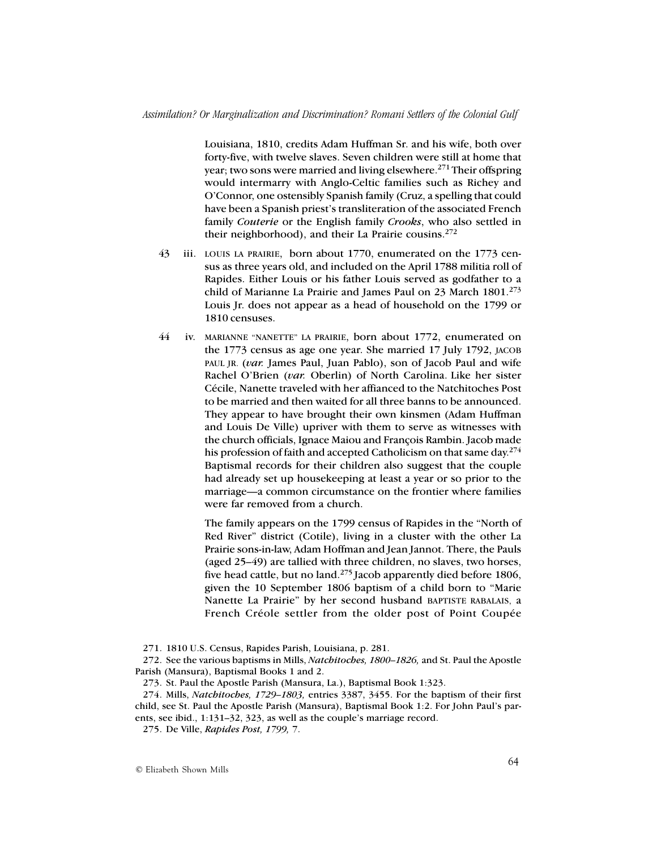Louisiana, 1810, credits Adam Huffman Sr. and his wife, both over forty-five, with twelve slaves. Seven children were still at home that year; two sons were married and living elsewhere.<sup>271</sup> Their offspring would intermarry with Anglo-Celtic families such as Richey and O'Connor, one ostensibly Spanish family (Cruz, a spelling that could have been a Spanish priest's transliteration of the associated French family *Couterie* or the English family *Crooks*, who also settled in their neighborhood), and their La Prairie cousins. $272$ 

- 43 iii. LOUIS LA PRAIRIE, born about 1770, enumerated on the 1773 census as three years old, and included on the April 1788 militia roll of Rapides. Either Louis or his father Louis served as godfather to a child of Marianne La Prairie and James Paul on 23 March 1801.<sup>273</sup> Louis Jr. does not appear as a head of household on the 1799 or 1810 censuses.
- 44 iv. MARIANNE "NANETTE" LA PRAIRIE, born about 1772, enumerated on the 1773 census as age one year. She married 17 July 1792, JACOB PAUL JR. (var. James Paul, Juan Pablo), son of Jacob Paul and wife Rachel O'Brien (*var.* Oberlin) of North Carolina. Like her sister Cécile, Nanette traveled with her affianced to the Natchitoches Post to be married and then waited for all three banns to be announced. They appear to have brought their own kinsmen (Adam Huffman and Louis De Ville) upriver with them to serve as witnesses with the church officials, Ignace Maiou and François Rambin. Jacob made his profession of faith and accepted Catholicism on that same day.<sup>274</sup> Baptismal records for their children also suggest that the couple had already set up housekeeping at least a year or so prior to the marriage—a common circumstance on the frontier where families were far removed from a church.

The family appears on the 1799 census of Rapides in the "North of Red River" district (Cotile), living in a cluster with the other La Prairie sons-in-law, Adam Hoffman and Jean Jannot. There, the Pauls (aged 25–49) are tallied with three children, no slaves, two horses, five head cattle, but no land.275 Jacob apparently died before 1806, given the 10 September 1806 baptism of a child born to "Marie Nanette La Prairie" by her second husband BAPTISTE RABALAIS, a French Créole settler from the older post of Point Coupée

<sup>271.</sup> 1810 U.S. Census, Rapides Parish, Louisiana, p. 281.

<sup>272.</sup> See the various baptisms in Mills, *Natchitoches, 1800–1826,* and St. Paul the Apostle Parish (Mansura), Baptismal Books 1 and 2.

<sup>273.</sup> St. Paul the Apostle Parish (Mansura, La.), Baptismal Book 1:323.

<sup>274.</sup> Mills, *Natchitoches, 1729–1803,* entries 3387, 3455. For the baptism of their first child, see St. Paul the Apostle Parish (Mansura), Baptismal Book 1:2. For John Paul's parents, see ibid., 1:131–32, 323, as well as the couple's marriage record.

<sup>275.</sup> De Ville, *Rapides Post, 1799,* 7.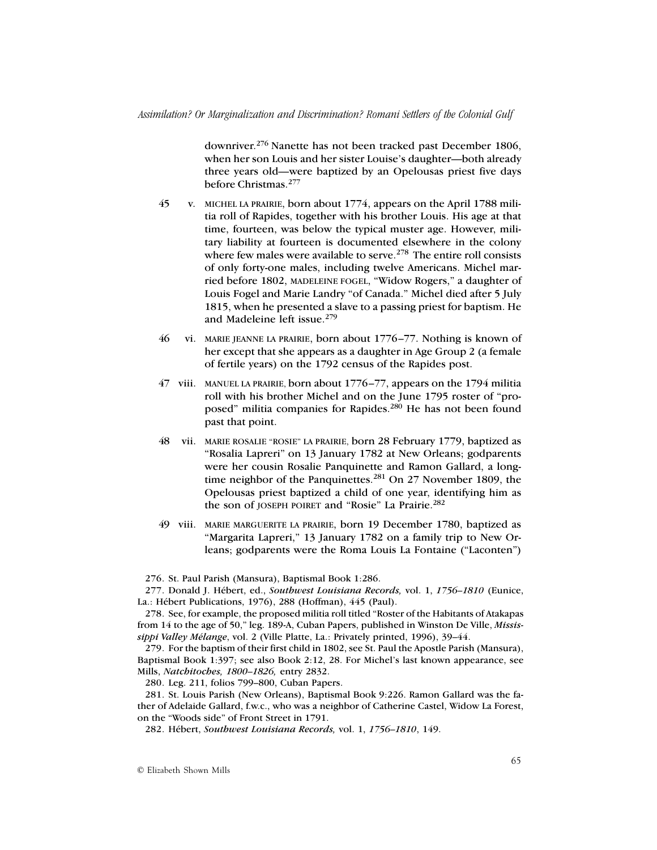downriver.276 Nanette has not been tracked past December 1806, when her son Louis and her sister Louise's daughter—both already three years old—were baptized by an Opelousas priest five days before Christmas.<sup>277</sup>

- 45 v. MICHEL LA PRAIRIE, born about 1774, appears on the April 1788 militia roll of Rapides, together with his brother Louis. His age at that time, fourteen, was below the typical muster age. However, military liability at fourteen is documented elsewhere in the colony where few males were available to serve.<sup>278</sup> The entire roll consists of only forty-one males, including twelve Americans. Michel married before 1802, MADELEINE FOGEL, "Widow Rogers," a daughter of Louis Fogel and Marie Landry "of Canada." Michel died after 5 July 1815, when he presented a slave to a passing priest for baptism. He and Madeleine left issue.<sup>279</sup>
- 46 vi. MARIE JEANNE LA PRAIRIE, born about 1776–77. Nothing is known of her except that she appears as a daughter in Age Group 2 (a female of fertile years) on the 1792 census of the Rapides post.
- 47 viii. MANUEL LA PRAIRIE, born about 1776–77, appears on the 1794 militia roll with his brother Michel and on the June 1795 roster of "proposed" militia companies for Rapides.<sup>280</sup> He has not been found past that point.
- 48 vii. MARIE ROSALIE "ROSIE" LA PRAIRIE, born 28 February 1779, baptized as "Rosalia Lapreri" on 13 January 1782 at New Orleans; godparents were her cousin Rosalie Panquinette and Ramon Gallard, a longtime neighbor of the Panquinettes.<sup>281</sup> On 27 November 1809, the Opelousas priest baptized a child of one year, identifying him as the son of JOSEPH POIRET and "Rosie" La Prairie.<sup>282</sup>
- 49 viii. MARIE MARGUERITE LA PRAIRIE, born 19 December 1780, baptized as "Margarita Lapreri," 13 January 1782 on a family trip to New Orleans; godparents were the Roma Louis La Fontaine ("Laconten")

276. St. Paul Parish (Mansura), Baptismal Book 1:286.

277. Donald J. Hébert, ed., *Southwest Louisiana Records,* vol. 1, *1756–1810* (Eunice, La.: Hébert Publications, 1976), 288 (Hoffman), 445 (Paul).

278. See, for example, the proposed militia roll titled "Roster of the Habitants of Atakapas from 14 to the age of 50," leg. 189-A, Cuban Papers, published in Winston De Ville, *Mississippi Valley Mélange*, vol. 2 (Ville Platte, La.: Privately printed, 1996), 39–44.

279. For the baptism of their first child in 1802, see St. Paul the Apostle Parish (Mansura), Baptismal Book 1:397; see also Book 2:12, 28. For Michel's last known appearance, see Mills, *Natchitoches, 1800–1826,* entry 2832.

280. Leg. 211, folios 799–800, Cuban Papers.

281. St. Louis Parish (New Orleans), Baptismal Book 9:226. Ramon Gallard was the father of Adelaide Gallard, f.w.c., who was a neighbor of Catherine Castel, Widow La Forest, on the "Woods side" of Front Street in 1791.

282. Hébert, *Southwest Louisiana Records,* vol. 1, *1756–1810*, 149.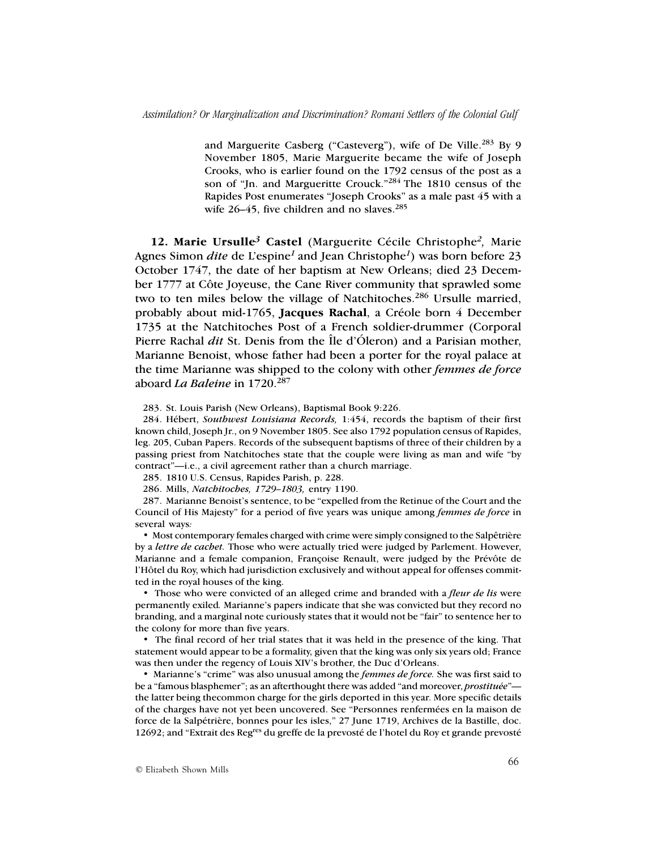and Marguerite Casberg ("Casteverg"), wife of De Ville.283 By 9 November 1805, Marie Marguerite became the wife of Joseph Crooks, who is earlier found on the 1792 census of the post as a son of "Jn. and Margueritte Crouck."284 The 1810 census of the Rapides Post enumerates "Joseph Crooks" as a male past 45 with a wife  $26-45$ , five children and no slaves.<sup>285</sup>

**12. Marie Ursulle***3* **Castel** (Marguerite Cécile Christophe*2,* Marie Agnes Simon *dite* de L'espine*<sup>1</sup>*and Jean Christophe*<sup>1</sup>*) was born before 23 October 1747, the date of her baptism at New Orleans; died 23 December 1777 at Côte Joyeuse, the Cane River community that sprawled some two to ten miles below the village of Natchitoches.<sup>286</sup> Ursulle married, probably about mid-1765, **Jacques Rachal**, a Créole born 4 December 1735 at the Natchitoches Post of a French soldier-drummer (Corporal Pierre Rachal *dit* St. Denis from the Île d'Óleron) and a Parisian mother, Marianne Benoist, whose father had been a porter for the royal palace at the time Marianne was shipped to the colony with other *femmes de force* aboard *La Baleine* in 1720.287

283. St. Louis Parish (New Orleans), Baptismal Book 9:226.

284. Hébert, *Southwest Louisiana Records,* 1:454, records the baptism of their first known child, Joseph Jr., on 9 November 1805. See also 1792 population census of Rapides, leg. 205, Cuban Papers. Records of the subsequent baptisms of three of their children by a passing priest from Natchitoches state that the couple were living as man and wife "by contract"—i.e., a civil agreement rather than a church marriage.

285. 1810 U.S. Census, Rapides Parish, p. 228.

286. Mills, *Natchitoches, 1729–1803,* entry 1190.

287. Marianne Benoist's sentence, to be "expelled from the Retinue of the Court and the Council of His Majesty" for a period of five years was unique among *femmes de force* in several ways*:*

• Most contemporary females charged with crime were simply consigned to the Salpêtrière by a *lettre de cachet.* Those who were actually tried were judged by Parlement. However, Marianne and a female companion, Françoise Renault, were judged by the Prévôte de l'Hôtel du Roy, which had jurisdiction exclusively and without appeal for offenses committed in the royal houses of the king.

• Those who were convicted of an alleged crime and branded with a *fleur de lis* were permanently exiled*.* Marianne's papers indicate that she was convicted but they record no branding, and a marginal note curiously states that it would not be "fair" to sentence her to the colony for more than five years.

• The final record of her trial states that it was held in the presence of the king. That statement would appear to be a formality, given that the king was only six years old; France was then under the regency of Louis XIV's brother, the Duc d'Orleans.

• Marianne's "crime" was also unusual among the *femmes de force.* She was first said to be a "famous blasphemer"; as an afterthought there was added "and moreover, *prostituée*" the latter being thecommon charge for the girls deported in this year. More specific details of the charges have not yet been uncovered. See "Personnes renfermées en la maison de force de la Salpétrière, bonnes pour les isles," 27 June 1719, Archives de la Bastille, doc. 12692; and "Extrait des Reg<sup>res</sup> du greffe de la prevosté de l'hotel du Roy et grande prevosté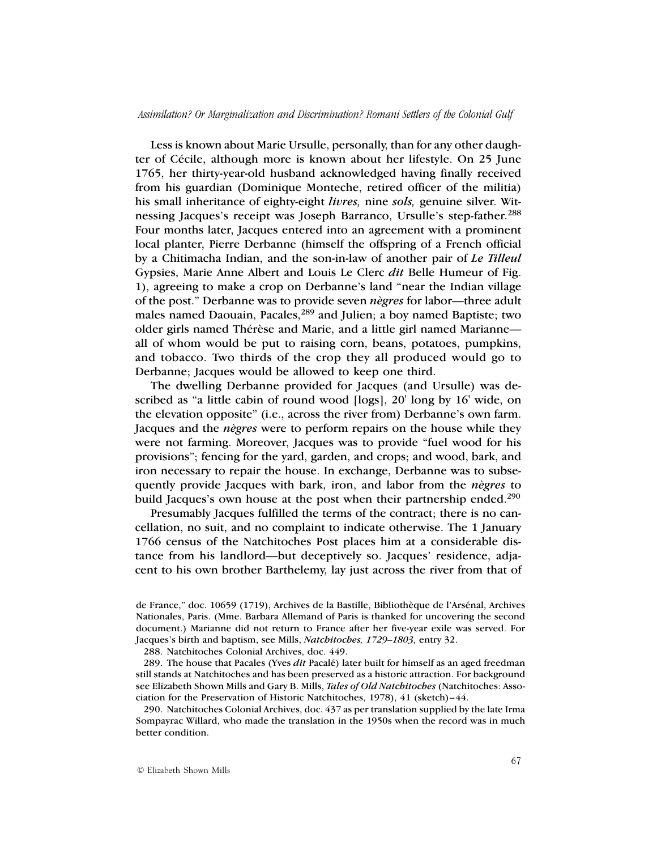Less is known about Marie Ursulle, personally, than for any other daughter of Cécile, although more is known about her lifestyle. On 25 June 1765, her thirty-year-old husband acknowledged having finally received from his guardian (Dominique Monteche, retired officer of the militia) his small inheritance of eighty-eight *livres,* nine *sols,* genuine silver. Witnessing Jacques's receipt was Joseph Barranco, Ursulle's step-father.<sup>288</sup> Four months later, Jacques entered into an agreement with a prominent local planter, Pierre Derbanne (himself the offspring of a French official by a Chitimacha Indian, and the son-in-law of another pair of *Le Tilleul* Gypsies, Marie Anne Albert and Louis Le Clerc *dit* Belle Humeur of Fig. 1), agreeing to make a crop on Derbanne's land "near the Indian village of the post." Derbanne was to provide seven *nègres* for labor—three adult males named Daouain, Pacales,<sup>289</sup> and Julien; a boy named Baptiste; two older girls named Thérèse and Marie, and a little girl named Marianne all of whom would be put to raising corn, beans, potatoes, pumpkins, and tobacco. Two thirds of the crop they all produced would go to Derbanne; Jacques would be allowed to keep one third.

The dwelling Derbanne provided for Jacques (and Ursulle) was described as "a little cabin of round wood [logs], 20' long by 16' wide, on the elevation opposite" (i.e., across the river from) Derbanne's own farm. Jacques and the *nègres* were to perform repairs on the house while they were not farming. Moreover, Jacques was to provide "fuel wood for his provisions"; fencing for the yard, garden, and crops; and wood, bark, and iron necessary to repair the house. In exchange, Derbanne was to subsequently provide Jacques with bark, iron, and labor from the *nègres* to build Jacques's own house at the post when their partnership ended.<sup>290</sup>

Presumably Jacques fulfilled the terms of the contract; there is no cancellation, no suit, and no complaint to indicate otherwise. The 1 January 1766 census of the Natchitoches Post places him at a considerable distance from his landlord—but deceptively so. Jacques' residence, adjacent to his own brother Barthelemy, lay just across the river from that of

288. Natchitoches Colonial Archives, doc. 449.

de France," doc. 10659 (1719), Archives de la Bastille, Bibliothèque de l'Arsénal, Archives Nationales, Paris. (Mme. Barbara Allemand of Paris is thanked for uncovering the second document.) Marianne did not return to France after her five-year exile was served. For Jacques's birth and baptism, see Mills, *Natchitoches, 1729–1803,* entry 32.

<sup>289.</sup> The house that Pacales (Yves *dit* Pacalé) later built for himself as an aged freedman still stands at Natchitoches and has been preserved as a historic attraction. For background see Elizabeth Shown Mills and Gary B. Mills, *Tales of Old Natchitoches* (Natchitoches: Association for the Preservation of Historic Natchitoches, 1978), 41 (sketch)–44.

<sup>290.</sup> Natchitoches Colonial Archives, doc. 437 as per translation supplied by the late Irma Sompayrac Willard, who made the translation in the 1950s when the record was in much better condition.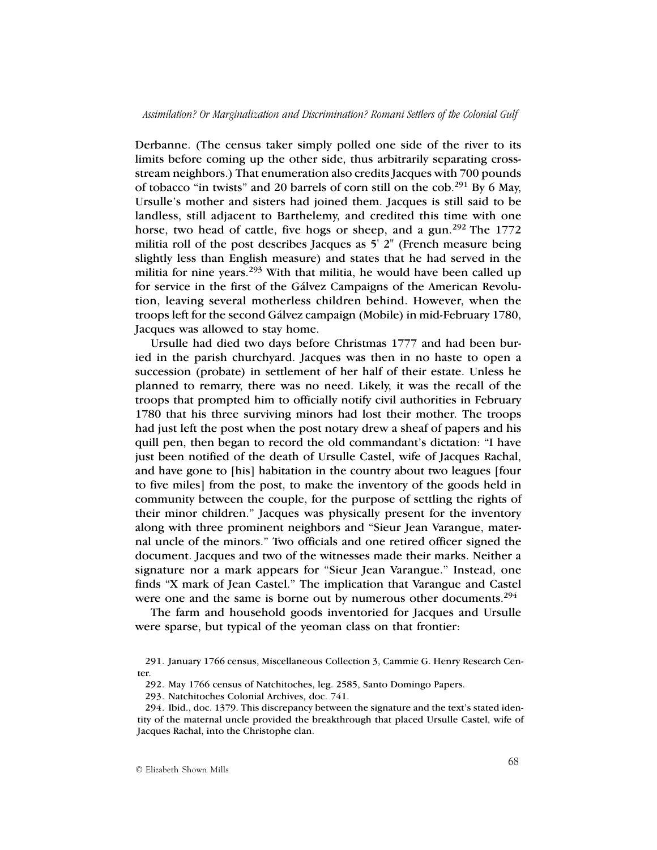Derbanne. (The census taker simply polled one side of the river to its limits before coming up the other side, thus arbitrarily separating crossstream neighbors.) That enumeration also credits Jacques with 700 pounds of tobacco "in twists" and 20 barrels of corn still on the cob.<sup>291</sup> By 6 May, Ursulle's mother and sisters had joined them. Jacques is still said to be landless, still adjacent to Barthelemy, and credited this time with one horse, two head of cattle, five hogs or sheep, and a gun.<sup>292</sup> The 1772 militia roll of the post describes Jacques as 5' 2" (French measure being slightly less than English measure) and states that he had served in the militia for nine years.<sup>293</sup> With that militia, he would have been called up for service in the first of the Gálvez Campaigns of the American Revolution, leaving several motherless children behind. However, when the troops left for the second Gálvez campaign (Mobile) in mid-February 1780, Jacques was allowed to stay home.

Ursulle had died two days before Christmas 1777 and had been buried in the parish churchyard. Jacques was then in no haste to open a succession (probate) in settlement of her half of their estate. Unless he planned to remarry, there was no need. Likely, it was the recall of the troops that prompted him to officially notify civil authorities in February 1780 that his three surviving minors had lost their mother. The troops had just left the post when the post notary drew a sheaf of papers and his quill pen, then began to record the old commandant's dictation: "I have just been notified of the death of Ursulle Castel, wife of Jacques Rachal, and have gone to [his] habitation in the country about two leagues [four to five miles] from the post, to make the inventory of the goods held in community between the couple, for the purpose of settling the rights of their minor children." Jacques was physically present for the inventory along with three prominent neighbors and "Sieur Jean Varangue, maternal uncle of the minors." Two officials and one retired officer signed the document. Jacques and two of the witnesses made their marks. Neither a signature nor a mark appears for "Sieur Jean Varangue." Instead, one finds "X mark of Jean Castel." The implication that Varangue and Castel were one and the same is borne out by numerous other documents.<sup>294</sup>

The farm and household goods inventoried for Jacques and Ursulle were sparse, but typical of the yeoman class on that frontier:

<sup>291.</sup> January 1766 census, Miscellaneous Collection 3, Cammie G. Henry Research Center.

<sup>292.</sup> May 1766 census of Natchitoches, leg. 2585, Santo Domingo Papers.

<sup>293.</sup> Natchitoches Colonial Archives, doc. 741.

<sup>294.</sup> Ibid., doc. 1379. This discrepancy between the signature and the text's stated identity of the maternal uncle provided the breakthrough that placed Ursulle Castel, wife of Jacques Rachal, into the Christophe clan.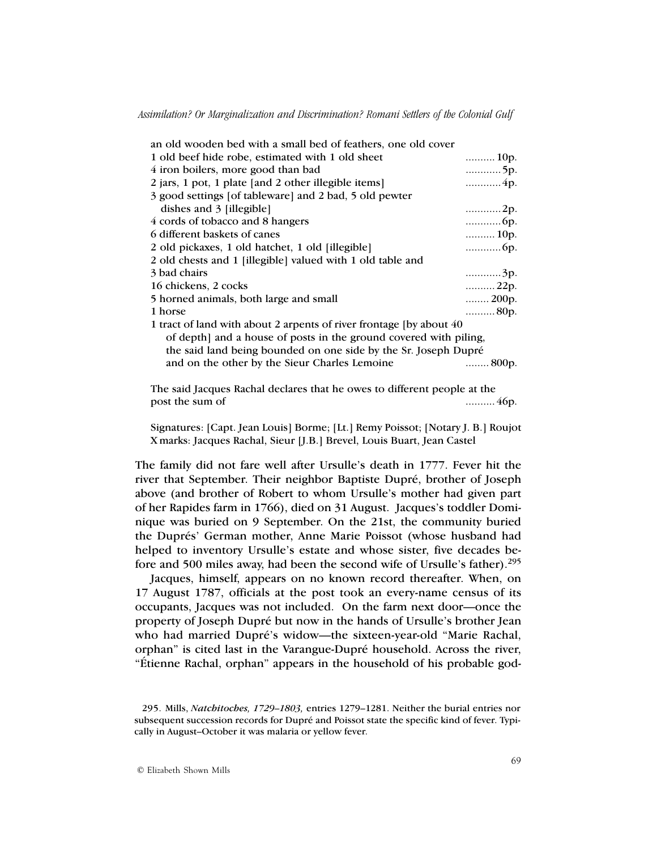| an old wooden bed with a small bed of feathers, one old cover        |                        |
|----------------------------------------------------------------------|------------------------|
| 1 old beef hide robe, estimated with 1 old sheet                     | $\ldots$ 10p.          |
| 4 iron boilers, more good than bad                                   | 5p.                    |
| 2 jars, 1 pot, 1 plate [and 2 other illegible items]                 | 4p.                    |
| 3 good settings [of tableware] and 2 bad, 5 old pewter               |                        |
| dishes and 3 [illegible]                                             | 2p.                    |
| 4 cords of tobacco and 8 hangers                                     |                        |
| 6 different baskets of canes                                         | $\ldots$ 10p.          |
| 2 old pickaxes, 1 old hatchet, 1 old [illegible]                     |                        |
| 2 old chests and 1 [illegible] valued with 1 old table and           |                        |
| 3 bad chairs                                                         | 3p.                    |
| 16 chickens, 2 cocks                                                 | 22p.                   |
| 5 horned animals, both large and small                               | $\ldots$ 200p.         |
| 1 horse                                                              | 80p.                   |
| 1 tract of land with about 2 arpents of river frontage [by about 40] |                        |
| of depth and a house of posts in the ground covered with piling,     |                        |
| the said land being bounded on one side by the Sr. Joseph Dupré      |                        |
| and on the other by the Sieur Charles Lemoine                        | $\ldots \ldots 800$ p. |
|                                                                      |                        |

The said Jacques Rachal declares that he owes to different people at the post the sum of ..........46p.

Signatures: [Capt. Jean Louis] Borme; [Lt.] Remy Poissot; [Notary J. B.] Roujot X marks: Jacques Rachal, Sieur [J.B.] Brevel, Louis Buart, Jean Castel

The family did not fare well after Ursulle's death in 1777. Fever hit the river that September. Their neighbor Baptiste Dupré, brother of Joseph above (and brother of Robert to whom Ursulle's mother had given part of her Rapides farm in 1766), died on 31 August. Jacques's toddler Dominique was buried on 9 September. On the 21st, the community buried the Duprés' German mother, Anne Marie Poissot (whose husband had helped to inventory Ursulle's estate and whose sister, five decades before and 500 miles away, had been the second wife of Ursulle's father).<sup>295</sup>

Jacques, himself, appears on no known record thereafter. When, on 17 August 1787, officials at the post took an every-name census of its occupants, Jacques was not included. On the farm next door—once the property of Joseph Dupré but now in the hands of Ursulle's brother Jean who had married Dupré's widow—the sixteen-year-old "Marie Rachal, orphan" is cited last in the Varangue-Dupré household. Across the river, "Étienne Rachal, orphan" appears in the household of his probable god-

<sup>295.</sup> Mills, *Natchitoches, 1729–1803,* entries 1279–1281. Neither the burial entries nor subsequent succession records for Dupré and Poissot state the specific kind of fever. Typically in August–October it was malaria or yellow fever.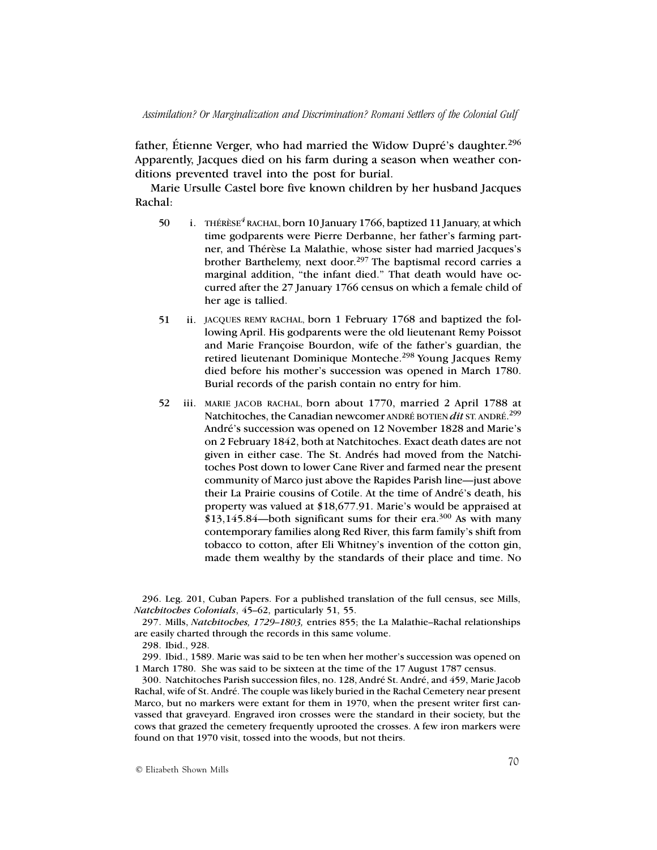father, Étienne Verger, who had married the Widow Dupré's daughter.<sup>296</sup> Apparently, Jacques died on his farm during a season when weather conditions prevented travel into the post for burial.

Marie Ursulle Castel bore five known children by her husband Jacques Rachal:

- 50 i. THÉRÈSE*<sup>4</sup>* RACHAL, born 10 January 1766, baptized 11 January, at which time godparents were Pierre Derbanne, her father's farming partner, and Thérèse La Malathie, whose sister had married Jacques's brother Barthelemy, next door.297 The baptismal record carries a marginal addition, "the infant died." That death would have occurred after the 27 January 1766 census on which a female child of her age is tallied.
- 51 ii. JACQUES REMY RACHAL, born 1 February 1768 and baptized the following April. His godparents were the old lieutenant Remy Poissot and Marie Françoise Bourdon, wife of the father's guardian, the retired lieutenant Dominique Monteche.<sup>298</sup> Young Jacques Remy died before his mother's succession was opened in March 1780. Burial records of the parish contain no entry for him.
- 52 iii. MARIE JACOB RACHAL, born about 1770, married 2 April 1788 at Natchitoches, the Canadian newcomer ANDRÉ BOTIEN *dit* ST. ANDRÉ. 299 André's succession was opened on 12 November 1828 and Marie's on 2 February 1842, both at Natchitoches. Exact death dates are not given in either case. The St. Andrés had moved from the Natchitoches Post down to lower Cane River and farmed near the present community of Marco just above the Rapides Parish line—just above their La Prairie cousins of Cotile. At the time of André's death, his property was valued at \$18,677.91. Marie's would be appraised at  $$13,145.84$  both significant sums for their era.<sup>300</sup> As with many contemporary families along Red River, this farm family's shift from tobacco to cotton, after Eli Whitney's invention of the cotton gin, made them wealthy by the standards of their place and time. No

296. Leg. 201, Cuban Papers. For a published translation of the full census, see Mills, *Natchitoches Colonials*, 45–62, particularly 51, 55.

297. Mills, *Natchitoches, 1729–1803,* entries 855; the La Malathie–Rachal relationships are easily charted through the records in this same volume.

298. Ibid., 928.

299. Ibid., 1589. Marie was said to be ten when her mother's succession was opened on 1 March 1780. She was said to be sixteen at the time of the 17 August 1787 census.

300. Natchitoches Parish succession files, no. 128, André St. André, and 459, Marie Jacob Rachal, wife of St. André. The couple was likely buried in the Rachal Cemetery near present Marco, but no markers were extant for them in 1970, when the present writer first canvassed that graveyard. Engraved iron crosses were the standard in their society, but the cows that grazed the cemetery frequently uprooted the crosses. A few iron markers were found on that 1970 visit, tossed into the woods, but not theirs.

© Elizabeth Shown Mills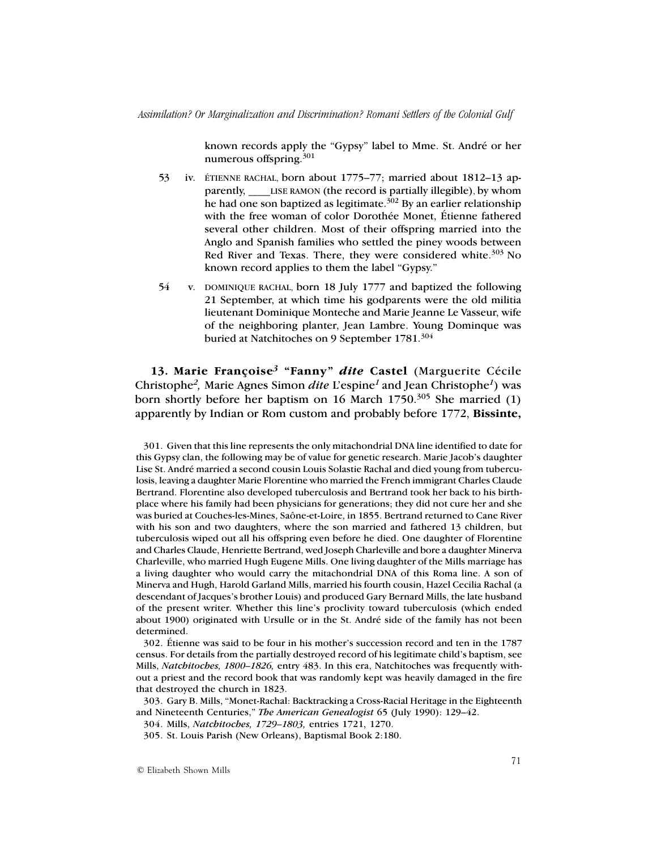*Assimilation? Or Marginalization and Discrimination? Romani Settlers of the Colonial Gulf*

known records apply the "Gypsy" label to Mme. St. André or her numerous offspring.<sup>301</sup>

- 53 iv. ÉTIENNE RACHAL, born about 1775–77; married about 1812–13 apparently, LISE RAMON (the record is partially illegible), by whom he had one son baptized as legitimate.<sup>302</sup> By an earlier relationship with the free woman of color Dorothée Monet, Étienne fathered several other children. Most of their offspring married into the Anglo and Spanish families who settled the piney woods between Red River and Texas. There, they were considered white.<sup>303</sup> No known record applies to them the label "Gypsy."
- 54 v. DOMINIQUE RACHAL, born 18 July 1777 and baptized the following 21 September, at which time his godparents were the old militia lieutenant Dominique Monteche and Marie Jeanne Le Vasseur, wife of the neighboring planter, Jean Lambre. Young Dominque was buried at Natchitoches on 9 September 1781.<sup>304</sup>

**13. Marie Françoise***3* **"Fanny"** *dite* **Castel** (Marguerite Cécile Christophe*2,* Marie Agnes Simon *dite* L'espine*1* and Jean Christophe*1*) was born shortly before her baptism on 16 March  $1750^{305}$  She married (1) apparently by Indian or Rom custom and probably before 1772, **Bissinte,**

301. Given that this line represents the only mitachondrial DNA line identified to date for this Gypsy clan, the following may be of value for genetic research. Marie Jacob's daughter Lise St. André married a second cousin Louis Solastie Rachal and died young from tuberculosis, leaving a daughter Marie Florentine who married the French immigrant Charles Claude Bertrand. Florentine also developed tuberculosis and Bertrand took her back to his birthplace where his family had been physicians for generations; they did not cure her and she was buried at Couches-les-Mines, Saône-et-Loire, in 1855. Bertrand returned to Cane River with his son and two daughters, where the son married and fathered 13 children, but tuberculosis wiped out all his offspring even before he died. One daughter of Florentine and Charles Claude, Henriette Bertrand, wed Joseph Charleville and bore a daughter Minerva Charleville, who married Hugh Eugene Mills. One living daughter of the Mills marriage has a living daughter who would carry the mitachondrial DNA of this Roma line. A son of Minerva and Hugh, Harold Garland Mills, married his fourth cousin, Hazel Cecilia Rachal (a descendant of Jacques's brother Louis) and produced Gary Bernard Mills, the late husband of the present writer. Whether this line's proclivity toward tuberculosis (which ended about 1900) originated with Ursulle or in the St. André side of the family has not been determined.

302. Étienne was said to be four in his mother's succession record and ten in the 1787 census. For details from the partially destroyed record of his legitimate child's baptism, see Mills, *Natchitoches, 1800–1826,* entry 483. In this era, Natchitoches was frequently without a priest and the record book that was randomly kept was heavily damaged in the fire that destroyed the church in 1823.

303. Gary B. Mills, "Monet-Rachal: Backtracking a Cross-Racial Heritage in the Eighteenth and Nineteenth Centuries," *The American Genealogist* 65 (July 1990): 129–42.

304. Mills, *Natchitoches, 1729–1803,* entries 1721, 1270.

305. St. Louis Parish (New Orleans), Baptismal Book 2:180.

© Elizabeth Shown Mills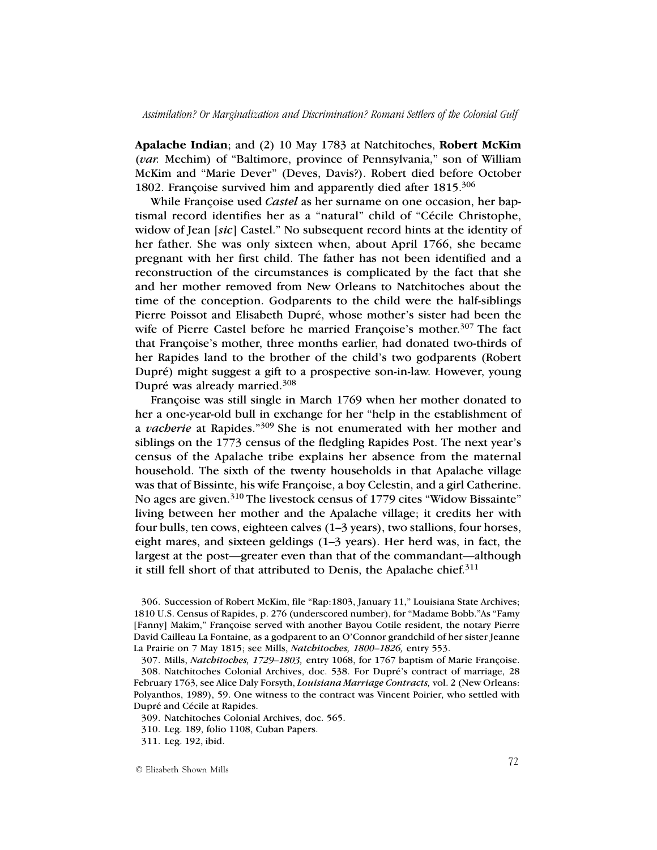**Apalache Indian**; and (2) 10 May 1783 at Natchitoches, **Robert McKim** (*var.* Mechim) of "Baltimore, province of Pennsylvania," son of William McKim and "Marie Dever" (Deves, Davis?). Robert died before October 1802. Françoise survived him and apparently died after 1815.<sup>306</sup>

While Françoise used *Castel* as her surname on one occasion, her baptismal record identifies her as a "natural" child of "Cécile Christophe, widow of Jean [*sic*] Castel." No subsequent record hints at the identity of her father. She was only sixteen when, about April 1766, she became pregnant with her first child. The father has not been identified and a reconstruction of the circumstances is complicated by the fact that she and her mother removed from New Orleans to Natchitoches about the time of the conception. Godparents to the child were the half-siblings Pierre Poissot and Elisabeth Dupré, whose mother's sister had been the wife of Pierre Castel before he married Françoise's mother.<sup>307</sup> The fact that Françoise's mother, three months earlier, had donated two-thirds of her Rapides land to the brother of the child's two godparents (Robert Dupré) might suggest a gift to a prospective son-in-law. However, young Dupré was already married.308

Françoise was still single in March 1769 when her mother donated to her a one-year-old bull in exchange for her "help in the establishment of a *vacherie* at Rapides."309 She is not enumerated with her mother and siblings on the 1773 census of the fledgling Rapides Post. The next year's census of the Apalache tribe explains her absence from the maternal household. The sixth of the twenty households in that Apalache village was that of Bissinte, his wife Françoise, a boy Celestin, and a girl Catherine. No ages are given.<sup>310</sup> The livestock census of 1779 cites "Widow Bissainte" living between her mother and the Apalache village; it credits her with four bulls, ten cows, eighteen calves (1–3 years), two stallions, four horses, eight mares, and sixteen geldings (1–3 years). Her herd was, in fact, the largest at the post—greater even than that of the commandant—although it still fell short of that attributed to Denis, the Apalache chief. $311$ 

309. Natchitoches Colonial Archives, doc. 565.

<sup>306.</sup> Succession of Robert McKim, file "Rap:1803, January 11," Louisiana State Archives; 1810 U.S. Census of Rapides, p. 276 (underscored number), for "Madame Bobb."As "Famy [Fanny] Makim," Françoise served with another Bayou Cotile resident, the notary Pierre David Cailleau La Fontaine, as a godparent to an O'Connor grandchild of her sister Jeanne La Prairie on 7 May 1815; see Mills, *Natchitoches, 1800–1826,* entry 553.

<sup>307.</sup> Mills, *Natchitoches, 1729–1803,* entry 1068, for 1767 baptism of Marie Françoise. 308. Natchitoches Colonial Archives, doc. 538. For Dupré's contract of marriage, 28 February 1763, see Alice Daly Forsyth, *Louisiana Marriage Contracts,* vol. 2 (New Orleans: Polyanthos, 1989), 59. One witness to the contract was Vincent Poirier, who settled with Dupré and Cécile at Rapides.

<sup>310.</sup> Leg. 189, folio 1108, Cuban Papers.

<sup>311.</sup> Leg. 192, ibid.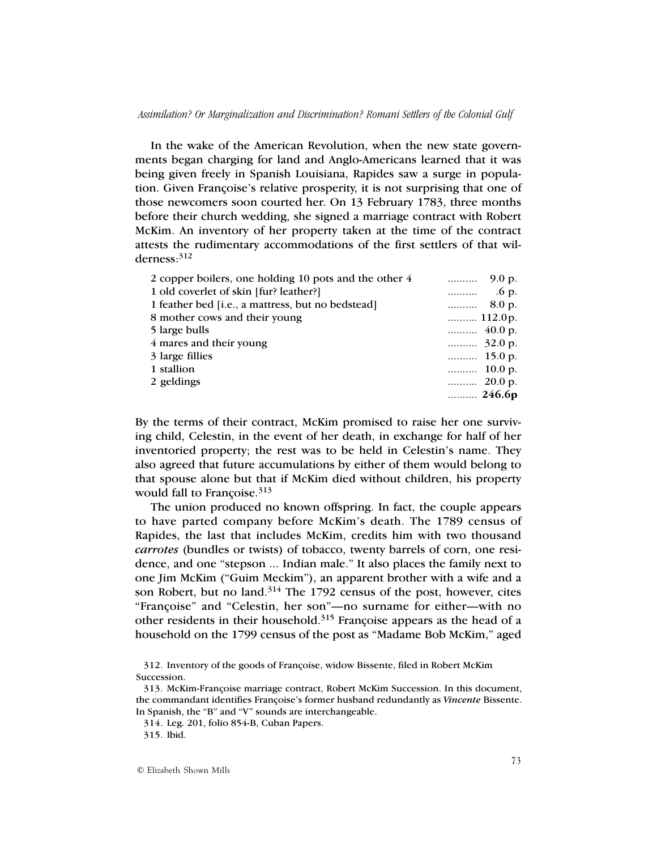In the wake of the American Revolution, when the new state governments began charging for land and Anglo-Americans learned that it was being given freely in Spanish Louisiana, Rapides saw a surge in population. Given Françoise's relative prosperity, it is not surprising that one of those newcomers soon courted her. On 13 February 1783, three months before their church wedding, she signed a marriage contract with Robert McKim. An inventory of her property taken at the time of the contract attests the rudimentary accommodations of the first settlers of that wilderness:312

| 2 copper boilers, one holding 10 pots and the other 4 | $\ldots$ 9.0 p.  |
|-------------------------------------------------------|------------------|
| 1 old coverlet of skin [fur? leather?]                |                  |
| 1 feather bed [i.e., a mattress, but no bedstead]     | $\ldots$ 8.0 p.  |
| 8 mother cows and their young                         |                  |
| 5 large bulls                                         |                  |
| 4 mares and their young                               |                  |
| 3 large fillies                                       | $\ldots$ 15.0 p. |
| 1 stallion                                            | $\ldots$ 10.0 p. |
| 2 geldings                                            |                  |
|                                                       |                  |

By the terms of their contract, McKim promised to raise her one surviving child, Celestin, in the event of her death, in exchange for half of her inventoried property; the rest was to be held in Celestin's name. They also agreed that future accumulations by either of them would belong to that spouse alone but that if McKim died without children, his property would fall to Françoise.<sup>313</sup>

The union produced no known offspring. In fact, the couple appears to have parted company before McKim's death. The 1789 census of Rapides, the last that includes McKim, credits him with two thousand *carrotes* (bundles or twists) of tobacco, twenty barrels of corn, one residence, and one "stepson ... Indian male." It also places the family next to one Jim McKim ("Guim Meckim"), an apparent brother with a wife and a son Robert, but no land.<sup>314</sup> The 1792 census of the post, however, cites "Françoise" and "Celestin, her son"—no surname for either—with no other residents in their household.<sup>315</sup> Françoise appears as the head of a household on the 1799 census of the post as "Madame Bob McKim," aged

314. Leg. 201, folio 854-B, Cuban Papers.

<sup>312.</sup> Inventory of the goods of Françoise, widow Bissente, filed in Robert McKim Succession.

<sup>313.</sup> McKim-Françoise marriage contract, Robert McKim Succession. In this document, the commandant identifies Françoise's former husband redundantly as *Vincente* Bissente. In Spanish, the "B" and "V" sounds are interchangeable.

<sup>315.</sup> Ibid.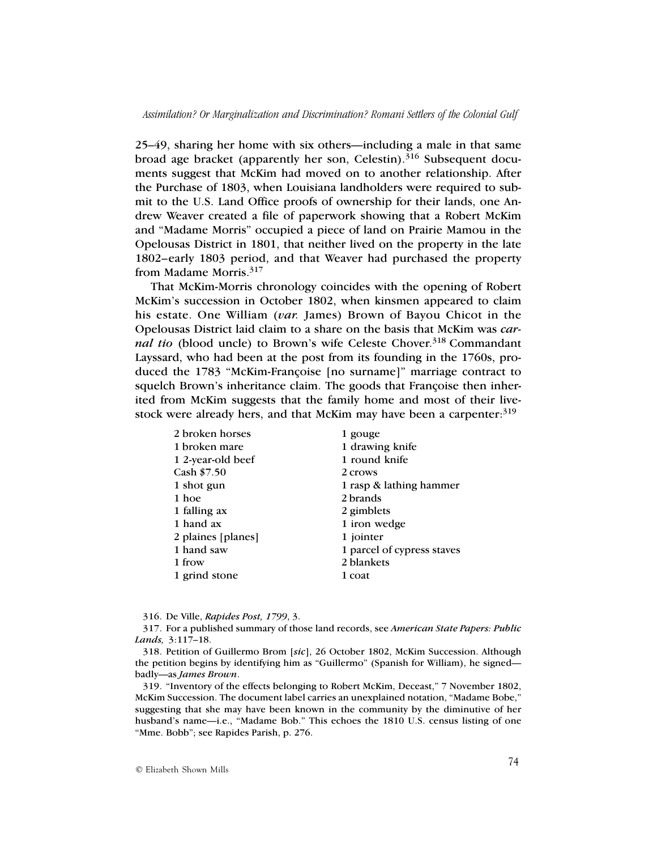25–49, sharing her home with six others—including a male in that same broad age bracket (apparently her son, Celestin).<sup>316</sup> Subsequent documents suggest that McKim had moved on to another relationship. After the Purchase of 1803, when Louisiana landholders were required to submit to the U.S. Land Office proofs of ownership for their lands, one Andrew Weaver created a file of paperwork showing that a Robert McKim and "Madame Morris" occupied a piece of land on Prairie Mamou in the Opelousas District in 1801, that neither lived on the property in the late 1802–early 1803 period, and that Weaver had purchased the property from Madame Morris.<sup>317</sup>

That McKim-Morris chronology coincides with the opening of Robert McKim's succession in October 1802, when kinsmen appeared to claim his estate. One William (*var.* James) Brown of Bayou Chicot in the Opelousas District laid claim to a share on the basis that McKim was *carnal tio* (blood uncle) to Brown's wife Celeste Chover.<sup>318</sup> Commandant Layssard, who had been at the post from its founding in the 1760s, produced the 1783 "McKim-Françoise [no surname]" marriage contract to squelch Brown's inheritance claim. The goods that Françoise then inherited from McKim suggests that the family home and most of their livestock were already hers, and that McKim may have been a carpenter:  $319$ 

| 2 broken horses    | 1 gouge                    |
|--------------------|----------------------------|
| 1 broken mare      | 1 drawing knife            |
| 1 2-year-old beef  | 1 round knife              |
| Cash \$7.50        | 2 crows                    |
| 1 shot gun         | 1 rasp & lathing hammer    |
| 1 hoe              | 2 brands                   |
| 1 falling ax       | 2 gimblets                 |
| 1 hand ax          | 1 iron wedge               |
| 2 plaines [planes] | 1 jointer                  |
| 1 hand saw         | 1 parcel of cypress staves |
| 1 frow             | 2 blankets                 |
| 1 grind stone      | 1 coat                     |

316. De Ville, *Rapides Post, 1799*, 3.

319. "Inventory of the effects belonging to Robert McKim, Deceast," 7 November 1802, McKim Succession. The document label carries an unexplained notation, "Madame Bobe," suggesting that she may have been known in the community by the diminutive of her husband's name—i.e., "Madame Bob." This echoes the 1810 U.S. census listing of one "Mme. Bobb"; see Rapides Parish, p. 276.

<sup>317.</sup> For a published summary of those land records, see *American State Papers: Public Lands,* 3:117–18.

<sup>318.</sup> Petition of Guillermo Brom [*sic*], 26 October 1802, McKim Succession. Although the petition begins by identifying him as "Guillermo" (Spanish for William), he signed badly—as *James Brown*.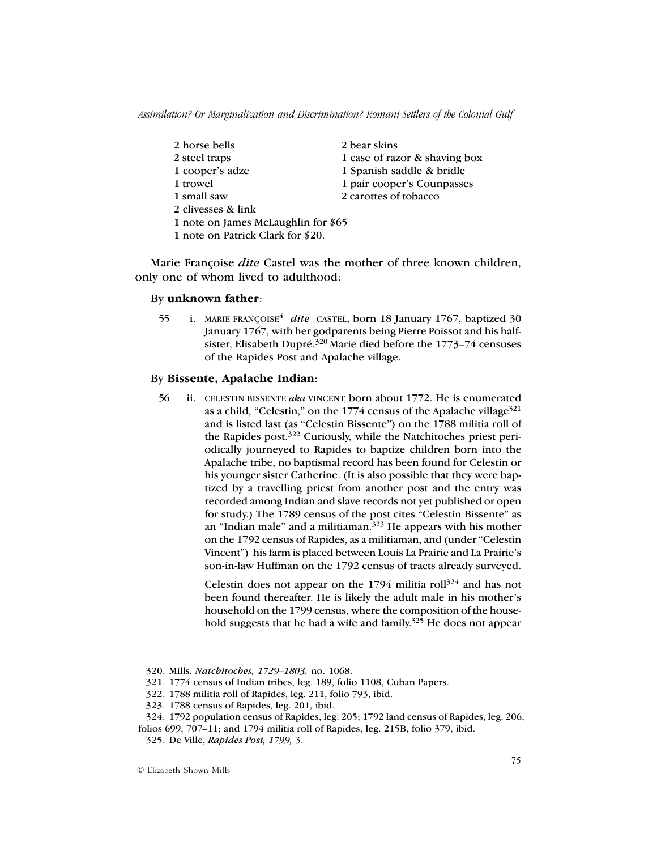2 horse bells 2 bear skins 2 steel traps 1 case of razor & shaving box 2 clivesses & link

1 cooper's adze 1 Spanish saddle & bridle

1 trowel 1 pair cooper's Counpasses

- 1 small saw 2 carottes of tobacco
- 1 note on James McLaughlin for \$65
- 1 note on Patrick Clark for \$20.

Marie Françoise *dite* Castel was the mother of three known children, only one of whom lived to adulthood:

## By **unknown father**:

55 i. MARIE FRANÇOISE<sup>4</sup> dite CASTEL, born 18 January 1767, baptized 30 January 1767, with her godparents being Pierre Poissot and his halfsister, Elisabeth Dupré.<sup>320</sup> Marie died before the 1773–74 censuses of the Rapides Post and Apalache village.

# By **Bissente, Apalache Indian**:

56 ii. CELESTIN BISSENTE *aka* VINCENT, born about 1772. He is enumerated as a child, "Celestin," on the 1774 census of the Apalache village  $321$ and is listed last (as "Celestin Bissente") on the 1788 militia roll of the Rapides post.<sup>322</sup> Curiously, while the Natchitoches priest periodically journeyed to Rapides to baptize children born into the Apalache tribe, no baptismal record has been found for Celestin or his younger sister Catherine. (It is also possible that they were baptized by a travelling priest from another post and the entry was recorded among Indian and slave records not yet published or open for study.) The 1789 census of the post cites "Celestin Bissente" as an "Indian male" and a militiaman. $323$  He appears with his mother on the 1792 census of Rapides, as a militiaman, and (under "Celestin Vincent") his farm is placed between Louis La Prairie and La Prairie's son-in-law Huffman on the 1792 census of tracts already surveyed.

> Celestin does not appear on the  $1794$  militia roll<sup>324</sup> and has not been found thereafter. He is likely the adult male in his mother's household on the 1799 census, where the composition of the household suggests that he had a wife and family.<sup>325</sup> He does not appear

- 320. Mills, *Natchitoches, 1729–1803,* no. 1068.
- 321. 1774 census of Indian tribes, leg. 189, folio 1108, Cuban Papers.
- 322. 1788 militia roll of Rapides, leg. 211, folio 793, ibid.
- 323. 1788 census of Rapides, leg. 201, ibid.
- 324. 1792 population census of Rapides, leg. 205; 1792 land census of Rapides, leg. 206, folios 699, 707–11; and 1794 militia roll of Rapides, leg. 215B, folio 379, ibid.
	- 325. De Ville, *Rapides Post, 1799,* 3.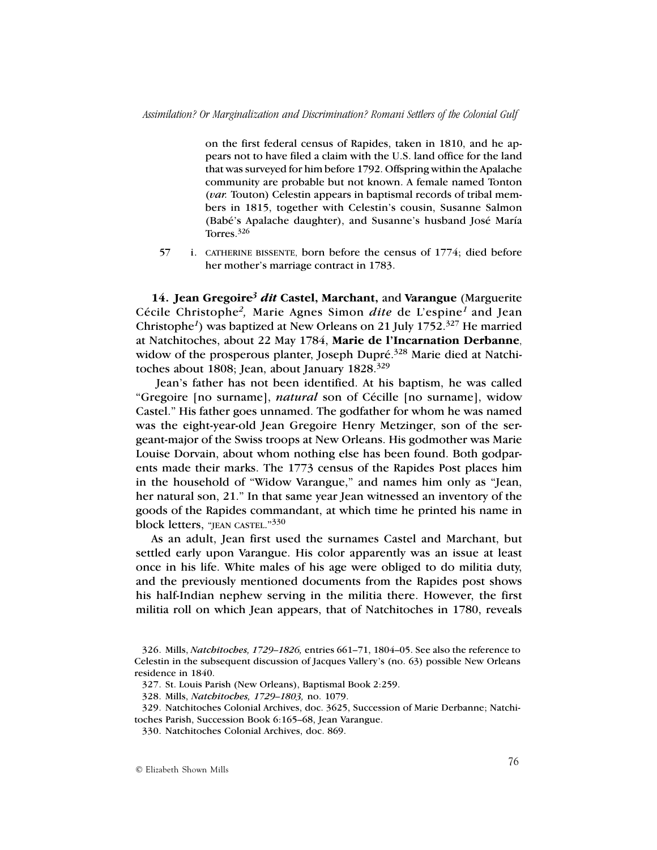on the first federal census of Rapides, taken in 1810, and he appears not to have filed a claim with the U.S. land office for the land that was surveyed for him before 1792. Offspring within the Apalache community are probable but not known. A female named Tonton (*var.* Touton) Celestin appears in baptismal records of tribal members in 1815, together with Celestin's cousin, Susanne Salmon (Babé's Apalache daughter), and Susanne's husband José María Torres.326

57 i. CATHERINE BISSENTE, born before the census of 1774; died before her mother's marriage contract in 1783.

**14. Jean Gregoire***<sup>3</sup> dit* **Castel, Marchant,** and **Varangue** (Marguerite Cécile Christophe*2,* Marie Agnes Simon *dite* de L'espine*1* and Jean Christophe*1*) was baptized at New Orleans on 21 July 1752.327 He married at Natchitoches, about 22 May 1784, **Marie de l'Incarnation Derbanne**, widow of the prosperous planter, Joseph Dupré.<sup>328</sup> Marie died at Natchitoches about 1808; Jean, about January 1828.<sup>329</sup>

 Jean's father has not been identified. At his baptism, he was called "Gregoire [no surname], *natural* son of Cécille [no surname], widow Castel." His father goes unnamed. The godfather for whom he was named was the eight-year-old Jean Gregoire Henry Metzinger, son of the sergeant-major of the Swiss troops at New Orleans. His godmother was Marie Louise Dorvain, about whom nothing else has been found. Both godparents made their marks. The 1773 census of the Rapides Post places him in the household of "Widow Varangue," and names him only as "Jean, her natural son, 21." In that same year Jean witnessed an inventory of the goods of the Rapides commandant, at which time he printed his name in block letters, "JEAN CASTEL."<sup>330</sup>

As an adult, Jean first used the surnames Castel and Marchant, but settled early upon Varangue. His color apparently was an issue at least once in his life. White males of his age were obliged to do militia duty, and the previously mentioned documents from the Rapides post shows his half-Indian nephew serving in the militia there. However, the first militia roll on which Jean appears, that of Natchitoches in 1780, reveals

<sup>326.</sup> Mills, *Natchitoches, 1729–1826,* entries 661–71, 1804–05. See also the reference to Celestin in the subsequent discussion of Jacques Vallery's (no. 63) possible New Orleans residence in 1840.

<sup>327.</sup> St. Louis Parish (New Orleans), Baptismal Book 2:259.

<sup>328.</sup> Mills, *Natchitoches, 1729–1803,* no. 1079.

<sup>329.</sup> Natchitoches Colonial Archives, doc. 3625, Succession of Marie Derbanne; Natchitoches Parish, Succession Book 6:165–68, Jean Varangue.

<sup>330.</sup> Natchitoches Colonial Archives, doc. 869.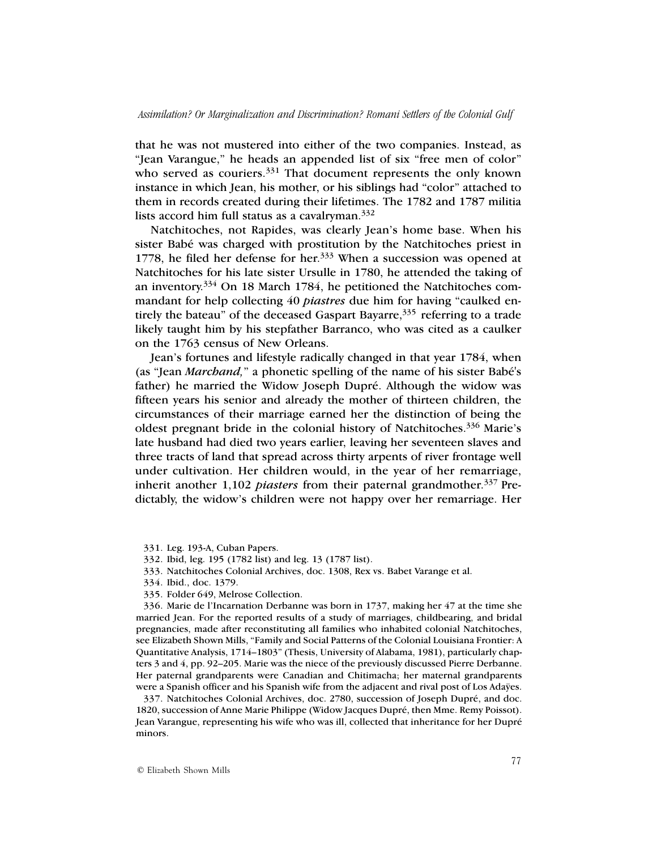that he was not mustered into either of the two companies. Instead, as "Jean Varangue," he heads an appended list of six "free men of color" who served as couriers.<sup>331</sup> That document represents the only known instance in which Jean, his mother, or his siblings had "color" attached to them in records created during their lifetimes. The 1782 and 1787 militia lists accord him full status as a cavalryman. $332$ 

Natchitoches, not Rapides, was clearly Jean's home base. When his sister Babé was charged with prostitution by the Natchitoches priest in 1778, he filed her defense for her.<sup>333</sup> When a succession was opened at Natchitoches for his late sister Ursulle in 1780, he attended the taking of an inventory.<sup>334</sup> On 18 March 1784, he petitioned the Natchitoches commandant for help collecting 40 *piastres* due him for having "caulked entirely the bateau" of the deceased Gaspart Bayarre, $335$  referring to a trade likely taught him by his stepfather Barranco, who was cited as a caulker on the 1763 census of New Orleans.

Jean's fortunes and lifestyle radically changed in that year 1784, when (as "Jean *Marchand,*" a phonetic spelling of the name of his sister Babé's father) he married the Widow Joseph Dupré. Although the widow was fifteen years his senior and already the mother of thirteen children, the circumstances of their marriage earned her the distinction of being the oldest pregnant bride in the colonial history of Natchitoches.336 Marie's late husband had died two years earlier, leaving her seventeen slaves and three tracts of land that spread across thirty arpents of river frontage well under cultivation. Her children would, in the year of her remarriage, inherit another 1,102 *piasters* from their paternal grandmother.<sup>337</sup> Predictably, the widow's children were not happy over her remarriage. Her

- 332. Ibid, leg. 195 (1782 list) and leg. 13 (1787 list).
- 333. Natchitoches Colonial Archives, doc. 1308, Rex vs. Babet Varange et al.
- 334. Ibid., doc. 1379.
- 335. Folder 649, Melrose Collection.

336. Marie de l'Incarnation Derbanne was born in 1737, making her 47 at the time she married Jean. For the reported results of a study of marriages, childbearing, and bridal pregnancies, made after reconstituting all families who inhabited colonial Natchitoches, see Elizabeth Shown Mills, "Family and Social Patterns of the Colonial Louisiana Frontier: A Quantitative Analysis, 1714–1803" (Thesis, University of Alabama, 1981), particularly chapters 3 and 4, pp. 92–205. Marie was the niece of the previously discussed Pierre Derbanne. Her paternal grandparents were Canadian and Chitimacha; her maternal grandparents were a Spanish officer and his Spanish wife from the adjacent and rival post of Los Adaÿes.

337. Natchitoches Colonial Archives, doc. 2780, succession of Joseph Dupré, and doc. 1820, succession of Anne Marie Philippe (Widow Jacques Dupré, then Mme. Remy Poissot). Jean Varangue, representing his wife who was ill, collected that inheritance for her Dupré minors.

<sup>331.</sup> Leg. 193-A, Cuban Papers.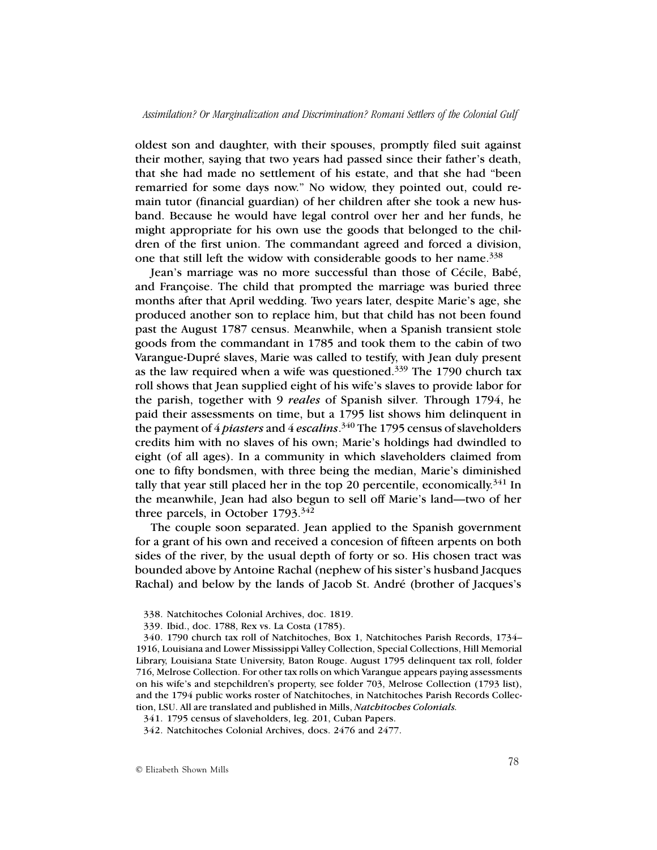oldest son and daughter, with their spouses, promptly filed suit against their mother, saying that two years had passed since their father's death, that she had made no settlement of his estate, and that she had "been remarried for some days now." No widow, they pointed out, could remain tutor (financial guardian) of her children after she took a new husband. Because he would have legal control over her and her funds, he might appropriate for his own use the goods that belonged to the children of the first union. The commandant agreed and forced a division, one that still left the widow with considerable goods to her name.  $338$ 

Jean's marriage was no more successful than those of Cécile, Babé, and Françoise. The child that prompted the marriage was buried three months after that April wedding. Two years later, despite Marie's age, she produced another son to replace him, but that child has not been found past the August 1787 census. Meanwhile, when a Spanish transient stole goods from the commandant in 1785 and took them to the cabin of two Varangue-Dupré slaves, Marie was called to testify, with Jean duly present as the law required when a wife was questioned.<sup>339</sup> The 1790 church tax roll shows that Jean supplied eight of his wife's slaves to provide labor for the parish, together with 9 *reales* of Spanish silver. Through 1794, he paid their assessments on time, but a 1795 list shows him delinquent in the payment of 4 *piasters* and 4 *escalins*. 340 The 1795 census of slaveholders credits him with no slaves of his own; Marie's holdings had dwindled to eight (of all ages). In a community in which slaveholders claimed from one to fifty bondsmen, with three being the median, Marie's diminished tally that year still placed her in the top 20 percentile, economically.<sup>341</sup> In the meanwhile, Jean had also begun to sell off Marie's land—two of her three parcels, in October 1793.<sup>342</sup>

The couple soon separated. Jean applied to the Spanish government for a grant of his own and received a concesion of fifteen arpents on both sides of the river, by the usual depth of forty or so. His chosen tract was bounded above by Antoine Rachal (nephew of his sister's husband Jacques Rachal) and below by the lands of Jacob St. André (brother of Jacques's

<sup>338.</sup> Natchitoches Colonial Archives, doc. 1819.

<sup>339.</sup> Ibid., doc. 1788, Rex vs. La Costa (1785).

<sup>340.</sup> 1790 church tax roll of Natchitoches, Box 1, Natchitoches Parish Records, 1734– 1916, Louisiana and Lower Mississippi Valley Collection, Special Collections, Hill Memorial Library, Louisiana State University, Baton Rouge. August 1795 delinquent tax roll, folder 716, Melrose Collection. For other tax rolls on which Varangue appears paying assessments on his wife's and stepchildren's property, see folder 703, Melrose Collection (1793 list), and the 1794 public works roster of Natchitoches, in Natchitoches Parish Records Collection, LSU. All are translated and published in Mills, *Natchitoches Colonials.*

<sup>341.</sup> 1795 census of slaveholders, leg. 201, Cuban Papers.

<sup>342.</sup> Natchitoches Colonial Archives, docs. 2476 and 2477.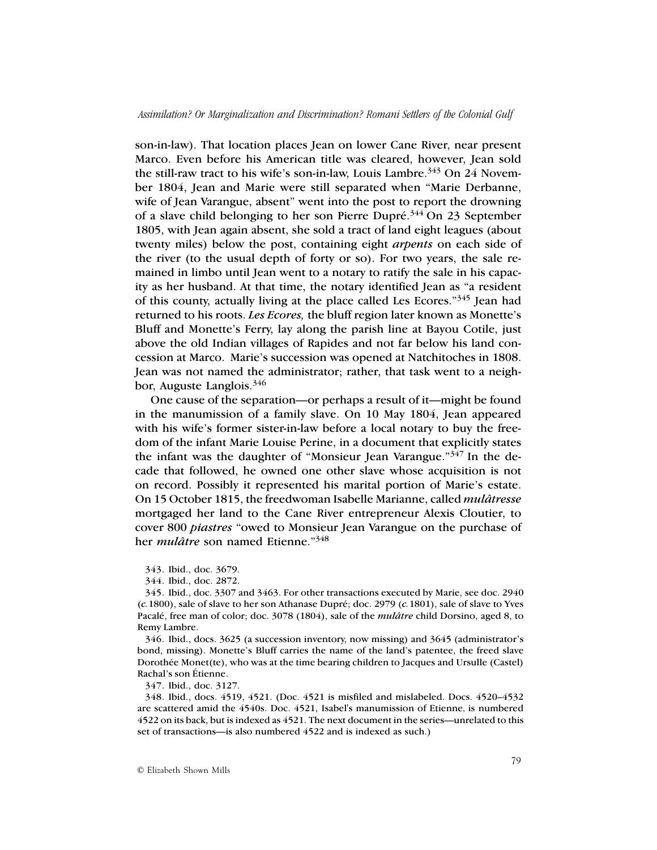son-in-law). That location places Jean on lower Cane River, near present Marco. Even before his American title was cleared, however, Jean sold the still-raw tract to his wife's son-in-law, Louis Lambre.<sup>343</sup> On 24 November 1804, Jean and Marie were still separated when "Marie Derbanne, wife of Jean Varangue, absent" went into the post to report the drowning of a slave child belonging to her son Pierre Dupré.<sup>344</sup> On 23 September 1805, with Jean again absent, she sold a tract of land eight leagues (about twenty miles) below the post, containing eight *arpents* on each side of the river (to the usual depth of forty or so). For two years, the sale remained in limbo until Jean went to a notary to ratify the sale in his capacity as her husband. At that time, the notary identified Jean as "a resident of this county, actually living at the place called Les Ecores."345 Jean had returned to his roots. *Les Ecores,* the bluff region later known as Monette's Bluff and Monette's Ferry, lay along the parish line at Bayou Cotile, just above the old Indian villages of Rapides and not far below his land concession at Marco. Marie's succession was opened at Natchitoches in 1808. Jean was not named the administrator; rather, that task went to a neighbor, Auguste Langlois.346

One cause of the separation—or perhaps a result of it—might be found in the manumission of a family slave. On 10 May 1804, Jean appeared with his wife's former sister-in-law before a local notary to buy the freedom of the infant Marie Louise Perine, in a document that explicitly states the infant was the daughter of "Monsieur Jean Varangue."<sup>347</sup> In the decade that followed, he owned one other slave whose acquisition is not on record. Possibly it represented his marital portion of Marie's estate. On 15 October 1815, the freedwoman Isabelle Marianne, called *mulâtresse* mortgaged her land to the Cane River entrepreneur Alexis Cloutier, to cover 800 *piastres* "owed to Monsieur Jean Varangue on the purchase of her *mulâtre* son named Etienne."348

343. Ibid., doc. 3679.

344. Ibid., doc. 2872.

345. Ibid., doc. 3307 and 3463. For other transactions executed by Marie, see doc. 2940 (*c.*1800), sale of slave to her son Athanase Dupré; doc. 2979 (*c.*1801), sale of slave to Yves Pacalé, free man of color; doc. 3078 (1804), sale of the *mulâtre* child Dorsino, aged 8, to Remy Lambre.

346. Ibid., docs. 3625 (a succession inventory, now missing) and 3645 (administrator's bond, missing). Monette's Bluff carries the name of the land's patentee, the freed slave Dorothée Monet(te), who was at the time bearing children to Jacques and Ursulle (Castel) Rachal's son Étienne.

347. Ibid., doc. 3127.

348. Ibid., docs. 4519, 4521. (Doc. 4521 is misfiled and mislabeled. Docs. 4520–4532 are scattered amid the 4540s. Doc. 4521, Isabel's manumission of Etienne, is numbered 4522 on its back, but is indexed as 4521. The next document in the series—unrelated to this set of transactions—is also numbered 4522 and is indexed as such.)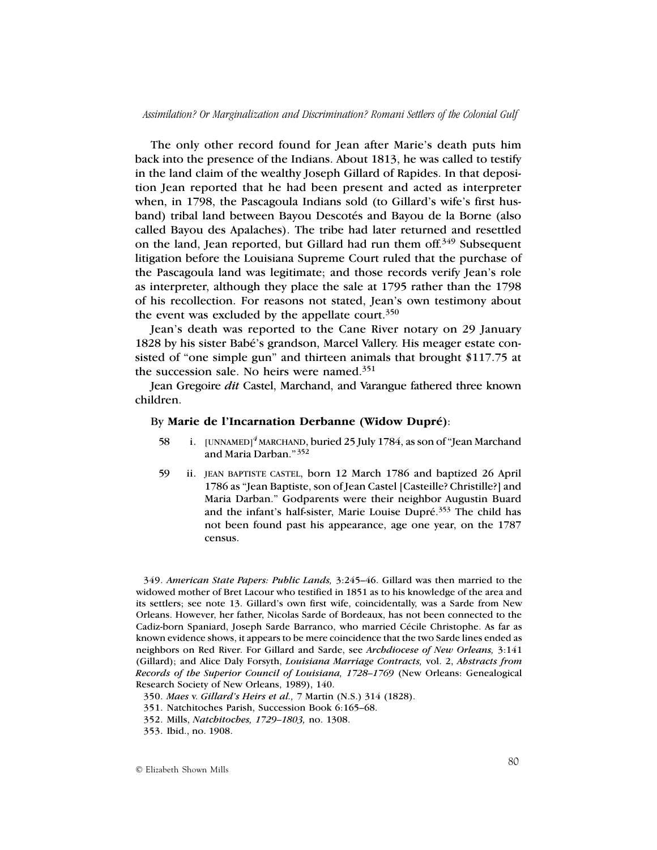The only other record found for Jean after Marie's death puts him back into the presence of the Indians. About 1813, he was called to testify in the land claim of the wealthy Joseph Gillard of Rapides. In that deposition Jean reported that he had been present and acted as interpreter when, in 1798, the Pascagoula Indians sold (to Gillard's wife's first husband) tribal land between Bayou Descotés and Bayou de la Borne (also called Bayou des Apalaches). The tribe had later returned and resettled on the land, Jean reported, but Gillard had run them off.349 Subsequent litigation before the Louisiana Supreme Court ruled that the purchase of the Pascagoula land was legitimate; and those records verify Jean's role as interpreter, although they place the sale at 1795 rather than the 1798 of his recollection. For reasons not stated, Jean's own testimony about the event was excluded by the appellate court. $350$ 

Jean's death was reported to the Cane River notary on 29 January 1828 by his sister Babé's grandson, Marcel Vallery. His meager estate consisted of "one simple gun" and thirteen animals that brought \$117.75 at the succession sale. No heirs were named.<sup>351</sup>

Jean Gregoire *dit* Castel, Marchand, and Varangue fathered three known children.

## By **Marie de l'Incarnation Derbanne (Widow Dupré)**:

- 58 i. [UNNAMED]*<sup>4</sup>* MARCHAND, buried 25 July 1784, as son of "Jean Marchand and Maria Darban."<sup>352</sup>
- 59 ii. JEAN BAPTISTE CASTEL, born 12 March 1786 and baptized 26 April 1786 as "Jean Baptiste, son of Jean Castel [Casteille? Christille?] and Maria Darban." Godparents were their neighbor Augustin Buard and the infant's half-sister, Marie Louise Dupré.<sup>353</sup> The child has not been found past his appearance, age one year, on the 1787 census.

349. *American State Papers: Public Lands,* 3:245–46. Gillard was then married to the widowed mother of Bret Lacour who testified in 1851 as to his knowledge of the area and its settlers; see note 13. Gillard's own first wife, coincidentally, was a Sarde from New Orleans. However, her father, Nicolas Sarde of Bordeaux, has not been connected to the Cadiz-born Spaniard, Joseph Sarde Barranco, who married Cécile Christophe. As far as known evidence shows, it appears to be mere coincidence that the two Sarde lines ended as neighbors on Red River. For Gillard and Sarde, see *Archdiocese of New Orleans,* 3:141 (Gillard); and Alice Daly Forsyth, *Louisiana Marriage Contracts,* vol. 2, *Abstracts from Records of the Superior Council of Louisiana, 1728–1769* (New Orleans: Genealogical Research Society of New Orleans, 1989), 140.

<sup>350.</sup> *Maes* v. *Gillard's Heirs et al.,* 7 Martin (N.S.) 314 (1828).

<sup>351.</sup> Natchitoches Parish, Succession Book 6:165–68.

<sup>352.</sup> Mills, *Natchitoches, 1729–1803,* no. 1308.

<sup>353.</sup> Ibid., no. 1908.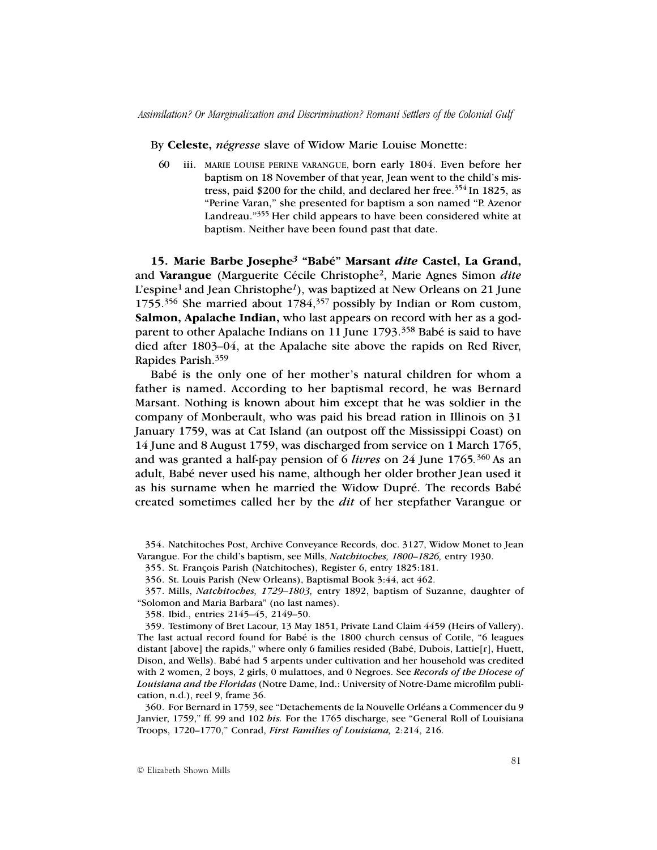By **Celeste,** *négresse* slave of Widow Marie Louise Monette:

60 iii. MARIE LOUISE PERINE VARANGUE, born early 1804. Even before her baptism on 18 November of that year, Jean went to the child's mistress, paid \$200 for the child, and declared her free.<sup>354</sup> In 1825, as "Perine Varan," she presented for baptism a son named "P. Azenor Landreau."355 Her child appears to have been considered white at baptism. Neither have been found past that date.

**15. Marie Barbe Josephe***3* **"Babé" Marsant** *dite* **Castel, La Grand,** and **Varangue** (Marguerite Cécile Christophe2, Marie Agnes Simon *dite* L'espine1 and Jean Christophe*<sup>1</sup>*), was baptized at New Orleans on 21 June 1755.356 She married about 1784,357 possibly by Indian or Rom custom, **Salmon, Apalache Indian,** who last appears on record with her as a godparent to other Apalache Indians on 11 June 1793.<sup>358</sup> Babé is said to have died after 1803–04, at the Apalache site above the rapids on Red River, Rapides Parish.359

Babé is the only one of her mother's natural children for whom a father is named. According to her baptismal record, he was Bernard Marsant. Nothing is known about him except that he was soldier in the company of Monberault, who was paid his bread ration in Illinois on 31 January 1759, was at Cat Island (an outpost off the Mississippi Coast) on 14 June and 8 August 1759, was discharged from service on 1 March 1765, and was granted a half-pay pension of 6 *livres* on 24 June 1765*.* <sup>360</sup> As an adult, Babé never used his name, although her older brother Jean used it as his surname when he married the Widow Dupré. The records Babé created sometimes called her by the *dit* of her stepfather Varangue or

358. Ibid., entries 2145–45, 2149–50.

359. Testimony of Bret Lacour, 13 May 1851, Private Land Claim 4459 (Heirs of Vallery). The last actual record found for Babé is the 1800 church census of Cotile, "6 leagues distant [above] the rapids," where only 6 families resided (Babé, Dubois, Lattie[r], Huett, Dison, and Wells). Babé had 5 arpents under cultivation and her household was credited with 2 women, 2 boys, 2 girls, 0 mulattoes, and 0 Negroes. See *Records of the Diocese of Louisiana and the Floridas* (Notre Dame, Ind.: University of Notre-Dame microfilm publication, n.d.), reel 9, frame 36.

360. For Bernard in 1759, see "Detachements de la Nouvelle Orléans a Commencer du 9 Janvier, 1759," ff. 99 and 102 *bis.* For the 1765 discharge, see "General Roll of Louisiana Troops, 1720–1770," Conrad, *First Families of Louisiana,* 2:214, 216.

<sup>354.</sup> Natchitoches Post, Archive Conveyance Records, doc. 3127, Widow Monet to Jean Varangue. For the child's baptism, see Mills, *Natchitoches, 1800–1826,* entry 1930.

<sup>355.</sup> St. François Parish (Natchitoches), Register 6, entry 1825:181.

<sup>356.</sup> St. Louis Parish (New Orleans), Baptismal Book 3:44, act 462.

<sup>357.</sup> Mills, *Natchitoches, 1729–1803,* entry 1892, baptism of Suzanne, daughter of "Solomon and Maria Barbara" (no last names).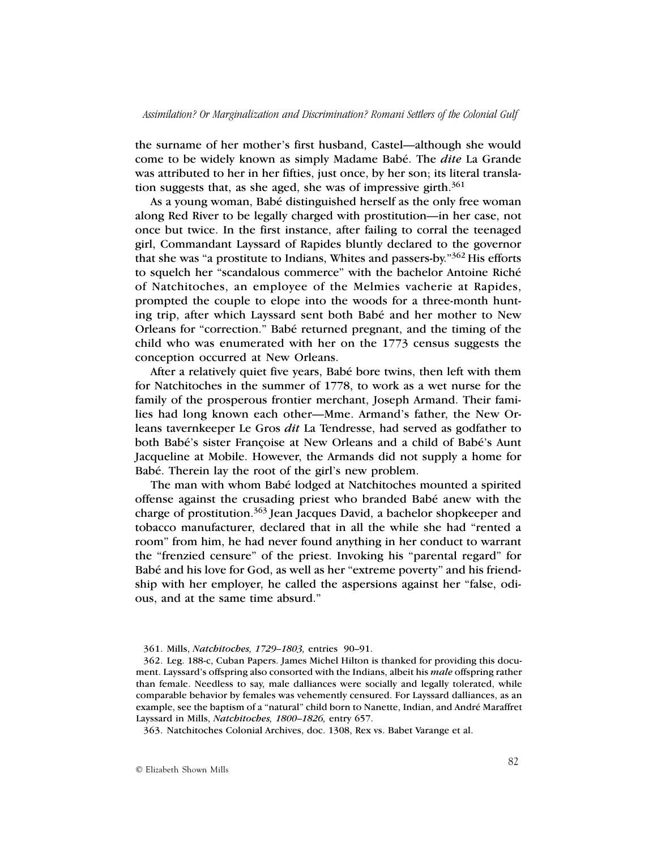the surname of her mother's first husband, Castel—although she would come to be widely known as simply Madame Babé. The *dite* La Grande was attributed to her in her fifties, just once, by her son; its literal translation suggests that, as she aged, she was of impressive girth. $361$ 

As a young woman, Babé distinguished herself as the only free woman along Red River to be legally charged with prostitution—in her case, not once but twice. In the first instance, after failing to corral the teenaged girl, Commandant Layssard of Rapides bluntly declared to the governor that she was "a prostitute to Indians, Whites and passers-by."362 His efforts to squelch her "scandalous commerce" with the bachelor Antoine Riché of Natchitoches, an employee of the Melmies vacherie at Rapides, prompted the couple to elope into the woods for a three-month hunting trip, after which Layssard sent both Babé and her mother to New Orleans for "correction." Babé returned pregnant, and the timing of the child who was enumerated with her on the 1773 census suggests the conception occurred at New Orleans.

After a relatively quiet five years, Babé bore twins, then left with them for Natchitoches in the summer of 1778, to work as a wet nurse for the family of the prosperous frontier merchant, Joseph Armand. Their families had long known each other—Mme. Armand's father, the New Orleans tavernkeeper Le Gros *dit* La Tendresse, had served as godfather to both Babé's sister Françoise at New Orleans and a child of Babé's Aunt Jacqueline at Mobile. However, the Armands did not supply a home for Babé. Therein lay the root of the girl's new problem.

The man with whom Babé lodged at Natchitoches mounted a spirited offense against the crusading priest who branded Babé anew with the charge of prostitution.363 Jean Jacques David, a bachelor shopkeeper and tobacco manufacturer, declared that in all the while she had "rented a room" from him, he had never found anything in her conduct to warrant the "frenzied censure" of the priest. Invoking his "parental regard" for Babé and his love for God, as well as her "extreme poverty" and his friendship with her employer, he called the aspersions against her "false, odious, and at the same time absurd."

363. Natchitoches Colonial Archives, doc. 1308, Rex vs. Babet Varange et al.

<sup>361.</sup> Mills, *Natchitoches, 1729–1803,* entries 90–91.

<sup>362.</sup> Leg. 188-c, Cuban Papers. James Michel Hilton is thanked for providing this document. Layssard's offspring also consorted with the Indians, albeit his *male* offspring rather than female. Needless to say, male dalliances were socially and legally tolerated, while comparable behavior by females was vehemently censured. For Layssard dalliances, as an example, see the baptism of a "natural" child born to Nanette, Indian, and André Maraffret Layssard in Mills, *Natchitoches, 1800–1826,* entry 657.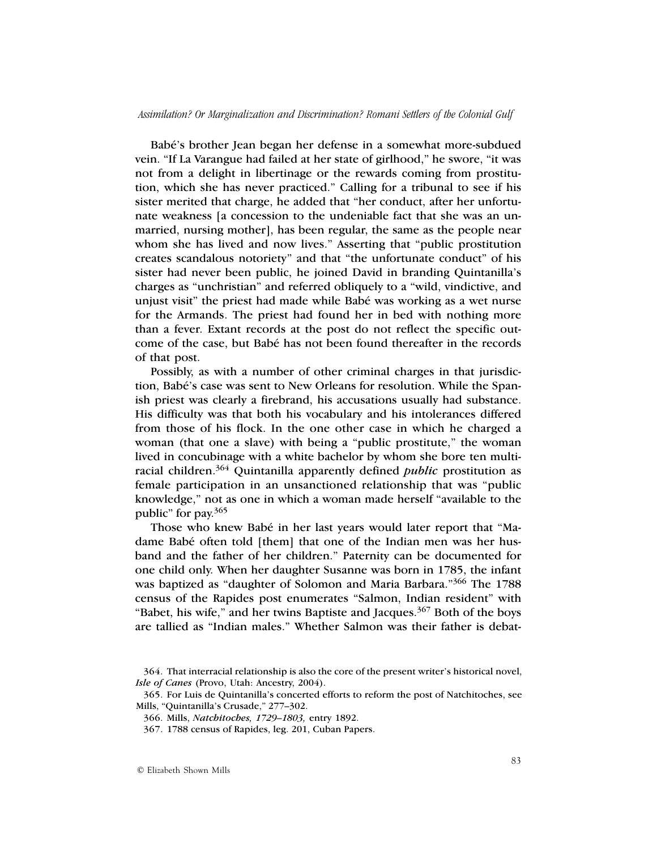Babé's brother Jean began her defense in a somewhat more-subdued vein. "If La Varangue had failed at her state of girlhood," he swore, "it was not from a delight in libertinage or the rewards coming from prostitution, which she has never practiced." Calling for a tribunal to see if his sister merited that charge, he added that "her conduct, after her unfortunate weakness [a concession to the undeniable fact that she was an unmarried, nursing mother], has been regular, the same as the people near whom she has lived and now lives." Asserting that "public prostitution creates scandalous notoriety" and that "the unfortunate conduct" of his sister had never been public, he joined David in branding Quintanilla's charges as "unchristian" and referred obliquely to a "wild, vindictive, and unjust visit" the priest had made while Babé was working as a wet nurse for the Armands. The priest had found her in bed with nothing more than a fever. Extant records at the post do not reflect the specific outcome of the case, but Babé has not been found thereafter in the records of that post.

Possibly, as with a number of other criminal charges in that jurisdiction, Babé's case was sent to New Orleans for resolution. While the Spanish priest was clearly a firebrand, his accusations usually had substance. His difficulty was that both his vocabulary and his intolerances differed from those of his flock. In the one other case in which he charged a woman (that one a slave) with being a "public prostitute," the woman lived in concubinage with a white bachelor by whom she bore ten multiracial children.364 Quintanilla apparently defined *public* prostitution as female participation in an unsanctioned relationship that was "public knowledge," not as one in which a woman made herself "available to the public" for pay.365

Those who knew Babé in her last years would later report that "Madame Babé often told [them] that one of the Indian men was her husband and the father of her children." Paternity can be documented for one child only. When her daughter Susanne was born in 1785, the infant was baptized as "daughter of Solomon and Maria Barbara."366 The 1788 census of the Rapides post enumerates "Salmon, Indian resident" with "Babet, his wife," and her twins Baptiste and Jacques.<sup>367</sup> Both of the boys are tallied as "Indian males." Whether Salmon was their father is debat-

<sup>364.</sup> That interracial relationship is also the core of the present writer's historical novel, *Isle of Canes* (Provo, Utah: Ancestry, 2004).

<sup>365.</sup> For Luis de Quintanilla's concerted efforts to reform the post of Natchitoches, see Mills, "Quintanilla's Crusade," 277–302.

<sup>366.</sup> Mills, *Natchitoches, 1729–1803,* entry 1892.

<sup>367.</sup> 1788 census of Rapides, leg. 201, Cuban Papers.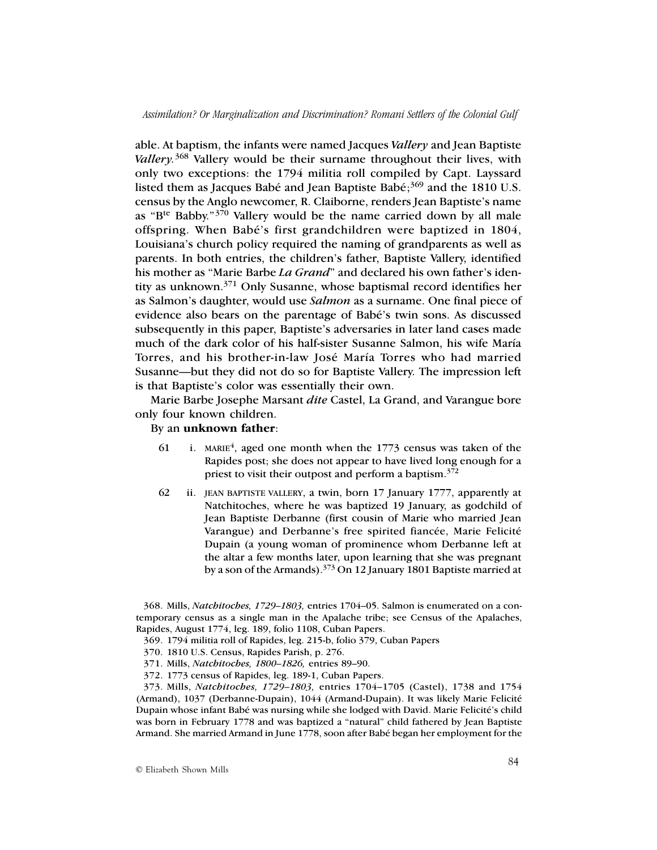able. At baptism, the infants were named Jacques *Vallery* and Jean Baptiste *Vallery.*368 Vallery would be their surname throughout their lives, with only two exceptions: the 1794 militia roll compiled by Capt. Layssard listed them as Jacques Babé and Jean Baptiste Babé;<sup>369</sup> and the 1810 U.S. census by the Anglo newcomer, R. Claiborne, renders Jean Baptiste's name as "Bte Babby."370 Vallery would be the name carried down by all male offspring. When Babé's first grandchildren were baptized in 1804, Louisiana's church policy required the naming of grandparents as well as parents. In both entries, the children's father, Baptiste Vallery, identified his mother as "Marie Barbe *La Grand*" and declared his own father's identity as unknown.371 Only Susanne, whose baptismal record identifies her as Salmon's daughter, would use *Salmon* as a surname. One final piece of evidence also bears on the parentage of Babé's twin sons. As discussed subsequently in this paper, Baptiste's adversaries in later land cases made much of the dark color of his half-sister Susanne Salmon, his wife María Torres, and his brother-in-law José María Torres who had married Susanne—but they did not do so for Baptiste Vallery. The impression left is that Baptiste's color was essentially their own.

Marie Barbe Josephe Marsant *dite* Castel, La Grand, and Varangue bore only four known children.

## By an **unknown father**:

- 61 i. MARIE<sup>4</sup>, aged one month when the 1773 census was taken of the Rapides post; she does not appear to have lived long enough for a priest to visit their outpost and perform a baptism.<sup>372</sup>
- 62 ii. JEAN BAPTISTE VALLERY, a twin, born 17 January 1777, apparently at Natchitoches, where he was baptized 19 January, as godchild of Jean Baptiste Derbanne (first cousin of Marie who married Jean Varangue) and Derbanne's free spirited fiancée, Marie Felicité Dupain (a young woman of prominence whom Derbanne left at the altar a few months later, upon learning that she was pregnant by a son of the Armands).373 On 12 January 1801 Baptiste married at

368. Mills, *Natchitoches, 1729–1803,* entries 1704–05. Salmon is enumerated on a contemporary census as a single man in the Apalache tribe; see Census of the Apalaches, Rapides, August 1774, leg. 189, folio 1108, Cuban Papers.

- 369. 1794 militia roll of Rapides, leg. 215-b, folio 379, Cuban Papers
- 370. 1810 U.S. Census, Rapides Parish, p. 276.

373. Mills, *Natchitoches, 1729–1803,* entries 1704–1705 (Castel), 1738 and 1754 (Armand), 1037 (Derbanne-Dupain), 1044 (Armand-Dupain). It was likely Marie Felicité Dupain whose infant Babé was nursing while she lodged with David. Marie Felicité's child was born in February 1778 and was baptized a "natural" child fathered by Jean Baptiste Armand. She married Armand in June 1778, soon after Babé began her employment for the

<sup>371.</sup> Mills, *Natchitoches, 1800–1826,* entries 89–90.

<sup>372.</sup> 1773 census of Rapides, leg. 189-1, Cuban Papers.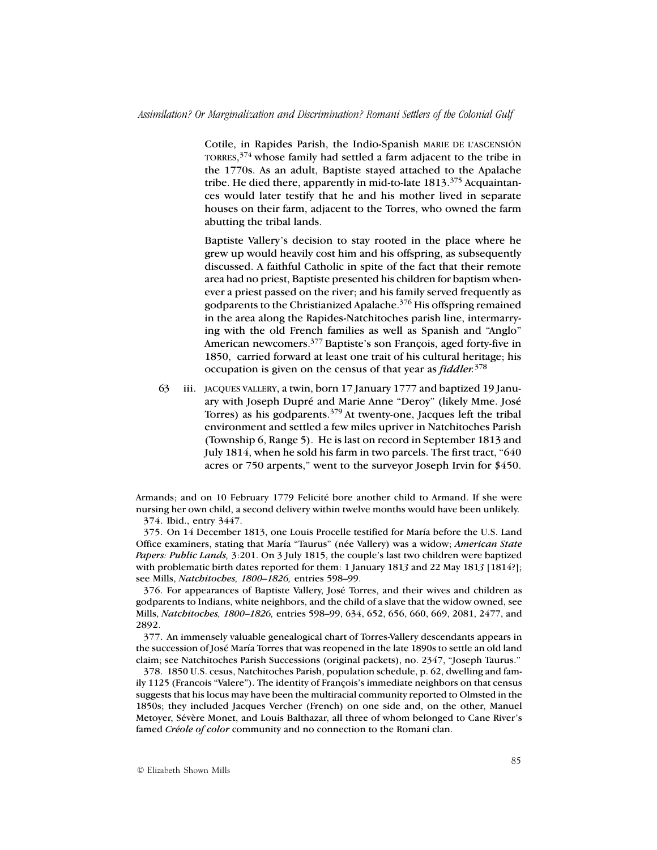Cotile, in Rapides Parish, the Indio-Spanish MARIE DE L'ASCENSIÓN TORRES,  $374$  whose family had settled a farm adjacent to the tribe in the 1770s. As an adult, Baptiste stayed attached to the Apalache tribe. He died there, apparently in mid-to-late 1813.<sup>375</sup> Acquaintances would later testify that he and his mother lived in separate houses on their farm, adjacent to the Torres, who owned the farm abutting the tribal lands.

Baptiste Vallery's decision to stay rooted in the place where he grew up would heavily cost him and his offspring, as subsequently discussed. A faithful Catholic in spite of the fact that their remote area had no priest, Baptiste presented his children for baptism whenever a priest passed on the river; and his family served frequently as godparents to the Christianized Apalache.376 His offspring remained in the area along the Rapides-Natchitoches parish line, intermarrying with the old French families as well as Spanish and "Anglo" American newcomers.377 Baptiste's son François, aged forty-five in 1850, carried forward at least one trait of his cultural heritage; his occupation is given on the census of that year as *fiddler.*<sup>378</sup>

63 iii. JACQUES VALLERY, a twin, born 17 January 1777 and baptized 19 January with Joseph Dupré and Marie Anne "Deroy" (likely Mme. José Torres) as his godparents.379 At twenty-one, Jacques left the tribal environment and settled a few miles upriver in Natchitoches Parish (Township 6, Range 5). He is last on record in September 1813 and July 1814, when he sold his farm in two parcels. The first tract, "640 acres or 750 arpents," went to the surveyor Joseph Irvin for \$450.

Armands; and on 10 February 1779 Felicité bore another child to Armand. If she were nursing her own child, a second delivery within twelve months would have been unlikely. 374. Ibid., entry 3447.

375. On 14 December 1813, one Louis Procelle testified for María before the U.S. Land Office examiners, stating that María "Taurus" (née Vallery) was a widow; *American State Papers: Public Lands,* 3:201. On 3 July 1815, the couple's last two children were baptized with problematic birth dates reported for them: 1 January 181*3* and 22 May 181*3* [1814?]; see Mills, *Natchitoches, 1800–1826,* entries 598–99.

376. For appearances of Baptiste Vallery, José Torres, and their wives and children as godparents to Indians, white neighbors, and the child of a slave that the widow owned, see Mills, *Natchitoches, 1800–1826,* entries 598–99, 634, 652, 656, 660, 669, 2081, 2477, and 2892.

377. An immensely valuable genealogical chart of Torres-Vallery descendants appears in the succession of José María Torres that was reopened in the late 1890s to settle an old land claim; see Natchitoches Parish Successions (original packets), no. 2347, "Joseph Taurus."

378. 1850 U.S. cesus, Natchitoches Parish, population schedule, p. 62, dwelling and family 1125 (Francois "Valere"). The identity of François's immediate neighbors on that census suggests that his locus may have been the multiracial community reported to Olmsted in the 1850s; they included Jacques Vercher (French) on one side and, on the other, Manuel Metoyer, Sévère Monet, and Louis Balthazar, all three of whom belonged to Cane River's famed *Créole of color* community and no connection to the Romani clan.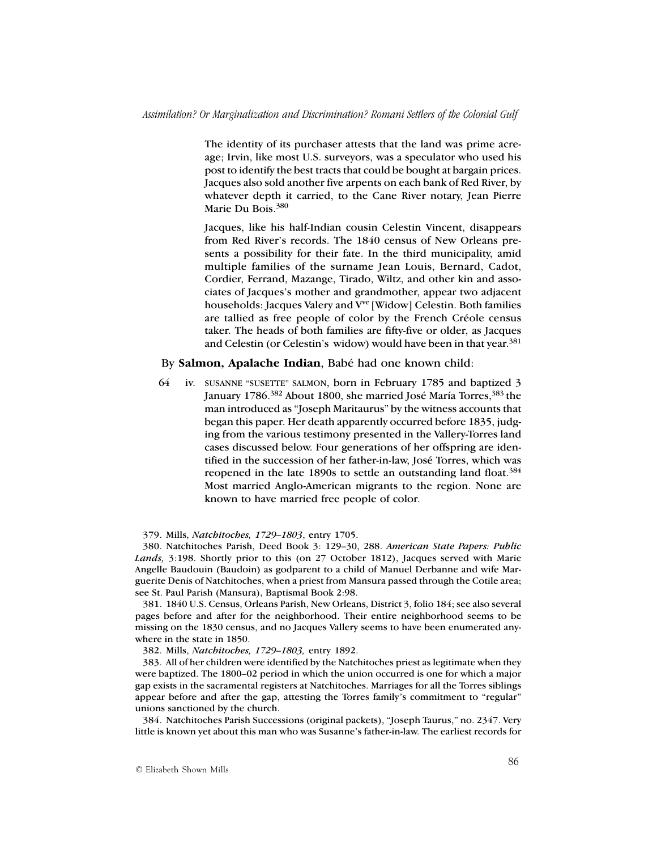The identity of its purchaser attests that the land was prime acreage; Irvin, like most U.S. surveyors, was a speculator who used his post to identify the best tracts that could be bought at bargain prices. Jacques also sold another five arpents on each bank of Red River, by whatever depth it carried, to the Cane River notary, Jean Pierre Marie Du Bois.<sup>380</sup>

Jacques, like his half-Indian cousin Celestin Vincent, disappears from Red River's records. The 1840 census of New Orleans presents a possibility for their fate. In the third municipality, amid multiple families of the surname Jean Louis, Bernard, Cadot, Cordier, Ferrand, Mazange, Tirado, Wiltz, and other kin and associates of Jacques's mother and grandmother, appear two adjacent households: Jacques Valery and V<sup>ve</sup> [Widow] Celestin. Both families are tallied as free people of color by the French Créole census taker. The heads of both families are fifty-five or older, as Jacques and Celestin (or Celestin's widow) would have been in that year.<sup>381</sup>

### By **Salmon, Apalache Indian**, Babé had one known child:

64 iv. SUSANNE "SUSETTE" SALMON, born in February 1785 and baptized 3 January 1786.<sup>382</sup> About 1800, she married José María Torres,<sup>383</sup> the man introduced as "Joseph Maritaurus" by the witness accounts that began this paper. Her death apparently occurred before 1835, judging from the various testimony presented in the Vallery-Torres land cases discussed below. Four generations of her offspring are identified in the succession of her father-in-law, José Torres, which was reopened in the late 1890s to settle an outstanding land float.<sup>384</sup> Most married Anglo-American migrants to the region. None are known to have married free people of color.

#### 379. Mills, *Natchitoches, 1729–1803*, entry 1705.

380. Natchitoches Parish, Deed Book 3: 129–30, 288. *American State Papers: Public Lands,* 3:198. Shortly prior to this (on 27 October 1812), Jacques served with Marie Angelle Baudouin (Baudoin) as godparent to a child of Manuel Derbanne and wife Marguerite Denis of Natchitoches, when a priest from Mansura passed through the Cotile area; see St. Paul Parish (Mansura), Baptismal Book 2:98.

381. 1840 U.S. Census, Orleans Parish, New Orleans, District 3, folio 184; see also several pages before and after for the neighborhood. Their entire neighborhood seems to be missing on the 1830 census, and no Jacques Vallery seems to have been enumerated anywhere in the state in 1850.

382. Mills, *Natchitoches, 1729–1803,* entry 1892.

383. All of her children were identified by the Natchitoches priest as legitimate when they were baptized. The 1800–02 period in which the union occurred is one for which a major gap exists in the sacramental registers at Natchitoches. Marriages for all the Torres siblings appear before and after the gap, attesting the Torres family's commitment to "regular" unions sanctioned by the church.

384. Natchitoches Parish Successions (original packets), "Joseph Taurus," no. 2347. Very little is known yet about this man who was Susanne's father-in-law. The earliest records for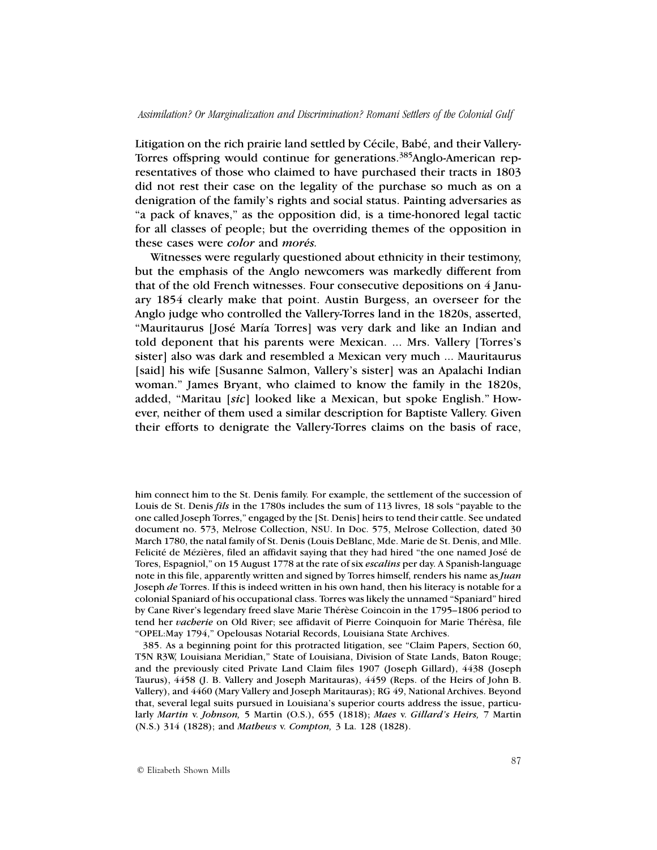Litigation on the rich prairie land settled by Cécile, Babé, and their Vallery-Torres offspring would continue for generations.<sup>385</sup>Anglo-American representatives of those who claimed to have purchased their tracts in 1803 did not rest their case on the legality of the purchase so much as on a denigration of the family's rights and social status. Painting adversaries as "a pack of knaves," as the opposition did, is a time-honored legal tactic for all classes of people; but the overriding themes of the opposition in these cases were *color* and *morés.*

Witnesses were regularly questioned about ethnicity in their testimony, but the emphasis of the Anglo newcomers was markedly different from that of the old French witnesses. Four consecutive depositions on 4 January 1854 clearly make that point. Austin Burgess, an overseer for the Anglo judge who controlled the Vallery-Torres land in the 1820s, asserted, "Mauritaurus [José María Torres] was very dark and like an Indian and told deponent that his parents were Mexican. ... Mrs. Vallery [Torres's sister] also was dark and resembled a Mexican very much ... Mauritaurus [said] his wife [Susanne Salmon, Vallery's sister] was an Apalachi Indian woman." James Bryant, who claimed to know the family in the 1820s, added, "Maritau [*sic*] looked like a Mexican, but spoke English." However, neither of them used a similar description for Baptiste Vallery. Given their efforts to denigrate the Vallery-Torres claims on the basis of race,

385. As a beginning point for this protracted litigation, see "Claim Papers, Section 60, T5N R3W, Louisiana Meridian," State of Louisiana, Division of State Lands, Baton Rouge; and the previously cited Private Land Claim files 1907 (Joseph Gillard), 4438 (Joseph Taurus), 4458 (J. B. Vallery and Joseph Maritauras), 4459 (Reps. of the Heirs of John B. Vallery), and 4460 (Mary Vallery and Joseph Maritauras); RG 49, National Archives. Beyond that, several legal suits pursued in Louisiana's superior courts address the issue, particularly *Martin* v. *Johnson,* 5 Martin (O.S.), 655 (1818); *Maes* v. *Gillard's Heirs,* 7 Martin (N.S.) 314 (1828); and *Mathews* v. *Compton,* 3 La. 128 (1828).

him connect him to the St. Denis family. For example, the settlement of the succession of Louis de St. Denis *fils* in the 1780s includes the sum of 113 livres, 18 sols "payable to the one called Joseph Torres," engaged by the [St. Denis] heirs to tend their cattle. See undated document no. 573, Melrose Collection, NSU. In Doc. 575, Melrose Collection, dated 30 March 1780, the natal family of St. Denis (Louis DeBlanc, Mde. Marie de St. Denis, and Mlle. Felicité de Mézières, filed an affidavit saying that they had hired "the one named José de Tores, Espagniol," on 15 August 1778 at the rate of six *escalins* per day. A Spanish-language note in this file, apparently written and signed by Torres himself, renders his name as *Juan* Joseph *de* Torres. If this is indeed written in his own hand, then his literacy is notable for a colonial Spaniard of his occupational class. Torres was likely the unnamed "Spaniard" hired by Cane River's legendary freed slave Marie Thérèse Coincoin in the 1795–1806 period to tend her *vacherie* on Old River; see affidavit of Pierre Coinquoin for Marie Thérèsa, file "OPEL:May 1794," Opelousas Notarial Records, Louisiana State Archives.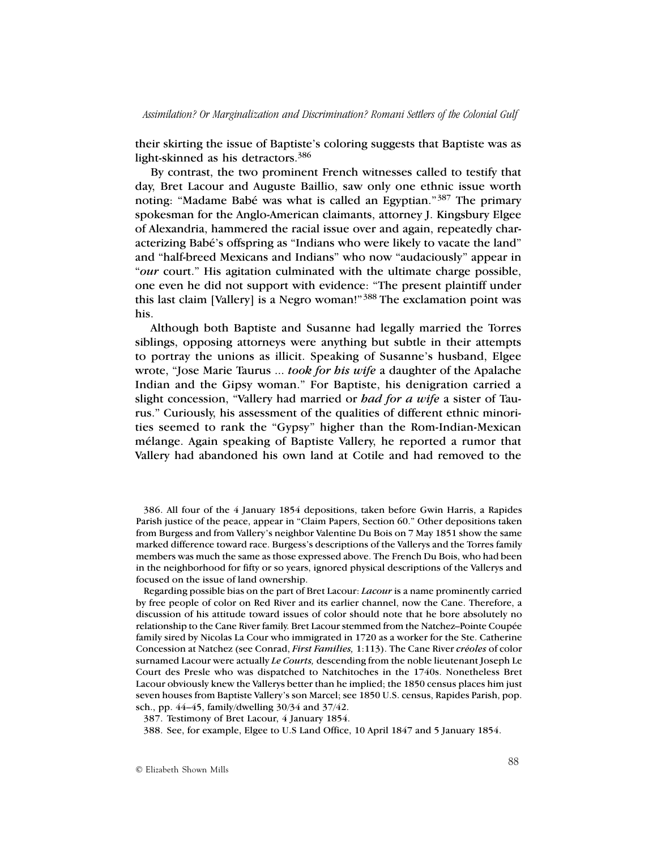their skirting the issue of Baptiste's coloring suggests that Baptiste was as light-skinned as his detractors.<sup>386</sup>

By contrast, the two prominent French witnesses called to testify that day, Bret Lacour and Auguste Baillio, saw only one ethnic issue worth noting: "Madame Babé was what is called an Egyptian."<sup>387</sup> The primary spokesman for the Anglo-American claimants, attorney J. Kingsbury Elgee of Alexandria, hammered the racial issue over and again, repeatedly characterizing Babé's offspring as "Indians who were likely to vacate the land" and "half-breed Mexicans and Indians" who now "audaciously" appear in "*our* court." His agitation culminated with the ultimate charge possible, one even he did not support with evidence: "The present plaintiff under this last claim [Vallery] is a Negro woman!"388 The exclamation point was his.

Although both Baptiste and Susanne had legally married the Torres siblings, opposing attorneys were anything but subtle in their attempts to portray the unions as illicit. Speaking of Susanne's husband, Elgee wrote, "Jose Marie Taurus ... *took for his wife* a daughter of the Apalache Indian and the Gipsy woman." For Baptiste, his denigration carried a slight concession, "Vallery had married or *had for a wife* a sister of Taurus." Curiously, his assessment of the qualities of different ethnic minorities seemed to rank the "Gypsy" higher than the Rom-Indian-Mexican mélange. Again speaking of Baptiste Vallery, he reported a rumor that Vallery had abandoned his own land at Cotile and had removed to the

386. All four of the 4 January 1854 depositions, taken before Gwin Harris, a Rapides Parish justice of the peace, appear in "Claim Papers, Section 60." Other depositions taken from Burgess and from Vallery's neighbor Valentine Du Bois on 7 May 1851 show the same marked difference toward race. Burgess's descriptions of the Vallerys and the Torres family members was much the same as those expressed above. The French Du Bois, who had been in the neighborhood for fifty or so years, ignored physical descriptions of the Vallerys and focused on the issue of land ownership.

Regarding possible bias on the part of Bret Lacour: *Lacour* is a name prominently carried by free people of color on Red River and its earlier channel, now the Cane. Therefore, a discussion of his attitude toward issues of color should note that he bore absolutely no relationship to the Cane River family. Bret Lacour stemmed from the Natchez–Pointe Coupée family sired by Nicolas La Cour who immigrated in 1720 as a worker for the Ste. Catherine Concession at Natchez (see Conrad, *First Families,* 1:113). The Cane River *créoles* of color surnamed Lacour were actually *Le Courts,* descending from the noble lieutenant Joseph Le Court des Presle who was dispatched to Natchitoches in the 1740s. Nonetheless Bret Lacour obviously knew the Vallerys better than he implied; the 1850 census places him just seven houses from Baptiste Vallery's son Marcel; see 1850 U.S. census, Rapides Parish, pop. sch., pp. 44–45, family/dwelling 30/34 and 37/42.

387. Testimony of Bret Lacour, 4 January 1854.

388. See, for example, Elgee to U.S Land Office, 10 April 1847 and 5 January 1854.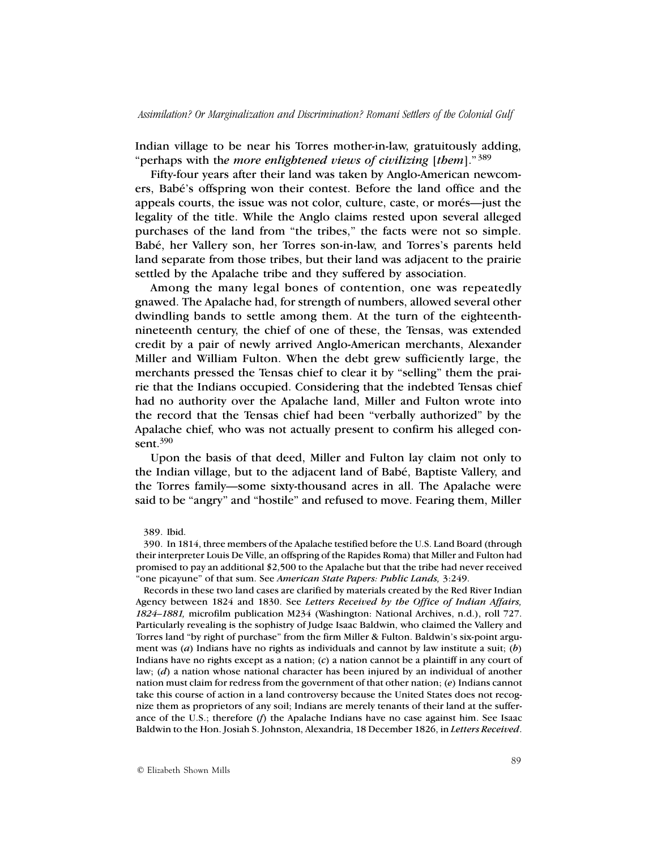Indian village to be near his Torres mother-in-law, gratuitously adding, "perhaps with th*e more enlightened views of civilizing* [*them*]." <sup>389</sup>

Fifty-four years after their land was taken by Anglo-American newcomers, Babé's offspring won their contest. Before the land office and the appeals courts, the issue was not color, culture, caste, or morés—just the legality of the title. While the Anglo claims rested upon several alleged purchases of the land from "the tribes," the facts were not so simple. Babé, her Vallery son, her Torres son-in-law, and Torres's parents held land separate from those tribes, but their land was adjacent to the prairie settled by the Apalache tribe and they suffered by association.

Among the many legal bones of contention, one was repeatedly gnawed. The Apalache had, for strength of numbers, allowed several other dwindling bands to settle among them. At the turn of the eighteenthnineteenth century, the chief of one of these, the Tensas, was extended credit by a pair of newly arrived Anglo-American merchants, Alexander Miller and William Fulton. When the debt grew sufficiently large, the merchants pressed the Tensas chief to clear it by "selling" them the prairie that the Indians occupied. Considering that the indebted Tensas chief had no authority over the Apalache land, Miller and Fulton wrote into the record that the Tensas chief had been "verbally authorized" by the Apalache chief, who was not actually present to confirm his alleged consent.<sup>390</sup>

Upon the basis of that deed, Miller and Fulton lay claim not only to the Indian village, but to the adjacent land of Babé, Baptiste Vallery, and the Torres family—some sixty-thousand acres in all. The Apalache were said to be "angry" and "hostile" and refused to move. Fearing them, Miller

Records in these two land cases are clarified by materials created by the Red River Indian Agency between 1824 and 1830. See *Letters Received by the Office of Indian Affairs, 1824–1881,* microfilm publication M234 (Washington: National Archives, n.d.), roll 727. Particularly revealing is the sophistry of Judge Isaac Baldwin, who claimed the Vallery and Torres land "by right of purchase" from the firm Miller & Fulton. Baldwin's six-point argument was (*a*) Indians have no rights as individuals and cannot by law institute a suit; (*b*) Indians have no rights except as a nation; (*c*) a nation cannot be a plaintiff in any court of law; (*d*) a nation whose national character has been injured by an individual of another nation must claim for redress from the government of that other nation; (*e*) Indians cannot take this course of action in a land controversy because the United States does not recognize them as proprietors of any soil; Indians are merely tenants of their land at the sufferance of the U.S.; therefore (*f*) the Apalache Indians have no case against him. See Isaac Baldwin to the Hon. Josiah S. Johnston, Alexandria, 18 December 1826, in *Letters Received*.

<sup>389.</sup> Ibid.

<sup>390.</sup> In 1814, three members of the Apalache testified before the U.S. Land Board (through their interpreter Louis De Ville, an offspring of the Rapides Roma) that Miller and Fulton had promised to pay an additional \$2,500 to the Apalache but that the tribe had never received "one picayune" of that sum. See *American State Papers: Public Lands,* 3:249.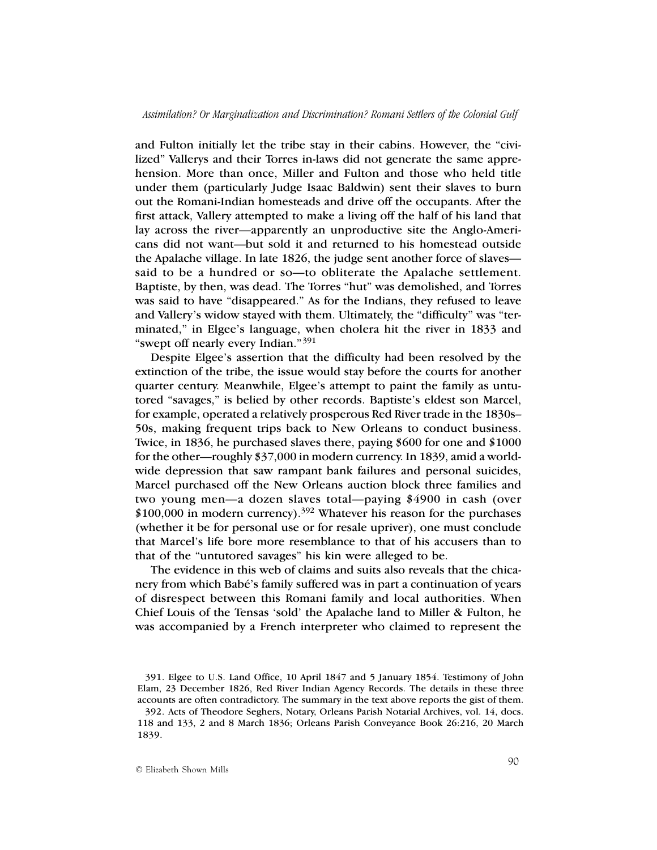and Fulton initially let the tribe stay in their cabins. However, the "civilized" Vallerys and their Torres in-laws did not generate the same apprehension. More than once, Miller and Fulton and those who held title under them (particularly Judge Isaac Baldwin) sent their slaves to burn out the Romani-Indian homesteads and drive off the occupants. After the first attack, Vallery attempted to make a living off the half of his land that lay across the river—apparently an unproductive site the Anglo-Americans did not want—but sold it and returned to his homestead outside the Apalache village. In late 1826, the judge sent another force of slaves said to be a hundred or so—to obliterate the Apalache settlement. Baptiste, by then, was dead. The Torres "hut" was demolished, and Torres was said to have "disappeared." As for the Indians, they refused to leave and Vallery's widow stayed with them. Ultimately, the "difficulty" was "terminated," in Elgee's language, when cholera hit the river in 1833 and "swept off nearly every Indian."391

Despite Elgee's assertion that the difficulty had been resolved by the extinction of the tribe, the issue would stay before the courts for another quarter century. Meanwhile, Elgee's attempt to paint the family as untutored "savages," is belied by other records. Baptiste's eldest son Marcel, for example, operated a relatively prosperous Red River trade in the 1830s– 50s, making frequent trips back to New Orleans to conduct business. Twice, in 1836, he purchased slaves there, paying \$600 for one and \$1000 for the other—roughly \$37,000 in modern currency. In 1839, amid a worldwide depression that saw rampant bank failures and personal suicides, Marcel purchased off the New Orleans auction block three families and two young men—a dozen slaves total—paying \$4900 in cash (over  $$100,000$  in modern currency).<sup>392</sup> Whatever his reason for the purchases (whether it be for personal use or for resale upriver), one must conclude that Marcel's life bore more resemblance to that of his accusers than to that of the "untutored savages" his kin were alleged to be.

The evidence in this web of claims and suits also reveals that the chicanery from which Babé's family suffered was in part a continuation of years of disrespect between this Romani family and local authorities. When Chief Louis of the Tensas 'sold' the Apalache land to Miller & Fulton, he was accompanied by a French interpreter who claimed to represent the

<sup>391.</sup> Elgee to U.S. Land Office, 10 April 1847 and 5 January 1854. Testimony of John Elam, 23 December 1826, Red River Indian Agency Records. The details in these three accounts are often contradictory. The summary in the text above reports the gist of them. 392. Acts of Theodore Seghers, Notary, Orleans Parish Notarial Archives, vol. 14, docs. 118 and 133, 2 and 8 March 1836; Orleans Parish Conveyance Book 26:216, 20 March 1839.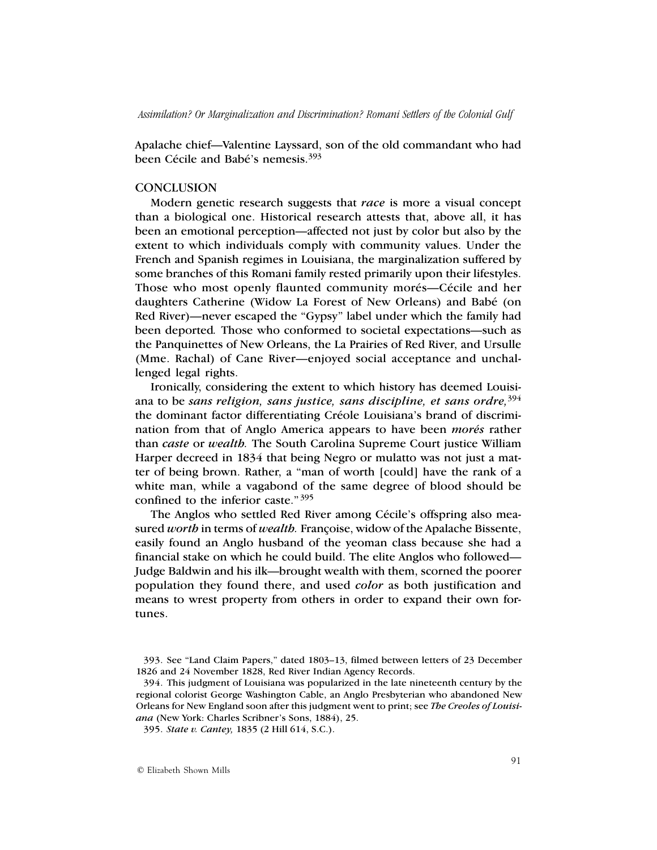Apalache chief—Valentine Layssard, son of the old commandant who had been Cécile and Babé's nemesis.393

## **CONCLUSION**

Modern genetic research suggests that *race* is more a visual concept than a biological one. Historical research attests that, above all, it has been an emotional perception—affected not just by color but also by the extent to which individuals comply with community values. Under the French and Spanish regimes in Louisiana, the marginalization suffered by some branches of this Romani family rested primarily upon their lifestyles. Those who most openly flaunted community morés—Cécile and her daughters Catherine (Widow La Forest of New Orleans) and Babé (on Red River)—never escaped the "Gypsy" label under which the family had been deported*.* Those who conformed to societal expectations—such as the Panquinettes of New Orleans, the La Prairies of Red River, and Ursulle (Mme. Rachal) of Cane River—enjoyed social acceptance and unchallenged legal rights.

Ironically, considering the extent to which history has deemed Louisiana to be *sans religion, sans justice, sans discipline, et sans ordre,*<sup>394</sup> the dominant factor differentiating Créole Louisiana's brand of discrimination from that of Anglo America appears to have been *morés* rather than *caste* or *wealth.* The South Carolina Supreme Court justice William Harper decreed in 1834 that being Negro or mulatto was not just a matter of being brown. Rather, a "man of worth [could] have the rank of a white man, while a vagabond of the same degree of blood should be confined to the inferior caste." <sup>395</sup>

The Anglos who settled Red River among Cécile's offspring also measured *worth* in terms of *wealth.* Françoise, widow of the Apalache Bissente, easily found an Anglo husband of the yeoman class because she had a financial stake on which he could build. The elite Anglos who followed— Judge Baldwin and his ilk—brought wealth with them, scorned the poorer population they found there, and used *color* as both justification and means to wrest property from others in order to expand their own fortunes.

<sup>393.</sup> See "Land Claim Papers," dated 1803–13, filmed between letters of 23 December 1826 and 24 November 1828, Red River Indian Agency Records.

<sup>394.</sup> This judgment of Louisiana was popularized in the late nineteenth century by the regional colorist George Washington Cable, an Anglo Presbyterian who abandoned New Orleans for New England soon after this judgment went to print; see *The Creoles of Louisiana* (New York: Charles Scribner's Sons, 1884), 25.

<sup>395.</sup> *State v. Cantey,* 1835 (2 Hill 614, S.C.).